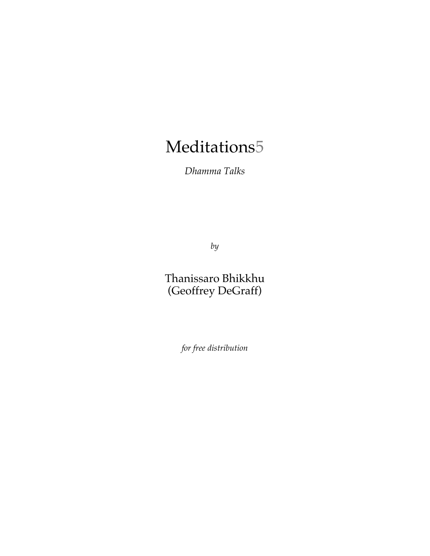# Meditations5

*Dhamma Talks*

*by*

Thanissaro Bhikkhu (Geoffrey DeGraff)

*for free distribution*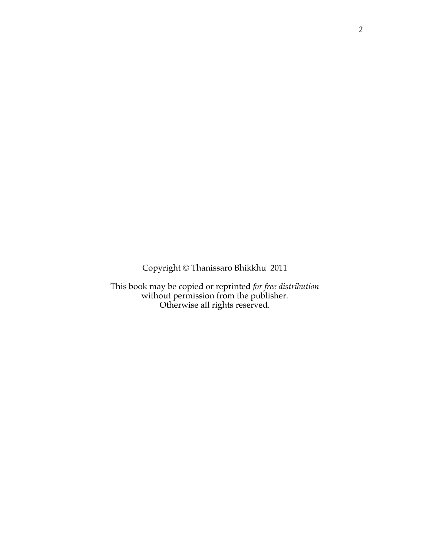Copyright © Thanissaro Bhikkhu 2011

This book may be copied or reprinted *for free distribution* without permission from the publisher. Otherwise all rights reserved.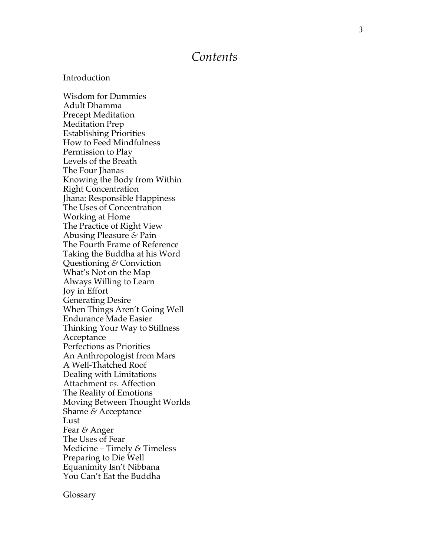### *Contents*

### Introduction

Wisdom for Dummies Adult Dhamma Precept Meditation Meditation Prep Establishing Priorities How to Feed Mindfulness Permission to Play Levels of the Breath The Four Ihanas Knowing the Body from Within Right Concentration Jhana: Responsible Happiness The Uses of Concentration Working at Home The Practice of Right View Abusing Pleasure *&* Pain The Fourth Frame of Reference Taking the Buddha at his Word Questioning *&* Conviction What's Not on the Map Always Willing to Learn Joy in Effort Generating Desire When Things Aren't Going Well Endurance Made Easier Thinking Your Way to Stillness Acceptance Perfections as Priorities An Anthropologist from Mars A Well -Thatched Roof Dealing with Limitations Attachment *vs.* Affection The Reality of Emotions Moving Between Thought Worlds Shame *&* Acceptance Lust Fear *&* Anger The Uses of Fear Medicine – Timely *&* Timeless Preparing to Die Well Equanimity Isn't Nibbana You Can't Eat the Buddha

Glossary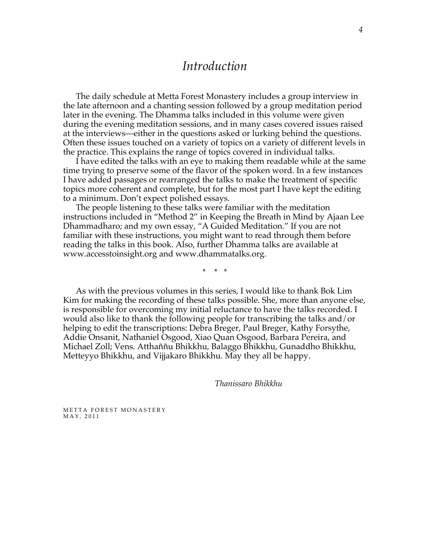# *Introduction*

The daily schedule at Metta Forest Monastery includes a group interview in the late afternoon and a chanting session followed by a group meditation period later in the evening. The Dhamma talks included in this volume were given during the evening meditation sessions, and in many cases covered issues raised at the interviews—either in the questions asked or lurking behind the questions. Often these issues touched on a variety of topics on a variety of different levels in the practice. This explains the range of topics covered in individual talks.

I have edited the talks with an eye to making them readable while at the same time trying to preserve some of the flavor of the spoken word. In a few instances I have added passages or rearranged the talks to make the treatment of specific topics more coherent and complete, but for the most part I have kept the editing to a minimum. Don't expect polished essays.

The people listening to these talks were familiar with the meditation instructions included in "Method 2" in Keeping the Breath in Mind by Ajaan Lee Dhammadharo; and my own essay, "A Guided Meditation." If you are not familiar with these instructions, you might want to read through them before reading the talks in this book. Also, further Dhamma talks are available at www.accesstoinsight.org and www.dhammatalks.org.

\* \* \*

As with the previous volumes in this series, I would like to thank Bok Lim Kim for making the recording of these talks possible. She, more than anyone else, is responsible for overcoming my initial reluctance to have the talks recorded. I would also like to thank the following people for transcribing the talks and/or helping to edit the transcriptions: Debra Breger, Paul Breger, Kathy Forsythe, Addie Onsanit, Nathaniel Osgood, Xiao Quan Osgood, Barbara Pereira, and Michael Zoll; Vens. Atthaññu Bhikkhu, Balaggo Bhikkhu, Gunaddho Bhikkhu, Metteyyo Bhikkhu, and Vijjakaro Bhikkhu. May they all be happy.

*Thanissaro Bhikkhu*

METTA FOREST MONASTERY MAY, 2011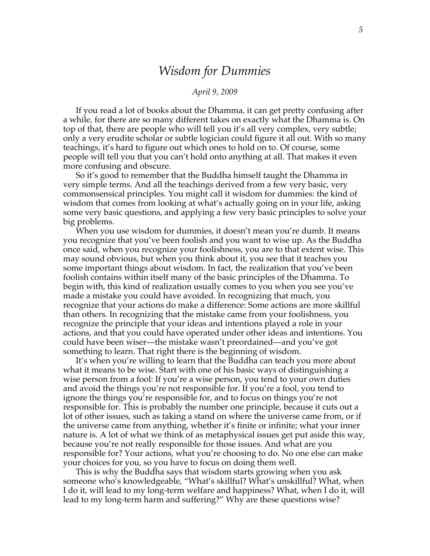# *Wisdom for Dummies*

#### *April 9, 2009*

If you read a lot of books about the Dhamma, it can get pretty confusing after a while, for there are so many different takes on exactly what the Dhamma is. On top of that, there are people who will tell you it's all very complex, very subtle; only a very erudite scholar or subtle logician could figure it all out. With so many teachings, it's hard to figure out which ones to hold on to. Of course, some people will tell you that you can't hold onto anything at all. That makes it even more confusing and obscure.

So it's good to remember that the Buddha himself taught the Dhamma in very simple terms. And all the teachings derived from a few very basic, very commonsensical principles. You might call it wisdom for dummies: the kind of wisdom that comes from looking at what's actually going on in your life, asking some very basic questions, and applying a few very basic principles to solve your big problems.

When you use wisdom for dummies, it doesn't mean you're dumb. It means you recognize that you've been foolish and you want to wise up. As the Buddha once said, when you recognize your foolishness, you are to that extent wise. This may sound obvious, but when you think about it, you see that it teaches you some important things about wisdom. In fact, the realization that you've been foolish contains within itself many of the basic principles of the Dhamma. To begin with, this kind of realization usually comes to you when you see you've made a mistake you could have avoided. In recognizing that much, you recognize that your actions do make a difference: Some actions are more skillful than others. In recognizing that the mistake came from your foolishness, you recognize the principle that your ideas and intentions played a role in your actions, and that you could have operated under other ideas and intentions. You could have been wiser—the mistake wasn't preordained—and you've got something to learn. That right there is the beginning of wisdom.

It's when you're willing to learn that the Buddha can teach you more about what it means to be wise. Start with one of his basic ways of distinguishing a wise person from a fool: If you're a wise person, you tend to your own duties and avoid the things you're not responsible for. If you're a fool, you tend to ignore the things you're responsible for, and to focus on things you're not responsible for. This is probably the number one principle, because it cuts out a lot of other issues, such as taking a stand on where the universe came from, or if the universe came from anything, whether it's finite or infinite; what your inner nature is. A lot of what we think of as metaphysical issues get put aside this way, because you're not really responsible for those issues. And what are you responsible for? Your actions, what you're choosing to do. No one else can make your choices for you, so you have to focus on doing them well.

This is why the Buddha says that wisdom starts growing when you ask someone who's knowledgeable, "What's skillful? What's unskillful? What, when I do it, will lead to my long-term welfare and happiness? What, when I do it, will lead to my long-term harm and suffering?" Why are these questions wise?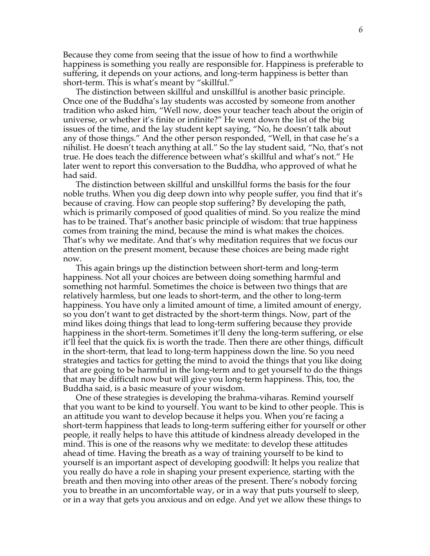Because they come from seeing that the issue of how to find a worthwhile happiness is something you really are responsible for. Happiness is preferable to suffering, it depends on your actions, and long-term happiness is better than short-term. This is what's meant by "skillful."

The distinction between skillful and unskillful is another basic principle. Once one of the Buddha's lay students was accosted by someone from another tradition who asked him, "Well now, does your teacher teach about the origin of universe, or whether it's finite or infinite?" He went down the list of the big issues of the time, and the lay student kept saying, "No, he doesn't talk about any of those things." And the other person responded, "Well, in that case he's a nihilist. He doesn't teach anything at all." So the lay student said, "No, that's not true. He does teach the difference between what's skillful and what's not." He later went to report this conversation to the Buddha, who approved of what he had said.

The distinction between skillful and unskillful forms the basis for the four noble truths. When you dig deep down into why people suffer, you find that it's because of craving. How can people stop suffering? By developing the path, which is primarily composed of good qualities of mind. So you realize the mind has to be trained. That's another basic principle of wisdom: that true happiness comes from training the mind, because the mind is what makes the choices. That's why we meditate. And that's why meditation requires that we focus our attention on the present moment, because these choices are being made right now.

This again brings up the distinction between short-term and long-term happiness. Not all your choices are between doing something harmful and something not harmful. Sometimes the choice is between two things that are relatively harmless, but one leads to short-term, and the other to long-term happiness. You have only a limited amount of time, a limited amount of energy, so you don't want to get distracted by the short-term things. Now, part of the mind likes doing things that lead to long-term suffering because they provide happiness in the short-term. Sometimes it'll deny the long-term suffering, or else it'll feel that the quick fix is worth the trade. Then there are other things, difficult in the short-term, that lead to long-term happiness down the line. So you need strategies and tactics for getting the mind to avoid the things that you like doing that are going to be harmful in the long-term and to get yourself to do the things that may be difficult now but will give you long-term happiness. This, too, the Buddha said, is a basic measure of your wisdom.

One of these strategies is developing the brahma-viharas. Remind yourself that you want to be kind to yourself. You want to be kind to other people. This is an attitude you want to develop because it helps you. When you're facing a short-term happiness that leads to long-term suffering either for yourself or other people, it really helps to have this attitude of kindness already developed in the mind. This is one of the reasons why we meditate: to develop these attitudes ahead of time. Having the breath as a way of training yourself to be kind to yourself is an important aspect of developing goodwill: It helps you realize that you really do have a role in shaping your present experience, starting with the breath and then moving into other areas of the present. There's nobody forcing you to breathe in an uncomfortable way, or in a way that puts yourself to sleep, or in a way that gets you anxious and on edge. And yet we allow these things to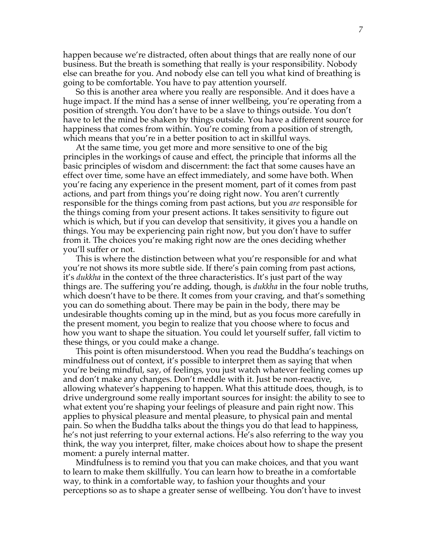happen because we're distracted, often about things that are really none of our business. But the breath is something that really is your responsibility. Nobody else can breathe for you. And nobody else can tell you what kind of breathing is going to be comfortable. You have to pay attention yourself.

So this is another area where you really are responsible. And it does have a huge impact. If the mind has a sense of inner wellbeing, you're operating from a position of strength. You don't have to be a slave to things outside. You don't have to let the mind be shaken by things outside. You have a different source for happiness that comes from within. You're coming from a position of strength, which means that you're in a better position to act in skillful ways.

At the same time, you get more and more sensitive to one of the big principles in the workings of cause and effect, the principle that informs all the basic principles of wisdom and discernment: the fact that some causes have an effect over time, some have an effect immediately, and some have both. When you're facing any experience in the present moment, part of it comes from past actions, and part from things you're doing right now. You aren't currently responsible for the things coming from past actions, but you *are* responsible for the things coming from your present actions. It takes sensitivity to figure out which is which, but if you can develop that sensitivity, it gives you a handle on things. You may be experiencing pain right now, but you don't have to suffer from it. The choices you're making right now are the ones deciding whether you'll suffer or not.

This is where the distinction between what you're responsible for and what you're not shows its more subtle side. If there's pain coming from past actions, it's *dukkha* in the context of the three characteristics. It's just part of the way things are. The suffering you're adding, though, is *dukkha* in the four noble truths, which doesn't have to be there. It comes from your craving, and that's something you can do something about. There may be pain in the body, there may be undesirable thoughts coming up in the mind, but as you focus more carefully in the present moment, you begin to realize that you choose where to focus and how you want to shape the situation. You could let yourself suffer, fall victim to these things, or you could make a change.

This point is often misunderstood. When you read the Buddha's teachings on mindfulness out of context, it's possible to interpret them as saying that when you're being mindful, say, of feelings, you just watch whatever feeling comes up and don't make any changes. Don't meddle with it. Just be non-reactive, allowing whatever's happening to happen. What this attitude does, though, is to drive underground some really important sources for insight: the ability to see to what extent you're shaping your feelings of pleasure and pain right now. This applies to physical pleasure and mental pleasure, to physical pain and mental pain. So when the Buddha talks about the things you do that lead to happiness, he's not just referring to your external actions. He's also referring to the way you think, the way you interpret, filter, make choices about how to shape the present moment: a purely internal matter.

Mindfulness is to remind you that you can make choices, and that you want to learn to make them skillfully. You can learn how to breathe in a comfortable way, to think in a comfortable way, to fashion your thoughts and your perceptions so as to shape a greater sense of wellbeing. You don't have to invest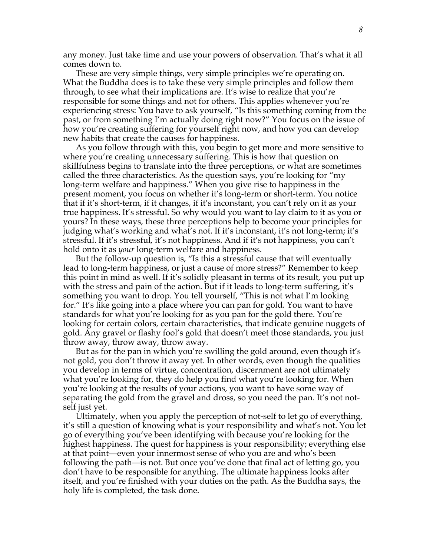any money. Just take time and use your powers of observation. That's what it all comes down to.

These are very simple things, very simple principles we're operating on. What the Buddha does is to take these very simple principles and follow them through, to see what their implications are. It's wise to realize that you're responsible for some things and not for others. This applies whenever you're experiencing stress: You have to ask yourself, "Is this something coming from the past, or from something I'm actually doing right now?" You focus on the issue of how you're creating suffering for yourself right now, and how you can develop new habits that create the causes for happiness.

As you follow through with this, you begin to get more and more sensitive to where you're creating unnecessary suffering. This is how that question on skillfulness begins to translate into the three perceptions, or what are sometimes called the three characteristics. As the question says, you're looking for "my long-term welfare and happiness." When you give rise to happiness in the present moment, you focus on whether it's long-term or short-term. You notice that if it's short-term, if it changes, if it's inconstant, you can't rely on it as your true happiness. It's stressful. So why would you want to lay claim to it as you or yours? In these ways, these three perceptions help to become your principles for judging what's working and what's not. If it's inconstant, it's not long-term; it's stressful. If it's stressful, it's not happiness. And if it's not happiness, you can't hold onto it as *your* long-term welfare and happiness.

But the follow-up question is, "Is this a stressful cause that will eventually lead to long-term happiness, or just a cause of more stress?" Remember to keep this point in mind as well. If it's solidly pleasant in terms of its result, you put up with the stress and pain of the action. But if it leads to long-term suffering, it's something you want to drop. You tell yourself, "This is not what I'm looking for." It's like going into a place where you can pan for gold. You want to have standards for what you're looking for as you pan for the gold there. You're looking for certain colors, certain characteristics, that indicate genuine nuggets of gold. Any gravel or flashy fool's gold that doesn't meet those standards, you just throw away, throw away, throw away.

But as for the pan in which you're swilling the gold around, even though it's not gold, you don't throw it away yet. In other words, even though the qualities you develop in terms of virtue, concentration, discernment are not ultimately what you're looking for, they do help you find what you're looking for. When you're looking at the results of your actions, you want to have some way of separating the gold from the gravel and dross, so you need the pan. It's not notself just yet.

Ultimately, when you apply the perception of not-self to let go of everything, it's still a question of knowing what is your responsibility and what's not. You let go of everything you've been identifying with because you're looking for the highest happiness. The quest for happiness is your responsibility; everything else at that point—even your innermost sense of who you are and who's been following the path—is not. But once you've done that final act of letting go, you don't have to be responsible for anything. The ultimate happiness looks after itself, and you're finished with your duties on the path. As the Buddha says, the holy life is completed, the task done.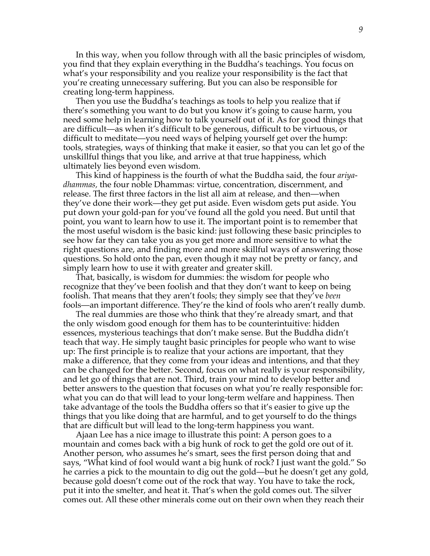In this way, when you follow through with all the basic principles of wisdom, you find that they explain everything in the Buddha's teachings. You focus on what's your responsibility and you realize your responsibility is the fact that you're creating unnecessary suffering. But you can also be responsible for creating long-term happiness.

Then you use the Buddha's teachings as tools to help you realize that if there's something you want to do but you know it's going to cause harm, you need some help in learning how to talk yourself out of it. As for good things that are difficult—as when it's difficult to be generous, difficult to be virtuous, or difficult to meditate—you need ways of helping yourself get over the hump: tools, strategies, ways of thinking that make it easier, so that you can let go of the unskillful things that you like, and arrive at that true happiness, which ultimately lies beyond even wisdom.

This kind of happiness is the fourth of what the Buddha said, the four *ariyadhammas,* the four noble Dhammas: virtue, concentration, discernment, and release. The first three factors in the list all aim at release, and then—when they've done their work—they get put aside. Even wisdom gets put aside. You put down your gold-pan for you've found all the gold you need. But until that point, you want to learn how to use it. The important point is to remember that the most useful wisdom is the basic kind: just following these basic principles to see how far they can take you as you get more and more sensitive to what the right questions are, and finding more and more skillful ways of answering those questions. So hold onto the pan, even though it may not be pretty or fancy, and simply learn how to use it with greater and greater skill.

That, basically, is wisdom for dummies: the wisdom for people who recognize that they've been foolish and that they don't want to keep on being foolish. That means that they aren't fools; they simply see that they've *been* fools—an important difference. They're the kind of fools who aren't really dumb.

The real dummies are those who think that they're already smart, and that the only wisdom good enough for them has to be counterintuitive: hidden essences, mysterious teachings that don't make sense. But the Buddha didn't teach that way. He simply taught basic principles for people who want to wise up: The first principle is to realize that your actions are important, that they make a difference, that they come from your ideas and intentions, and that they can be changed for the better. Second, focus on what really is your responsibility, and let go of things that are not. Third, train your mind to develop better and better answers to the question that focuses on what you're really responsible for: what you can do that will lead to your long-term welfare and happiness. Then take advantage of the tools the Buddha offers so that it's easier to give up the things that you like doing that are harmful, and to get yourself to do the things that are difficult but will lead to the long-term happiness you want.

Ajaan Lee has a nice image to illustrate this point: A person goes to a mountain and comes back with a big hunk of rock to get the gold ore out of it. Another person, who assumes he's smart, sees the first person doing that and says, "What kind of fool would want a big hunk of rock? I just want the gold." So he carries a pick to the mountain to dig out the gold—but he doesn't get any gold, because gold doesn't come out of the rock that way. You have to take the rock, put it into the smelter, and heat it. That's when the gold comes out. The silver comes out. All these other minerals come out on their own when they reach their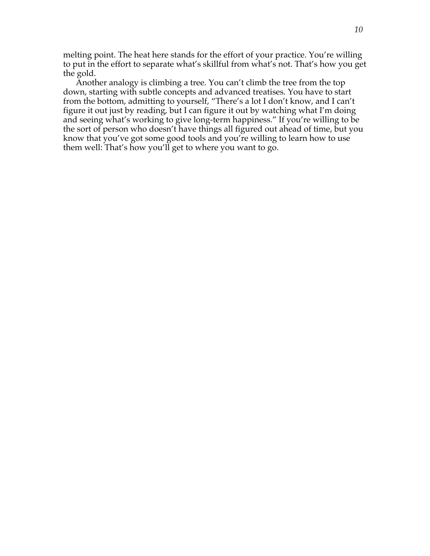melting point. The heat here stands for the effort of your practice. You're willing to put in the effort to separate what's skillful from what's not. That's how you get the gold.

Another analogy is climbing a tree. You can't climb the tree from the top down, starting with subtle concepts and advanced treatises. You have to start from the bottom, admitting to yourself, "There's a lot I don't know, and I can't figure it out just by reading, but I can figure it out by watching what I'm doing and seeing what's working to give long-term happiness." If you're willing to be the sort of person who doesn't have things all figured out ahead of time, but you know that you've got some good tools and you're willing to learn how to use them well: That's how you'll get to where you want to go.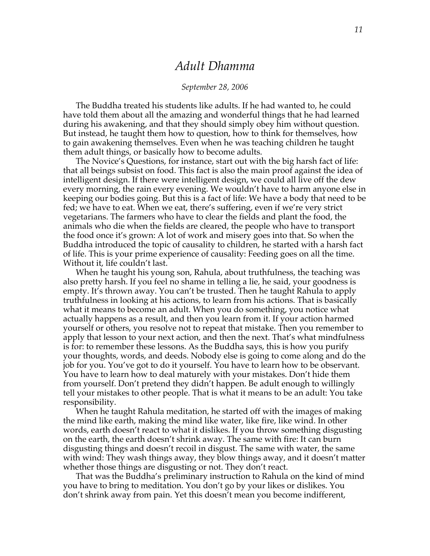### *Adult Dhamma*

#### *September 28, 2006*

The Buddha treated his students like adults. If he had wanted to, he could have told them about all the amazing and wonderful things that he had learned during his awakening, and that they should simply obey him without question. But instead, he taught them how to question, how to think for themselves, how to gain awakening themselves. Even when he was teaching children he taught them adult things, or basically how to become adults.

The Novice's Questions, for instance, start out with the big harsh fact of life: that all beings subsist on food. This fact is also the main proof against the idea of intelligent design. If there were intelligent design, we could all live off the dew every morning, the rain every evening. We wouldn't have to harm anyone else in keeping our bodies going. But this is a fact of life: We have a body that need to be fed; we have to eat. When we eat, there's suffering, even if we're very strict vegetarians. The farmers who have to clear the fields and plant the food, the animals who die when the fields are cleared, the people who have to transport the food once it's grown: A lot of work and misery goes into that. So when the Buddha introduced the topic of causality to children, he started with a harsh fact of life. This is your prime experience of causality: Feeding goes on all the time. Without it, life couldn't last.

When he taught his young son, Rahula, about truthfulness, the teaching was also pretty harsh. If you feel no shame in telling a lie, he said, your goodness is empty. It's thrown away. You can't be trusted. Then he taught Rahula to apply truthfulness in looking at his actions, to learn from his actions. That is basically what it means to become an adult. When you do something, you notice what actually happens as a result, and then you learn from it. If your action harmed yourself or others, you resolve not to repeat that mistake. Then you remember to apply that lesson to your next action, and then the next. That's what mindfulness is for: to remember these lessons. As the Buddha says, this is how you purify your thoughts, words, and deeds. Nobody else is going to come along and do the job for you. You've got to do it yourself. You have to learn how to be observant. You have to learn how to deal maturely with your mistakes. Don't hide them from yourself. Don't pretend they didn't happen. Be adult enough to willingly tell your mistakes to other people. That is what it means to be an adult: You take responsibility.

When he taught Rahula meditation, he started off with the images of making the mind like earth, making the mind like water, like fire, like wind. In other words, earth doesn't react to what it dislikes. If you throw something disgusting on the earth, the earth doesn't shrink away. The same with fire: It can burn disgusting things and doesn't recoil in disgust. The same with water, the same with wind: They wash things away, they blow things away, and it doesn't matter whether those things are disgusting or not. They don't react.

That was the Buddha's preliminary instruction to Rahula on the kind of mind you have to bring to meditation. You don't go by your likes or dislikes. You don't shrink away from pain. Yet this doesn't mean you become indifferent,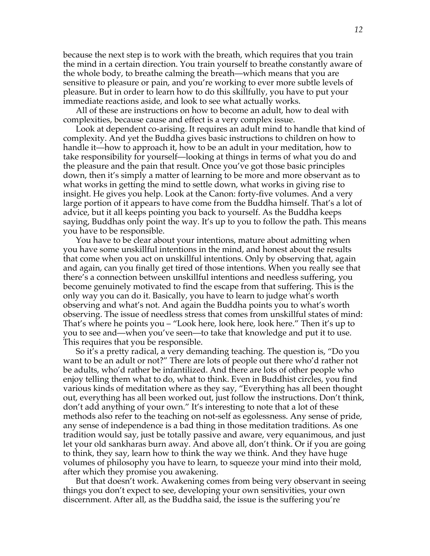because the next step is to work with the breath, which requires that you train the mind in a certain direction. You train yourself to breathe constantly aware of the whole body, to breathe calming the breath—which means that you are sensitive to pleasure or pain, and you're working to ever more subtle levels of pleasure. But in order to learn how to do this skillfully, you have to put your immediate reactions aside, and look to see what actually works.

All of these are instructions on how to become an adult, how to deal with complexities, because cause and effect is a very complex issue.

Look at dependent co-arising. It requires an adult mind to handle that kind of complexity. And yet the Buddha gives basic instructions to children on how to handle it—how to approach it, how to be an adult in your meditation, how to take responsibility for yourself—looking at things in terms of what you do and the pleasure and the pain that result. Once you've got those basic principles down, then it's simply a matter of learning to be more and more observant as to what works in getting the mind to settle down, what works in giving rise to insight. He gives you help. Look at the Canon: forty-five volumes. And a very large portion of it appears to have come from the Buddha himself. That's a lot of advice, but it all keeps pointing you back to yourself. As the Buddha keeps saying, Buddhas only point the way. It's up to you to follow the path. This means you have to be responsible.

You have to be clear about your intentions, mature about admitting when you have some unskillful intentions in the mind, and honest about the results that come when you act on unskillful intentions. Only by observing that, again and again, can you finally get tired of those intentions. When you really see that there's a connection between unskillful intentions and needless suffering, you become genuinely motivated to find the escape from that suffering. This is the only way you can do it. Basically, you have to learn to judge what's worth observing and what's not. And again the Buddha points you to what's worth observing. The issue of needless stress that comes from unskillful states of mind: That's where he points you – "Look here, look here, look here." Then it's up to you to see and—when you've seen—to take that knowledge and put it to use. This requires that you be responsible.

So it's a pretty radical, a very demanding teaching. The question is, "Do you want to be an adult or not?" There are lots of people out there who'd rather not be adults, who'd rather be infantilized. And there are lots of other people who enjoy telling them what to do, what to think. Even in Buddhist circles, you find various kinds of meditation where as they say, "Everything has all been thought out, everything has all been worked out, just follow the instructions. Don't think, don't add anything of your own." It's interesting to note that a lot of these methods also refer to the teaching on not-self as egolessness. Any sense of pride, any sense of independence is a bad thing in those meditation traditions. As one tradition would say, just be totally passive and aware, very equanimous, and just let your old sankharas burn away. And above all, don't think. Or if you are going to think, they say, learn how to think the way we think. And they have huge volumes of philosophy you have to learn, to squeeze your mind into their mold, after which they promise you awakening.

But that doesn't work. Awakening comes from being very observant in seeing things you don't expect to see, developing your own sensitivities, your own discernment. After all, as the Buddha said, the issue is the suffering you're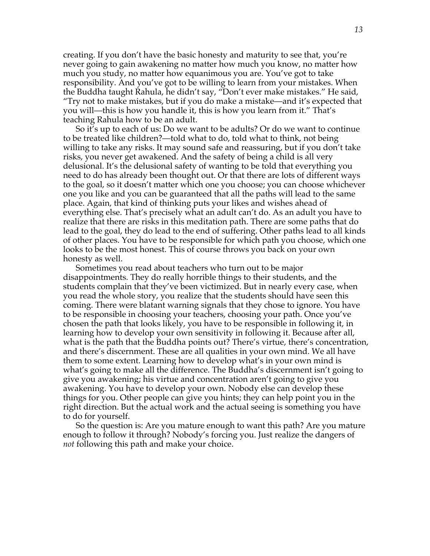creating. If you don't have the basic honesty and maturity to see that, you're never going to gain awakening no matter how much you know, no matter how much you study, no matter how equanimous you are. You've got to take responsibility. And you've got to be willing to learn from your mistakes. When the Buddha taught Rahula, he didn't say, "Don't ever make mistakes." He said, "Try not to make mistakes, but if you do make a mistake—and it's expected that you will—this is how you handle it, this is how you learn from it." That's teaching Rahula how to be an adult.

So it's up to each of us: Do we want to be adults? Or do we want to continue to be treated like children?—told what to do, told what to think, not being willing to take any risks. It may sound safe and reassuring, but if you don't take risks, you never get awakened. And the safety of being a child is all very delusional. It's the delusional safety of wanting to be told that everything you need to do has already been thought out. Or that there are lots of different ways to the goal, so it doesn't matter which one you choose; you can choose whichever one you like and you can be guaranteed that all the paths will lead to the same place. Again, that kind of thinking puts your likes and wishes ahead of everything else. That's precisely what an adult can't do. As an adult you have to realize that there are risks in this meditation path. There are some paths that do lead to the goal, they do lead to the end of suffering. Other paths lead to all kinds of other places. You have to be responsible for which path you choose, which one looks to be the most honest. This of course throws you back on your own honesty as well.

Sometimes you read about teachers who turn out to be major disappointments. They do really horrible things to their students, and the students complain that they've been victimized. But in nearly every case, when you read the whole story, you realize that the students should have seen this coming. There were blatant warning signals that they chose to ignore. You have to be responsible in choosing your teachers, choosing your path. Once you've chosen the path that looks likely, you have to be responsible in following it, in learning how to develop your own sensitivity in following it. Because after all, what is the path that the Buddha points out? There's virtue, there's concentration, and there's discernment. These are all qualities in your own mind. We all have them to some extent. Learning how to develop what's in your own mind is what's going to make all the difference. The Buddha's discernment isn't going to give you awakening; his virtue and concentration aren't going to give you awakening. You have to develop your own. Nobody else can develop these things for you. Other people can give you hints; they can help point you in the right direction. But the actual work and the actual seeing is something you have to do for yourself.

So the question is: Are you mature enough to want this path? Are you mature enough to follow it through? Nobody's forcing you. Just realize the dangers of *not* following this path and make your choice.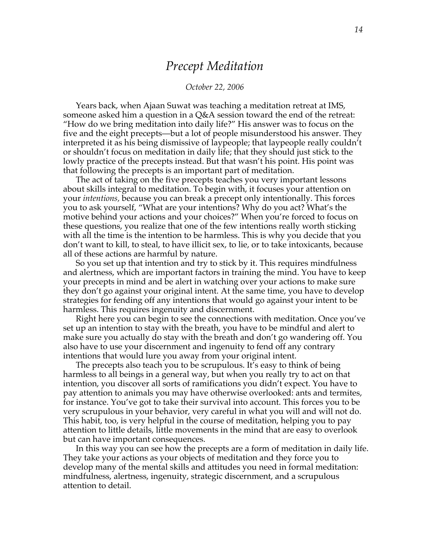### *Precept Meditation*

#### *October 22, 2006*

Years back, when Ajaan Suwat was teaching a meditation retreat at IMS, someone asked him a question in a Q&A session toward the end of the retreat: "How do we bring meditation into daily life?" His answer was to focus on the five and the eight precepts—but a lot of people misunderstood his answer. They interpreted it as his being dismissive of laypeople; that laypeople really couldn't or shouldn't focus on meditation in daily life; that they should just stick to the lowly practice of the precepts instead. But that wasn't his point. His point was that following the precepts is an important part of meditation.

The act of taking on the five precepts teaches you very important lessons about skills integral to meditation. To begin with, it focuses your attention on your *intentions,* because you can break a precept only intentionally. This forces you to ask yourself, "What are your intentions? Why do you act? What's the motive behind your actions and your choices?" When you're forced to focus on these questions, you realize that one of the few intentions really worth sticking with all the time is the intention to be harmless. This is why you decide that you don't want to kill, to steal, to have illicit sex, to lie, or to take intoxicants, because all of these actions are harmful by nature.

So you set up that intention and try to stick by it. This requires mindfulness and alertness, which are important factors in training the mind. You have to keep your precepts in mind and be alert in watching over your actions to make sure they don't go against your original intent. At the same time, you have to develop strategies for fending off any intentions that would go against your intent to be harmless. This requires ingenuity and discernment.

Right here you can begin to see the connections with meditation. Once you've set up an intention to stay with the breath, you have to be mindful and alert to make sure you actually do stay with the breath and don't go wandering off. You also have to use your discernment and ingenuity to fend off any contrary intentions that would lure you away from your original intent.

The precepts also teach you to be scrupulous. It's easy to think of being harmless to all beings in a general way, but when you really try to act on that intention, you discover all sorts of ramifications you didn't expect. You have to pay attention to animals you may have otherwise overlooked: ants and termites, for instance. You've got to take their survival into account. This forces you to be very scrupulous in your behavior, very careful in what you will and will not do. This habit, too, is very helpful in the course of meditation, helping you to pay attention to little details, little movements in the mind that are easy to overlook but can have important consequences.

In this way you can see how the precepts are a form of meditation in daily life. They take your actions as your objects of meditation and they force you to develop many of the mental skills and attitudes you need in formal meditation: mindfulness, alertness, ingenuity, strategic discernment, and a scrupulous attention to detail.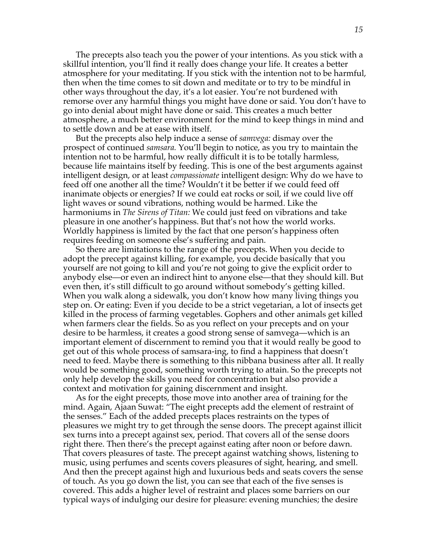The precepts also teach you the power of your intentions. As you stick with a skillful intention, you'll find it really does change your life. It creates a better atmosphere for your meditating. If you stick with the intention not to be harmful, then when the time comes to sit down and meditate or to try to be mindful in other ways throughout the day, it's a lot easier. You're not burdened with remorse over any harmful things you might have done or said. You don't have to go into denial about might have done or said. This creates a much better atmosphere, a much better environment for the mind to keep things in mind and to settle down and be at ease with itself.

But the precepts also help induce a sense of *samvega:* dismay over the prospect of continued *samsara.* You'll begin to notice, as you try to maintain the intention not to be harmful, how really difficult it is to be totally harmless, because life maintains itself by feeding. This is one of the best arguments against intelligent design, or at least *compassionate* intelligent design: Why do we have to feed off one another all the time? Wouldn't it be better if we could feed off inanimate objects or energies? If we could eat rocks or soil, if we could live off light waves or sound vibrations, nothing would be harmed. Like the harmoniums in *The Sirens of Titan:* We could just feed on vibrations and take pleasure in one another's happiness. But that's not how the world works. Worldly happiness is limited by the fact that one person's happiness often requires feeding on someone else's suffering and pain.

So there are limitations to the range of the precepts. When you decide to adopt the precept against killing, for example, you decide basically that you yourself are not going to kill and you're not going to give the explicit order to anybody else—or even an indirect hint to anyone else—that they should kill. But even then, it's still difficult to go around without somebody's getting killed. When you walk along a sidewalk, you don't know how many living things you step on. Or eating: Even if you decide to be a strict vegetarian, a lot of insects get killed in the process of farming vegetables. Gophers and other animals get killed when farmers clear the fields. So as you reflect on your precepts and on your desire to be harmless, it creates a good strong sense of samvega—which is an important element of discernment to remind you that it would really be good to get out of this whole process of samsara-ing, to find a happiness that doesn't need to feed. Maybe there is something to this nibbana business after all. It really would be something good, something worth trying to attain. So the precepts not only help develop the skills you need for concentration but also provide a context and motivation for gaining discernment and insight.

As for the eight precepts, those move into another area of training for the mind. Again, Ajaan Suwat: "The eight precepts add the element of restraint of the senses." Each of the added precepts places restraints on the types of pleasures we might try to get through the sense doors. The precept against illicit sex turns into a precept against sex, period. That covers all of the sense doors right there. Then there's the precept against eating after noon or before dawn. That covers pleasures of taste. The precept against watching shows, listening to music, using perfumes and scents covers pleasures of sight, hearing, and smell. And then the precept against high and luxurious beds and seats covers the sense of touch. As you go down the list, you can see that each of the five senses is covered. This adds a higher level of restraint and places some barriers on our typical ways of indulging our desire for pleasure: evening munchies; the desire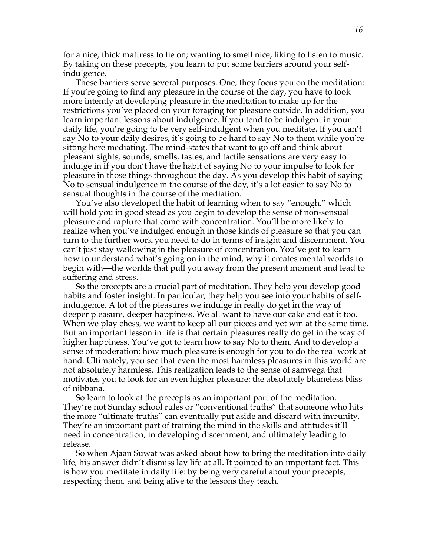for a nice, thick mattress to lie on; wanting to smell nice; liking to listen to music. By taking on these precepts, you learn to put some barriers around your selfindulgence.

These barriers serve several purposes. One, they focus you on the meditation: If you're going to find any pleasure in the course of the day, you have to look more intently at developing pleasure in the meditation to make up for the restrictions you've placed on your foraging for pleasure outside. In addition, you learn important lessons about indulgence. If you tend to be indulgent in your daily life, you're going to be very self-indulgent when you meditate. If you can't say No to your daily desires, it's going to be hard to say No to them while you're sitting here mediating. The mind-states that want to go off and think about pleasant sights, sounds, smells, tastes, and tactile sensations are very easy to indulge in if you don't have the habit of saying No to your impulse to look for pleasure in those things throughout the day. As you develop this habit of saying No to sensual indulgence in the course of the day, it's a lot easier to say No to sensual thoughts in the course of the mediation.

You've also developed the habit of learning when to say "enough," which will hold you in good stead as you begin to develop the sense of non-sensual pleasure and rapture that come with concentration. You'll be more likely to realize when you've indulged enough in those kinds of pleasure so that you can turn to the further work you need to do in terms of insight and discernment. You can't just stay wallowing in the pleasure of concentration. You've got to learn how to understand what's going on in the mind, why it creates mental worlds to begin with—the worlds that pull you away from the present moment and lead to suffering and stress.

So the precepts are a crucial part of meditation. They help you develop good habits and foster insight. In particular, they help you see into your habits of selfindulgence. A lot of the pleasures we indulge in really do get in the way of deeper pleasure, deeper happiness. We all want to have our cake and eat it too. When we play chess, we want to keep all our pieces and yet win at the same time. But an important lesson in life is that certain pleasures really do get in the way of higher happiness. You've got to learn how to say No to them. And to develop a sense of moderation: how much pleasure is enough for you to do the real work at hand. Ultimately, you see that even the most harmless pleasures in this world are not absolutely harmless. This realization leads to the sense of samvega that motivates you to look for an even higher pleasure: the absolutely blameless bliss of nibbana.

So learn to look at the precepts as an important part of the meditation. They're not Sunday school rules or "conventional truths" that someone who hits the more "ultimate truths" can eventually put aside and discard with impunity. They're an important part of training the mind in the skills and attitudes it'll need in concentration, in developing discernment, and ultimately leading to release.

So when Ajaan Suwat was asked about how to bring the meditation into daily life, his answer didn't dismiss lay life at all. It pointed to an important fact. This is how you meditate in daily life: by being very careful about your precepts, respecting them, and being alive to the lessons they teach.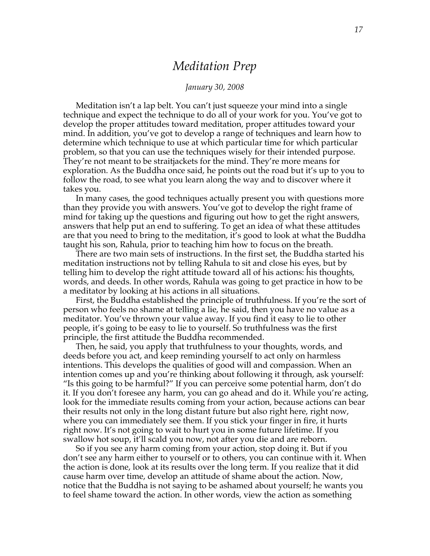### *Meditation Prep*

#### *January 30, 2008*

Meditation isn't a lap belt. You can't just squeeze your mind into a single technique and expect the technique to do all of your work for you. You've got to develop the proper attitudes toward meditation, proper attitudes toward your mind. In addition, you've got to develop a range of techniques and learn how to determine which technique to use at which particular time for which particular problem, so that you can use the techniques wisely for their intended purpose. They're not meant to be straitjackets for the mind. They're more means for exploration. As the Buddha once said, he points out the road but it's up to you to follow the road, to see what you learn along the way and to discover where it takes you.

In many cases, the good techniques actually present you with questions more than they provide you with answers. You've got to develop the right frame of mind for taking up the questions and figuring out how to get the right answers, answers that help put an end to suffering. To get an idea of what these attitudes are that you need to bring to the meditation, it's good to look at what the Buddha taught his son, Rahula, prior to teaching him how to focus on the breath.

There are two main sets of instructions. In the first set, the Buddha started his meditation instructions not by telling Rahula to sit and close his eyes, but by telling him to develop the right attitude toward all of his actions: his thoughts, words, and deeds. In other words, Rahula was going to get practice in how to be a meditator by looking at his actions in all situations.

First, the Buddha established the principle of truthfulness. If you're the sort of person who feels no shame at telling a lie, he said, then you have no value as a meditator. You've thrown your value away. If you find it easy to lie to other people, it's going to be easy to lie to yourself. So truthfulness was the first principle, the first attitude the Buddha recommended.

Then, he said, you apply that truthfulness to your thoughts, words, and deeds before you act, and keep reminding yourself to act only on harmless intentions. This develops the qualities of good will and compassion. When an intention comes up and you're thinking about following it through, ask yourself: "Is this going to be harmful?" If you can perceive some potential harm, don't do it. If you don't foresee any harm, you can go ahead and do it. While you're acting, look for the immediate results coming from your action, because actions can bear their results not only in the long distant future but also right here, right now, where you can immediately see them. If you stick your finger in fire, it hurts right now. It's not going to wait to hurt you in some future lifetime. If you swallow hot soup, it'll scald you now, not after you die and are reborn.

So if you see any harm coming from your action, stop doing it. But if you don't see any harm either to yourself or to others, you can continue with it. When the action is done, look at its results over the long term. If you realize that it did cause harm over time, develop an attitude of shame about the action. Now, notice that the Buddha is not saying to be ashamed about yourself; he wants you to feel shame toward the action. In other words, view the action as something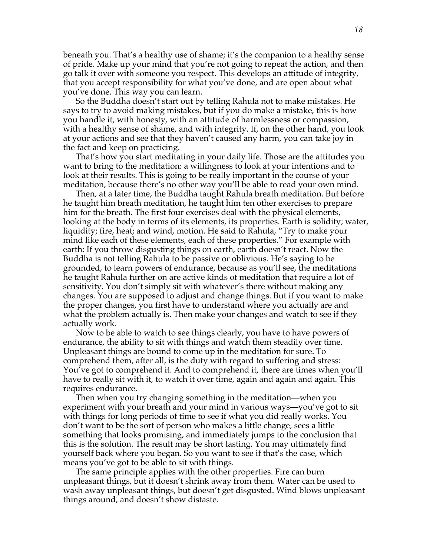beneath you. That's a healthy use of shame; it's the companion to a healthy sense of pride. Make up your mind that you're not going to repeat the action, and then go talk it over with someone you respect. This develops an attitude of integrity, that you accept responsibility for what you've done, and are open about what you've done. This way you can learn.

So the Buddha doesn't start out by telling Rahula not to make mistakes. He says to try to avoid making mistakes, but if you do make a mistake, this is how you handle it, with honesty, with an attitude of harmlessness or compassion, with a healthy sense of shame, and with integrity. If, on the other hand, you look at your actions and see that they haven't caused any harm, you can take joy in the fact and keep on practicing.

That's how you start meditating in your daily life. Those are the attitudes you want to bring to the meditation: a willingness to look at your intentions and to look at their results. This is going to be really important in the course of your meditation, because there's no other way you'll be able to read your own mind.

Then, at a later time, the Buddha taught Rahula breath meditation. But before he taught him breath meditation, he taught him ten other exercises to prepare him for the breath. The first four exercises deal with the physical elements, looking at the body in terms of its elements, its properties. Earth is solidity; water, liquidity; fire, heat; and wind, motion. He said to Rahula, "Try to make your mind like each of these elements, each of these properties." For example with earth: If you throw disgusting things on earth, earth doesn't react. Now the Buddha is not telling Rahula to be passive or oblivious. He's saying to be grounded, to learn powers of endurance, because as you'll see, the meditations he taught Rahula further on are active kinds of meditation that require a lot of sensitivity. You don't simply sit with whatever's there without making any changes. You are supposed to adjust and change things. But if you want to make the proper changes, you first have to understand where you actually are and what the problem actually is. Then make your changes and watch to see if they actually work.

Now to be able to watch to see things clearly, you have to have powers of endurance, the ability to sit with things and watch them steadily over time. Unpleasant things are bound to come up in the meditation for sure. To comprehend them, after all, is the duty with regard to suffering and stress: You've got to comprehend it. And to comprehend it, there are times when you'll have to really sit with it, to watch it over time, again and again and again. This requires endurance.

Then when you try changing something in the meditation—when you experiment with your breath and your mind in various ways—you've got to sit with things for long periods of time to see if what you did really works. You don't want to be the sort of person who makes a little change, sees a little something that looks promising, and immediately jumps to the conclusion that this is the solution. The result may be short lasting. You may ultimately find yourself back where you began. So you want to see if that's the case, which means you've got to be able to sit with things.

The same principle applies with the other properties. Fire can burn unpleasant things, but it doesn't shrink away from them. Water can be used to wash away unpleasant things, but doesn't get disgusted. Wind blows unpleasant things around, and doesn't show distaste.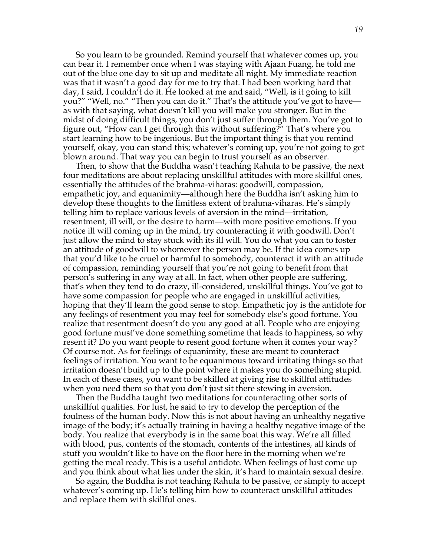So you learn to be grounded. Remind yourself that whatever comes up, you can bear it. I remember once when I was staying with Ajaan Fuang, he told me out of the blue one day to sit up and meditate all night. My immediate reaction was that it wasn't a good day for me to try that. I had been working hard that day, I said, I couldn't do it. He looked at me and said, "Well, is it going to kill you?" "Well, no." "Then you can do it." That's the attitude you've got to have as with that saying, what doesn't kill you will make you stronger. But in the midst of doing difficult things, you don't just suffer through them. You've got to figure out, "How can I get through this without suffering?" That's where you start learning how to be ingenious. But the important thing is that you remind yourself, okay, you can stand this; whatever's coming up, you're not going to get blown around. That way you can begin to trust yourself as an observer.

Then, to show that the Buddha wasn't teaching Rahula to be passive, the next four meditations are about replacing unskillful attitudes with more skillful ones, essentially the attitudes of the brahma-viharas: goodwill, compassion, empathetic joy, and equanimity—although here the Buddha isn't asking him to develop these thoughts to the limitless extent of brahma-viharas. He's simply telling him to replace various levels of aversion in the mind—irritation, resentment, ill will, or the desire to harm—with more positive emotions. If you notice ill will coming up in the mind, try counteracting it with goodwill. Don't just allow the mind to stay stuck with its ill will. You do what you can to foster an attitude of goodwill to whomever the person may be. If the idea comes up that you'd like to be cruel or harmful to somebody, counteract it with an attitude of compassion, reminding yourself that you're not going to benefit from that person's suffering in any way at all. In fact, when other people are suffering, that's when they tend to do crazy, ill-considered, unskillful things. You've got to have some compassion for people who are engaged in unskillful activities, hoping that they'll learn the good sense to stop. Empathetic joy is the antidote for any feelings of resentment you may feel for somebody else's good fortune. You realize that resentment doesn't do you any good at all. People who are enjoying good fortune must've done something sometime that leads to happiness, so why resent it? Do you want people to resent good fortune when it comes your way? Of course not. As for feelings of equanimity, these are meant to counteract feelings of irritation. You want to be equanimous toward irritating things so that irritation doesn't build up to the point where it makes you do something stupid. In each of these cases, you want to be skilled at giving rise to skillful attitudes when you need them so that you don't just sit there stewing in aversion.

Then the Buddha taught two meditations for counteracting other sorts of unskillful qualities. For lust, he said to try to develop the perception of the foulness of the human body. Now this is not about having an unhealthy negative image of the body; it's actually training in having a healthy negative image of the body. You realize that everybody is in the same boat this way. We're all filled with blood, pus, contents of the stomach, contents of the intestines, all kinds of stuff you wouldn't like to have on the floor here in the morning when we're getting the meal ready. This is a useful antidote. When feelings of lust come up and you think about what lies under the skin, it's hard to maintain sexual desire.

So again, the Buddha is not teaching Rahula to be passive, or simply to accept whatever's coming up. He's telling him how to counteract unskillful attitudes and replace them with skillful ones.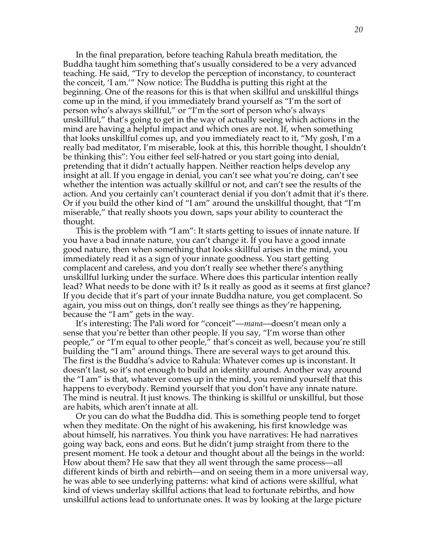In the final preparation, before teaching Rahula breath meditation, the Buddha taught him something that's usually considered to be a very advanced teaching. He said, "Try to develop the perception of inconstancy, to counteract the conceit, 'I am.'" Now notice: The Buddha is putting this right at the beginning. One of the reasons for this is that when skillful and unskillful things come up in the mind, if you immediately brand yourself as "I'm the sort of person who's always skillful," or "I'm the sort of person who's always unskillful," that's going to get in the way of actually seeing which actions in the mind are having a helpful impact and which ones are not. If, when something that looks unskillful comes up, and you immediately react to it, "My gosh, I'm a really bad meditator, I'm miserable, look at this, this horrible thought, I shouldn't be thinking this": You either feel self-hatred or you start going into denial, pretending that it didn't actually happen. Neither reaction helps develop any insight at all. If you engage in denial, you can't see what you're doing, can't see whether the intention was actually skillful or not, and can't see the results of the action. And you certainly can't counteract denial if you don't admit that it's there. Or if you build the other kind of "I am" around the unskillful thought, that "I'm miserable," that really shoots you down, saps your ability to counteract the thought.

This is the problem with "I am": It starts getting to issues of innate nature. If you have a bad innate nature, you can't change it. If you have a good innate good nature, then when something that looks skillful arises in the mind, you immediately read it as a sign of your innate goodness. You start getting complacent and careless, and you don't really see whether there's anything unskillful lurking under the surface. Where does this particular intention really lead? What needs to be done with it? Is it really as good as it seems at first glance? If you decide that it's part of your innate Buddha nature, you get complacent. So again, you miss out on things, don't really see things as they're happening, because the "I am" gets in the way.

It's interesting: The Pali word for "conceit"—*mana*—doesn't mean only a sense that you're better than other people. If you say, "I'm worse than other people," or "I'm equal to other people," that's conceit as well, because you're still building the "I am" around things. There are several ways to get around this. The first is the Buddha's advice to Rahula: Whatever comes up is inconstant. It doesn't last, so it's not enough to build an identity around. Another way around the "I am" is that, whatever comes up in the mind, you remind yourself that this happens to everybody. Remind yourself that you don't have any innate nature. The mind is neutral. It just knows. The thinking is skillful or unskillful, but those are habits, which aren't innate at all.

Or you can do what the Buddha did. This is something people tend to forget when they meditate. On the night of his awakening, his first knowledge was about himself, his narratives. You think you have narratives: He had narratives going way back, eons and eons. But he didn't jump straight from there to the present moment. He took a detour and thought about all the beings in the world: How about them? He saw that they all went through the same process—all different kinds of birth and rebirth—and on seeing them in a more universal way, he was able to see underlying patterns: what kind of actions were skillful, what kind of views underlay skillful actions that lead to fortunate rebirths, and how unskillful actions lead to unfortunate ones. It was by looking at the large picture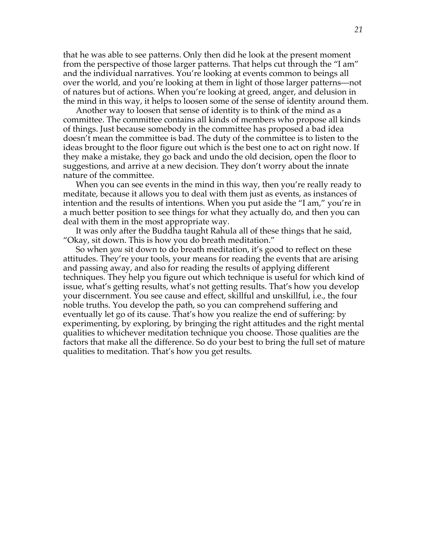that he was able to see patterns. Only then did he look at the present moment from the perspective of those larger patterns. That helps cut through the "I am" and the individual narratives. You're looking at events common to beings all over the world, and you're looking at them in light of those larger patterns—not of natures but of actions. When you're looking at greed, anger, and delusion in the mind in this way, it helps to loosen some of the sense of identity around them.

Another way to loosen that sense of identity is to think of the mind as a committee. The committee contains all kinds of members who propose all kinds of things. Just because somebody in the committee has proposed a bad idea doesn't mean the committee is bad. The duty of the committee is to listen to the ideas brought to the floor figure out which is the best one to act on right now. If they make a mistake, they go back and undo the old decision, open the floor to suggestions, and arrive at a new decision. They don't worry about the innate nature of the committee.

When you can see events in the mind in this way, then you're really ready to meditate, because it allows you to deal with them just as events, as instances of intention and the results of intentions. When you put aside the "I am," you're in a much better position to see things for what they actually do, and then you can deal with them in the most appropriate way.

It was only after the Buddha taught Rahula all of these things that he said, "Okay, sit down. This is how you do breath meditation."

So when *you* sit down to do breath meditation, it's good to reflect on these attitudes. They're your tools, your means for reading the events that are arising and passing away, and also for reading the results of applying different techniques. They help you figure out which technique is useful for which kind of issue, what's getting results, what's not getting results. That's how you develop your discernment. You see cause and effect, skillful and unskillful, i.e., the four noble truths. You develop the path, so you can comprehend suffering and eventually let go of its cause. That's how you realize the end of suffering: by experimenting, by exploring, by bringing the right attitudes and the right mental qualities to whichever meditation technique you choose. Those qualities are the factors that make all the difference. So do your best to bring the full set of mature qualities to meditation. That's how you get results.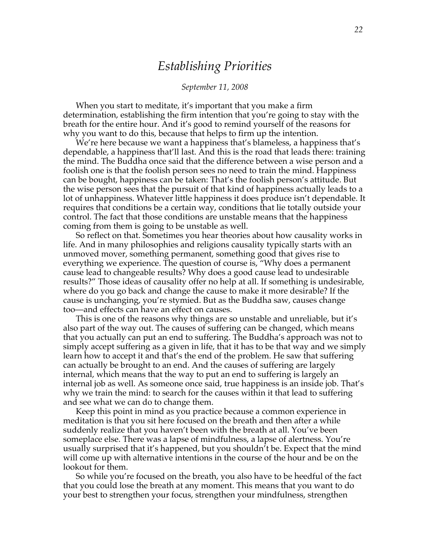### *Establishing Priorities*

#### *September 11, 2008*

When you start to meditate, it's important that you make a firm determination, establishing the firm intention that you're going to stay with the breath for the entire hour. And it's good to remind yourself of the reasons for why you want to do this, because that helps to firm up the intention.

We're here because we want a happiness that's blameless, a happiness that's dependable, a happiness that'll last. And this is the road that leads there: training the mind. The Buddha once said that the difference between a wise person and a foolish one is that the foolish person sees no need to train the mind. Happiness can be bought, happiness can be taken: That's the foolish person's attitude. But the wise person sees that the pursuit of that kind of happiness actually leads to a lot of unhappiness. Whatever little happiness it does produce isn't dependable. It requires that conditions be a certain way, conditions that lie totally outside your control. The fact that those conditions are unstable means that the happiness coming from them is going to be unstable as well.

So reflect on that. Sometimes you hear theories about how causality works in life. And in many philosophies and religions causality typically starts with an unmoved mover, something permanent, something good that gives rise to everything we experience. The question of course is, "Why does a permanent cause lead to changeable results? Why does a good cause lead to undesirable results?" Those ideas of causality offer no help at all. If something is undesirable, where do you go back and change the cause to make it more desirable? If the cause is unchanging, you're stymied. But as the Buddha saw, causes change too—and effects can have an effect on causes.

This is one of the reasons why things are so unstable and unreliable, but it's also part of the way out. The causes of suffering can be changed, which means that you actually can put an end to suffering. The Buddha's approach was not to simply accept suffering as a given in life, that it has to be that way and we simply learn how to accept it and that's the end of the problem. He saw that suffering can actually be brought to an end. And the causes of suffering are largely internal, which means that the way to put an end to suffering is largely an internal job as well. As someone once said, true happiness is an inside job. That's why we train the mind: to search for the causes within it that lead to suffering and see what we can do to change them.

Keep this point in mind as you practice because a common experience in meditation is that you sit here focused on the breath and then after a while suddenly realize that you haven't been with the breath at all. You've been someplace else. There was a lapse of mindfulness, a lapse of alertness. You're usually surprised that it's happened, but you shouldn't be. Expect that the mind will come up with alternative intentions in the course of the hour and be on the lookout for them.

So while you're focused on the breath, you also have to be heedful of the fact that you could lose the breath at any moment. This means that you want to do your best to strengthen your focus, strengthen your mindfulness, strengthen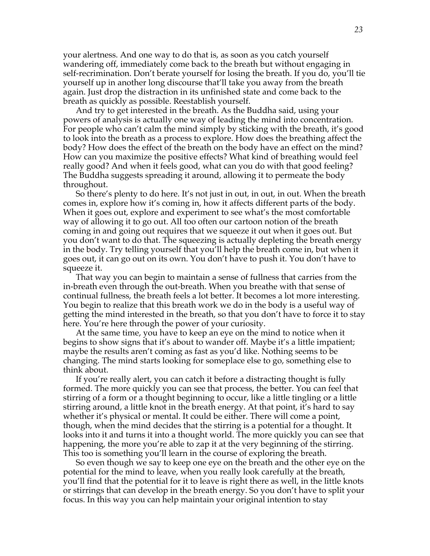your alertness. And one way to do that is, as soon as you catch yourself wandering off, immediately come back to the breath but without engaging in self-recrimination. Don't berate yourself for losing the breath. If you do, you'll tie yourself up in another long discourse that'll take you away from the breath again. Just drop the distraction in its unfinished state and come back to the breath as quickly as possible. Reestablish yourself.

And try to get interested in the breath. As the Buddha said, using your powers of analysis is actually one way of leading the mind into concentration. For people who can't calm the mind simply by sticking with the breath, it's good to look into the breath as a process to explore. How does the breathing affect the body? How does the effect of the breath on the body have an effect on the mind? How can you maximize the positive effects? What kind of breathing would feel really good? And when it feels good, what can you do with that good feeling? The Buddha suggests spreading it around, allowing it to permeate the body throughout.

So there's plenty to do here. It's not just in out, in out, in out. When the breath comes in, explore how it's coming in, how it affects different parts of the body. When it goes out, explore and experiment to see what's the most comfortable way of allowing it to go out. All too often our cartoon notion of the breath coming in and going out requires that we squeeze it out when it goes out. But you don't want to do that. The squeezing is actually depleting the breath energy in the body. Try telling yourself that you'll help the breath come in, but when it goes out, it can go out on its own. You don't have to push it. You don't have to squeeze it.

That way you can begin to maintain a sense of fullness that carries from the in-breath even through the out-breath. When you breathe with that sense of continual fullness, the breath feels a lot better. It becomes a lot more interesting. You begin to realize that this breath work we do in the body is a useful way of getting the mind interested in the breath, so that you don't have to force it to stay here. You're here through the power of your curiosity.

At the same time, you have to keep an eye on the mind to notice when it begins to show signs that it's about to wander off. Maybe it's a little impatient; maybe the results aren't coming as fast as you'd like. Nothing seems to be changing. The mind starts looking for someplace else to go, something else to think about.

If you're really alert, you can catch it before a distracting thought is fully formed. The more quickly you can see that process, the better. You can feel that stirring of a form or a thought beginning to occur, like a little tingling or a little stirring around, a little knot in the breath energy. At that point, it's hard to say whether it's physical or mental. It could be either. There will come a point, though, when the mind decides that the stirring is a potential for a thought. It looks into it and turns it into a thought world. The more quickly you can see that happening, the more you're able to zap it at the very beginning of the stirring. This too is something you'll learn in the course of exploring the breath.

So even though we say to keep one eye on the breath and the other eye on the potential for the mind to leave, when you really look carefully at the breath, you'll find that the potential for it to leave is right there as well, in the little knots or stirrings that can develop in the breath energy. So you don't have to split your focus. In this way you can help maintain your original intention to stay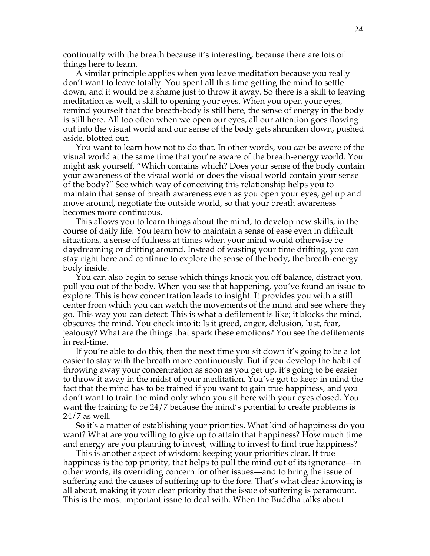continually with the breath because it's interesting, because there are lots of things here to learn.

A similar principle applies when you leave meditation because you really don't want to leave totally. You spent all this time getting the mind to settle down, and it would be a shame just to throw it away. So there is a skill to leaving meditation as well, a skill to opening your eyes. When you open your eyes, remind yourself that the breath-body is still here, the sense of energy in the body is still here. All too often when we open our eyes, all our attention goes flowing out into the visual world and our sense of the body gets shrunken down, pushed aside, blotted out.

You want to learn how not to do that. In other words, you *can* be aware of the visual world at the same time that you're aware of the breath-energy world. You might ask yourself, "Which contains which? Does your sense of the body contain your awareness of the visual world or does the visual world contain your sense of the body?" See which way of conceiving this relationship helps you to maintain that sense of breath awareness even as you open your eyes, get up and move around, negotiate the outside world, so that your breath awareness becomes more continuous.

This allows you to learn things about the mind, to develop new skills, in the course of daily life. You learn how to maintain a sense of ease even in difficult situations, a sense of fullness at times when your mind would otherwise be daydreaming or drifting around. Instead of wasting your time drifting, you can stay right here and continue to explore the sense of the body, the breath-energy body inside.

You can also begin to sense which things knock you off balance, distract you, pull you out of the body. When you see that happening, you've found an issue to explore. This is how concentration leads to insight. It provides you with a still center from which you can watch the movements of the mind and see where they go. This way you can detect: This is what a defilement is like; it blocks the mind, obscures the mind. You check into it: Is it greed, anger, delusion, lust, fear, jealousy? What are the things that spark these emotions? You see the defilements in real-time.

If you're able to do this, then the next time you sit down it's going to be a lot easier to stay with the breath more continuously. But if you develop the habit of throwing away your concentration as soon as you get up, it's going to be easier to throw it away in the midst of your meditation. You've got to keep in mind the fact that the mind has to be trained if you want to gain true happiness, and you don't want to train the mind only when you sit here with your eyes closed. You want the training to be 24/7 because the mind's potential to create problems is 24/7 as well.

So it's a matter of establishing your priorities. What kind of happiness do you want? What are you willing to give up to attain that happiness? How much time and energy are you planning to invest, willing to invest to find true happiness?

This is another aspect of wisdom: keeping your priorities clear. If true happiness is the top priority, that helps to pull the mind out of its ignorance—in other words, its overriding concern for other issues—and to bring the issue of suffering and the causes of suffering up to the fore. That's what clear knowing is all about, making it your clear priority that the issue of suffering is paramount. This is the most important issue to deal with. When the Buddha talks about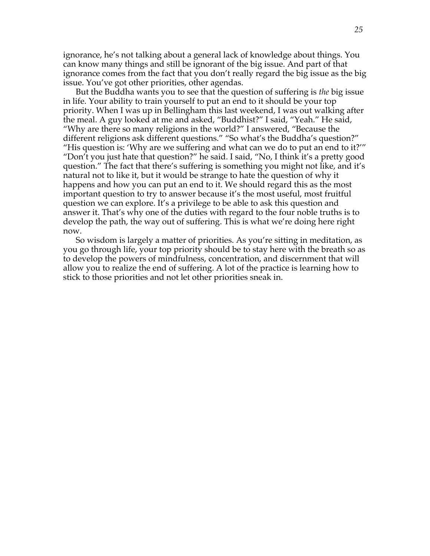ignorance, he's not talking about a general lack of knowledge about things. You can know many things and still be ignorant of the big issue. And part of that ignorance comes from the fact that you don't really regard the big issue as the big issue. You've got other priorities, other agendas.

But the Buddha wants you to see that the question of suffering is *the* big issue in life. Your ability to train yourself to put an end to it should be your top priority. When I was up in Bellingham this last weekend, I was out walking after the meal. A guy looked at me and asked, "Buddhist?" I said, "Yeah." He said, "Why are there so many religions in the world?" I answered, "Because the different religions ask different questions." "So what's the Buddha's question?" "His question is: 'Why are we suffering and what can we do to put an end to it?'" "Don't you just hate that question?" he said. I said, "No, I think it's a pretty good question." The fact that there's suffering is something you might not like, and it's natural not to like it, but it would be strange to hate the question of why it happens and how you can put an end to it. We should regard this as the most important question to try to answer because it's the most useful, most fruitful question we can explore. It's a privilege to be able to ask this question and answer it. That's why one of the duties with regard to the four noble truths is to develop the path, the way out of suffering. This is what we're doing here right now.

So wisdom is largely a matter of priorities. As you're sitting in meditation, as you go through life, your top priority should be to stay here with the breath so as to develop the powers of mindfulness, concentration, and discernment that will allow you to realize the end of suffering. A lot of the practice is learning how to stick to those priorities and not let other priorities sneak in.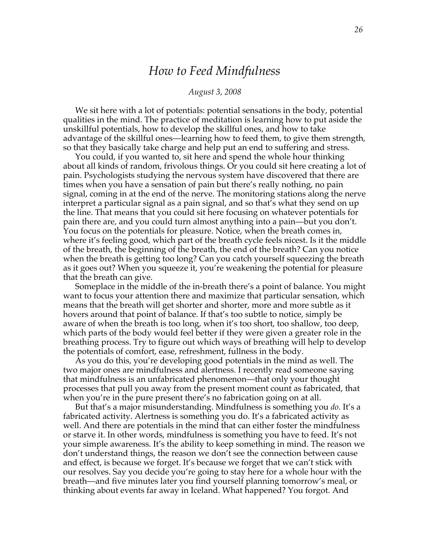### *How to Feed Mindfulness*

#### *August 3, 2008*

We sit here with a lot of potentials: potential sensations in the body, potential qualities in the mind. The practice of meditation is learning how to put aside the unskillful potentials, how to develop the skillful ones, and how to take advantage of the skillful ones—learning how to feed them, to give them strength, so that they basically take charge and help put an end to suffering and stress.

You could, if you wanted to, sit here and spend the whole hour thinking about all kinds of random, frivolous things. Or you could sit here creating a lot of pain. Psychologists studying the nervous system have discovered that there are times when you have a sensation of pain but there's really nothing, no pain signal, coming in at the end of the nerve. The monitoring stations along the nerve interpret a particular signal as a pain signal, and so that's what they send on up the line. That means that you could sit here focusing on whatever potentials for pain there are, and you could turn almost anything into a pain—but you don't. You focus on the potentials for pleasure. Notice, when the breath comes in, where it's feeling good, which part of the breath cycle feels nicest. Is it the middle of the breath, the beginning of the breath, the end of the breath? Can you notice when the breath is getting too long? Can you catch yourself squeezing the breath as it goes out? When you squeeze it, you're weakening the potential for pleasure that the breath can give.

Someplace in the middle of the in-breath there's a point of balance. You might want to focus your attention there and maximize that particular sensation, which means that the breath will get shorter and shorter, more and more subtle as it hovers around that point of balance. If that's too subtle to notice, simply be aware of when the breath is too long, when it's too short, too shallow, too deep, which parts of the body would feel better if they were given a greater role in the breathing process. Try to figure out which ways of breathing will help to develop the potentials of comfort, ease, refreshment, fullness in the body.

As you do this, you're developing good potentials in the mind as well. The two major ones are mindfulness and alertness. I recently read someone saying that mindfulness is an unfabricated phenomenon—that only your thought processes that pull you away from the present moment count as fabricated, that when you're in the pure present there's no fabrication going on at all.

But that's a major misunderstanding. Mindfulness is something you *do.* It's a fabricated activity. Alertness is something you do. It's a fabricated activity as well. And there are potentials in the mind that can either foster the mindfulness or starve it. In other words, mindfulness is something you have to feed. It's not your simple awareness. It's the ability to keep something in mind. The reason we don't understand things, the reason we don't see the connection between cause and effect, is because we forget. It's because we forget that we can't stick with our resolves. Say you decide you're going to stay here for a whole hour with the breath—and five minutes later you find yourself planning tomorrow's meal, or thinking about events far away in Iceland. What happened? You forgot. And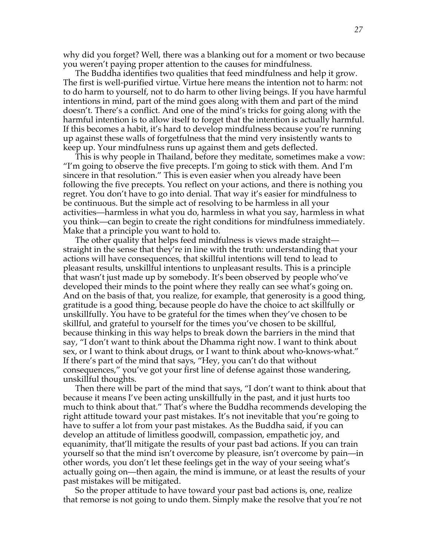why did you forget? Well, there was a blanking out for a moment or two because you weren't paying proper attention to the causes for mindfulness.

The Buddha identifies two qualities that feed mindfulness and help it grow. The first is well-purified virtue. Virtue here means the intention not to harm: not to do harm to yourself, not to do harm to other living beings. If you have harmful intentions in mind, part of the mind goes along with them and part of the mind doesn't. There's a conflict. And one of the mind's tricks for going along with the harmful intention is to allow itself to forget that the intention is actually harmful. If this becomes a habit, it's hard to develop mindfulness because you're running up against these walls of forgetfulness that the mind very insistently wants to keep up. Your mindfulness runs up against them and gets deflected.

This is why people in Thailand, before they meditate, sometimes make a vow: "I'm going to observe the five precepts. I'm going to stick with them. And I'm sincere in that resolution." This is even easier when you already have been following the five precepts. You reflect on your actions, and there is nothing you regret. You don't have to go into denial. That way it's easier for mindfulness to be continuous. But the simple act of resolving to be harmless in all your activities—harmless in what you do, harmless in what you say, harmless in what you think—can begin to create the right conditions for mindfulness immediately. Make that a principle you want to hold to.

The other quality that helps feed mindfulness is views made straight straight in the sense that they're in line with the truth: understanding that your actions will have consequences, that skillful intentions will tend to lead to pleasant results, unskillful intentions to unpleasant results. This is a principle that wasn't just made up by somebody. It's been observed by people who've developed their minds to the point where they really can see what's going on. And on the basis of that, you realize, for example, that generosity is a good thing, gratitude is a good thing, because people do have the choice to act skillfully or unskillfully. You have to be grateful for the times when they've chosen to be skillful, and grateful to yourself for the times you've chosen to be skillful, because thinking in this way helps to break down the barriers in the mind that say, "I don't want to think about the Dhamma right now. I want to think about sex, or I want to think about drugs, or I want to think about who-knows-what." If there's part of the mind that says, "Hey, you can't do that without consequences," you've got your first line of defense against those wandering, unskillful thoughts.

Then there will be part of the mind that says, "I don't want to think about that because it means I've been acting unskillfully in the past, and it just hurts too much to think about that." That's where the Buddha recommends developing the right attitude toward your past mistakes. It's not inevitable that you're going to have to suffer a lot from your past mistakes. As the Buddha said, if you can develop an attitude of limitless goodwill, compassion, empathetic joy, and equanimity, that'll mitigate the results of your past bad actions. If you can train yourself so that the mind isn't overcome by pleasure, isn't overcome by pain—in other words, you don't let these feelings get in the way of your seeing what's actually going on—then again, the mind is immune, or at least the results of your past mistakes will be mitigated.

So the proper attitude to have toward your past bad actions is, one, realize that remorse is not going to undo them. Simply make the resolve that you're not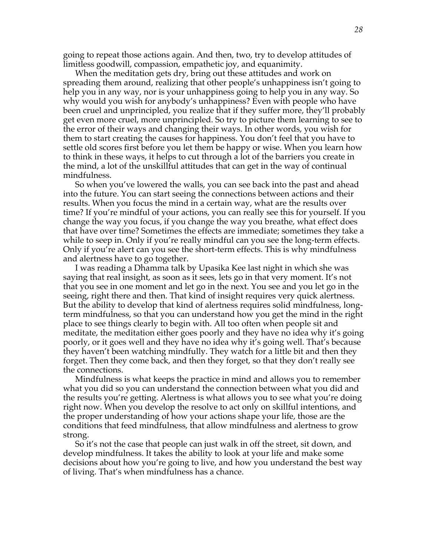going to repeat those actions again. And then, two, try to develop attitudes of limitless goodwill, compassion, empathetic joy, and equanimity.

When the meditation gets dry, bring out these attitudes and work on spreading them around, realizing that other people's unhappiness isn't going to help you in any way, nor is your unhappiness going to help you in any way. So why would you wish for anybody's unhappiness? Even with people who have been cruel and unprincipled, you realize that if they suffer more, they'll probably get even more cruel, more unprincipled. So try to picture them learning to see to the error of their ways and changing their ways. In other words, you wish for them to start creating the causes for happiness. You don't feel that you have to settle old scores first before you let them be happy or wise. When you learn how to think in these ways, it helps to cut through a lot of the barriers you create in the mind, a lot of the unskillful attitudes that can get in the way of continual mindfulness.

So when you've lowered the walls, you can see back into the past and ahead into the future. You can start seeing the connections between actions and their results. When you focus the mind in a certain way, what are the results over time? If you're mindful of your actions, you can really see this for yourself. If you change the way you focus, if you change the way you breathe, what effect does that have over time? Sometimes the effects are immediate; sometimes they take a while to seep in. Only if you're really mindful can you see the long-term effects. Only if you're alert can you see the short-term effects. This is why mindfulness and alertness have to go together.

I was reading a Dhamma talk by Upasika Kee last night in which she was saying that real insight, as soon as it sees, lets go in that very moment. It's not that you see in one moment and let go in the next. You see and you let go in the seeing, right there and then. That kind of insight requires very quick alertness. But the ability to develop that kind of alertness requires solid mindfulness, longterm mindfulness, so that you can understand how you get the mind in the right place to see things clearly to begin with. All too often when people sit and meditate, the meditation either goes poorly and they have no idea why it's going poorly, or it goes well and they have no idea why it's going well. That's because they haven't been watching mindfully. They watch for a little bit and then they forget. Then they come back, and then they forget, so that they don't really see the connections.

Mindfulness is what keeps the practice in mind and allows you to remember what you did so you can understand the connection between what you did and the results you're getting. Alertness is what allows you to see what you're doing right now. When you develop the resolve to act only on skillful intentions, and the proper understanding of how your actions shape your life, those are the conditions that feed mindfulness, that allow mindfulness and alertness to grow strong.

So it's not the case that people can just walk in off the street, sit down, and develop mindfulness. It takes the ability to look at your life and make some decisions about how you're going to live, and how you understand the best way of living. That's when mindfulness has a chance.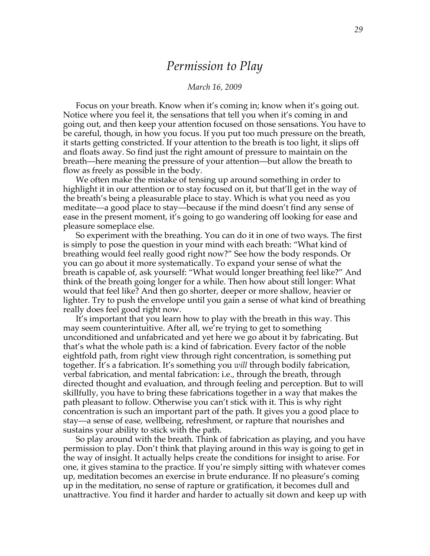### *Permission to Play*

#### *March 16, 2009*

Focus on your breath. Know when it's coming in; know when it's going out. Notice where you feel it, the sensations that tell you when it's coming in and going out, and then keep your attention focused on those sensations. You have to be careful, though, in how you focus. If you put too much pressure on the breath, it starts getting constricted. If your attention to the breath is too light, it slips off and floats away. So find just the right amount of pressure to maintain on the breath—here meaning the pressure of your attention—but allow the breath to flow as freely as possible in the body.

We often make the mistake of tensing up around something in order to highlight it in our attention or to stay focused on it, but that'll get in the way of the breath's being a pleasurable place to stay. Which is what you need as you meditate—a good place to stay—because if the mind doesn't find any sense of ease in the present moment, it's going to go wandering off looking for ease and pleasure someplace else.

So experiment with the breathing. You can do it in one of two ways. The first is simply to pose the question in your mind with each breath: "What kind of breathing would feel really good right now?" See how the body responds. Or you can go about it more systematically. To expand your sense of what the breath is capable of, ask yourself: "What would longer breathing feel like?" And think of the breath going longer for a while. Then how about still longer: What would that feel like? And then go shorter, deeper or more shallow, heavier or lighter. Try to push the envelope until you gain a sense of what kind of breathing really does feel good right now.

It's important that you learn how to play with the breath in this way. This may seem counterintuitive. After all, we're trying to get to something unconditioned and unfabricated and yet here we go about it by fabricating. But that's what the whole path is: a kind of fabrication. Every factor of the noble eightfold path, from right view through right concentration, is something put together. It's a fabrication. It's something you *will* through bodily fabrication, verbal fabrication, and mental fabrication: i.e., through the breath, through directed thought and evaluation, and through feeling and perception. But to will skillfully, you have to bring these fabrications together in a way that makes the path pleasant to follow. Otherwise you can't stick with it. This is why right concentration is such an important part of the path. It gives you a good place to stay—a sense of ease, wellbeing, refreshment, or rapture that nourishes and sustains your ability to stick with the path.

So play around with the breath. Think of fabrication as playing, and you have permission to play. Don't think that playing around in this way is going to get in the way of insight. It actually helps create the conditions for insight to arise. For one, it gives stamina to the practice. If you're simply sitting with whatever comes up, meditation becomes an exercise in brute endurance. If no pleasure's coming up in the meditation, no sense of rapture or gratification, it becomes dull and unattractive. You find it harder and harder to actually sit down and keep up with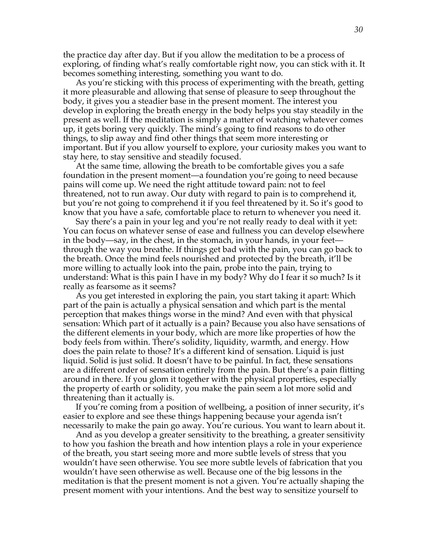the practice day after day. But if you allow the meditation to be a process of exploring, of finding what's really comfortable right now, you can stick with it. It becomes something interesting, something you want to do.

As you're sticking with this process of experimenting with the breath, getting it more pleasurable and allowing that sense of pleasure to seep throughout the body, it gives you a steadier base in the present moment. The interest you develop in exploring the breath energy in the body helps you stay steadily in the present as well. If the meditation is simply a matter of watching whatever comes up, it gets boring very quickly. The mind's going to find reasons to do other things, to slip away and find other things that seem more interesting or important. But if you allow yourself to explore, your curiosity makes you want to stay here, to stay sensitive and steadily focused.

At the same time, allowing the breath to be comfortable gives you a safe foundation in the present moment—a foundation you're going to need because pains will come up. We need the right attitude toward pain: not to feel threatened, not to run away. Our duty with regard to pain is to comprehend it, but you're not going to comprehend it if you feel threatened by it. So it's good to know that you have a safe, comfortable place to return to whenever you need it.

Say there's a pain in your leg and you're not really ready to deal with it yet: You can focus on whatever sense of ease and fullness you can develop elsewhere in the body—say, in the chest, in the stomach, in your hands, in your feet through the way you breathe. If things get bad with the pain, you can go back to the breath. Once the mind feels nourished and protected by the breath, it'll be more willing to actually look into the pain, probe into the pain, trying to understand: What is this pain I have in my body? Why do I fear it so much? Is it really as fearsome as it seems?

As you get interested in exploring the pain, you start taking it apart: Which part of the pain is actually a physical sensation and which part is the mental perception that makes things worse in the mind? And even with that physical sensation: Which part of it actually is a pain? Because you also have sensations of the different elements in your body, which are more like properties of how the body feels from within. There's solidity, liquidity, warmth, and energy. How does the pain relate to those? It's a different kind of sensation. Liquid is just liquid. Solid is just solid. It doesn't have to be painful. In fact, these sensations are a different order of sensation entirely from the pain. But there's a pain flitting around in there. If you glom it together with the physical properties, especially the property of earth or solidity, you make the pain seem a lot more solid and threatening than it actually is.

If you're coming from a position of wellbeing, a position of inner security, it's easier to explore and see these things happening because your agenda isn't necessarily to make the pain go away. You're curious. You want to learn about it.

And as you develop a greater sensitivity to the breathing, a greater sensitivity to how you fashion the breath and how intention plays a role in your experience of the breath, you start seeing more and more subtle levels of stress that you wouldn't have seen otherwise. You see more subtle levels of fabrication that you wouldn't have seen otherwise as well. Because one of the big lessons in the meditation is that the present moment is not a given. You're actually shaping the present moment with your intentions. And the best way to sensitize yourself to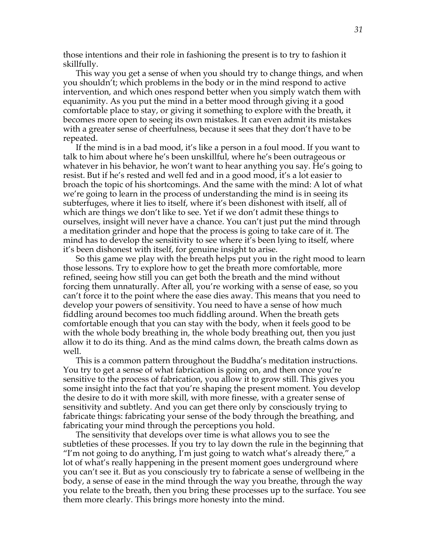those intentions and their role in fashioning the present is to try to fashion it skillfully.

This way you get a sense of when you should try to change things, and when you shouldn't; which problems in the body or in the mind respond to active intervention, and which ones respond better when you simply watch them with equanimity. As you put the mind in a better mood through giving it a good comfortable place to stay, or giving it something to explore with the breath, it becomes more open to seeing its own mistakes. It can even admit its mistakes with a greater sense of cheerfulness, because it sees that they don't have to be repeated.

If the mind is in a bad mood, it's like a person in a foul mood. If you want to talk to him about where he's been unskillful, where he's been outrageous or whatever in his behavior, he won't want to hear anything you say. He's going to resist. But if he's rested and well fed and in a good mood, it's a lot easier to broach the topic of his shortcomings. And the same with the mind: A lot of what we're going to learn in the process of understanding the mind is in seeing its subterfuges, where it lies to itself, where it's been dishonest with itself, all of which are things we don't like to see. Yet if we don't admit these things to ourselves, insight will never have a chance. You can't just put the mind through a meditation grinder and hope that the process is going to take care of it. The mind has to develop the sensitivity to see where it's been lying to itself, where it's been dishonest with itself, for genuine insight to arise.

So this game we play with the breath helps put you in the right mood to learn those lessons. Try to explore how to get the breath more comfortable, more refined, seeing how still you can get both the breath and the mind without forcing them unnaturally. After all, you're working with a sense of ease, so you can't force it to the point where the ease dies away. This means that you need to develop your powers of sensitivity. You need to have a sense of how much fiddling around becomes too much fiddling around. When the breath gets comfortable enough that you can stay with the body, when it feels good to be with the whole body breathing in, the whole body breathing out, then you just allow it to do its thing. And as the mind calms down, the breath calms down as well.

This is a common pattern throughout the Buddha's meditation instructions. You try to get a sense of what fabrication is going on, and then once you're sensitive to the process of fabrication, you allow it to grow still. This gives you some insight into the fact that you're shaping the present moment. You develop the desire to do it with more skill, with more finesse, with a greater sense of sensitivity and subtlety. And you can get there only by consciously trying to fabricate things: fabricating your sense of the body through the breathing, and fabricating your mind through the perceptions you hold.

The sensitivity that develops over time is what allows you to see the subtleties of these processes. If you try to lay down the rule in the beginning that "I'm not going to do anything, I'm just going to watch what's already there," a lot of what's really happening in the present moment goes underground where you can't see it. But as you consciously try to fabricate a sense of wellbeing in the body, a sense of ease in the mind through the way you breathe, through the way you relate to the breath, then you bring these processes up to the surface. You see them more clearly. This brings more honesty into the mind.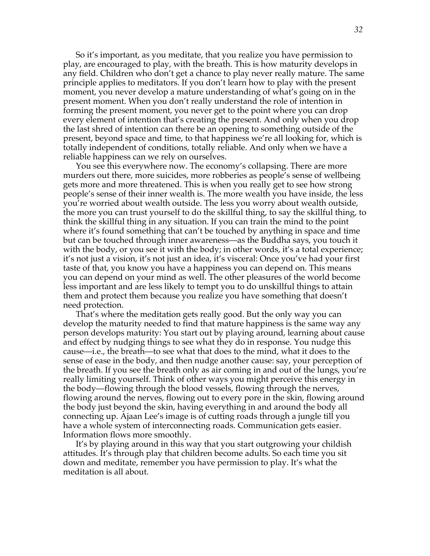So it's important, as you meditate, that you realize you have permission to play, are encouraged to play, with the breath. This is how maturity develops in any field. Children who don't get a chance to play never really mature. The same principle applies to meditators. If you don't learn how to play with the present moment, you never develop a mature understanding of what's going on in the present moment. When you don't really understand the role of intention in forming the present moment, you never get to the point where you can drop every element of intention that's creating the present. And only when you drop the last shred of intention can there be an opening to something outside of the present, beyond space and time, to that happiness we're all looking for, which is totally independent of conditions, totally reliable. And only when we have a reliable happiness can we rely on ourselves.

You see this everywhere now. The economy's collapsing. There are more murders out there, more suicides, more robberies as people's sense of wellbeing gets more and more threatened. This is when you really get to see how strong people's sense of their inner wealth is. The more wealth you have inside, the less you're worried about wealth outside. The less you worry about wealth outside, the more you can trust yourself to do the skillful thing, to say the skillful thing, to think the skillful thing in any situation. If you can train the mind to the point where it's found something that can't be touched by anything in space and time but can be touched through inner awareness—as the Buddha says, you touch it with the body, or you see it with the body; in other words, it's a total experience; it's not just a vision, it's not just an idea, it's visceral: Once you've had your first taste of that, you know you have a happiness you can depend on. This means you can depend on your mind as well. The other pleasures of the world become less important and are less likely to tempt you to do unskillful things to attain them and protect them because you realize you have something that doesn't need protection.

That's where the meditation gets really good. But the only way you can develop the maturity needed to find that mature happiness is the same way any person develops maturity: You start out by playing around, learning about cause and effect by nudging things to see what they do in response. You nudge this cause—i.e., the breath—to see what that does to the mind, what it does to the sense of ease in the body, and then nudge another cause: say, your perception of the breath. If you see the breath only as air coming in and out of the lungs, you're really limiting yourself. Think of other ways you might perceive this energy in the body—flowing through the blood vessels, flowing through the nerves, flowing around the nerves, flowing out to every pore in the skin, flowing around the body just beyond the skin, having everything in and around the body all connecting up. Ajaan Lee's image is of cutting roads through a jungle till you have a whole system of interconnecting roads. Communication gets easier. Information flows more smoothly.

It's by playing around in this way that you start outgrowing your childish attitudes. It's through play that children become adults. So each time you sit down and meditate, remember you have permission to play. It's what the meditation is all about.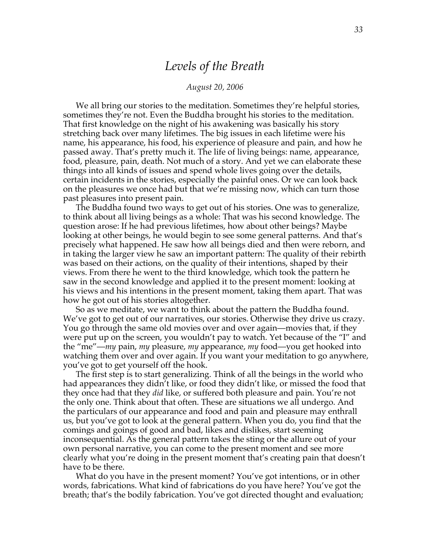### *Levels of the Breath*

#### *August 20, 2006*

We all bring our stories to the meditation. Sometimes they're helpful stories, sometimes they're not. Even the Buddha brought his stories to the meditation. That first knowledge on the night of his awakening was basically his story stretching back over many lifetimes. The big issues in each lifetime were his name, his appearance, his food, his experience of pleasure and pain, and how he passed away. That's pretty much it. The life of living beings: name, appearance, food, pleasure, pain, death. Not much of a story. And yet we can elaborate these things into all kinds of issues and spend whole lives going over the details, certain incidents in the stories, especially the painful ones. Or we can look back on the pleasures we once had but that we're missing now, which can turn those past pleasures into present pain.

The Buddha found two ways to get out of his stories. One was to generalize, to think about all living beings as a whole: That was his second knowledge. The question arose: If he had previous lifetimes, how about other beings? Maybe looking at other beings, he would begin to see some general patterns. And that's precisely what happened. He saw how all beings died and then were reborn, and in taking the larger view he saw an important pattern: The quality of their rebirth was based on their actions, on the quality of their intentions, shaped by their views. From there he went to the third knowledge, which took the pattern he saw in the second knowledge and applied it to the present moment: looking at his views and his intentions in the present moment, taking them apart. That was how he got out of his stories altogether.

So as we meditate, we want to think about the pattern the Buddha found. We've got to get out of our narratives, our stories. Otherwise they drive us crazy. You go through the same old movies over and over again—movies that, if they were put up on the screen, you wouldn't pay to watch. Yet because of the "I" and the "me"—*my* pain, *my* pleasure, *my* appearance, *my* food—you get hooked into watching them over and over again. If you want your meditation to go anywhere, you've got to get yourself off the hook.

The first step is to start generalizing. Think of all the beings in the world who had appearances they didn't like, or food they didn't like, or missed the food that they once had that they *did* like, or suffered both pleasure and pain. You're not the only one. Think about that often. These are situations we all undergo. And the particulars of our appearance and food and pain and pleasure may enthrall us, but you've got to look at the general pattern. When you do, you find that the comings and goings of good and bad, likes and dislikes, start seeming inconsequential. As the general pattern takes the sting or the allure out of your own personal narrative, you can come to the present moment and see more clearly what you're doing in the present moment that's creating pain that doesn't have to be there.

What do you have in the present moment? You've got intentions, or in other words, fabrications. What kind of fabrications do you have here? You've got the breath; that's the bodily fabrication. You've got directed thought and evaluation;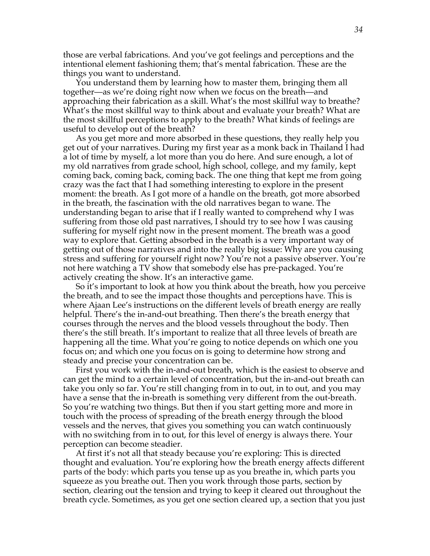those are verbal fabrications. And you've got feelings and perceptions and the intentional element fashioning them; that's mental fabrication. These are the things you want to understand.

You understand them by learning how to master them, bringing them all together—as we're doing right now when we focus on the breath—and approaching their fabrication as a skill. What's the most skillful way to breathe? What's the most skillful way to think about and evaluate your breath? What are the most skillful perceptions to apply to the breath? What kinds of feelings are useful to develop out of the breath?

As you get more and more absorbed in these questions, they really help you get out of your narratives. During my first year as a monk back in Thailand I had a lot of time by myself, a lot more than you do here. And sure enough, a lot of my old narratives from grade school, high school, college, and my family, kept coming back, coming back, coming back. The one thing that kept me from going crazy was the fact that I had something interesting to explore in the present moment: the breath. As I got more of a handle on the breath, got more absorbed in the breath, the fascination with the old narratives began to wane. The understanding began to arise that if I really wanted to comprehend why I was suffering from those old past narratives, I should try to see how I was causing suffering for myself right now in the present moment. The breath was a good way to explore that. Getting absorbed in the breath is a very important way of getting out of those narratives and into the really big issue: Why are you causing stress and suffering for yourself right now? You're not a passive observer. You're not here watching a TV show that somebody else has pre-packaged. You're actively creating the show. It's an interactive game.

So it's important to look at how you think about the breath, how you perceive the breath, and to see the impact those thoughts and perceptions have. This is where Ajaan Lee's instructions on the different levels of breath energy are really helpful. There's the in-and-out breathing. Then there's the breath energy that courses through the nerves and the blood vessels throughout the body. Then there's the still breath. It's important to realize that all three levels of breath are happening all the time. What you're going to notice depends on which one you focus on; and which one you focus on is going to determine how strong and steady and precise your concentration can be.

First you work with the in-and-out breath, which is the easiest to observe and can get the mind to a certain level of concentration, but the in-and-out breath can take you only so far. You're still changing from in to out, in to out, and you may have a sense that the in-breath is something very different from the out-breath. So you're watching two things. But then if you start getting more and more in touch with the process of spreading of the breath energy through the blood vessels and the nerves, that gives you something you can watch continuously with no switching from in to out, for this level of energy is always there. Your perception can become steadier.

At first it's not all that steady because you're exploring: This is directed thought and evaluation. You're exploring how the breath energy affects different parts of the body: which parts you tense up as you breathe in, which parts you squeeze as you breathe out. Then you work through those parts, section by section, clearing out the tension and trying to keep it cleared out throughout the breath cycle. Sometimes, as you get one section cleared up, a section that you just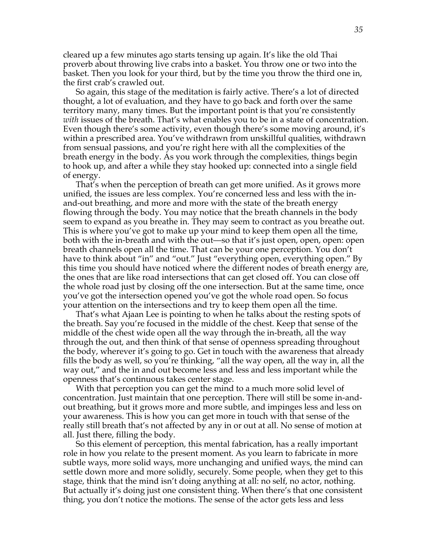cleared up a few minutes ago starts tensing up again. It's like the old Thai proverb about throwing live crabs into a basket. You throw one or two into the basket. Then you look for your third, but by the time you throw the third one in, the first crab's crawled out.

So again, this stage of the meditation is fairly active. There's a lot of directed thought, a lot of evaluation, and they have to go back and forth over the same territory many, many times. But the important point is that you're consistently *with* issues of the breath. That's what enables you to be in a state of concentration. Even though there's some activity, even though there's some moving around, it's within a prescribed area. You've withdrawn from unskillful qualities, withdrawn from sensual passions, and you're right here with all the complexities of the breath energy in the body. As you work through the complexities, things begin to hook up, and after a while they stay hooked up: connected into a single field of energy.

That's when the perception of breath can get more unified. As it grows more unified, the issues are less complex. You're concerned less and less with the inand-out breathing, and more and more with the state of the breath energy flowing through the body. You may notice that the breath channels in the body seem to expand as you breathe in. They may seem to contract as you breathe out. This is where you've got to make up your mind to keep them open all the time, both with the in-breath and with the out—so that it's just open, open, open: open breath channels open all the time. That can be your one perception. You don't have to think about "in" and "out." Just "everything open, everything open." By this time you should have noticed where the different nodes of breath energy are, the ones that are like road intersections that can get closed off. You can close off the whole road just by closing off the one intersection. But at the same time, once you've got the intersection opened you've got the whole road open. So focus your attention on the intersections and try to keep them open all the time.

That's what Ajaan Lee is pointing to when he talks about the resting spots of the breath. Say you're focused in the middle of the chest. Keep that sense of the middle of the chest wide open all the way through the in-breath, all the way through the out, and then think of that sense of openness spreading throughout the body, wherever it's going to go. Get in touch with the awareness that already fills the body as well, so you're thinking, "all the way open, all the way in, all the way out," and the in and out become less and less and less important while the openness that's continuous takes center stage.

With that perception you can get the mind to a much more solid level of concentration. Just maintain that one perception. There will still be some in-andout breathing, but it grows more and more subtle, and impinges less and less on your awareness. This is how you can get more in touch with that sense of the really still breath that's not affected by any in or out at all. No sense of motion at all. Just there, filling the body.

So this element of perception, this mental fabrication, has a really important role in how you relate to the present moment. As you learn to fabricate in more subtle ways, more solid ways, more unchanging and unified ways, the mind can settle down more and more solidly, securely. Some people, when they get to this stage, think that the mind isn't doing anything at all: no self, no actor, nothing. But actually it's doing just one consistent thing. When there's that one consistent thing, you don't notice the motions. The sense of the actor gets less and less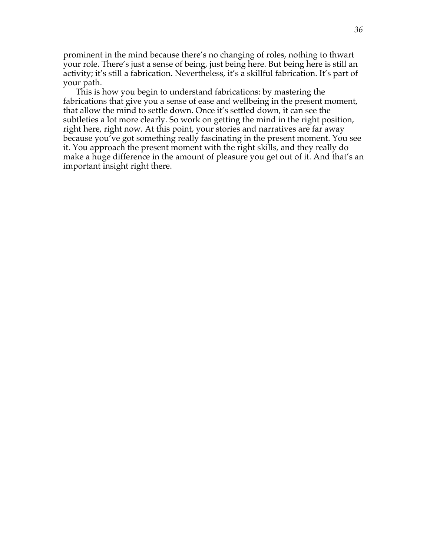prominent in the mind because there's no changing of roles, nothing to thwart your role. There's just a sense of being, just being here. But being here is still an activity; it's still a fabrication. Nevertheless, it's a skillful fabrication. It's part of your path.

This is how you begin to understand fabrications: by mastering the fabrications that give you a sense of ease and wellbeing in the present moment, that allow the mind to settle down. Once it's settled down, it can see the subtleties a lot more clearly. So work on getting the mind in the right position, right here, right now. At this point, your stories and narratives are far away because you've got something really fascinating in the present moment. You see it. You approach the present moment with the right skills, and they really do make a huge difference in the amount of pleasure you get out of it. And that's an important insight right there.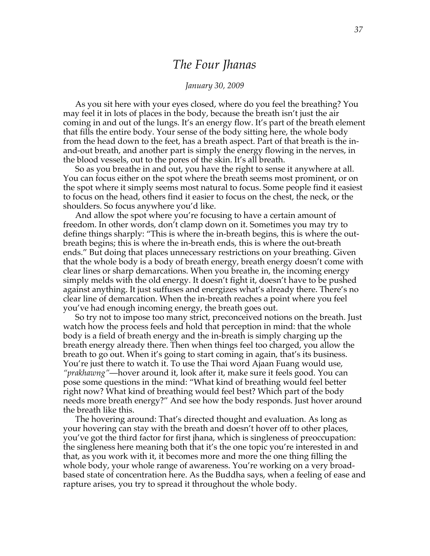### *The Four Jhanas*

#### *January 30, 2009*

As you sit here with your eyes closed, where do you feel the breathing? You may feel it in lots of places in the body, because the breath isn't just the air coming in and out of the lungs. It's an energy flow. It's part of the breath element that fills the entire body. Your sense of the body sitting here, the whole body from the head down to the feet, has a breath aspect. Part of that breath is the inand-out breath, and another part is simply the energy flowing in the nerves, in the blood vessels, out to the pores of the skin. It's all breath.

So as you breathe in and out, you have the right to sense it anywhere at all. You can focus either on the spot where the breath seems most prominent, or on the spot where it simply seems most natural to focus. Some people find it easiest to focus on the head, others find it easier to focus on the chest, the neck, or the shoulders. So focus anywhere you'd like.

And allow the spot where you're focusing to have a certain amount of freedom. In other words, don't clamp down on it. Sometimes you may try to define things sharply: "This is where the in-breath begins, this is where the outbreath begins; this is where the in-breath ends, this is where the out-breath ends." But doing that places unnecessary restrictions on your breathing. Given that the whole body is a body of breath energy, breath energy doesn't come with clear lines or sharp demarcations. When you breathe in, the incoming energy simply melds with the old energy. It doesn't fight it, doesn't have to be pushed against anything. It just suffuses and energizes what's already there. There's no clear line of demarcation. When the in-breath reaches a point where you feel you've had enough incoming energy, the breath goes out.

So try not to impose too many strict, preconceived notions on the breath. Just watch how the process feels and hold that perception in mind: that the whole body is a field of breath energy and the in-breath is simply charging up the breath energy already there. Then when things feel too charged, you allow the breath to go out. When it's going to start coming in again, that's its business. You're just there to watch it. To use the Thai word Ajaan Fuang would use, *"prakhawng"*—hover around it, look after it, make sure it feels good. You can pose some questions in the mind: "What kind of breathing would feel better right now? What kind of breathing would feel best? Which part of the body needs more breath energy?" And see how the body responds. Just hover around the breath like this.

The hovering around: That's directed thought and evaluation. As long as your hovering can stay with the breath and doesn't hover off to other places, you've got the third factor for first jhana, which is singleness of preoccupation: the singleness here meaning both that it's the one topic you're interested in and that, as you work with it, it becomes more and more the one thing filling the whole body, your whole range of awareness. You're working on a very broadbased state of concentration here. As the Buddha says, when a feeling of ease and rapture arises, you try to spread it throughout the whole body.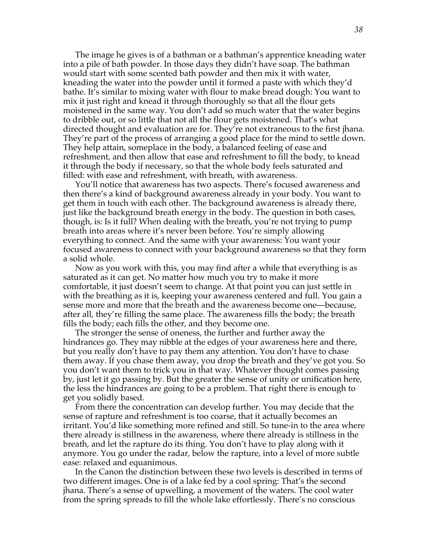The image he gives is of a bathman or a bathman's apprentice kneading water into a pile of bath powder. In those days they didn't have soap. The bathman would start with some scented bath powder and then mix it with water, kneading the water into the powder until it formed a paste with which they'd bathe. It's similar to mixing water with flour to make bread dough: You want to mix it just right and knead it through thoroughly so that all the flour gets moistened in the same way. You don't add so much water that the water begins to dribble out, or so little that not all the flour gets moistened. That's what directed thought and evaluation are for. They're not extraneous to the first jhana. They're part of the process of arranging a good place for the mind to settle down. They help attain, someplace in the body, a balanced feeling of ease and refreshment, and then allow that ease and refreshment to fill the body, to knead it through the body if necessary, so that the whole body feels saturated and filled: with ease and refreshment, with breath, with awareness.

You'll notice that awareness has two aspects. There's focused awareness and then there's a kind of background awareness already in your body. You want to get them in touch with each other. The background awareness is already there, just like the background breath energy in the body. The question in both cases, though, is: Is it full? When dealing with the breath, you're not trying to pump breath into areas where it's never been before. You're simply allowing everything to connect. And the same with your awareness: You want your focused awareness to connect with your background awareness so that they form a solid whole.

Now as you work with this, you may find after a while that everything is as saturated as it can get. No matter how much you try to make it more comfortable, it just doesn't seem to change. At that point you can just settle in with the breathing as it is, keeping your awareness centered and full. You gain a sense more and more that the breath and the awareness become one—because, after all, they're filling the same place. The awareness fills the body; the breath fills the body; each fills the other, and they become one.

The stronger the sense of oneness, the further and further away the hindrances go. They may nibble at the edges of your awareness here and there, but you really don't have to pay them any attention. You don't have to chase them away. If you chase them away, you drop the breath and they've got you. So you don't want them to trick you in that way. Whatever thought comes passing by, just let it go passing by. But the greater the sense of unity or unification here, the less the hindrances are going to be a problem. That right there is enough to get you solidly based.

From there the concentration can develop further. You may decide that the sense of rapture and refreshment is too coarse, that it actually becomes an irritant. You'd like something more refined and still. So tune-in to the area where there already is stillness in the awareness, where there already is stillness in the breath, and let the rapture do its thing. You don't have to play along with it anymore. You go under the radar, below the rapture, into a level of more subtle ease: relaxed and equanimous.

In the Canon the distinction between these two levels is described in terms of two different images. One is of a lake fed by a cool spring: That's the second jhana. There's a sense of upwelling, a movement of the waters. The cool water from the spring spreads to fill the whole lake effortlessly. There's no conscious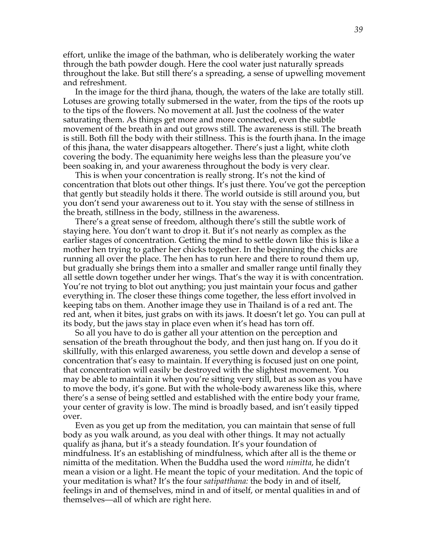effort, unlike the image of the bathman, who is deliberately working the water through the bath powder dough. Here the cool water just naturally spreads throughout the lake. But still there's a spreading, a sense of upwelling movement and refreshment.

In the image for the third jhana, though, the waters of the lake are totally still. Lotuses are growing totally submersed in the water, from the tips of the roots up to the tips of the flowers. No movement at all. Just the coolness of the water saturating them. As things get more and more connected, even the subtle movement of the breath in and out grows still. The awareness is still. The breath is still. Both fill the body with their stillness. This is the fourth jhana. In the image of this jhana, the water disappears altogether. There's just a light, white cloth covering the body. The equanimity here weighs less than the pleasure you've been soaking in, and your awareness throughout the body is very clear.

This is when your concentration is really strong. It's not the kind of concentration that blots out other things. It's just there. You've got the perception that gently but steadily holds it there. The world outside is still around you, but you don't send your awareness out to it. You stay with the sense of stillness in the breath, stillness in the body, stillness in the awareness.

There's a great sense of freedom, although there's still the subtle work of staying here. You don't want to drop it. But it's not nearly as complex as the earlier stages of concentration. Getting the mind to settle down like this is like a mother hen trying to gather her chicks together. In the beginning the chicks are running all over the place. The hen has to run here and there to round them up, but gradually she brings them into a smaller and smaller range until finally they all settle down together under her wings. That's the way it is with concentration. You're not trying to blot out anything; you just maintain your focus and gather everything in. The closer these things come together, the less effort involved in keeping tabs on them. Another image they use in Thailand is of a red ant. The red ant, when it bites, just grabs on with its jaws. It doesn't let go. You can pull at its body, but the jaws stay in place even when it's head has torn off.

So all you have to do is gather all your attention on the perception and sensation of the breath throughout the body, and then just hang on. If you do it skillfully, with this enlarged awareness, you settle down and develop a sense of concentration that's easy to maintain. If everything is focused just on one point, that concentration will easily be destroyed with the slightest movement. You may be able to maintain it when you're sitting very still, but as soon as you have to move the body, it's gone. But with the whole-body awareness like this, where there's a sense of being settled and established with the entire body your frame, your center of gravity is low. The mind is broadly based, and isn't easily tipped over.

Even as you get up from the meditation, you can maintain that sense of full body as you walk around, as you deal with other things. It may not actually qualify as jhana, but it's a steady foundation. It's your foundation of mindfulness. It's an establishing of mindfulness, which after all is the theme or nimitta of the meditation. When the Buddha used the word *nimitta*, he didn't mean a vision or a light. He meant the topic of your meditation. And the topic of your meditation is what? It's the four *satipatthana:* the body in and of itself, feelings in and of themselves, mind in and of itself, or mental qualities in and of themselves—all of which are right here.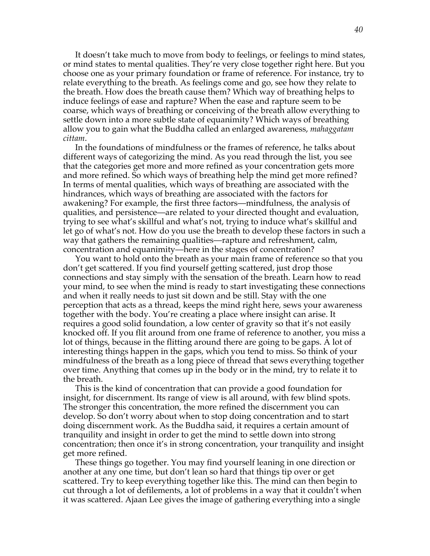It doesn't take much to move from body to feelings, or feelings to mind states, or mind states to mental qualities. They're very close together right here. But you choose one as your primary foundation or frame of reference. For instance, try to relate everything to the breath. As feelings come and go, see how they relate to the breath. How does the breath cause them? Which way of breathing helps to induce feelings of ease and rapture? When the ease and rapture seem to be coarse, which ways of breathing or conceiving of the breath allow everything to settle down into a more subtle state of equanimity? Which ways of breathing allow you to gain what the Buddha called an enlarged awareness, *mahaggatam cittam*.

In the foundations of mindfulness or the frames of reference, he talks about different ways of categorizing the mind. As you read through the list, you see that the categories get more and more refined as your concentration gets more and more refined. So which ways of breathing help the mind get more refined? In terms of mental qualities, which ways of breathing are associated with the hindrances, which ways of breathing are associated with the factors for awakening? For example, the first three factors—mindfulness, the analysis of qualities, and persistence—are related to your directed thought and evaluation, trying to see what's skillful and what's not, trying to induce what's skillful and let go of what's not. How do you use the breath to develop these factors in such a way that gathers the remaining qualities—rapture and refreshment, calm, concentration and equanimity—here in the stages of concentration?

You want to hold onto the breath as your main frame of reference so that you don't get scattered. If you find yourself getting scattered, just drop those connections and stay simply with the sensation of the breath. Learn how to read your mind, to see when the mind is ready to start investigating these connections and when it really needs to just sit down and be still. Stay with the one perception that acts as a thread, keeps the mind right here, sews your awareness together with the body. You're creating a place where insight can arise. It requires a good solid foundation, a low center of gravity so that it's not easily knocked off. If you flit around from one frame of reference to another, you miss a lot of things, because in the flitting around there are going to be gaps. A lot of interesting things happen in the gaps, which you tend to miss. So think of your mindfulness of the breath as a long piece of thread that sews everything together over time. Anything that comes up in the body or in the mind, try to relate it to the breath.

This is the kind of concentration that can provide a good foundation for insight, for discernment. Its range of view is all around, with few blind spots. The stronger this concentration, the more refined the discernment you can develop. So don't worry about when to stop doing concentration and to start doing discernment work. As the Buddha said, it requires a certain amount of tranquility and insight in order to get the mind to settle down into strong concentration; then once it's in strong concentration, your tranquility and insight get more refined.

These things go together. You may find yourself leaning in one direction or another at any one time, but don't lean so hard that things tip over or get scattered. Try to keep everything together like this. The mind can then begin to cut through a lot of defilements, a lot of problems in a way that it couldn't when it was scattered. Ajaan Lee gives the image of gathering everything into a single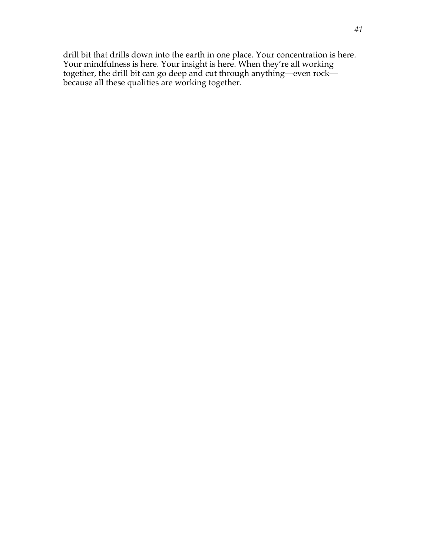drill bit that drills down into the earth in one place. Your concentration is here. Your mindfulness is here. Your insight is here. When they're all working together, the drill bit can go deep and cut through anything—even rock because all these qualities are working together.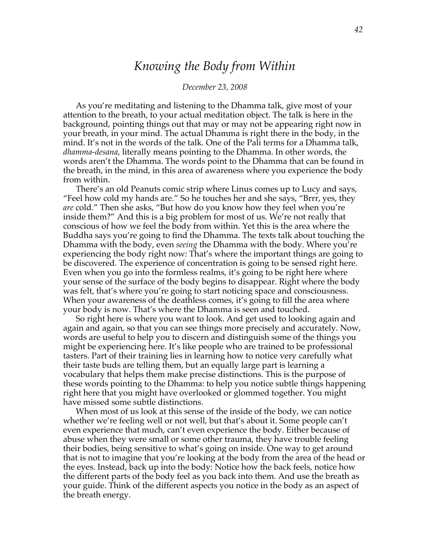# *Knowing the Body from Within*

#### *December 23, 2008*

As you're meditating and listening to the Dhamma talk, give most of your attention to the breath, to your actual meditation object. The talk is here in the background, pointing things out that may or may not be appearing right now in your breath, in your mind. The actual Dhamma is right there in the body, in the mind. It's not in the words of the talk. One of the Pali terms for a Dhamma talk, *dhamma-desana*, literally means pointing to the Dhamma. In other words, the words aren't the Dhamma. The words point to the Dhamma that can be found in the breath, in the mind, in this area of awareness where you experience the body from within.

There's an old Peanuts comic strip where Linus comes up to Lucy and says, "Feel how cold my hands are." So he touches her and she says, "Brrr, yes, they *are* cold." Then she asks, "But how do you know how they feel when you're inside them?" And this is a big problem for most of us. We're not really that conscious of how we feel the body from within. Yet this is the area where the Buddha says you're going to find the Dhamma. The texts talk about touching the Dhamma with the body, even *seeing* the Dhamma with the body. Where you're experiencing the body right now: That's where the important things are going to be discovered. The experience of concentration is going to be sensed right here. Even when you go into the formless realms, it's going to be right here where your sense of the surface of the body begins to disappear. Right where the body was felt, that's where you're going to start noticing space and consciousness. When your awareness of the deathless comes, it's going to fill the area where your body is now. That's where the Dhamma is seen and touched.

So right here is where you want to look. And get used to looking again and again and again, so that you can see things more precisely and accurately. Now, words are useful to help you to discern and distinguish some of the things you might be experiencing here. It's like people who are trained to be professional tasters. Part of their training lies in learning how to notice very carefully what their taste buds are telling them, but an equally large part is learning a vocabulary that helps them make precise distinctions. This is the purpose of these words pointing to the Dhamma: to help you notice subtle things happening right here that you might have overlooked or glommed together. You might have missed some subtle distinctions.

When most of us look at this sense of the inside of the body, we can notice whether we're feeling well or not well, but that's about it. Some people can't even experience that much, can't even experience the body. Either because of abuse when they were small or some other trauma, they have trouble feeling their bodies, being sensitive to what's going on inside. One way to get around that is not to imagine that you're looking at the body from the area of the head or the eyes. Instead, back up into the body: Notice how the back feels, notice how the different parts of the body feel as you back into them. And use the breath as your guide. Think of the different aspects you notice in the body as an aspect of the breath energy.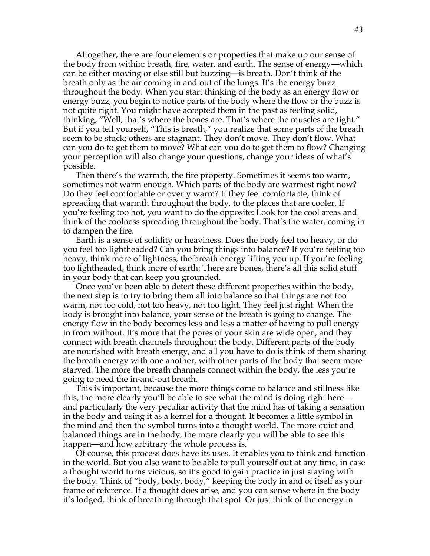Altogether, there are four elements or properties that make up our sense of the body from within: breath, fire, water, and earth. The sense of energy—which can be either moving or else still but buzzing—is breath. Don't think of the breath only as the air coming in and out of the lungs. It's the energy buzz throughout the body. When you start thinking of the body as an energy flow or energy buzz, you begin to notice parts of the body where the flow or the buzz is not quite right. You might have accepted them in the past as feeling solid, thinking, "Well, that's where the bones are. That's where the muscles are tight." But if you tell yourself, "This is breath," you realize that some parts of the breath seem to be stuck; others are stagnant. They don't move. They don't flow. What can you do to get them to move? What can you do to get them to flow? Changing your perception will also change your questions, change your ideas of what's possible.

Then there's the warmth, the fire property. Sometimes it seems too warm, sometimes not warm enough. Which parts of the body are warmest right now? Do they feel comfortable or overly warm? If they feel comfortable, think of spreading that warmth throughout the body, to the places that are cooler. If you're feeling too hot, you want to do the opposite: Look for the cool areas and think of the coolness spreading throughout the body. That's the water, coming in to dampen the fire.

Earth is a sense of solidity or heaviness. Does the body feel too heavy, or do you feel too lightheaded? Can you bring things into balance? If you're feeling too heavy, think more of lightness, the breath energy lifting you up. If you're feeling too lightheaded, think more of earth: There are bones, there's all this solid stuff in your body that can keep you grounded.

Once you've been able to detect these different properties within the body, the next step is to try to bring them all into balance so that things are not too warm, not too cold, not too heavy, not too light. They feel just right. When the body is brought into balance, your sense of the breath is going to change. The energy flow in the body becomes less and less a matter of having to pull energy in from without. It's more that the pores of your skin are wide open, and they connect with breath channels throughout the body. Different parts of the body are nourished with breath energy, and all you have to do is think of them sharing the breath energy with one another, with other parts of the body that seem more starved. The more the breath channels connect within the body, the less you're going to need the in-and-out breath.

This is important, because the more things come to balance and stillness like this, the more clearly you'll be able to see what the mind is doing right here and particularly the very peculiar activity that the mind has of taking a sensation in the body and using it as a kernel for a thought. It becomes a little symbol in the mind and then the symbol turns into a thought world. The more quiet and balanced things are in the body, the more clearly you will be able to see this happen—and how arbitrary the whole process is.

Of course, this process does have its uses. It enables you to think and function in the world. But you also want to be able to pull yourself out at any time, in case a thought world turns vicious, so it's good to gain practice in just staying with the body. Think of "body, body, body," keeping the body in and of itself as your frame of reference. If a thought does arise, and you can sense where in the body it's lodged, think of breathing through that spot. Or just think of the energy in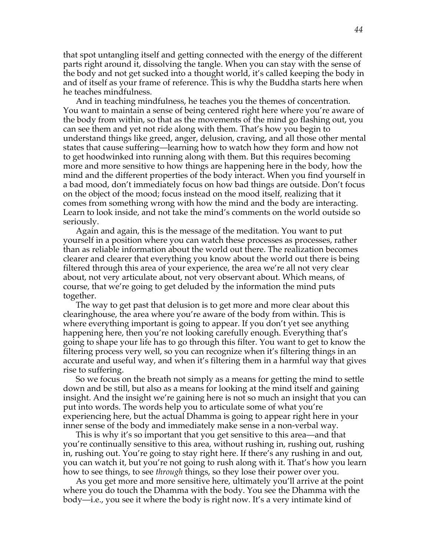that spot untangling itself and getting connected with the energy of the different parts right around it, dissolving the tangle. When you can stay with the sense of the body and not get sucked into a thought world, it's called keeping the body in and of itself as your frame of reference. This is why the Buddha starts here when he teaches mindfulness.

And in teaching mindfulness, he teaches you the themes of concentration. You want to maintain a sense of being centered right here where you're aware of the body from within, so that as the movements of the mind go flashing out, you can see them and yet not ride along with them. That's how you begin to understand things like greed, anger, delusion, craving, and all those other mental states that cause suffering—learning how to watch how they form and how not to get hoodwinked into running along with them. But this requires becoming more and more sensitive to how things are happening here in the body, how the mind and the different properties of the body interact. When you find yourself in a bad mood, don't immediately focus on how bad things are outside. Don't focus on the object of the mood; focus instead on the mood itself, realizing that it comes from something wrong with how the mind and the body are interacting. Learn to look inside, and not take the mind's comments on the world outside so seriously.

Again and again, this is the message of the meditation. You want to put yourself in a position where you can watch these processes as processes, rather than as reliable information about the world out there. The realization becomes clearer and clearer that everything you know about the world out there is being filtered through this area of your experience, the area we're all not very clear about, not very articulate about, not very observant about. Which means, of course, that we're going to get deluded by the information the mind puts together.

The way to get past that delusion is to get more and more clear about this clearinghouse, the area where you're aware of the body from within. This is where everything important is going to appear. If you don't yet see anything happening here, then you're not looking carefully enough. Everything that's going to shape your life has to go through this filter. You want to get to know the filtering process very well, so you can recognize when it's filtering things in an accurate and useful way, and when it's filtering them in a harmful way that gives rise to suffering.

So we focus on the breath not simply as a means for getting the mind to settle down and be still, but also as a means for looking at the mind itself and gaining insight. And the insight we're gaining here is not so much an insight that you can put into words. The words help you to articulate some of what you're experiencing here, but the actual Dhamma is going to appear right here in your inner sense of the body and immediately make sense in a non-verbal way.

This is why it's so important that you get sensitive to this area—and that you're continually sensitive to this area, without rushing in, rushing out, rushing in, rushing out. You're going to stay right here. If there's any rushing in and out, you can watch it, but you're not going to rush along with it. That's how you learn how to see things, to see *through* things, so they lose their power over you.

As you get more and more sensitive here, ultimately you'll arrive at the point where you do touch the Dhamma with the body. You see the Dhamma with the body—i.e., you see it where the body is right now. It's a very intimate kind of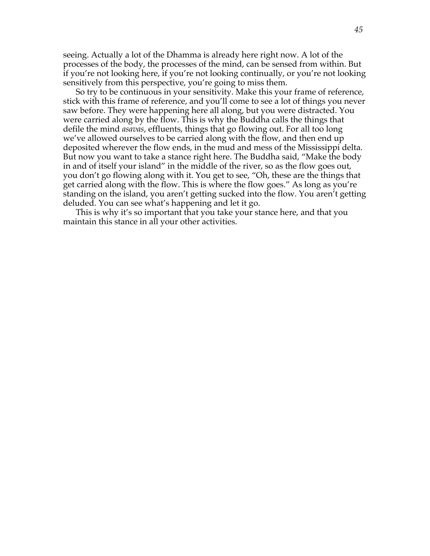seeing. Actually a lot of the Dhamma is already here right now. A lot of the processes of the body, the processes of the mind, can be sensed from within. But if you're not looking here, if you're not looking continually, or you're not looking sensitively from this perspective, you're going to miss them.

So try to be continuous in your sensitivity. Make this your frame of reference, stick with this frame of reference, and you'll come to see a lot of things you never saw before. They were happening here all along, but you were distracted. You were carried along by the flow. This is why the Buddha calls the things that defile the mind *asavas*, effluents, things that go flowing out. For all too long we've allowed ourselves to be carried along with the flow, and then end up deposited wherever the flow ends, in the mud and mess of the Mississippi delta. But now you want to take a stance right here. The Buddha said, "Make the body in and of itself your island" in the middle of the river, so as the flow goes out, you don't go flowing along with it. You get to see, "Oh, these are the things that get carried along with the flow. This is where the flow goes." As long as you're standing on the island, you aren't getting sucked into the flow. You aren't getting deluded. You can see what's happening and let it go.

This is why it's so important that you take your stance here, and that you maintain this stance in all your other activities.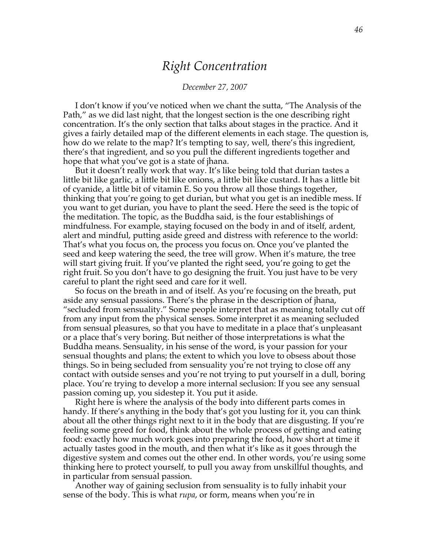# *Right Concentration*

#### *December 27, 2007*

I don't know if you've noticed when we chant the sutta, "The Analysis of the Path," as we did last night, that the longest section is the one describing right concentration. It's the only section that talks about stages in the practice. And it gives a fairly detailed map of the different elements in each stage. The question is, how do we relate to the map? It's tempting to say, well, there's this ingredient, there's that ingredient, and so you pull the different ingredients together and hope that what you've got is a state of jhana.

But it doesn't really work that way. It's like being told that durian tastes a little bit like garlic, a little bit like onions, a little bit like custard. It has a little bit of cyanide, a little bit of vitamin E. So you throw all those things together, thinking that you're going to get durian, but what you get is an inedible mess. If you want to get durian, you have to plant the seed. Here the seed is the topic of the meditation. The topic, as the Buddha said, is the four establishings of mindfulness. For example, staying focused on the body in and of itself, ardent, alert and mindful, putting aside greed and distress with reference to the world: That's what you focus on, the process you focus on. Once you've planted the seed and keep watering the seed, the tree will grow. When it's mature, the tree will start giving fruit. If you've planted the right seed, you're going to get the right fruit. So you don't have to go designing the fruit. You just have to be very careful to plant the right seed and care for it well.

So focus on the breath in and of itself. As you're focusing on the breath, put aside any sensual passions. There's the phrase in the description of jhana, "secluded from sensuality." Some people interpret that as meaning totally cut off from any input from the physical senses. Some interpret it as meaning secluded from sensual pleasures, so that you have to meditate in a place that's unpleasant or a place that's very boring. But neither of those interpretations is what the Buddha means. Sensuality, in his sense of the word, is your passion for your sensual thoughts and plans; the extent to which you love to obsess about those things. So in being secluded from sensuality you're not trying to close off any contact with outside senses and you're not trying to put yourself in a dull, boring place. You're trying to develop a more internal seclusion: If you see any sensual passion coming up, you sidestep it. You put it aside.

Right here is where the analysis of the body into different parts comes in handy. If there's anything in the body that's got you lusting for it, you can think about all the other things right next to it in the body that are disgusting. If you're feeling some greed for food, think about the whole process of getting and eating food: exactly how much work goes into preparing the food, how short at time it actually tastes good in the mouth, and then what it's like as it goes through the digestive system and comes out the other end. In other words, you're using some thinking here to protect yourself, to pull you away from unskillful thoughts, and in particular from sensual passion.

Another way of gaining seclusion from sensuality is to fully inhabit your sense of the body. This is what *rupa*, or form, means when you're in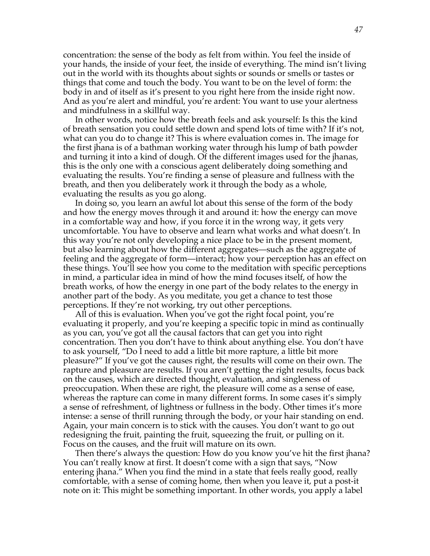concentration: the sense of the body as felt from within. You feel the inside of your hands, the inside of your feet, the inside of everything. The mind isn't living out in the world with its thoughts about sights or sounds or smells or tastes or things that come and touch the body. You want to be on the level of form: the body in and of itself as it's present to you right here from the inside right now. And as you're alert and mindful, you're ardent: You want to use your alertness and mindfulness in a skillful way.

In other words, notice how the breath feels and ask yourself: Is this the kind of breath sensation you could settle down and spend lots of time with? If it's not, what can you do to change it? This is where evaluation comes in. The image for the first jhana is of a bathman working water through his lump of bath powder and turning it into a kind of dough. Of the different images used for the jhanas, this is the only one with a conscious agent deliberately doing something and evaluating the results. You're finding a sense of pleasure and fullness with the breath, and then you deliberately work it through the body as a whole, evaluating the results as you go along.

In doing so, you learn an awful lot about this sense of the form of the body and how the energy moves through it and around it: how the energy can move in a comfortable way and how, if you force it in the wrong way, it gets very uncomfortable. You have to observe and learn what works and what doesn't. In this way you're not only developing a nice place to be in the present moment, but also learning about how the different aggregates—such as the aggregate of feeling and the aggregate of form—interact; how your perception has an effect on these things. You'll see how you come to the meditation with specific perceptions in mind, a particular idea in mind of how the mind focuses itself, of how the breath works, of how the energy in one part of the body relates to the energy in another part of the body. As you meditate, you get a chance to test those perceptions. If they're not working, try out other perceptions.

All of this is evaluation. When you've got the right focal point, you're evaluating it properly, and you're keeping a specific topic in mind as continually as you can, you've got all the causal factors that can get you into right concentration. Then you don't have to think about anything else. You don't have to ask yourself, "Do I need to add a little bit more rapture, a little bit more pleasure?" If you've got the causes right, the results will come on their own. The rapture and pleasure are results. If you aren't getting the right results, focus back on the causes, which are directed thought, evaluation, and singleness of preoccupation. When these are right, the pleasure will come as a sense of ease, whereas the rapture can come in many different forms. In some cases it's simply a sense of refreshment, of lightness or fullness in the body. Other times it's more intense: a sense of thrill running through the body, or your hair standing on end. Again, your main concern is to stick with the causes. You don't want to go out redesigning the fruit, painting the fruit, squeezing the fruit, or pulling on it. Focus on the causes, and the fruit will mature on its own.

Then there's always the question: How do you know you've hit the first jhana? You can't really know at first. It doesn't come with a sign that says, "Now entering jhana." When you find the mind in a state that feels really good, really comfortable, with a sense of coming home, then when you leave it, put a post-it note on it: This might be something important. In other words, you apply a label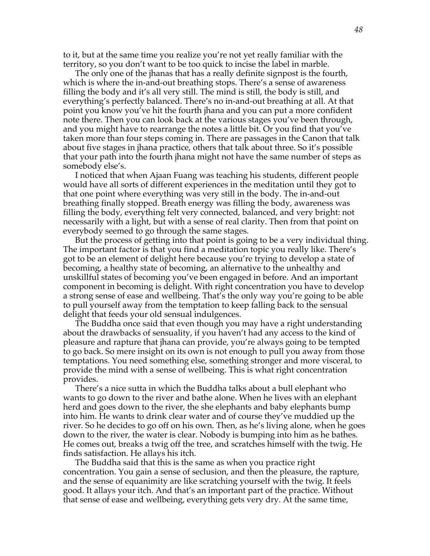to it, but at the same time you realize you're not yet really familiar with the territory, so you don't want to be too quick to incise the label in marble.

The only one of the jhanas that has a really definite signpost is the fourth, which is where the in-and-out breathing stops. There's a sense of awareness filling the body and it's all very still. The mind is still, the body is still, and everything's perfectly balanced. There's no in-and-out breathing at all. At that point you know you've hit the fourth jhana and you can put a more confident note there. Then you can look back at the various stages you've been through, and you might have to rearrange the notes a little bit. Or you find that you've taken more than four steps coming in. There are passages in the Canon that talk about five stages in jhana practice, others that talk about three. So it's possible that your path into the fourth jhana might not have the same number of steps as somebody else's.

I noticed that when Ajaan Fuang was teaching his students, different people would have all sorts of different experiences in the meditation until they got to that one point where everything was very still in the body. The in-and-out breathing finally stopped. Breath energy was filling the body, awareness was filling the body, everything felt very connected, balanced, and very bright: not necessarily with a light, but with a sense of real clarity. Then from that point on everybody seemed to go through the same stages.

But the process of getting into that point is going to be a very individual thing. The important factor is that you find a meditation topic you really like. There's got to be an element of delight here because you're trying to develop a state of becoming, a healthy state of becoming, an alternative to the unhealthy and unskillful states of becoming you've been engaged in before. And an important component in becoming is delight. With right concentration you have to develop a strong sense of ease and wellbeing. That's the only way you're going to be able to pull yourself away from the temptation to keep falling back to the sensual delight that feeds your old sensual indulgences.

The Buddha once said that even though you may have a right understanding about the drawbacks of sensuality, if you haven't had any access to the kind of pleasure and rapture that jhana can provide, you're always going to be tempted to go back. So mere insight on its own is not enough to pull you away from those temptations. You need something else, something stronger and more visceral, to provide the mind with a sense of wellbeing. This is what right concentration provides.

There's a nice sutta in which the Buddha talks about a bull elephant who wants to go down to the river and bathe alone. When he lives with an elephant herd and goes down to the river, the she elephants and baby elephants bump into him. He wants to drink clear water and of course they've muddied up the river. So he decides to go off on his own. Then, as he's living alone, when he goes down to the river, the water is clear. Nobody is bumping into him as he bathes. He comes out, breaks a twig off the tree, and scratches himself with the twig. He finds satisfaction. He allays his itch.

The Buddha said that this is the same as when you practice right concentration. You gain a sense of seclusion, and then the pleasure, the rapture, and the sense of equanimity are like scratching yourself with the twig. It feels good. It allays your itch. And that's an important part of the practice. Without that sense of ease and wellbeing, everything gets very dry. At the same time,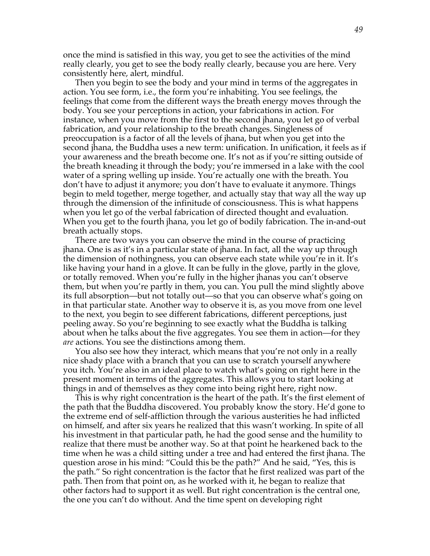once the mind is satisfied in this way, you get to see the activities of the mind really clearly, you get to see the body really clearly, because you are here. Very consistently here, alert, mindful.

Then you begin to see the body and your mind in terms of the aggregates in action. You see form, i.e., the form you're inhabiting. You see feelings, the feelings that come from the different ways the breath energy moves through the body. You see your perceptions in action, your fabrications in action. For instance, when you move from the first to the second jhana, you let go of verbal fabrication, and your relationship to the breath changes. Singleness of preoccupation is a factor of all the levels of jhana, but when you get into the second jhana, the Buddha uses a new term: unification. In unification, it feels as if your awareness and the breath become one. It's not as if you're sitting outside of the breath kneading it through the body; you're immersed in a lake with the cool water of a spring welling up inside. You're actually one with the breath. You don't have to adjust it anymore; you don't have to evaluate it anymore. Things begin to meld together, merge together, and actually stay that way all the way up through the dimension of the infinitude of consciousness. This is what happens when you let go of the verbal fabrication of directed thought and evaluation. When you get to the fourth jhana, you let go of bodily fabrication. The in-and-out breath actually stops.

There are two ways you can observe the mind in the course of practicing jhana. One is as it's in a particular state of jhana. In fact, all the way up through the dimension of nothingness, you can observe each state while you're in it. It's like having your hand in a glove. It can be fully in the glove, partly in the glove, or totally removed. When you're fully in the higher jhanas you can't observe them, but when you're partly in them, you can. You pull the mind slightly above its full absorption—but not totally out—so that you can observe what's going on in that particular state. Another way to observe it is, as you move from one level to the next, you begin to see different fabrications, different perceptions, just peeling away. So you're beginning to see exactly what the Buddha is talking about when he talks about the five aggregates. You see them in action—for they *are* actions. You see the distinctions among them.

You also see how they interact, which means that you're not only in a really nice shady place with a branch that you can use to scratch yourself anywhere you itch. You're also in an ideal place to watch what's going on right here in the present moment in terms of the aggregates. This allows you to start looking at things in and of themselves as they come into being right here, right now.

This is why right concentration is the heart of the path. It's the first element of the path that the Buddha discovered. You probably know the story. He'd gone to the extreme end of self-affliction through the various austerities he had inflicted on himself, and after six years he realized that this wasn't working. In spite of all his investment in that particular path, he had the good sense and the humility to realize that there must be another way. So at that point he hearkened back to the time when he was a child sitting under a tree and had entered the first jhana. The question arose in his mind: "Could this be the path?" And he said, "Yes, this is the path." So right concentration is the factor that he first realized was part of the path. Then from that point on, as he worked with it, he began to realize that other factors had to support it as well. But right concentration is the central one, the one you can't do without. And the time spent on developing right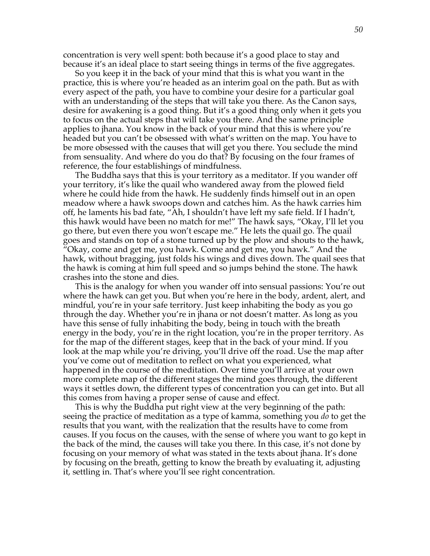concentration is very well spent: both because it's a good place to stay and because it's an ideal place to start seeing things in terms of the five aggregates.

So you keep it in the back of your mind that this is what you want in the practice, this is where you're headed as an interim goal on the path. But as with every aspect of the path, you have to combine your desire for a particular goal with an understanding of the steps that will take you there. As the Canon says, desire for awakening is a good thing. But it's a good thing only when it gets you to focus on the actual steps that will take you there. And the same principle applies to jhana. You know in the back of your mind that this is where you're headed but you can't be obsessed with what's written on the map. You have to be more obsessed with the causes that will get you there. You seclude the mind from sensuality. And where do you do that? By focusing on the four frames of reference, the four establishings of mindfulness.

The Buddha says that this is your territory as a meditator. If you wander off your territory, it's like the quail who wandered away from the plowed field where he could hide from the hawk. He suddenly finds himself out in an open meadow where a hawk swoops down and catches him. As the hawk carries him off, he laments his bad fate, "Ah, I shouldn't have left my safe field. If I hadn't, this hawk would have been no match for me!" The hawk says, "Okay, I'll let you go there, but even there you won't escape me." He lets the quail go. The quail goes and stands on top of a stone turned up by the plow and shouts to the hawk, "Okay, come and get me, you hawk. Come and get me, you hawk." And the hawk, without bragging, just folds his wings and dives down. The quail sees that the hawk is coming at him full speed and so jumps behind the stone. The hawk crashes into the stone and dies.

This is the analogy for when you wander off into sensual passions: You're out where the hawk can get you. But when you're here in the body, ardent, alert, and mindful, you're in your safe territory. Just keep inhabiting the body as you go through the day. Whether you're in jhana or not doesn't matter. As long as you have this sense of fully inhabiting the body, being in touch with the breath energy in the body, you're in the right location, you're in the proper territory. As for the map of the different stages, keep that in the back of your mind. If you look at the map while you're driving, you'll drive off the road. Use the map after you've come out of meditation to reflect on what you experienced, what happened in the course of the meditation. Over time you'll arrive at your own more complete map of the different stages the mind goes through, the different ways it settles down, the different types of concentration you can get into. But all this comes from having a proper sense of cause and effect.

This is why the Buddha put right view at the very beginning of the path: seeing the practice of meditation as a type of kamma, something you *do* to get the results that you want, with the realization that the results have to come from causes. If you focus on the causes, with the sense of where you want to go kept in the back of the mind, the causes will take you there. In this case, it's not done by focusing on your memory of what was stated in the texts about jhana. It's done by focusing on the breath, getting to know the breath by evaluating it, adjusting it, settling in. That's where you'll see right concentration.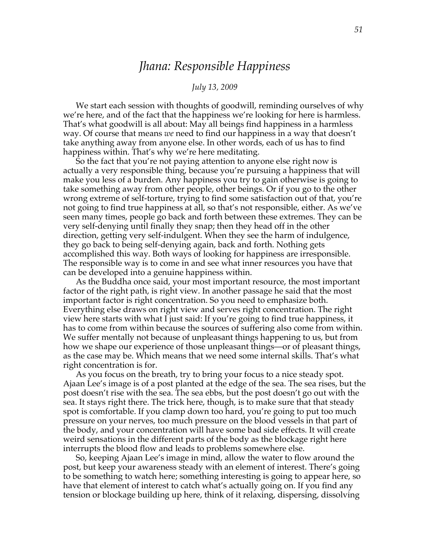# *Jhana: Responsible Happiness*

#### *July 13, 2009*

We start each session with thoughts of goodwill, reminding ourselves of why we're here, and of the fact that the happiness we're looking for here is harmless. That's what goodwill is all about: May all beings find happiness in a harmless way. Of course that means *we* need to find our happiness in a way that doesn't take anything away from anyone else. In other words, each of us has to find happiness within. That's why we're here meditating.

So the fact that you're not paying attention to anyone else right now is actually a very responsible thing, because you're pursuing a happiness that will make you less of a burden. Any happiness you try to gain otherwise is going to take something away from other people, other beings. Or if you go to the other wrong extreme of self-torture, trying to find some satisfaction out of that, you're not going to find true happiness at all, so that's not responsible, either. As we've seen many times, people go back and forth between these extremes. They can be very self-denying until finally they snap; then they head off in the other direction, getting very self-indulgent. When they see the harm of indulgence, they go back to being self-denying again, back and forth. Nothing gets accomplished this way. Both ways of looking for happiness are irresponsible. The responsible way is to come in and see what inner resources you have that can be developed into a genuine happiness within.

As the Buddha once said, your most important resource, the most important factor of the right path, is right view. In another passage he said that the most important factor is right concentration. So you need to emphasize both. Everything else draws on right view and serves right concentration. The right view here starts with what I just said: If you're going to find true happiness, it has to come from within because the sources of suffering also come from within. We suffer mentally not because of unpleasant things happening to us, but from how we shape our experience of those unpleasant things—or of pleasant things, as the case may be. Which means that we need some internal skills. That's what right concentration is for.

As you focus on the breath, try to bring your focus to a nice steady spot. Ajaan Lee's image is of a post planted at the edge of the sea. The sea rises, but the post doesn't rise with the sea. The sea ebbs, but the post doesn't go out with the sea. It stays right there. The trick here, though, is to make sure that that steady spot is comfortable. If you clamp down too hard, you're going to put too much pressure on your nerves, too much pressure on the blood vessels in that part of the body, and your concentration will have some bad side effects. It will create weird sensations in the different parts of the body as the blockage right here interrupts the blood flow and leads to problems somewhere else.

So, keeping Ajaan Lee's image in mind, allow the water to flow around the post, but keep your awareness steady with an element of interest. There's going to be something to watch here; something interesting is going to appear here, so have that element of interest to catch what's actually going on. If you find any tension or blockage building up here, think of it relaxing, dispersing, dissolving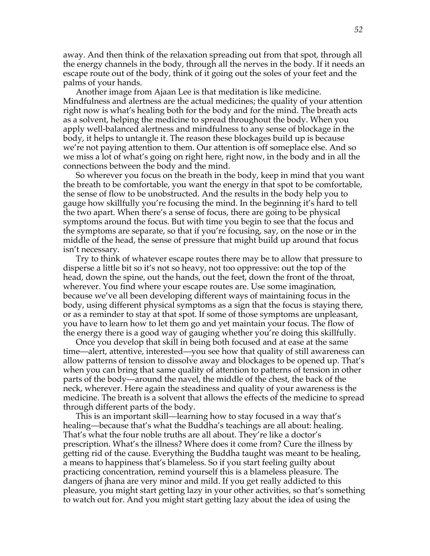away. And then think of the relaxation spreading out from that spot, through all the energy channels in the body, through all the nerves in the body. If it needs an escape route out of the body, think of it going out the soles of your feet and the palms of your hands.

Another image from Ajaan Lee is that meditation is like medicine. Mindfulness and alertness are the actual medicines; the quality of your attention right now is what's healing both for the body and for the mind. The breath acts as a solvent, helping the medicine to spread throughout the body. When you apply well-balanced alertness and mindfulness to any sense of blockage in the body, it helps to untangle it. The reason these blockages build up is because we're not paying attention to them. Our attention is off someplace else. And so we miss a lot of what's going on right here, right now, in the body and in all the connections between the body and the mind.

So wherever you focus on the breath in the body, keep in mind that you want the breath to be comfortable, you want the energy in that spot to be comfortable, the sense of flow to be unobstructed. And the results in the body help you to gauge how skillfully you're focusing the mind. In the beginning it's hard to tell the two apart. When there's a sense of focus, there are going to be physical symptoms around the focus. But with time you begin to see that the focus and the symptoms are separate, so that if you're focusing, say, on the nose or in the middle of the head, the sense of pressure that might build up around that focus isn't necessary.

Try to think of whatever escape routes there may be to allow that pressure to disperse a little bit so it's not so heavy, not too oppressive: out the top of the head, down the spine, out the hands, out the feet, down the front of the throat, wherever. You find where your escape routes are. Use some imagination, because we've all been developing different ways of maintaining focus in the body, using different physical symptoms as a sign that the focus is staying there, or as a reminder to stay at that spot. If some of those symptoms are unpleasant, you have to learn how to let them go and yet maintain your focus. The flow of the energy there is a good way of gauging whether you're doing this skillfully.

Once you develop that skill in being both focused and at ease at the same time—alert, attentive, interested—you see how that quality of still awareness can allow patterns of tension to dissolve away and blockages to be opened up. That's when you can bring that same quality of attention to patterns of tension in other parts of the body—around the navel, the middle of the chest, the back of the neck, wherever. Here again the steadiness and quality of your awareness is the medicine. The breath is a solvent that allows the effects of the medicine to spread through different parts of the body.

This is an important skill—learning how to stay focused in a way that's healing—because that's what the Buddha's teachings are all about: healing. That's what the four noble truths are all about. They're like a doctor's prescription. What's the illness? Where does it come from? Cure the illness by getting rid of the cause. Everything the Buddha taught was meant to be healing, a means to happiness that's blameless. So if you start feeling guilty about practicing concentration, remind yourself this is a blameless pleasure. The dangers of jhana are very minor and mild. If you get really addicted to this pleasure, you might start getting lazy in your other activities, so that's something to watch out for. And you might start getting lazy about the idea of using the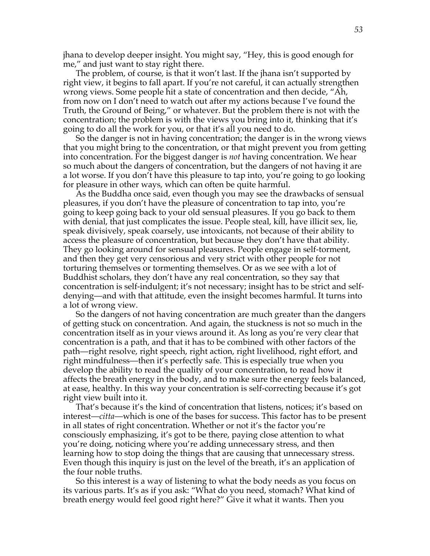jhana to develop deeper insight. You might say, "Hey, this is good enough for me," and just want to stay right there.

The problem, of course, is that it won't last. If the jhana isn't supported by right view, it begins to fall apart. If you're not careful, it can actually strengthen wrong views. Some people hit a state of concentration and then decide, "Ah, from now on I don't need to watch out after my actions because I've found the Truth, the Ground of Being," or whatever. But the problem there is not with the concentration; the problem is with the views you bring into it, thinking that it's going to do all the work for you, or that it's all you need to do.

So the danger is not in having concentration; the danger is in the wrong views that you might bring to the concentration, or that might prevent you from getting into concentration. For the biggest danger is *not* having concentration. We hear so much about the dangers of concentration, but the dangers of not having it are a lot worse. If you don't have this pleasure to tap into, you're going to go looking for pleasure in other ways, which can often be quite harmful.

As the Buddha once said, even though you may see the drawbacks of sensual pleasures, if you don't have the pleasure of concentration to tap into, you're going to keep going back to your old sensual pleasures. If you go back to them with denial, that just complicates the issue. People steal, kill, have illicit sex, lie, speak divisively, speak coarsely, use intoxicants, not because of their ability to access the pleasure of concentration, but because they don't have that ability. They go looking around for sensual pleasures. People engage in self-torment, and then they get very censorious and very strict with other people for not torturing themselves or tormenting themselves. Or as we see with a lot of Buddhist scholars, they don't have any real concentration, so they say that concentration is self-indulgent; it's not necessary; insight has to be strict and selfdenying—and with that attitude, even the insight becomes harmful. It turns into a lot of wrong view.

So the dangers of not having concentration are much greater than the dangers of getting stuck on concentration. And again, the stuckness is not so much in the concentration itself as in your views around it. As long as you're very clear that concentration is a path, and that it has to be combined with other factors of the path—right resolve, right speech, right action, right livelihood, right effort, and right mindfulness—then it's perfectly safe. This is especially true when you develop the ability to read the quality of your concentration, to read how it affects the breath energy in the body, and to make sure the energy feels balanced, at ease, healthy. In this way your concentration is self-correcting because it's got right view built into it.

That's because it's the kind of concentration that listens, notices; it's based on interest—*citta*—which is one of the bases for success. This factor has to be present in all states of right concentration. Whether or not it's the factor you're consciously emphasizing, it's got to be there, paying close attention to what you're doing, noticing where you're adding unnecessary stress, and then learning how to stop doing the things that are causing that unnecessary stress. Even though this inquiry is just on the level of the breath, it's an application of the four noble truths.

So this interest is a way of listening to what the body needs as you focus on its various parts. It's as if you ask: "What do you need, stomach? What kind of breath energy would feel good right here?" Give it what it wants. Then you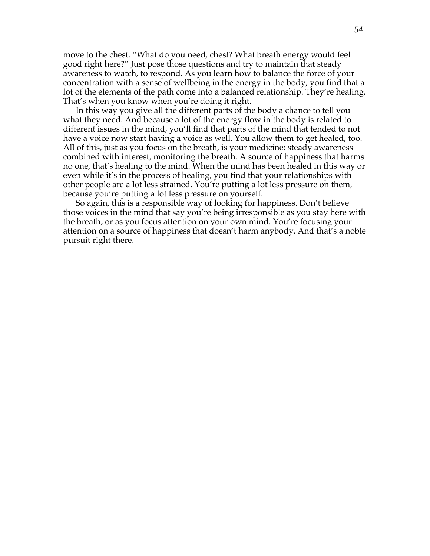move to the chest. "What do you need, chest? What breath energy would feel good right here?" Just pose those questions and try to maintain that steady awareness to watch, to respond. As you learn how to balance the force of your concentration with a sense of wellbeing in the energy in the body, you find that a lot of the elements of the path come into a balanced relationship. They're healing. That's when you know when you're doing it right.

In this way you give all the different parts of the body a chance to tell you what they need. And because a lot of the energy flow in the body is related to different issues in the mind, you'll find that parts of the mind that tended to not have a voice now start having a voice as well. You allow them to get healed, too. All of this, just as you focus on the breath, is your medicine: steady awareness combined with interest, monitoring the breath. A source of happiness that harms no one, that's healing to the mind. When the mind has been healed in this way or even while it's in the process of healing, you find that your relationships with other people are a lot less strained. You're putting a lot less pressure on them, because you're putting a lot less pressure on yourself.

So again, this is a responsible way of looking for happiness. Don't believe those voices in the mind that say you're being irresponsible as you stay here with the breath, or as you focus attention on your own mind. You're focusing your attention on a source of happiness that doesn't harm anybody. And that's a noble pursuit right there.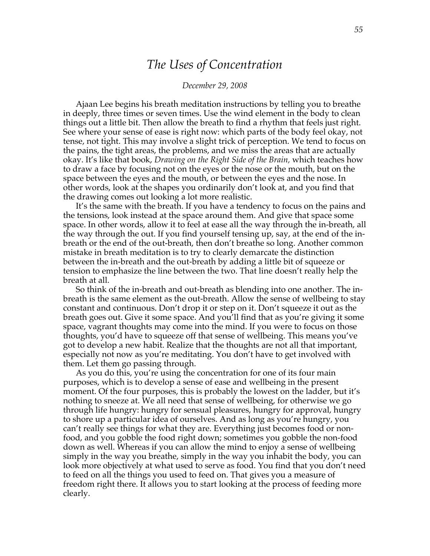### *The Uses of Concentration*

#### *December 29, 2008*

Ajaan Lee begins his breath meditation instructions by telling you to breathe in deeply, three times or seven times. Use the wind element in the body to clean things out a little bit. Then allow the breath to find a rhythm that feels just right. See where your sense of ease is right now: which parts of the body feel okay, not tense, not tight. This may involve a slight trick of perception. We tend to focus on the pains, the tight areas, the problems, and we miss the areas that are actually okay. It's like that book, *Drawing on the Right Side of the Brain,* which teaches how to draw a face by focusing not on the eyes or the nose or the mouth, but on the space between the eyes and the mouth, or between the eyes and the nose. In other words, look at the shapes you ordinarily don't look at, and you find that the drawing comes out looking a lot more realistic.

It's the same with the breath. If you have a tendency to focus on the pains and the tensions, look instead at the space around them. And give that space some space. In other words, allow it to feel at ease all the way through the in-breath, all the way through the out. If you find yourself tensing up, say, at the end of the inbreath or the end of the out-breath, then don't breathe so long. Another common mistake in breath meditation is to try to clearly demarcate the distinction between the in-breath and the out-breath by adding a little bit of squeeze or tension to emphasize the line between the two. That line doesn't really help the breath at all.

So think of the in-breath and out-breath as blending into one another. The inbreath is the same element as the out-breath. Allow the sense of wellbeing to stay constant and continuous. Don't drop it or step on it. Don't squeeze it out as the breath goes out. Give it some space. And you'll find that as you're giving it some space, vagrant thoughts may come into the mind. If you were to focus on those thoughts, you'd have to squeeze off that sense of wellbeing. This means you've got to develop a new habit. Realize that the thoughts are not all that important, especially not now as you're meditating. You don't have to get involved with them. Let them go passing through.

As you do this, you're using the concentration for one of its four main purposes, which is to develop a sense of ease and wellbeing in the present moment. Of the four purposes, this is probably the lowest on the ladder, but it's nothing to sneeze at. We all need that sense of wellbeing, for otherwise we go through life hungry: hungry for sensual pleasures, hungry for approval, hungry to shore up a particular idea of ourselves. And as long as you're hungry, you can't really see things for what they are. Everything just becomes food or nonfood, and you gobble the food right down; sometimes you gobble the non-food down as well. Whereas if you can allow the mind to enjoy a sense of wellbeing simply in the way you breathe, simply in the way you inhabit the body, you can look more objectively at what used to serve as food. You find that you don't need to feed on all the things you used to feed on. That gives you a measure of freedom right there. It allows you to start looking at the process of feeding more clearly.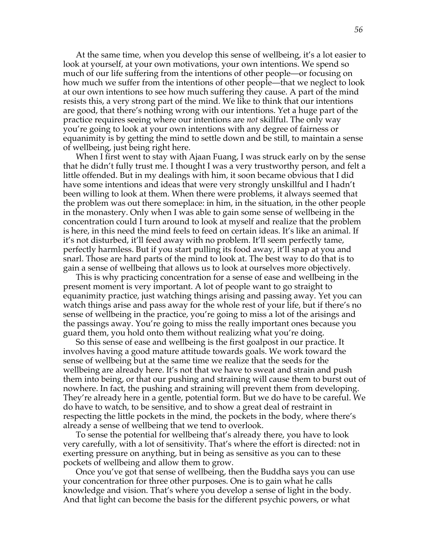At the same time, when you develop this sense of wellbeing, it's a lot easier to look at yourself, at your own motivations, your own intentions. We spend so much of our life suffering from the intentions of other people—or focusing on how much we suffer from the intentions of other people—that we neglect to look at our own intentions to see how much suffering they cause. A part of the mind resists this, a very strong part of the mind. We like to think that our intentions are good, that there's nothing wrong with our intentions. Yet a huge part of the practice requires seeing where our intentions are *not* skillful. The only way you're going to look at your own intentions with any degree of fairness or equanimity is by getting the mind to settle down and be still, to maintain a sense of wellbeing, just being right here.

When I first went to stay with Ajaan Fuang, I was struck early on by the sense that he didn't fully trust me. I thought I was a very trustworthy person, and felt a little offended. But in my dealings with him, it soon became obvious that I did have some intentions and ideas that were very strongly unskillful and I hadn't been willing to look at them. When there were problems, it always seemed that the problem was out there someplace: in him, in the situation, in the other people in the monastery. Only when I was able to gain some sense of wellbeing in the concentration could I turn around to look at myself and realize that the problem is here, in this need the mind feels to feed on certain ideas. It's like an animal. If it's not disturbed, it'll feed away with no problem. It'll seem perfectly tame, perfectly harmless. But if you start pulling its food away, it'll snap at you and snarl. Those are hard parts of the mind to look at. The best way to do that is to gain a sense of wellbeing that allows us to look at ourselves more objectively.

This is why practicing concentration for a sense of ease and wellbeing in the present moment is very important. A lot of people want to go straight to equanimity practice, just watching things arising and passing away. Yet you can watch things arise and pass away for the whole rest of your life, but if there's no sense of wellbeing in the practice, you're going to miss a lot of the arisings and the passings away. You're going to miss the really important ones because you guard them, you hold onto them without realizing what you're doing.

So this sense of ease and wellbeing is the first goalpost in our practice. It involves having a good mature attitude towards goals. We work toward the sense of wellbeing but at the same time we realize that the seeds for the wellbeing are already here. It's not that we have to sweat and strain and push them into being, or that our pushing and straining will cause them to burst out of nowhere. In fact, the pushing and straining will prevent them from developing. They're already here in a gentle, potential form. But we do have to be careful. We do have to watch, to be sensitive, and to show a great deal of restraint in respecting the little pockets in the mind, the pockets in the body, where there's already a sense of wellbeing that we tend to overlook.

To sense the potential for wellbeing that's already there, you have to look very carefully, with a lot of sensitivity. That's where the effort is directed: not in exerting pressure on anything, but in being as sensitive as you can to these pockets of wellbeing and allow them to grow.

Once you've got that sense of wellbeing, then the Buddha says you can use your concentration for three other purposes. One is to gain what he calls knowledge and vision. That's where you develop a sense of light in the body. And that light can become the basis for the different psychic powers, or what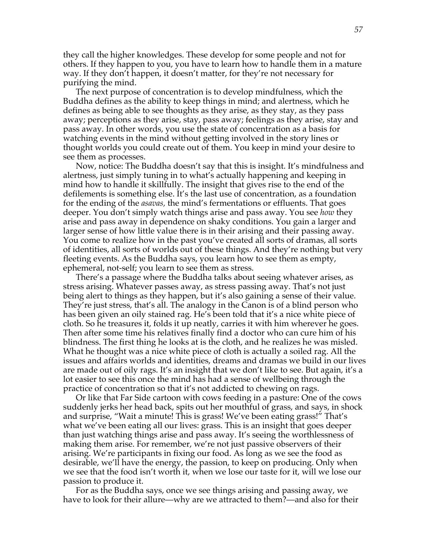they call the higher knowledges. These develop for some people and not for others. If they happen to you, you have to learn how to handle them in a mature way. If they don't happen, it doesn't matter, for they're not necessary for purifying the mind.

The next purpose of concentration is to develop mindfulness, which the Buddha defines as the ability to keep things in mind; and alertness, which he defines as being able to see thoughts as they arise, as they stay, as they pass away; perceptions as they arise, stay, pass away; feelings as they arise, stay and pass away. In other words, you use the state of concentration as a basis for watching events in the mind without getting involved in the story lines or thought worlds you could create out of them. You keep in mind your desire to see them as processes.

Now, notice: The Buddha doesn't say that this is insight. It's mindfulness and alertness, just simply tuning in to what's actually happening and keeping in mind how to handle it skillfully. The insight that gives rise to the end of the defilements is something else. It's the last use of concentration, as a foundation for the ending of the *asavas,* the mind's fermentations or effluents. That goes deeper. You don't simply watch things arise and pass away. You see *how* they arise and pass away in dependence on shaky conditions. You gain a larger and larger sense of how little value there is in their arising and their passing away. You come to realize how in the past you've created all sorts of dramas, all sorts of identities, all sorts of worlds out of these things. And they're nothing but very fleeting events. As the Buddha says, you learn how to see them as empty, ephemeral, not-self; you learn to see them as stress.

There's a passage where the Buddha talks about seeing whatever arises, as stress arising. Whatever passes away, as stress passing away. That's not just being alert to things as they happen, but it's also gaining a sense of their value. They're just stress, that's all. The analogy in the Canon is of a blind person who has been given an oily stained rag. He's been told that it's a nice white piece of cloth. So he treasures it, folds it up neatly, carries it with him wherever he goes. Then after some time his relatives finally find a doctor who can cure him of his blindness. The first thing he looks at is the cloth, and he realizes he was misled. What he thought was a nice white piece of cloth is actually a soiled rag. All the issues and affairs worlds and identities, dreams and dramas we build in our lives are made out of oily rags. It's an insight that we don't like to see. But again, it's a lot easier to see this once the mind has had a sense of wellbeing through the practice of concentration so that it's not addicted to chewing on rags.

Or like that Far Side cartoon with cows feeding in a pasture: One of the cows suddenly jerks her head back, spits out her mouthful of grass, and says, in shock and surprise, "Wait a minute! This is grass! We've been eating grass!" That's what we've been eating all our lives: grass. This is an insight that goes deeper than just watching things arise and pass away. It's seeing the worthlessness of making them arise. For remember, we're not just passive observers of their arising. We're participants in fixing our food. As long as we see the food as desirable, we'll have the energy, the passion, to keep on producing. Only when we see that the food isn't worth it, when we lose our taste for it, will we lose our passion to produce it.

For as the Buddha says, once we see things arising and passing away, we have to look for their allure—why are we attracted to them?—and also for their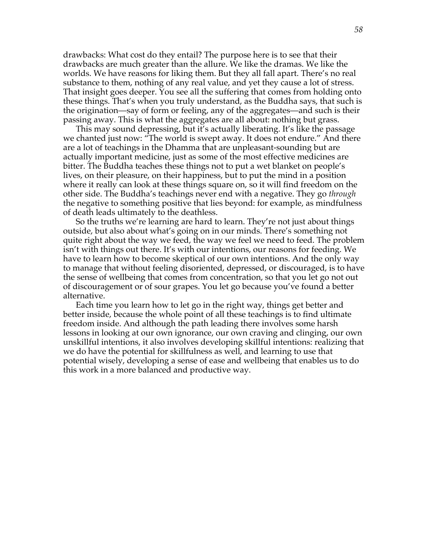drawbacks: What cost do they entail? The purpose here is to see that their drawbacks are much greater than the allure. We like the dramas. We like the worlds. We have reasons for liking them. But they all fall apart. There's no real substance to them, nothing of any real value, and yet they cause a lot of stress. That insight goes deeper. You see all the suffering that comes from holding onto these things. That's when you truly understand, as the Buddha says, that such is the origination—say of form or feeling, any of the aggregates—and such is their passing away. This is what the aggregates are all about: nothing but grass.

This may sound depressing, but it's actually liberating. It's like the passage we chanted just now: "The world is swept away. It does not endure." And there are a lot of teachings in the Dhamma that are unpleasant-sounding but are actually important medicine, just as some of the most effective medicines are bitter. The Buddha teaches these things not to put a wet blanket on people's lives, on their pleasure, on their happiness, but to put the mind in a position where it really can look at these things square on, so it will find freedom on the other side. The Buddha's teachings never end with a negative. They go *through* the negative to something positive that lies beyond: for example, as mindfulness of death leads ultimately to the deathless.

So the truths we're learning are hard to learn. They're not just about things outside, but also about what's going on in our minds. There's something not quite right about the way we feed, the way we feel we need to feed. The problem isn't with things out there. It's with our intentions, our reasons for feeding. We have to learn how to become skeptical of our own intentions. And the only way to manage that without feeling disoriented, depressed, or discouraged, is to have the sense of wellbeing that comes from concentration, so that you let go not out of discouragement or of sour grapes. You let go because you've found a better alternative.

Each time you learn how to let go in the right way, things get better and better inside, because the whole point of all these teachings is to find ultimate freedom inside. And although the path leading there involves some harsh lessons in looking at our own ignorance, our own craving and clinging, our own unskillful intentions, it also involves developing skillful intentions: realizing that we do have the potential for skillfulness as well, and learning to use that potential wisely, developing a sense of ease and wellbeing that enables us to do this work in a more balanced and productive way.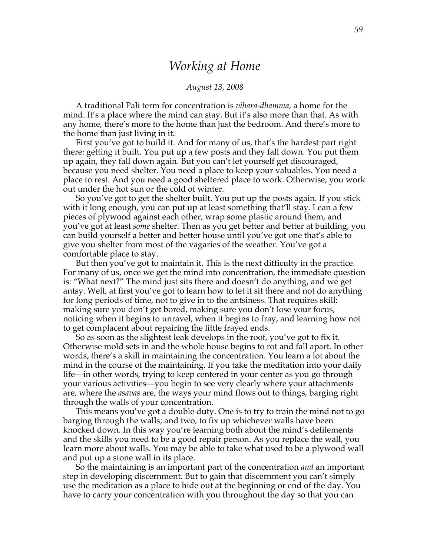### *Working at Home*

#### *August 13, 2008*

A traditional Pali term for concentration is *vihara-dhamma*, a home for the mind. It's a place where the mind can stay. But it's also more than that. As with any home, there's more to the home than just the bedroom. And there's more to the home than just living in it.

First you've got to build it. And for many of us, that's the hardest part right there: getting it built. You put up a few posts and they fall down. You put them up again, they fall down again. But you can't let yourself get discouraged, because you need shelter. You need a place to keep your valuables. You need a place to rest. And you need a good sheltered place to work. Otherwise, you work out under the hot sun or the cold of winter.

So you've got to get the shelter built. You put up the posts again. If you stick with it long enough, you can put up at least something that'll stay. Lean a few pieces of plywood against each other, wrap some plastic around them, and you've got at least *some* shelter. Then as you get better and better at building, you can build yourself a better and better house until you've got one that's able to give you shelter from most of the vagaries of the weather. You've got a comfortable place to stay.

But then you've got to maintain it. This is the next difficulty in the practice. For many of us, once we get the mind into concentration, the immediate question is: "What next?" The mind just sits there and doesn't do anything, and we get antsy. Well, at first you've got to learn how to let it sit there and not do anything for long periods of time, not to give in to the antsiness. That requires skill: making sure you don't get bored, making sure you don't lose your focus, noticing when it begins to unravel, when it begins to fray, and learning how not to get complacent about repairing the little frayed ends.

So as soon as the slightest leak develops in the roof, you've got to fix it. Otherwise mold sets in and the whole house begins to rot and fall apart. In other words, there's a skill in maintaining the concentration. You learn a lot about the mind in the course of the maintaining. If you take the meditation into your daily life—in other words, trying to keep centered in your center as you go through your various activities—you begin to see very clearly where your attachments are, where the *asavas* are, the ways your mind flows out to things, barging right through the walls of your concentration.

This means you've got a double duty. One is to try to train the mind not to go barging through the walls; and two, to fix up whichever walls have been knocked down. In this way you're learning both about the mind's defilements and the skills you need to be a good repair person. As you replace the wall, you learn more about walls. You may be able to take what used to be a plywood wall and put up a stone wall in its place.

So the maintaining is an important part of the concentration *and* an important step in developing discernment. But to gain that discernment you can't simply use the meditation as a place to hide out at the beginning or end of the day. You have to carry your concentration with you throughout the day so that you can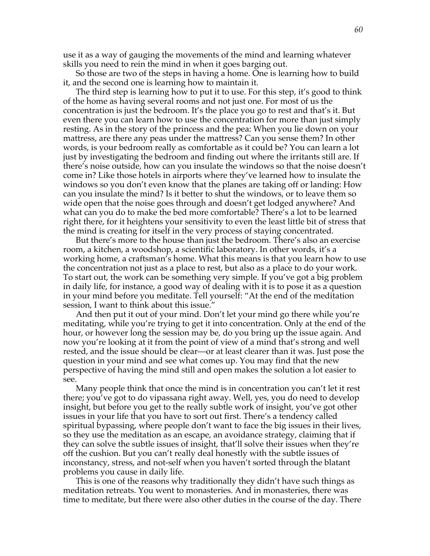use it as a way of gauging the movements of the mind and learning whatever skills you need to rein the mind in when it goes barging out.

So those are two of the steps in having a home. One is learning how to build it, and the second one is learning how to maintain it.

The third step is learning how to put it to use. For this step, it's good to think of the home as having several rooms and not just one. For most of us the concentration is just the bedroom. It's the place you go to rest and that's it. But even there you can learn how to use the concentration for more than just simply resting. As in the story of the princess and the pea: When you lie down on your mattress, are there any peas under the mattress? Can you sense them? In other words, is your bedroom really as comfortable as it could be? You can learn a lot just by investigating the bedroom and finding out where the irritants still are. If there's noise outside, how can you insulate the windows so that the noise doesn't come in? Like those hotels in airports where they've learned how to insulate the windows so you don't even know that the planes are taking off or landing: How can you insulate the mind? Is it better to shut the windows, or to leave them so wide open that the noise goes through and doesn't get lodged anywhere? And what can you do to make the bed more comfortable? There's a lot to be learned right there, for it heightens your sensitivity to even the least little bit of stress that the mind is creating for itself in the very process of staying concentrated.

But there's more to the house than just the bedroom. There's also an exercise room, a kitchen, a woodshop, a scientific laboratory. In other words, it's a working home, a craftsman's home. What this means is that you learn how to use the concentration not just as a place to rest, but also as a place to do your work. To start out, the work can be something very simple. If you've got a big problem in daily life, for instance, a good way of dealing with it is to pose it as a question in your mind before you meditate. Tell yourself: "At the end of the meditation session, I want to think about this issue."

And then put it out of your mind. Don't let your mind go there while you're meditating, while you're trying to get it into concentration. Only at the end of the hour, or however long the session may be, do you bring up the issue again. And now you're looking at it from the point of view of a mind that's strong and well rested, and the issue should be clear—or at least clearer than it was. Just pose the question in your mind and see what comes up. You may find that the new perspective of having the mind still and open makes the solution a lot easier to see.

Many people think that once the mind is in concentration you can't let it rest there; you've got to do vipassana right away. Well, yes, you do need to develop insight, but before you get to the really subtle work of insight, you've got other issues in your life that you have to sort out first. There's a tendency called spiritual bypassing, where people don't want to face the big issues in their lives, so they use the meditation as an escape, an avoidance strategy, claiming that if they can solve the subtle issues of insight, that'll solve their issues when they're off the cushion. But you can't really deal honestly with the subtle issues of inconstancy, stress, and not-self when you haven't sorted through the blatant problems you cause in daily life.

This is one of the reasons why traditionally they didn't have such things as meditation retreats. You went to monasteries. And in monasteries, there was time to meditate, but there were also other duties in the course of the day. There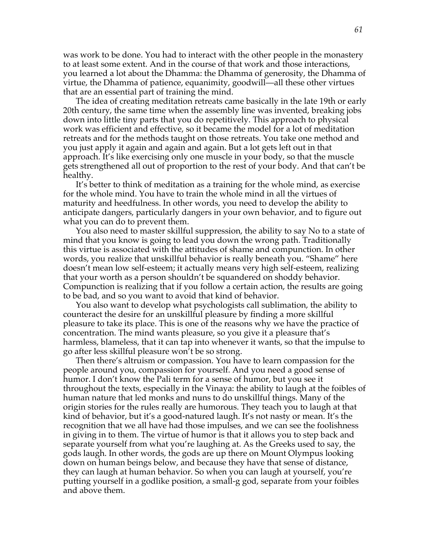was work to be done. You had to interact with the other people in the monastery to at least some extent. And in the course of that work and those interactions, you learned a lot about the Dhamma: the Dhamma of generosity, the Dhamma of virtue, the Dhamma of patience, equanimity, goodwill—all these other virtues that are an essential part of training the mind.

The idea of creating meditation retreats came basically in the late 19th or early 20th century, the same time when the assembly line was invented, breaking jobs down into little tiny parts that you do repetitively. This approach to physical work was efficient and effective, so it became the model for a lot of meditation retreats and for the methods taught on those retreats. You take one method and you just apply it again and again and again. But a lot gets left out in that approach. It's like exercising only one muscle in your body, so that the muscle gets strengthened all out of proportion to the rest of your body. And that can't be healthy.

It's better to think of meditation as a training for the whole mind, as exercise for the whole mind. You have to train the whole mind in all the virtues of maturity and heedfulness. In other words, you need to develop the ability to anticipate dangers, particularly dangers in your own behavior, and to figure out what you can do to prevent them.

You also need to master skillful suppression, the ability to say No to a state of mind that you know is going to lead you down the wrong path. Traditionally this virtue is associated with the attitudes of shame and compunction. In other words, you realize that unskillful behavior is really beneath you. "Shame" here doesn't mean low self-esteem; it actually means very high self-esteem, realizing that your worth as a person shouldn't be squandered on shoddy behavior. Compunction is realizing that if you follow a certain action, the results are going to be bad, and so you want to avoid that kind of behavior.

You also want to develop what psychologists call sublimation, the ability to counteract the desire for an unskillful pleasure by finding a more skillful pleasure to take its place. This is one of the reasons why we have the practice of concentration. The mind wants pleasure, so you give it a pleasure that's harmless, blameless, that it can tap into whenever it wants, so that the impulse to go after less skillful pleasure won't be so strong.

Then there's altruism or compassion. You have to learn compassion for the people around you, compassion for yourself. And you need a good sense of humor. I don't know the Pali term for a sense of humor, but you see it throughout the texts, especially in the Vinaya: the ability to laugh at the foibles of human nature that led monks and nuns to do unskillful things. Many of the origin stories for the rules really are humorous. They teach you to laugh at that kind of behavior, but it's a good-natured laugh. It's not nasty or mean. It's the recognition that we all have had those impulses, and we can see the foolishness in giving in to them. The virtue of humor is that it allows you to step back and separate yourself from what you're laughing at. As the Greeks used to say, the gods laugh. In other words, the gods are up there on Mount Olympus looking down on human beings below, and because they have that sense of distance, they can laugh at human behavior. So when you can laugh at yourself, you're putting yourself in a godlike position, a small-g god, separate from your foibles and above them.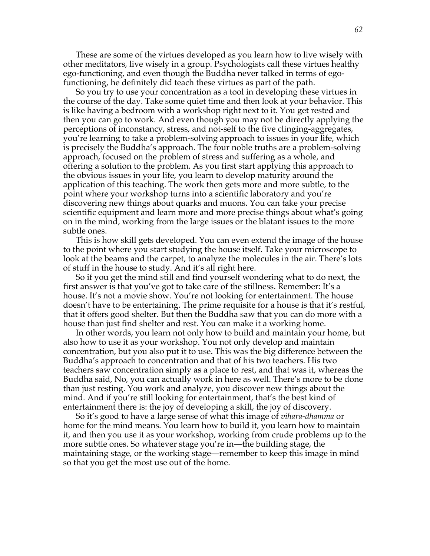These are some of the virtues developed as you learn how to live wisely with other meditators, live wisely in a group. Psychologists call these virtues healthy ego-functioning, and even though the Buddha never talked in terms of egofunctioning, he definitely did teach these virtues as part of the path.

So you try to use your concentration as a tool in developing these virtues in the course of the day. Take some quiet time and then look at your behavior. This is like having a bedroom with a workshop right next to it. You get rested and then you can go to work. And even though you may not be directly applying the perceptions of inconstancy, stress, and not-self to the five clinging-aggregates, you're learning to take a problem-solving approach to issues in your life, which is precisely the Buddha's approach. The four noble truths are a problem-solving approach, focused on the problem of stress and suffering as a whole, and offering a solution to the problem. As you first start applying this approach to the obvious issues in your life, you learn to develop maturity around the application of this teaching. The work then gets more and more subtle, to the point where your workshop turns into a scientific laboratory and you're discovering new things about quarks and muons. You can take your precise scientific equipment and learn more and more precise things about what's going on in the mind, working from the large issues or the blatant issues to the more subtle ones.

This is how skill gets developed. You can even extend the image of the house to the point where you start studying the house itself. Take your microscope to look at the beams and the carpet, to analyze the molecules in the air. There's lots of stuff in the house to study. And it's all right here.

So if you get the mind still and find yourself wondering what to do next, the first answer is that you've got to take care of the stillness. Remember: It's a house. It's not a movie show. You're not looking for entertainment. The house doesn't have to be entertaining. The prime requisite for a house is that it's restful, that it offers good shelter. But then the Buddha saw that you can do more with a house than just find shelter and rest. You can make it a working home.

In other words, you learn not only how to build and maintain your home, but also how to use it as your workshop. You not only develop and maintain concentration, but you also put it to use. This was the big difference between the Buddha's approach to concentration and that of his two teachers. His two teachers saw concentration simply as a place to rest, and that was it, whereas the Buddha said, No, you can actually work in here as well. There's more to be done than just resting. You work and analyze, you discover new things about the mind. And if you're still looking for entertainment, that's the best kind of entertainment there is: the joy of developing a skill, the joy of discovery.

So it's good to have a large sense of what this image of *vihara-dhamma* or home for the mind means. You learn how to build it, you learn how to maintain it, and then you use it as your workshop, working from crude problems up to the more subtle ones. So whatever stage you're in—the building stage, the maintaining stage, or the working stage—remember to keep this image in mind so that you get the most use out of the home.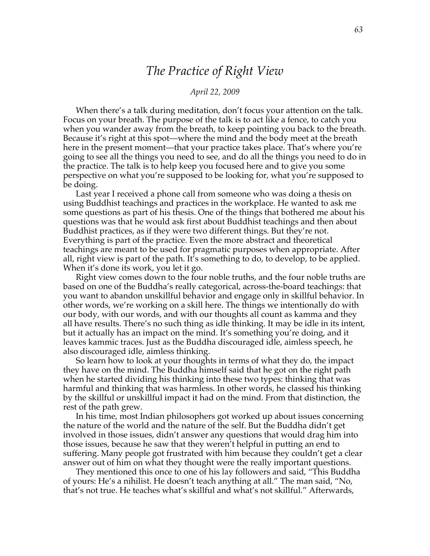# *The Practice of Right View*

#### *April 22, 2009*

When there's a talk during meditation, don't focus your attention on the talk. Focus on your breath. The purpose of the talk is to act like a fence, to catch you when you wander away from the breath, to keep pointing you back to the breath. Because it's right at this spot—where the mind and the body meet at the breath here in the present moment—that your practice takes place. That's where you're going to see all the things you need to see, and do all the things you need to do in the practice. The talk is to help keep you focused here and to give you some perspective on what you're supposed to be looking for, what you're supposed to be doing.

Last year I received a phone call from someone who was doing a thesis on using Buddhist teachings and practices in the workplace. He wanted to ask me some questions as part of his thesis. One of the things that bothered me about his questions was that he would ask first about Buddhist teachings and then about Buddhist practices, as if they were two different things. But they're not. Everything is part of the practice. Even the more abstract and theoretical teachings are meant to be used for pragmatic purposes when appropriate. After all, right view is part of the path. It's something to do, to develop, to be applied. When it's done its work, you let it go.

Right view comes down to the four noble truths, and the four noble truths are based on one of the Buddha's really categorical, across-the-board teachings: that you want to abandon unskillful behavior and engage only in skillful behavior. In other words, we're working on a skill here. The things we intentionally do with our body, with our words, and with our thoughts all count as kamma and they all have results. There's no such thing as idle thinking. It may be idle in its intent, but it actually has an impact on the mind. It's something you're doing, and it leaves kammic traces. Just as the Buddha discouraged idle, aimless speech, he also discouraged idle, aimless thinking.

So learn how to look at your thoughts in terms of what they do, the impact they have on the mind. The Buddha himself said that he got on the right path when he started dividing his thinking into these two types: thinking that was harmful and thinking that was harmless. In other words, he classed his thinking by the skillful or unskillful impact it had on the mind. From that distinction, the rest of the path grew.

In his time, most Indian philosophers got worked up about issues concerning the nature of the world and the nature of the self. But the Buddha didn't get involved in those issues, didn't answer any questions that would drag him into those issues, because he saw that they weren't helpful in putting an end to suffering. Many people got frustrated with him because they couldn't get a clear answer out of him on what they thought were the really important questions.

They mentioned this once to one of his lay followers and said, "This Buddha of yours: He's a nihilist. He doesn't teach anything at all." The man said, "No, that's not true. He teaches what's skillful and what's not skillful." Afterwards,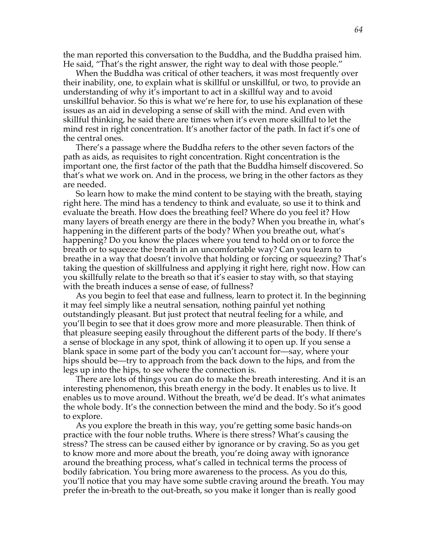the man reported this conversation to the Buddha, and the Buddha praised him. He said, "That's the right answer, the right way to deal with those people."

When the Buddha was critical of other teachers, it was most frequently over their inability, one, to explain what is skillful or unskillful, or two, to provide an understanding of why it's important to act in a skillful way and to avoid unskillful behavior. So this is what we're here for, to use his explanation of these issues as an aid in developing a sense of skill with the mind. And even with skillful thinking, he said there are times when it's even more skillful to let the mind rest in right concentration. It's another factor of the path. In fact it's one of the central ones.

There's a passage where the Buddha refers to the other seven factors of the path as aids, as requisites to right concentration. Right concentration is the important one, the first factor of the path that the Buddha himself discovered. So that's what we work on. And in the process, we bring in the other factors as they are needed.

So learn how to make the mind content to be staying with the breath, staying right here. The mind has a tendency to think and evaluate, so use it to think and evaluate the breath. How does the breathing feel? Where do you feel it? How many layers of breath energy are there in the body? When you breathe in, what's happening in the different parts of the body? When you breathe out, what's happening? Do you know the places where you tend to hold on or to force the breath or to squeeze the breath in an uncomfortable way? Can you learn to breathe in a way that doesn't involve that holding or forcing or squeezing? That's taking the question of skillfulness and applying it right here, right now. How can you skillfully relate to the breath so that it's easier to stay with, so that staying with the breath induces a sense of ease, of fullness?

As you begin to feel that ease and fullness, learn to protect it. In the beginning it may feel simply like a neutral sensation, nothing painful yet nothing outstandingly pleasant. But just protect that neutral feeling for a while, and you'll begin to see that it does grow more and more pleasurable. Then think of that pleasure seeping easily throughout the different parts of the body. If there's a sense of blockage in any spot, think of allowing it to open up. If you sense a blank space in some part of the body you can't account for—say, where your hips should be—try to approach from the back down to the hips, and from the legs up into the hips, to see where the connection is.

There are lots of things you can do to make the breath interesting. And it is an interesting phenomenon, this breath energy in the body. It enables us to live. It enables us to move around. Without the breath, we'd be dead. It's what animates the whole body. It's the connection between the mind and the body. So it's good to explore.

As you explore the breath in this way, you're getting some basic hands-on practice with the four noble truths. Where is there stress? What's causing the stress? The stress can be caused either by ignorance or by craving. So as you get to know more and more about the breath, you're doing away with ignorance around the breathing process, what's called in technical terms the process of bodily fabrication. You bring more awareness to the process. As you do this, you'll notice that you may have some subtle craving around the breath. You may prefer the in-breath to the out-breath, so you make it longer than is really good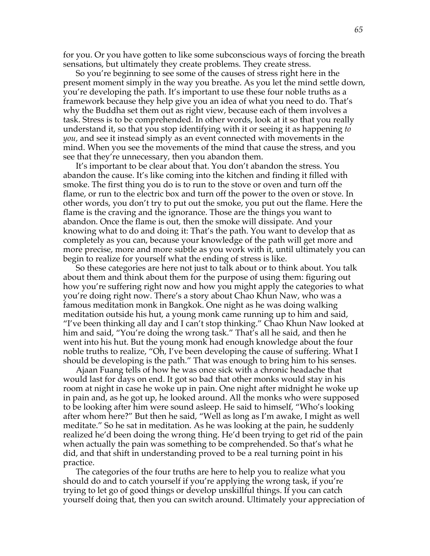for you. Or you have gotten to like some subconscious ways of forcing the breath sensations, but ultimately they create problems. They create stress.

So you're beginning to see some of the causes of stress right here in the present moment simply in the way you breathe. As you let the mind settle down, you're developing the path. It's important to use these four noble truths as a framework because they help give you an idea of what you need to do. That's why the Buddha set them out as right view, because each of them involves a task. Stress is to be comprehended. In other words, look at it so that you really understand it, so that you stop identifying with it or seeing it as happening *to you,* and see it instead simply as an event connected with movements in the mind. When you see the movements of the mind that cause the stress, and you see that they're unnecessary, then you abandon them.

It's important to be clear about that. You don't abandon the stress. You abandon the cause. It's like coming into the kitchen and finding it filled with smoke. The first thing you do is to run to the stove or oven and turn off the flame, or run to the electric box and turn off the power to the oven or stove. In other words, you don't try to put out the smoke, you put out the flame. Here the flame is the craving and the ignorance. Those are the things you want to abandon. Once the flame is out, then the smoke will dissipate. And your knowing what to do and doing it: That's the path. You want to develop that as completely as you can, because your knowledge of the path will get more and more precise, more and more subtle as you work with it, until ultimately you can begin to realize for yourself what the ending of stress is like.

So these categories are here not just to talk about or to think about. You talk about them and think about them for the purpose of using them: figuring out how you're suffering right now and how you might apply the categories to what you're doing right now. There's a story about Chao Khun Naw, who was a famous meditation monk in Bangkok. One night as he was doing walking meditation outside his hut, a young monk came running up to him and said, "I've been thinking all day and I can't stop thinking." Chao Khun Naw looked at him and said, "You're doing the wrong task." That's all he said, and then he went into his hut. But the young monk had enough knowledge about the four noble truths to realize, "Oh, I've been developing the cause of suffering. What I should be developing is the path." That was enough to bring him to his senses.

Ajaan Fuang tells of how he was once sick with a chronic headache that would last for days on end. It got so bad that other monks would stay in his room at night in case he woke up in pain. One night after midnight he woke up in pain and, as he got up, he looked around. All the monks who were supposed to be looking after him were sound asleep. He said to himself, "Who's looking after whom here?" But then he said, "Well as long as I'm awake, I might as well meditate." So he sat in meditation. As he was looking at the pain, he suddenly realized he'd been doing the wrong thing. He'd been trying to get rid of the pain when actually the pain was something to be comprehended. So that's what he did, and that shift in understanding proved to be a real turning point in his practice.

The categories of the four truths are here to help you to realize what you should do and to catch yourself if you're applying the wrong task, if you're trying to let go of good things or develop unskillful things. If you can catch yourself doing that, then you can switch around. Ultimately your appreciation of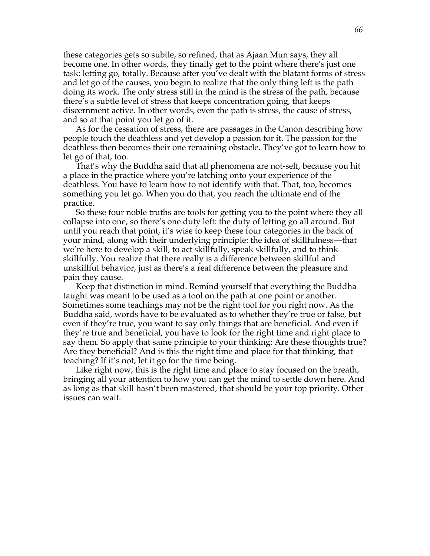these categories gets so subtle, so refined, that as Ajaan Mun says, they all become one. In other words, they finally get to the point where there's just one task: letting go, totally. Because after you've dealt with the blatant forms of stress and let go of the causes, you begin to realize that the only thing left is the path doing its work. The only stress still in the mind is the stress of the path, because there's a subtle level of stress that keeps concentration going, that keeps discernment active. In other words, even the path is stress, the cause of stress, and so at that point you let go of it.

As for the cessation of stress, there are passages in the Canon describing how people touch the deathless and yet develop a passion for it. The passion for the deathless then becomes their one remaining obstacle. They've got to learn how to let go of that, too.

That's why the Buddha said that all phenomena are not-self, because you hit a place in the practice where you're latching onto your experience of the deathless. You have to learn how to not identify with that. That, too, becomes something you let go. When you do that, you reach the ultimate end of the practice.

So these four noble truths are tools for getting you to the point where they all collapse into one, so there's one duty left: the duty of letting go all around. But until you reach that point, it's wise to keep these four categories in the back of your mind, along with their underlying principle: the idea of skillfulness—that we're here to develop a skill, to act skillfully, speak skillfully, and to think skillfully. You realize that there really is a difference between skillful and unskillful behavior, just as there's a real difference between the pleasure and pain they cause.

Keep that distinction in mind. Remind yourself that everything the Buddha taught was meant to be used as a tool on the path at one point or another. Sometimes some teachings may not be the right tool for you right now. As the Buddha said, words have to be evaluated as to whether they're true or false, but even if they're true, you want to say only things that are beneficial. And even if they're true and beneficial, you have to look for the right time and right place to say them. So apply that same principle to your thinking: Are these thoughts true? Are they beneficial? And is this the right time and place for that thinking, that teaching? If it's not, let it go for the time being.

Like right now, this is the right time and place to stay focused on the breath, bringing all your attention to how you can get the mind to settle down here. And as long as that skill hasn't been mastered, that should be your top priority. Other issues can wait.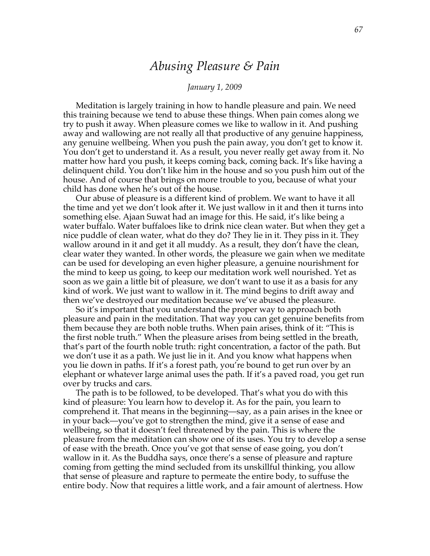### *Abusing Pleasure & Pain*

#### *January 1, 2009*

Meditation is largely training in how to handle pleasure and pain. We need this training because we tend to abuse these things. When pain comes along we try to push it away. When pleasure comes we like to wallow in it. And pushing away and wallowing are not really all that productive of any genuine happiness, any genuine wellbeing. When you push the pain away, you don't get to know it. You don't get to understand it. As a result, you never really get away from it. No matter how hard you push, it keeps coming back, coming back. It's like having a delinquent child. You don't like him in the house and so you push him out of the house. And of course that brings on more trouble to you, because of what your child has done when he's out of the house.

Our abuse of pleasure is a different kind of problem. We want to have it all the time and yet we don't look after it. We just wallow in it and then it turns into something else. Ajaan Suwat had an image for this. He said, it's like being a water buffalo. Water buffaloes like to drink nice clean water. But when they get a nice puddle of clean water, what do they do? They lie in it. They piss in it. They wallow around in it and get it all muddy. As a result, they don't have the clean, clear water they wanted. In other words, the pleasure we gain when we meditate can be used for developing an even higher pleasure, a genuine nourishment for the mind to keep us going, to keep our meditation work well nourished. Yet as soon as we gain a little bit of pleasure, we don't want to use it as a basis for any kind of work. We just want to wallow in it. The mind begins to drift away and then we've destroyed our meditation because we've abused the pleasure.

So it's important that you understand the proper way to approach both pleasure and pain in the meditation. That way you can get genuine benefits from them because they are both noble truths. When pain arises, think of it: "This is the first noble truth." When the pleasure arises from being settled in the breath, that's part of the fourth noble truth: right concentration, a factor of the path. But we don't use it as a path. We just lie in it. And you know what happens when you lie down in paths. If it's a forest path, you're bound to get run over by an elephant or whatever large animal uses the path. If it's a paved road, you get run over by trucks and cars.

The path is to be followed, to be developed. That's what you do with this kind of pleasure: You learn how to develop it. As for the pain, you learn to comprehend it. That means in the beginning—say, as a pain arises in the knee or in your back—you've got to strengthen the mind, give it a sense of ease and wellbeing, so that it doesn't feel threatened by the pain. This is where the pleasure from the meditation can show one of its uses. You try to develop a sense of ease with the breath. Once you've got that sense of ease going, you don't wallow in it. As the Buddha says, once there's a sense of pleasure and rapture coming from getting the mind secluded from its unskillful thinking, you allow that sense of pleasure and rapture to permeate the entire body, to suffuse the entire body. Now that requires a little work, and a fair amount of alertness. How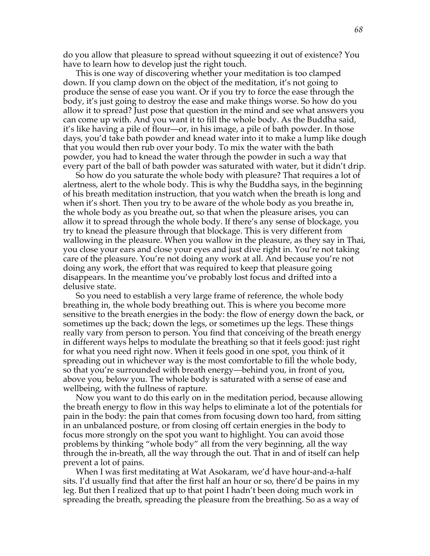do you allow that pleasure to spread without squeezing it out of existence? You have to learn how to develop just the right touch.

This is one way of discovering whether your meditation is too clamped down. If you clamp down on the object of the meditation, it's not going to produce the sense of ease you want. Or if you try to force the ease through the body, it's just going to destroy the ease and make things worse. So how do you allow it to spread? Just pose that question in the mind and see what answers you can come up with. And you want it to fill the whole body. As the Buddha said, it's like having a pile of flour—or, in his image, a pile of bath powder. In those days, you'd take bath powder and knead water into it to make a lump like dough that you would then rub over your body. To mix the water with the bath powder, you had to knead the water through the powder in such a way that every part of the ball of bath powder was saturated with water, but it didn't drip.

So how do you saturate the whole body with pleasure? That requires a lot of alertness, alert to the whole body. This is why the Buddha says, in the beginning of his breath meditation instruction, that you watch when the breath is long and when it's short. Then you try to be aware of the whole body as you breathe in, the whole body as you breathe out, so that when the pleasure arises, you can allow it to spread through the whole body. If there's any sense of blockage, you try to knead the pleasure through that blockage. This is very different from wallowing in the pleasure. When you wallow in the pleasure, as they say in Thai, you close your ears and close your eyes and just dive right in. You're not taking care of the pleasure. You're not doing any work at all. And because you're not doing any work, the effort that was required to keep that pleasure going disappears. In the meantime you've probably lost focus and drifted into a delusive state.

So you need to establish a very large frame of reference, the whole body breathing in, the whole body breathing out. This is where you become more sensitive to the breath energies in the body: the flow of energy down the back, or sometimes up the back; down the legs, or sometimes up the legs. These things really vary from person to person. You find that conceiving of the breath energy in different ways helps to modulate the breathing so that it feels good: just right for what you need right now. When it feels good in one spot, you think of it spreading out in whichever way is the most comfortable to fill the whole body, so that you're surrounded with breath energy—behind you, in front of you, above you, below you. The whole body is saturated with a sense of ease and wellbeing, with the fullness of rapture.

Now you want to do this early on in the meditation period, because allowing the breath energy to flow in this way helps to eliminate a lot of the potentials for pain in the body: the pain that comes from focusing down too hard, from sitting in an unbalanced posture, or from closing off certain energies in the body to focus more strongly on the spot you want to highlight. You can avoid those problems by thinking "whole body" all from the very beginning, all the way through the in-breath, all the way through the out. That in and of itself can help prevent a lot of pains.

When I was first meditating at Wat Asokaram, we'd have hour-and-a-half sits. I'd usually find that after the first half an hour or so, there'd be pains in my leg. But then I realized that up to that point I hadn't been doing much work in spreading the breath, spreading the pleasure from the breathing. So as a way of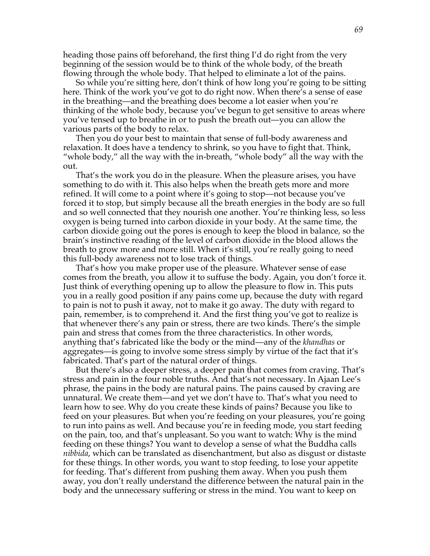heading those pains off beforehand, the first thing I'd do right from the very beginning of the session would be to think of the whole body, of the breath flowing through the whole body. That helped to eliminate a lot of the pains.

So while you're sitting here, don't think of how long you're going to be sitting here. Think of the work you've got to do right now. When there's a sense of ease in the breathing—and the breathing does become a lot easier when you're thinking of the whole body, because you've begun to get sensitive to areas where you've tensed up to breathe in or to push the breath out—you can allow the various parts of the body to relax.

Then you do your best to maintain that sense of full-body awareness and relaxation. It does have a tendency to shrink, so you have to fight that. Think, "whole body," all the way with the in-breath, "whole body" all the way with the out.

That's the work you do in the pleasure. When the pleasure arises, you have something to do with it. This also helps when the breath gets more and more refined. It will come to a point where it's going to stop—not because you've forced it to stop, but simply because all the breath energies in the body are so full and so well connected that they nourish one another. You're thinking less, so less oxygen is being turned into carbon dioxide in your body. At the same time, the carbon dioxide going out the pores is enough to keep the blood in balance, so the brain's instinctive reading of the level of carbon dioxide in the blood allows the breath to grow more and more still. When it's still, you're really going to need this full-body awareness not to lose track of things.

That's how you make proper use of the pleasure. Whatever sense of ease comes from the breath, you allow it to suffuse the body. Again, you don't force it. Just think of everything opening up to allow the pleasure to flow in. This puts you in a really good position if any pains come up, because the duty with regard to pain is not to push it away, not to make it go away. The duty with regard to pain, remember, is to comprehend it. And the first thing you've got to realize is that whenever there's any pain or stress, there are two kinds. There's the simple pain and stress that comes from the three characteristics. In other words, anything that's fabricated like the body or the mind—any of the *khandhas* or aggregates—is going to involve some stress simply by virtue of the fact that it's fabricated. That's part of the natural order of things.

But there's also a deeper stress, a deeper pain that comes from craving. That's stress and pain in the four noble truths. And that's not necessary. In Ajaan Lee's phrase, the pains in the body are natural pains. The pains caused by craving are unnatural. We create them—and yet we don't have to. That's what you need to learn how to see. Why do you create these kinds of pains? Because you like to feed on your pleasures. But when you're feeding on your pleasures, you're going to run into pains as well. And because you're in feeding mode, you start feeding on the pain, too, and that's unpleasant. So you want to watch: Why is the mind feeding on these things? You want to develop a sense of what the Buddha calls *nibbida*, which can be translated as disenchantment, but also as disgust or distaste for these things. In other words, you want to stop feeding, to lose your appetite for feeding. That's different from pushing them away. When you push them away, you don't really understand the difference between the natural pain in the body and the unnecessary suffering or stress in the mind. You want to keep on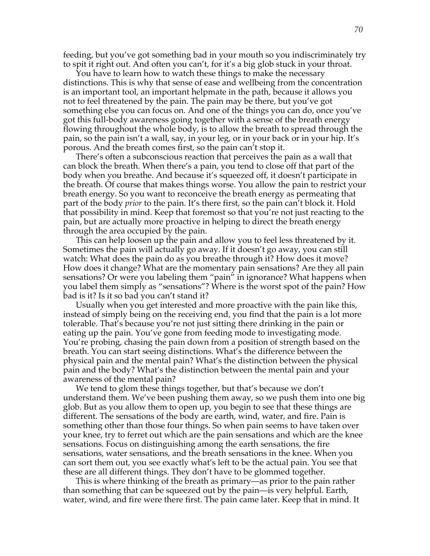feeding, but you've got something bad in your mouth so you indiscriminately try to spit it right out. And often you can't, for it's a big glob stuck in your throat.

You have to learn how to watch these things to make the necessary distinctions. This is why that sense of ease and wellbeing from the concentration is an important tool, an important helpmate in the path, because it allows you not to feel threatened by the pain. The pain may be there, but you've got something else you can focus on. And one of the things you can do, once you've got this full-body awareness going together with a sense of the breath energy flowing throughout the whole body, is to allow the breath to spread through the pain, so the pain isn't a wall, say, in your leg, or in your back or in your hip. It's porous. And the breath comes first, so the pain can't stop it.

There's often a subconscious reaction that perceives the pain as a wall that can block the breath. When there's a pain, you tend to close off that part of the body when you breathe. And because it's squeezed off, it doesn't participate in the breath. Of course that makes things worse. You allow the pain to restrict your breath energy. So you want to reconceive the breath energy as permeating that part of the body *prior* to the pain. It's there first, so the pain can't block it. Hold that possibility in mind. Keep that foremost so that you're not just reacting to the pain, but are actually more proactive in helping to direct the breath energy through the area occupied by the pain.

This can help loosen up the pain and allow you to feel less threatened by it. Sometimes the pain will actually go away. If it doesn't go away, you can still watch: What does the pain do as you breathe through it? How does it move? How does it change? What are the momentary pain sensations? Are they all pain sensations? Or were you labeling them "pain" in ignorance? What happens when you label them simply as "sensations"? Where is the worst spot of the pain? How bad is it? Is it so bad you can't stand it?

Usually when you get interested and more proactive with the pain like this, instead of simply being on the receiving end, you find that the pain is a lot more tolerable. That's because you're not just sitting there drinking in the pain or eating up the pain. You've gone from feeding mode to investigating mode. You're probing, chasing the pain down from a position of strength based on the breath. You can start seeing distinctions. What's the difference between the physical pain and the mental pain? What's the distinction between the physical pain and the body? What's the distinction between the mental pain and your awareness of the mental pain?

We tend to glom these things together, but that's because we don't understand them. We've been pushing them away, so we push them into one big glob. But as you allow them to open up, you begin to see that these things are different. The sensations of the body are earth, wind, water, and fire. Pain is something other than those four things. So when pain seems to have taken over your knee, try to ferret out which are the pain sensations and which are the knee sensations. Focus on distinguishing among the earth sensations, the fire sensations, water sensations, and the breath sensations in the knee. When you can sort them out, you see exactly what's left to be the actual pain. You see that these are all different things. They don't have to be glommed together.

This is where thinking of the breath as primary—as prior to the pain rather than something that can be squeezed out by the pain—is very helpful. Earth, water, wind, and fire were there first. The pain came later. Keep that in mind. It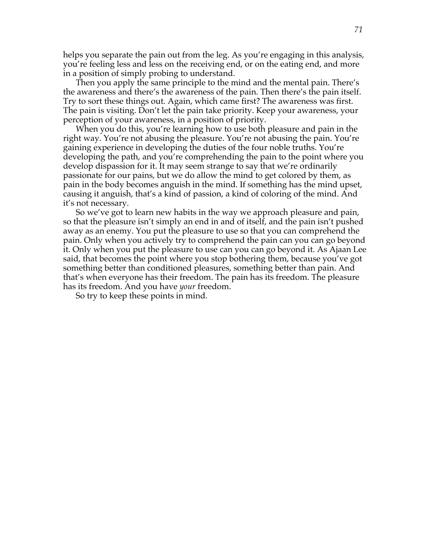helps you separate the pain out from the leg. As you're engaging in this analysis, you're feeling less and less on the receiving end, or on the eating end, and more in a position of simply probing to understand.

Then you apply the same principle to the mind and the mental pain. There's the awareness and there's the awareness of the pain. Then there's the pain itself. Try to sort these things out. Again, which came first? The awareness was first. The pain is visiting. Don't let the pain take priority. Keep your awareness, your perception of your awareness, in a position of priority.

When you do this, you're learning how to use both pleasure and pain in the right way. You're not abusing the pleasure. You're not abusing the pain. You're gaining experience in developing the duties of the four noble truths. You're developing the path, and you're comprehending the pain to the point where you develop dispassion for it. It may seem strange to say that we're ordinarily passionate for our pains, but we do allow the mind to get colored by them, as pain in the body becomes anguish in the mind. If something has the mind upset, causing it anguish, that's a kind of passion, a kind of coloring of the mind. And it's not necessary.

So we've got to learn new habits in the way we approach pleasure and pain, so that the pleasure isn't simply an end in and of itself, and the pain isn't pushed away as an enemy. You put the pleasure to use so that you can comprehend the pain. Only when you actively try to comprehend the pain can you can go beyond it. Only when you put the pleasure to use can you can go beyond it. As Ajaan Lee said, that becomes the point where you stop bothering them, because you've got something better than conditioned pleasures, something better than pain. And that's when everyone has their freedom. The pain has its freedom. The pleasure has its freedom. And you have *your* freedom.

So try to keep these points in mind.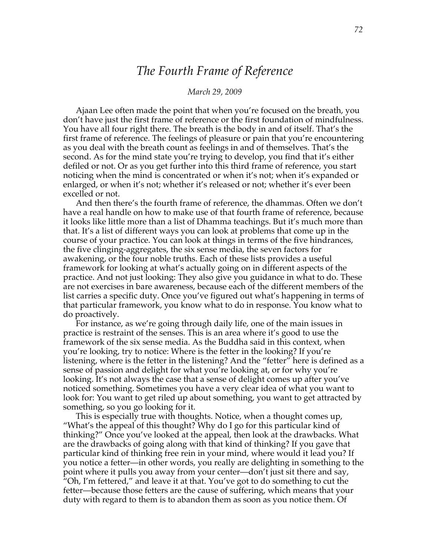# *The Fourth Frame of Reference*

#### *March 29, 2009*

Ajaan Lee often made the point that when you're focused on the breath, you don't have just the first frame of reference or the first foundation of mindfulness. You have all four right there. The breath is the body in and of itself. That's the first frame of reference. The feelings of pleasure or pain that you're encountering as you deal with the breath count as feelings in and of themselves. That's the second. As for the mind state you're trying to develop, you find that it's either defiled or not. Or as you get further into this third frame of reference, you start noticing when the mind is concentrated or when it's not; when it's expanded or enlarged, or when it's not; whether it's released or not; whether it's ever been excelled or not.

And then there's the fourth frame of reference, the dhammas. Often we don't have a real handle on how to make use of that fourth frame of reference, because it looks like little more than a list of Dhamma teachings. But it's much more than that. It's a list of different ways you can look at problems that come up in the course of your practice. You can look at things in terms of the five hindrances, the five clinging-aggregates, the six sense media, the seven factors for awakening, or the four noble truths. Each of these lists provides a useful framework for looking at what's actually going on in different aspects of the practice. And not just looking: They also give you guidance in what to do. These are not exercises in bare awareness, because each of the different members of the list carries a specific duty. Once you've figured out what's happening in terms of that particular framework, you know what to do in response. You know what to do proactively.

For instance, as we're going through daily life, one of the main issues in practice is restraint of the senses. This is an area where it's good to use the framework of the six sense media. As the Buddha said in this context, when you're looking, try to notice: Where is the fetter in the looking? If you're listening, where is the fetter in the listening? And the "fetter" here is defined as a sense of passion and delight for what you're looking at, or for why you're looking. It's not always the case that a sense of delight comes up after you've noticed something. Sometimes you have a very clear idea of what you want to look for: You want to get riled up about something, you want to get attracted by something, so you go looking for it.

This is especially true with thoughts. Notice, when a thought comes up, "What's the appeal of this thought? Why do I go for this particular kind of thinking?" Once you've looked at the appeal, then look at the drawbacks. What are the drawbacks of going along with that kind of thinking? If you gave that particular kind of thinking free rein in your mind, where would it lead you? If you notice a fetter—in other words, you really are delighting in something to the point where it pulls you away from your center—don't just sit there and say, "Oh, I'm fettered," and leave it at that. You've got to do something to cut the fetter—because those fetters are the cause of suffering, which means that your duty with regard to them is to abandon them as soon as you notice them. Of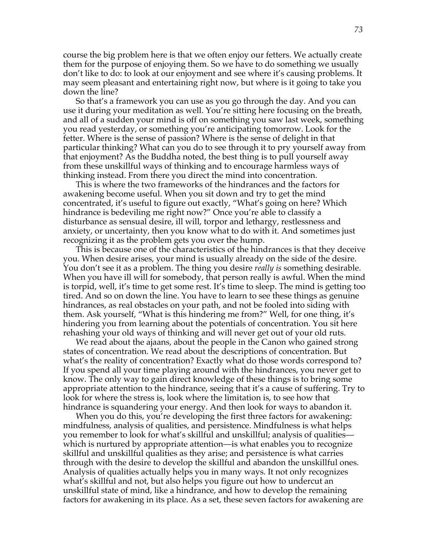course the big problem here is that we often enjoy our fetters. We actually create them for the purpose of enjoying them. So we have to do something we usually don't like to do: to look at our enjoyment and see where it's causing problems. It may seem pleasant and entertaining right now, but where is it going to take you down the line?

So that's a framework you can use as you go through the day. And you can use it during your meditation as well. You're sitting here focusing on the breath, and all of a sudden your mind is off on something you saw last week, something you read yesterday, or something you're anticipating tomorrow. Look for the fetter. Where is the sense of passion? Where is the sense of delight in that particular thinking? What can you do to see through it to pry yourself away from that enjoyment? As the Buddha noted, the best thing is to pull yourself away from these unskillful ways of thinking and to encourage harmless ways of thinking instead. From there you direct the mind into concentration.

This is where the two frameworks of the hindrances and the factors for awakening become useful. When you sit down and try to get the mind concentrated, it's useful to figure out exactly, "What's going on here? Which hindrance is bedeviling me right now?" Once you're able to classify a disturbance as sensual desire, ill will, torpor and lethargy, restlessness and anxiety, or uncertainty, then you know what to do with it. And sometimes just recognizing it as the problem gets you over the hump.

This is because one of the characteristics of the hindrances is that they deceive you. When desire arises, your mind is usually already on the side of the desire. You don't see it as a problem. The thing you desire *really is* something desirable. When you have ill will for somebody, that person really is awful. When the mind is torpid, well, it's time to get some rest. It's time to sleep. The mind is getting too tired. And so on down the line. You have to learn to see these things as genuine hindrances, as real obstacles on your path, and not be fooled into siding with them. Ask yourself, "What is this hindering me from?" Well, for one thing, it's hindering you from learning about the potentials of concentration. You sit here rehashing your old ways of thinking and will never get out of your old ruts.

We read about the ajaans, about the people in the Canon who gained strong states of concentration. We read about the descriptions of concentration. But what's the reality of concentration? Exactly what do those words correspond to? If you spend all your time playing around with the hindrances, you never get to know. The only way to gain direct knowledge of these things is to bring some appropriate attention to the hindrance, seeing that it's a cause of suffering. Try to look for where the stress is, look where the limitation is, to see how that hindrance is squandering your energy. And then look for ways to abandon it.

When you do this, you're developing the first three factors for awakening: mindfulness, analysis of qualities, and persistence. Mindfulness is what helps you remember to look for what's skillful and unskillful; analysis of qualities which is nurtured by appropriate attention—is what enables you to recognize skillful and unskillful qualities as they arise; and persistence is what carries through with the desire to develop the skillful and abandon the unskillful ones. Analysis of qualities actually helps you in many ways. It not only recognizes what's skillful and not, but also helps you figure out how to undercut an unskillful state of mind, like a hindrance, and how to develop the remaining factors for awakening in its place. As a set, these seven factors for awakening are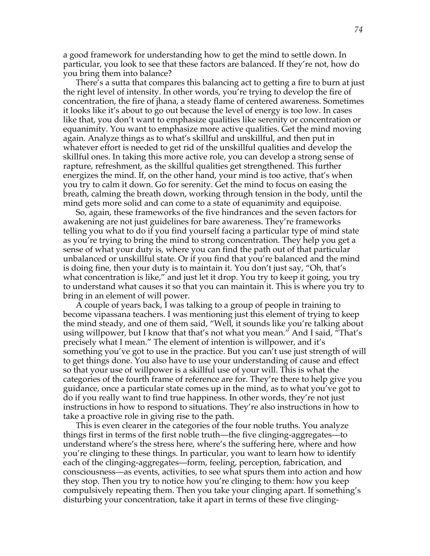a good framework for understanding how to get the mind to settle down. In particular, you look to see that these factors are balanced. If they're not, how do you bring them into balance?

There's a sutta that compares this balancing act to getting a fire to burn at just the right level of intensity. In other words, you're trying to develop the fire of concentration, the fire of jhana, a steady flame of centered awareness. Sometimes it looks like it's about to go out because the level of energy is too low. In cases like that, you don't want to emphasize qualities like serenity or concentration or equanimity. You want to emphasize more active qualities. Get the mind moving again. Analyze things as to what's skillful and unskillful, and then put in whatever effort is needed to get rid of the unskillful qualities and develop the skillful ones. In taking this more active role, you can develop a strong sense of rapture, refreshment, as the skillful qualities get strengthened. This further energizes the mind. If, on the other hand, your mind is too active, that's when you try to calm it down. Go for serenity. Get the mind to focus on easing the breath, calming the breath down, working through tension in the body, until the mind gets more solid and can come to a state of equanimity and equipoise.

So, again, these frameworks of the five hindrances and the seven factors for awakening are not just guidelines for bare awareness. They're frameworks telling you what to do if you find yourself facing a particular type of mind state as you're trying to bring the mind to strong concentration. They help you get a sense of what your duty is, where you can find the path out of that particular unbalanced or unskillful state. Or if you find that you're balanced and the mind is doing fine, then your duty is to maintain it. You don't just say, "Oh, that's what concentration is like," and just let it drop. You try to keep it going, you try to understand what causes it so that you can maintain it. This is where you try to bring in an element of will power.

A couple of years back, I was talking to a group of people in training to become vipassana teachers. I was mentioning just this element of trying to keep the mind steady, and one of them said, "Well, it sounds like you're talking about using willpower, but I know that that's not what you mean." And I said, "That's precisely what I mean." The element of intention is willpower, and it's something you've got to use in the practice. But you can't use just strength of will to get things done. You also have to use your understanding of cause and effect so that your use of willpower is a skillful use of your will. This is what the categories of the fourth frame of reference are for. They're there to help give you guidance, once a particular state comes up in the mind, as to what you've got to do if you really want to find true happiness. In other words, they're not just instructions in how to respond to situations. They're also instructions in how to take a proactive role in giving rise to the path.

This is even clearer in the categories of the four noble truths. You analyze things first in terms of the first noble truth—the five clinging-aggregates—to understand where's the stress here, where's the suffering here, where and how you're clinging to these things. In particular, you want to learn how to identify each of the clinging-aggregates—form, feeling, perception, fabrication, and consciousness—as events, activities, to see what spurs them into action and how they stop. Then you try to notice how you're clinging to them: how you keep compulsively repeating them. Then you take your clinging apart. If something's disturbing your concentration, take it apart in terms of these five clinging-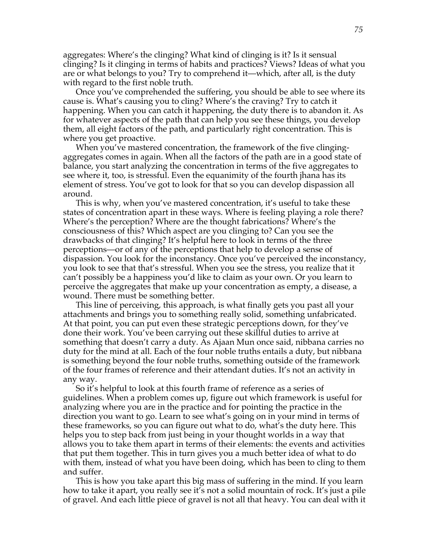aggregates: Where's the clinging? What kind of clinging is it? Is it sensual clinging? Is it clinging in terms of habits and practices? Views? Ideas of what you are or what belongs to you? Try to comprehend it—which, after all, is the duty with regard to the first noble truth.

Once you've comprehended the suffering, you should be able to see where its cause is. What's causing you to cling? Where's the craving? Try to catch it happening. When you can catch it happening, the duty there is to abandon it. As for whatever aspects of the path that can help you see these things, you develop them, all eight factors of the path, and particularly right concentration. This is where you get proactive.

When you've mastered concentration, the framework of the five clingingaggregates comes in again. When all the factors of the path are in a good state of balance, you start analyzing the concentration in terms of the five aggregates to see where it, too, is stressful. Even the equanimity of the fourth jhana has its element of stress. You've got to look for that so you can develop dispassion all around.

This is why, when you've mastered concentration, it's useful to take these states of concentration apart in these ways. Where is feeling playing a role there? Where's the perception? Where are the thought fabrications? Where's the consciousness of this? Which aspect are you clinging to? Can you see the drawbacks of that clinging? It's helpful here to look in terms of the three perceptions—or of any of the perceptions that help to develop a sense of dispassion. You look for the inconstancy. Once you've perceived the inconstancy, you look to see that that's stressful. When you see the stress, you realize that it can't possibly be a happiness you'd like to claim as your own. Or you learn to perceive the aggregates that make up your concentration as empty, a disease, a wound. There must be something better.

This line of perceiving, this approach, is what finally gets you past all your attachments and brings you to something really solid, something unfabricated. At that point, you can put even these strategic perceptions down, for they've done their work. You've been carrying out these skillful duties to arrive at something that doesn't carry a duty. As Ajaan Mun once said, nibbana carries no duty for the mind at all. Each of the four noble truths entails a duty, but nibbana is something beyond the four noble truths, something outside of the framework of the four frames of reference and their attendant duties. It's not an activity in any way.

So it's helpful to look at this fourth frame of reference as a series of guidelines. When a problem comes up, figure out which framework is useful for analyzing where you are in the practice and for pointing the practice in the direction you want to go. Learn to see what's going on in your mind in terms of these frameworks, so you can figure out what to do, what's the duty here. This helps you to step back from just being in your thought worlds in a way that allows you to take them apart in terms of their elements: the events and activities that put them together. This in turn gives you a much better idea of what to do with them, instead of what you have been doing, which has been to cling to them and suffer.

This is how you take apart this big mass of suffering in the mind. If you learn how to take it apart, you really see it's not a solid mountain of rock. It's just a pile of gravel. And each little piece of gravel is not all that heavy. You can deal with it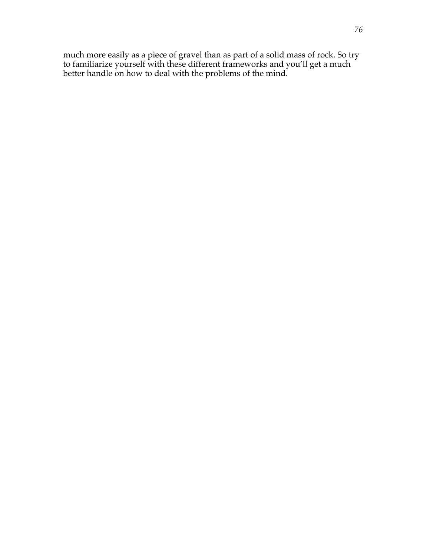much more easily as a piece of gravel than as part of a solid mass of rock. So try to familiarize yourself with these different frameworks and you'll get a much better handle on how to deal with the problems of the mind.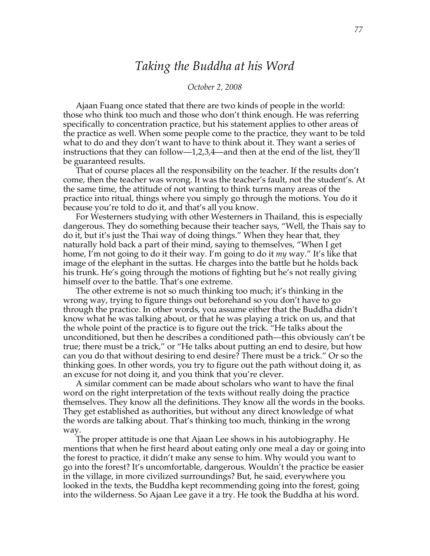## *Taking the Buddha at his Word*

## *October 2, 2008*

Ajaan Fuang once stated that there are two kinds of people in the world: those who think too much and those who don't think enough. He was referring specifically to concentration practice, but his statement applies to other areas of the practice as well. When some people come to the practice, they want to be told what to do and they don't want to have to think about it. They want a series of instructions that they can follow—1,2,3,4—and then at the end of the list, they'll be guaranteed results.

That of course places all the responsibility on the teacher. If the results don't come, then the teacher was wrong. It was the teacher's fault, not the student's. At the same time, the attitude of not wanting to think turns many areas of the practice into ritual, things where you simply go through the motions. You do it because you're told to do it, and that's all you know.

For Westerners studying with other Westerners in Thailand, this is especially dangerous. They do something because their teacher says, "Well, the Thais say to do it, but it's just the Thai way of doing things." When they hear that, they naturally hold back a part of their mind, saying to themselves, "When I get home, I'm not going to do it their way. I'm going to do it *my* way." It's like that image of the elephant in the suttas. He charges into the battle but he holds back his trunk. He's going through the motions of fighting but he's not really giving himself over to the battle. That's one extreme.

The other extreme is not so much thinking too much; it's thinking in the wrong way, trying to figure things out beforehand so you don't have to go through the practice. In other words, you assume either that the Buddha didn't know what he was talking about, or that he was playing a trick on us, and that the whole point of the practice is to figure out the trick. "He talks about the unconditioned, but then he describes a conditioned path—this obviously can't be true; there must be a trick," or "He talks about putting an end to desire, but how can you do that without desiring to end desire? There must be a trick." Or so the thinking goes. In other words, you try to figure out the path without doing it, as an excuse for not doing it, and you think that you're clever.

A similar comment can be made about scholars who want to have the final word on the right interpretation of the texts without really doing the practice themselves. They know all the definitions. They know all the words in the books. They get established as authorities, but without any direct knowledge of what the words are talking about. That's thinking too much, thinking in the wrong way.

The proper attitude is one that Ajaan Lee shows in his autobiography. He mentions that when he first heard about eating only one meal a day or going into the forest to practice, it didn't make any sense to him. Why would you want to go into the forest? It's uncomfortable, dangerous. Wouldn't the practice be easier in the village, in more civilized surroundings? But, he said, everywhere you looked in the texts, the Buddha kept recommending going into the forest, going into the wilderness. So Ajaan Lee gave it a try. He took the Buddha at his word.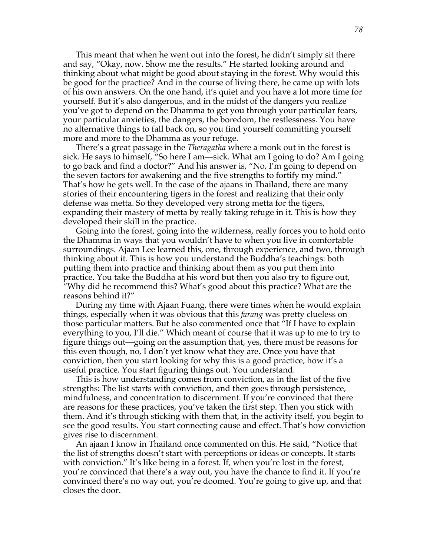This meant that when he went out into the forest, he didn't simply sit there and say, "Okay, now. Show me the results." He started looking around and thinking about what might be good about staying in the forest. Why would this be good for the practice? And in the course of living there, he came up with lots of his own answers. On the one hand, it's quiet and you have a lot more time for yourself. But it's also dangerous, and in the midst of the dangers you realize you've got to depend on the Dhamma to get you through your particular fears, your particular anxieties, the dangers, the boredom, the restlessness. You have no alternative things to fall back on, so you find yourself committing yourself more and more to the Dhamma as your refuge.

There's a great passage in the *Theragatha* where a monk out in the forest is sick. He says to himself, "So here I am—sick. What am I going to do? Am I going to go back and find a doctor?" And his answer is, "No, I'm going to depend on the seven factors for awakening and the five strengths to fortify my mind." That's how he gets well. In the case of the ajaans in Thailand, there are many stories of their encountering tigers in the forest and realizing that their only defense was metta. So they developed very strong metta for the tigers, expanding their mastery of metta by really taking refuge in it. This is how they developed their skill in the practice.

Going into the forest, going into the wilderness, really forces you to hold onto the Dhamma in ways that you wouldn't have to when you live in comfortable surroundings. Ajaan Lee learned this, one, through experience, and two, through thinking about it. This is how you understand the Buddha's teachings: both putting them into practice and thinking about them as you put them into practice. You take the Buddha at his word but then you also try to figure out, "Why did he recommend this? What's good about this practice? What are the reasons behind it?"

During my time with Ajaan Fuang, there were times when he would explain things, especially when it was obvious that this *farang* was pretty clueless on those particular matters. But he also commented once that "If I have to explain everything to you, I'll die." Which meant of course that it was up to me to try to figure things out—going on the assumption that, yes, there must be reasons for this even though, no, I don't yet know what they are. Once you have that conviction, then you start looking for why this is a good practice, how it's a useful practice. You start figuring things out. You understand.

This is how understanding comes from conviction, as in the list of the five strengths: The list starts with conviction, and then goes through persistence, mindfulness, and concentration to discernment. If you're convinced that there are reasons for these practices, you've taken the first step. Then you stick with them. And it's through sticking with them that, in the activity itself, you begin to see the good results. You start connecting cause and effect. That's how conviction gives rise to discernment.

An ajaan I know in Thailand once commented on this. He said, "Notice that the list of strengths doesn't start with perceptions or ideas or concepts. It starts with conviction." It's like being in a forest. If, when you're lost in the forest, you're convinced that there's a way out, you have the chance to find it. If you're convinced there's no way out, you're doomed. You're going to give up, and that closes the door.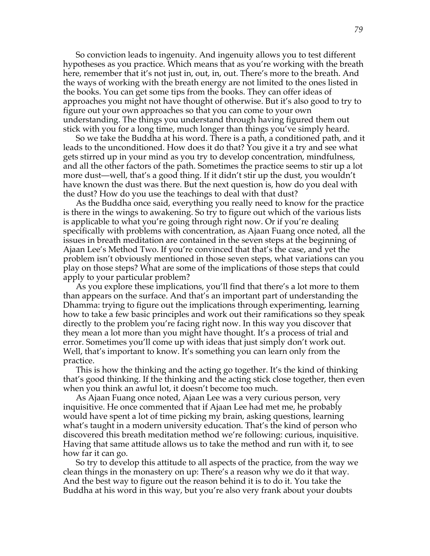So conviction leads to ingenuity. And ingenuity allows you to test different hypotheses as you practice. Which means that as you're working with the breath here, remember that it's not just in, out, in, out. There's more to the breath. And the ways of working with the breath energy are not limited to the ones listed in the books. You can get some tips from the books. They can offer ideas of approaches you might not have thought of otherwise. But it's also good to try to figure out your own approaches so that you can come to your own understanding. The things you understand through having figured them out stick with you for a long time, much longer than things you've simply heard.

So we take the Buddha at his word. There is a path, a conditioned path, and it leads to the unconditioned. How does it do that? You give it a try and see what gets stirred up in your mind as you try to develop concentration, mindfulness, and all the other factors of the path. Sometimes the practice seems to stir up a lot more dust—well, that's a good thing. If it didn't stir up the dust, you wouldn't have known the dust was there. But the next question is, how do you deal with the dust? How do you use the teachings to deal with that dust?

As the Buddha once said, everything you really need to know for the practice is there in the wings to awakening. So try to figure out which of the various lists is applicable to what you're going through right now. Or if you're dealing specifically with problems with concentration, as Ajaan Fuang once noted, all the issues in breath meditation are contained in the seven steps at the beginning of Ajaan Lee's Method Two. If you're convinced that that's the case, and yet the problem isn't obviously mentioned in those seven steps, what variations can you play on those steps? What are some of the implications of those steps that could apply to your particular problem?

As you explore these implications, you'll find that there's a lot more to them than appears on the surface. And that's an important part of understanding the Dhamma: trying to figure out the implications through experimenting, learning how to take a few basic principles and work out their ramifications so they speak directly to the problem you're facing right now. In this way you discover that they mean a lot more than you might have thought. It's a process of trial and error. Sometimes you'll come up with ideas that just simply don't work out. Well, that's important to know. It's something you can learn only from the practice.

This is how the thinking and the acting go together. It's the kind of thinking that's good thinking. If the thinking and the acting stick close together, then even when you think an awful lot, it doesn't become too much.

As Ajaan Fuang once noted, Ajaan Lee was a very curious person, very inquisitive. He once commented that if Ajaan Lee had met me, he probably would have spent a lot of time picking my brain, asking questions, learning what's taught in a modern university education. That's the kind of person who discovered this breath meditation method we're following: curious, inquisitive. Having that same attitude allows us to take the method and run with it, to see how far it can go.

So try to develop this attitude to all aspects of the practice, from the way we clean things in the monastery on up: There's a reason why we do it that way. And the best way to figure out the reason behind it is to do it. You take the Buddha at his word in this way, but you're also very frank about your doubts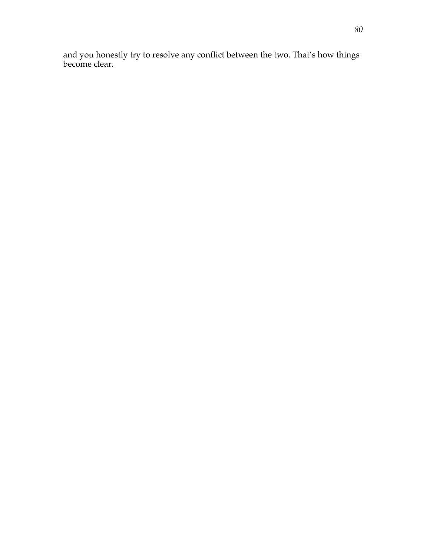and you honestly try to resolve any conflict between the two. That's how things become clear.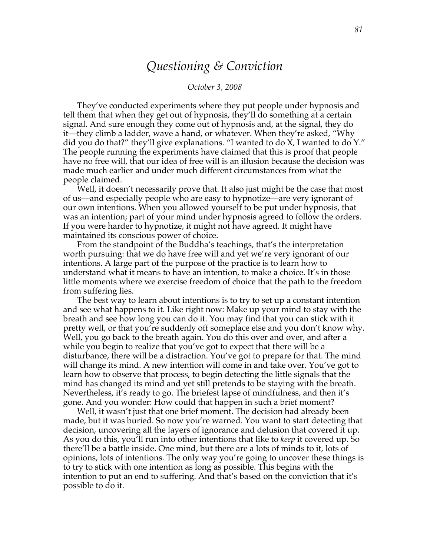## *Questioning & Conviction*

### *October 3, 2008*

They've conducted experiments where they put people under hypnosis and tell them that when they get out of hypnosis, they'll do something at a certain signal. And sure enough they come out of hypnosis and, at the signal, they do it—they climb a ladder, wave a hand, or whatever. When they're asked, "Why did you do that?" they'll give explanations. "I wanted to do X, I wanted to do  $Y$ ." The people running the experiments have claimed that this is proof that people have no free will, that our idea of free will is an illusion because the decision was made much earlier and under much different circumstances from what the people claimed.

Well, it doesn't necessarily prove that. It also just might be the case that most of us—and especially people who are easy to hypnotize—are very ignorant of our own intentions. When you allowed yourself to be put under hypnosis, that was an intention; part of your mind under hypnosis agreed to follow the orders. If you were harder to hypnotize, it might not have agreed. It might have maintained its conscious power of choice.

From the standpoint of the Buddha's teachings, that's the interpretation worth pursuing: that we do have free will and yet we're very ignorant of our intentions. A large part of the purpose of the practice is to learn how to understand what it means to have an intention, to make a choice. It's in those little moments where we exercise freedom of choice that the path to the freedom from suffering lies.

The best way to learn about intentions is to try to set up a constant intention and see what happens to it. Like right now: Make up your mind to stay with the breath and see how long you can do it. You may find that you can stick with it pretty well, or that you're suddenly off someplace else and you don't know why. Well, you go back to the breath again. You do this over and over, and after a while you begin to realize that you've got to expect that there will be a disturbance, there will be a distraction. You've got to prepare for that. The mind will change its mind. A new intention will come in and take over. You've got to learn how to observe that process, to begin detecting the little signals that the mind has changed its mind and yet still pretends to be staying with the breath. Nevertheless, it's ready to go. The briefest lapse of mindfulness, and then it's gone. And you wonder: How could that happen in such a brief moment?

Well, it wasn't just that one brief moment. The decision had already been made, but it was buried. So now you're warned. You want to start detecting that decision, uncovering all the layers of ignorance and delusion that covered it up. As you do this, you'll run into other intentions that like to *keep* it covered up. So there'll be a battle inside. One mind, but there are a lots of minds to it, lots of opinions, lots of intentions. The only way you're going to uncover these things is to try to stick with one intention as long as possible. This begins with the intention to put an end to suffering. And that's based on the conviction that it's possible to do it.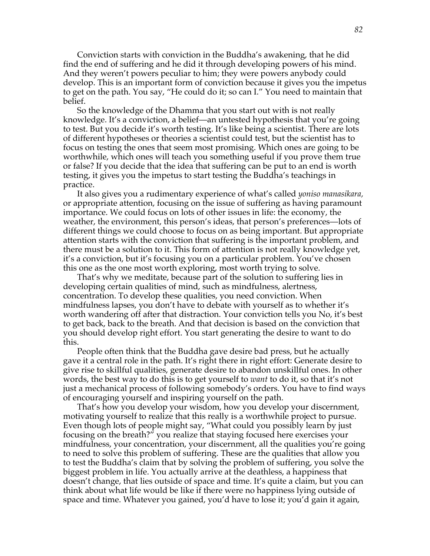Conviction starts with conviction in the Buddha's awakening, that he did find the end of suffering and he did it through developing powers of his mind. And they weren't powers peculiar to him; they were powers anybody could develop. This is an important form of conviction because it gives you the impetus to get on the path. You say, "He could do it; so can I." You need to maintain that belief.

So the knowledge of the Dhamma that you start out with is not really knowledge. It's a conviction, a belief—an untested hypothesis that you're going to test. But you decide it's worth testing. It's like being a scientist. There are lots of different hypotheses or theories a scientist could test, but the scientist has to focus on testing the ones that seem most promising. Which ones are going to be worthwhile, which ones will teach you something useful if you prove them true or false? If you decide that the idea that suffering can be put to an end is worth testing, it gives you the impetus to start testing the Buddha's teachings in practice.

It also gives you a rudimentary experience of what's called *yoniso manasikara,*  or appropriate attention, focusing on the issue of suffering as having paramount importance. We could focus on lots of other issues in life: the economy, the weather, the environment, this person's ideas, that person's preferences—lots of different things we could choose to focus on as being important. But appropriate attention starts with the conviction that suffering is the important problem, and there must be a solution to it. This form of attention is not really knowledge yet, it's a conviction, but it's focusing you on a particular problem. You've chosen this one as the one most worth exploring, most worth trying to solve.

That's why we meditate, because part of the solution to suffering lies in developing certain qualities of mind, such as mindfulness, alertness, concentration. To develop these qualities, you need conviction. When mindfulness lapses, you don't have to debate with yourself as to whether it's worth wandering off after that distraction. Your conviction tells you No, it's best to get back, back to the breath. And that decision is based on the conviction that you should develop right effort. You start generating the desire to want to do this.

People often think that the Buddha gave desire bad press, but he actually gave it a central role in the path. It's right there in right effort: Generate desire to give rise to skillful qualities, generate desire to abandon unskillful ones. In other words, the best way to do this is to get yourself to *want* to do it, so that it's not just a mechanical process of following somebody's orders. You have to find ways of encouraging yourself and inspiring yourself on the path.

That's how you develop your wisdom, how you develop your discernment, motivating yourself to realize that this really is a worthwhile project to pursue. Even though lots of people might say, "What could you possibly learn by just focusing on the breath?" you realize that staying focused here exercises your mindfulness, your concentration, your discernment, all the qualities you're going to need to solve this problem of suffering. These are the qualities that allow you to test the Buddha's claim that by solving the problem of suffering, you solve the biggest problem in life. You actually arrive at the deathless, a happiness that doesn't change, that lies outside of space and time. It's quite a claim, but you can think about what life would be like if there were no happiness lying outside of space and time. Whatever you gained, you'd have to lose it; you'd gain it again,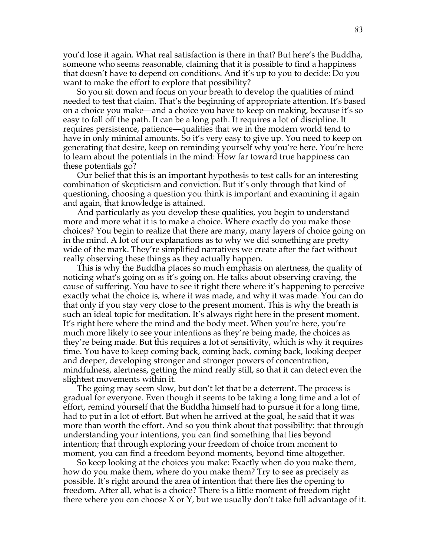you'd lose it again. What real satisfaction is there in that? But here's the Buddha, someone who seems reasonable, claiming that it is possible to find a happiness that doesn't have to depend on conditions. And it's up to you to decide: Do you want to make the effort to explore that possibility?

So you sit down and focus on your breath to develop the qualities of mind needed to test that claim. That's the beginning of appropriate attention. It's based on a choice you make—and a choice you have to keep on making, because it's so easy to fall off the path. It can be a long path. It requires a lot of discipline. It requires persistence, patience—qualities that we in the modern world tend to have in only minimal amounts. So it's very easy to give up. You need to keep on generating that desire, keep on reminding yourself why you're here. You're here to learn about the potentials in the mind: How far toward true happiness can these potentials go?

Our belief that this is an important hypothesis to test calls for an interesting combination of skepticism and conviction. But it's only through that kind of questioning, choosing a question you think is important and examining it again and again, that knowledge is attained.

And particularly as you develop these qualities, you begin to understand more and more what it is to make a choice. Where exactly do you make those choices? You begin to realize that there are many, many layers of choice going on in the mind. A lot of our explanations as to why we did something are pretty wide of the mark. They're simplified narratives we create after the fact without really observing these things as they actually happen.

This is why the Buddha places so much emphasis on alertness, the quality of noticing what's going on *as* it's going on. He talks about observing craving, the cause of suffering. You have to see it right there where it's happening to perceive exactly what the choice is, where it was made, and why it was made. You can do that only if you stay very close to the present moment. This is why the breath is such an ideal topic for meditation. It's always right here in the present moment. It's right here where the mind and the body meet. When you're here, you're much more likely to see your intentions as they're being made, the choices as they're being made. But this requires a lot of sensitivity, which is why it requires time. You have to keep coming back, coming back, coming back, looking deeper and deeper, developing stronger and stronger powers of concentration, mindfulness, alertness, getting the mind really still, so that it can detect even the slightest movements within it.

The going may seem slow, but don't let that be a deterrent. The process is gradual for everyone. Even though it seems to be taking a long time and a lot of effort, remind yourself that the Buddha himself had to pursue it for a long time, had to put in a lot of effort. But when he arrived at the goal, he said that it was more than worth the effort. And so you think about that possibility: that through understanding your intentions, you can find something that lies beyond intention; that through exploring your freedom of choice from moment to moment, you can find a freedom beyond moments, beyond time altogether.

So keep looking at the choices you make: Exactly when do you make them, how do you make them, where do you make them? Try to see as precisely as possible. It's right around the area of intention that there lies the opening to freedom. After all, what is a choice? There is a little moment of freedom right there where you can choose X or Y, but we usually don't take full advantage of it.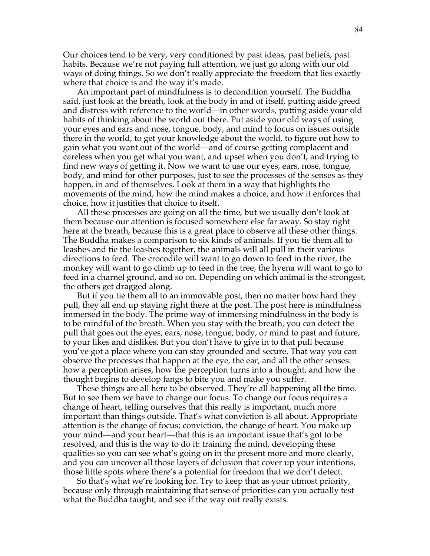Our choices tend to be very, very conditioned by past ideas, past beliefs, past habits. Because we're not paying full attention, we just go along with our old ways of doing things. So we don't really appreciate the freedom that lies exactly where that choice is and the way it's made.

An important part of mindfulness is to decondition yourself. The Buddha said, just look at the breath, look at the body in and of itself, putting aside greed and distress with reference to the world—in other words, putting aside your old habits of thinking about the world out there. Put aside your old ways of using your eyes and ears and nose, tongue, body, and mind to focus on issues outside there in the world, to get your knowledge about the world, to figure out how to gain what you want out of the world—and of course getting complacent and careless when you get what you want, and upset when you don't, and trying to find new ways of getting it. Now we want to use our eyes, ears, nose, tongue, body, and mind for other purposes, just to see the processes of the senses as they happen, in and of themselves. Look at them in a way that highlights the movements of the mind, how the mind makes a choice, and how it enforces that choice, how it justifies that choice to itself.

All these processes are going on all the time, but we usually don't look at them because our attention is focused somewhere else far away. So stay right here at the breath, because this is a great place to observe all these other things. The Buddha makes a comparison to six kinds of animals. If you tie them all to leashes and tie the leashes together, the animals will all pull in their various directions to feed. The crocodile will want to go down to feed in the river, the monkey will want to go climb up to feed in the tree, the hyena will want to go to feed in a charnel ground, and so on. Depending on which animal is the strongest, the others get dragged along.

But if you tie them all to an immovable post, then no matter how hard they pull, they all end up staying right there at the post. The post here is mindfulness immersed in the body. The prime way of immersing mindfulness in the body is to be mindful of the breath. When you stay with the breath, you can detect the pull that goes out the eyes, ears, nose, tongue, body, or mind to past and future, to your likes and dislikes. But you don't have to give in to that pull because you've got a place where you can stay grounded and secure. That way you can observe the processes that happen at the eye, the ear, and all the other senses: how a perception arises, how the perception turns into a thought, and how the thought begins to develop fangs to bite you and make you suffer.

These things are all here to be observed. They're all happening all the time. But to see them we have to change our focus. To change our focus requires a change of heart, telling ourselves that this really is important, much more important than things outside. That's what conviction is all about. Appropriate attention is the change of focus; conviction, the change of heart. You make up your mind—and your heart—that this is an important issue that's got to be resolved, and this is the way to do it: training the mind, developing these qualities so you can see what's going on in the present more and more clearly, and you can uncover all those layers of delusion that cover up your intentions, those little spots where there's a potential for freedom that we don't detect.

So that's what we're looking for. Try to keep that as your utmost priority, because only through maintaining that sense of priorities can you actually test what the Buddha taught, and see if the way out really exists.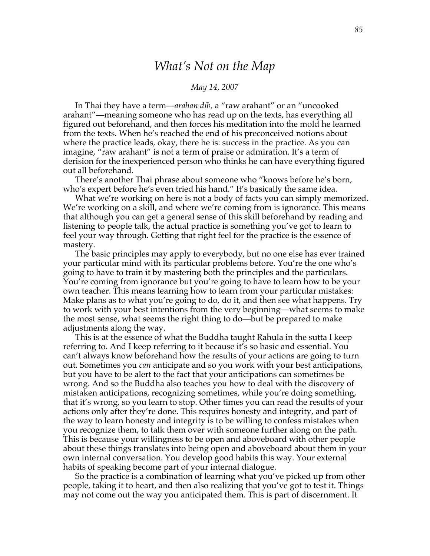# *What's Not on the Map*

### *May 14, 2007*

In Thai they have a term—*arahan dib,* a "raw arahant" or an "uncooked arahant"—meaning someone who has read up on the texts, has everything all figured out beforehand, and then forces his meditation into the mold he learned from the texts. When he's reached the end of his preconceived notions about where the practice leads, okay, there he is: success in the practice. As you can imagine, "raw arahant" is not a term of praise or admiration. It's a term of derision for the inexperienced person who thinks he can have everything figured out all beforehand.

There's another Thai phrase about someone who "knows before he's born, who's expert before he's even tried his hand." It's basically the same idea.

What we're working on here is not a body of facts you can simply memorized. We're working on a skill, and where we're coming from is ignorance. This means that although you can get a general sense of this skill beforehand by reading and listening to people talk, the actual practice is something you've got to learn to feel your way through. Getting that right feel for the practice is the essence of mastery.

The basic principles may apply to everybody, but no one else has ever trained your particular mind with its particular problems before. You're the one who's going to have to train it by mastering both the principles and the particulars. You're coming from ignorance but you're going to have to learn how to be your own teacher. This means learning how to learn from your particular mistakes: Make plans as to what you're going to do, do it, and then see what happens. Try to work with your best intentions from the very beginning—what seems to make the most sense, what seems the right thing to do—but be prepared to make adjustments along the way.

This is at the essence of what the Buddha taught Rahula in the sutta I keep referring to. And I keep referring to it because it's so basic and essential. You can't always know beforehand how the results of your actions are going to turn out. Sometimes you *can* anticipate and so you work with your best anticipations, but you have to be alert to the fact that your anticipations can sometimes be wrong. And so the Buddha also teaches you how to deal with the discovery of mistaken anticipations, recognizing sometimes, while you're doing something, that it's wrong, so you learn to stop. Other times you can read the results of your actions only after they're done. This requires honesty and integrity, and part of the way to learn honesty and integrity is to be willing to confess mistakes when you recognize them, to talk them over with someone further along on the path. This is because your willingness to be open and aboveboard with other people about these things translates into being open and aboveboard about them in your own internal conversation. You develop good habits this way. Your external habits of speaking become part of your internal dialogue.

So the practice is a combination of learning what you've picked up from other people, taking it to heart, and then also realizing that you've got to test it. Things may not come out the way you anticipated them. This is part of discernment. It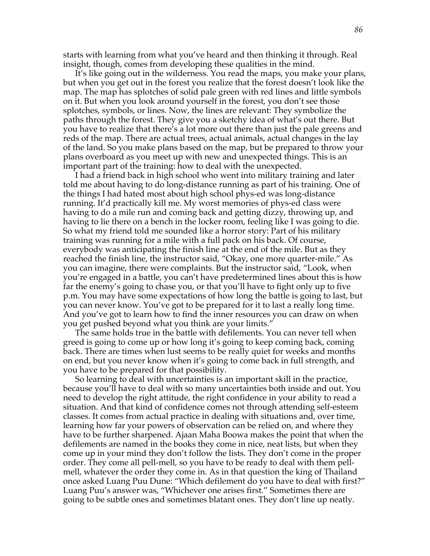starts with learning from what you've heard and then thinking it through. Real insight, though, comes from developing these qualities in the mind.

It's like going out in the wilderness. You read the maps, you make your plans, but when you get out in the forest you realize that the forest doesn't look like the map. The map has splotches of solid pale green with red lines and little symbols on it. But when you look around yourself in the forest, you don't see those splotches, symbols, or lines. Now, the lines are relevant: They symbolize the paths through the forest. They give you a sketchy idea of what's out there. But you have to realize that there's a lot more out there than just the pale greens and reds of the map. There are actual trees, actual animals, actual changes in the lay of the land. So you make plans based on the map, but be prepared to throw your plans overboard as you meet up with new and unexpected things. This is an important part of the training: how to deal with the unexpected.

I had a friend back in high school who went into military training and later told me about having to do long-distance running as part of his training. One of the things I had hated most about high school phys-ed was long-distance running. It'd practically kill me. My worst memories of phys-ed class were having to do a mile run and coming back and getting dizzy, throwing up, and having to lie there on a bench in the locker room, feeling like I was going to die. So what my friend told me sounded like a horror story: Part of his military training was running for a mile with a full pack on his back. Of course, everybody was anticipating the finish line at the end of the mile. But as they reached the finish line, the instructor said, "Okay, one more quarter-mile." As you can imagine, there were complaints. But the instructor said, "Look, when you're engaged in a battle, you can't have predetermined lines about this is how far the enemy's going to chase you, or that you'll have to fight only up to five p.m. You may have some expectations of how long the battle is going to last, but you can never know. You've got to be prepared for it to last a really long time. And you've got to learn how to find the inner resources you can draw on when you get pushed beyond what you think are your limits."

The same holds true in the battle with defilements. You can never tell when greed is going to come up or how long it's going to keep coming back, coming back. There are times when lust seems to be really quiet for weeks and months on end, but you never know when it's going to come back in full strength, and you have to be prepared for that possibility.

So learning to deal with uncertainties is an important skill in the practice, because you'll have to deal with so many uncertainties both inside and out. You need to develop the right attitude, the right confidence in your ability to read a situation. And that kind of confidence comes not through attending self-esteem classes. It comes from actual practice in dealing with situations and, over time, learning how far your powers of observation can be relied on, and where they have to be further sharpened. Ajaan Maha Boowa makes the point that when the defilements are named in the books they come in nice, neat lists, but when they come up in your mind they don't follow the lists. They don't come in the proper order. They come all pell-mell, so you have to be ready to deal with them pellmell, whatever the order they come in. As in that question the king of Thailand once asked Luang Puu Dune: "Which defilement do you have to deal with first?" Luang Puu's answer was, "Whichever one arises first." Sometimes there are going to be subtle ones and sometimes blatant ones. They don't line up neatly.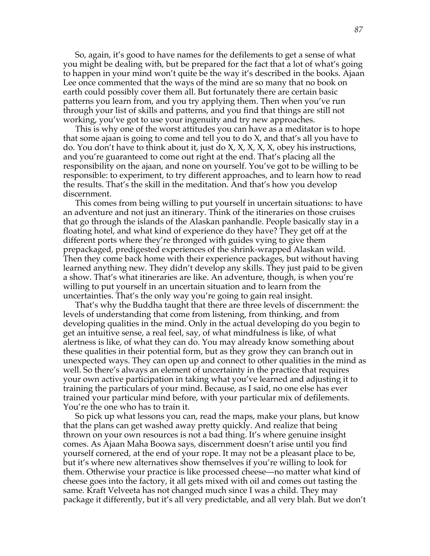So, again, it's good to have names for the defilements to get a sense of what you might be dealing with, but be prepared for the fact that a lot of what's going to happen in your mind won't quite be the way it's described in the books. Ajaan Lee once commented that the ways of the mind are so many that no book on earth could possibly cover them all. But fortunately there are certain basic patterns you learn from, and you try applying them. Then when you've run through your list of skills and patterns, and you find that things are still not working, you've got to use your ingenuity and try new approaches.

This is why one of the worst attitudes you can have as a meditator is to hope that some ajaan is going to come and tell you to do X, and that's all you have to do. You don't have to think about it, just do X, X, X, X, X, obey his instructions, and you're guaranteed to come out right at the end. That's placing all the responsibility on the ajaan, and none on yourself. You've got to be willing to be responsible: to experiment, to try different approaches, and to learn how to read the results. That's the skill in the meditation. And that's how you develop discernment.

This comes from being willing to put yourself in uncertain situations: to have an adventure and not just an itinerary. Think of the itineraries on those cruises that go through the islands of the Alaskan panhandle. People basically stay in a floating hotel, and what kind of experience do they have? They get off at the different ports where they're thronged with guides vying to give them prepackaged, predigested experiences of the shrink-wrapped Alaskan wild. Then they come back home with their experience packages, but without having learned anything new. They didn't develop any skills. They just paid to be given a show. That's what itineraries are like. An adventure, though, is when you're willing to put yourself in an uncertain situation and to learn from the uncertainties. That's the only way you're going to gain real insight.

That's why the Buddha taught that there are three levels of discernment: the levels of understanding that come from listening, from thinking, and from developing qualities in the mind. Only in the actual developing do you begin to get an intuitive sense, a real feel, say, of what mindfulness is like, of what alertness is like, of what they can do. You may already know something about these qualities in their potential form, but as they grow they can branch out in unexpected ways. They can open up and connect to other qualities in the mind as well. So there's always an element of uncertainty in the practice that requires your own active participation in taking what you've learned and adjusting it to training the particulars of your mind. Because, as I said, no one else has ever trained your particular mind before, with your particular mix of defilements. You're the one who has to train it.

So pick up what lessons you can, read the maps, make your plans, but know that the plans can get washed away pretty quickly. And realize that being thrown on your own resources is not a bad thing. It's where genuine insight comes. As Ajaan Maha Boowa says, discernment doesn't arise until you find yourself cornered, at the end of your rope. It may not be a pleasant place to be, but it's where new alternatives show themselves if you're willing to look for them. Otherwise your practice is like processed cheese—no matter what kind of cheese goes into the factory, it all gets mixed with oil and comes out tasting the same. Kraft Velveeta has not changed much since I was a child. They may package it differently, but it's all very predictable, and all very blah. But we don't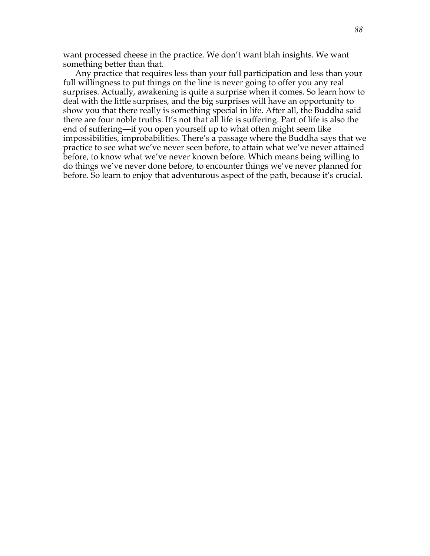want processed cheese in the practice. We don't want blah insights. We want something better than that.

Any practice that requires less than your full participation and less than your full willingness to put things on the line is never going to offer you any real surprises. Actually, awakening is quite a surprise when it comes. So learn how to deal with the little surprises, and the big surprises will have an opportunity to show you that there really is something special in life. After all, the Buddha said there are four noble truths. It's not that all life is suffering. Part of life is also the end of suffering—if you open yourself up to what often might seem like impossibilities, improbabilities. There's a passage where the Buddha says that we practice to see what we've never seen before, to attain what we've never attained before, to know what we've never known before. Which means being willing to do things we've never done before, to encounter things we've never planned for before. So learn to enjoy that adventurous aspect of the path, because it's crucial.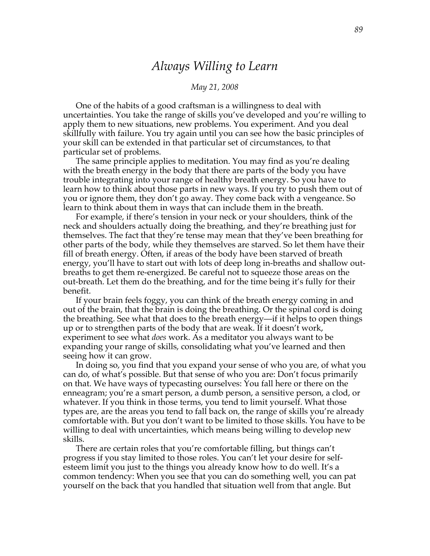## *Always Willing to Learn*

### *May 21, 2008*

One of the habits of a good craftsman is a willingness to deal with uncertainties. You take the range of skills you've developed and you're willing to apply them to new situations, new problems. You experiment. And you deal skillfully with failure. You try again until you can see how the basic principles of your skill can be extended in that particular set of circumstances, to that particular set of problems.

The same principle applies to meditation. You may find as you're dealing with the breath energy in the body that there are parts of the body you have trouble integrating into your range of healthy breath energy. So you have to learn how to think about those parts in new ways. If you try to push them out of you or ignore them, they don't go away. They come back with a vengeance. So learn to think about them in ways that can include them in the breath.

For example, if there's tension in your neck or your shoulders, think of the neck and shoulders actually doing the breathing, and they're breathing just for themselves. The fact that they're tense may mean that they've been breathing for other parts of the body, while they themselves are starved. So let them have their fill of breath energy. Often, if areas of the body have been starved of breath energy, you'll have to start out with lots of deep long in-breaths and shallow outbreaths to get them re-energized. Be careful not to squeeze those areas on the out-breath. Let them do the breathing, and for the time being it's fully for their benefit.

If your brain feels foggy, you can think of the breath energy coming in and out of the brain, that the brain is doing the breathing. Or the spinal cord is doing the breathing. See what that does to the breath energy—if it helps to open things up or to strengthen parts of the body that are weak. If it doesn't work, experiment to see what *does* work. As a meditator you always want to be expanding your range of skills, consolidating what you've learned and then seeing how it can grow.

In doing so, you find that you expand your sense of who you are, of what you can do, of what's possible. But that sense of who you are: Don't focus primarily on that. We have ways of typecasting ourselves: You fall here or there on the enneagram; you're a smart person, a dumb person, a sensitive person, a clod, or whatever. If you think in those terms, you tend to limit yourself. What those types are, are the areas you tend to fall back on, the range of skills you're already comfortable with. But you don't want to be limited to those skills. You have to be willing to deal with uncertainties, which means being willing to develop new skills.

There are certain roles that you're comfortable filling, but things can't progress if you stay limited to those roles. You can't let your desire for selfesteem limit you just to the things you already know how to do well. It's a common tendency: When you see that you can do something well, you can pat yourself on the back that you handled that situation well from that angle. But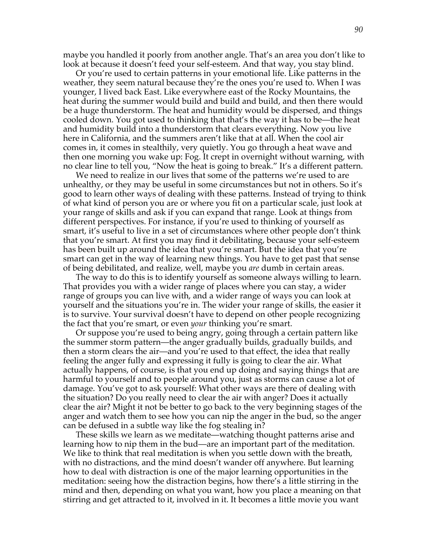maybe you handled it poorly from another angle. That's an area you don't like to look at because it doesn't feed your self-esteem. And that way, you stay blind.

Or you're used to certain patterns in your emotional life. Like patterns in the weather, they seem natural because they're the ones you're used to. When I was younger, I lived back East. Like everywhere east of the Rocky Mountains, the heat during the summer would build and build and build, and then there would be a huge thunderstorm. The heat and humidity would be dispersed, and things cooled down. You got used to thinking that that's the way it has to be—the heat and humidity build into a thunderstorm that clears everything. Now you live here in California, and the summers aren't like that at all. When the cool air comes in, it comes in stealthily, very quietly. You go through a heat wave and then one morning you wake up: Fog. It crept in overnight without warning, with no clear line to tell you, "Now the heat is going to break." It's a different pattern.

We need to realize in our lives that some of the patterns we're used to are unhealthy, or they may be useful in some circumstances but not in others. So it's good to learn other ways of dealing with these patterns. Instead of trying to think of what kind of person you are or where you fit on a particular scale, just look at your range of skills and ask if you can expand that range. Look at things from different perspectives. For instance, if you're used to thinking of yourself as smart, it's useful to live in a set of circumstances where other people don't think that you're smart. At first you may find it debilitating, because your self-esteem has been built up around the idea that you're smart. But the idea that you're smart can get in the way of learning new things. You have to get past that sense of being debilitated, and realize, well, maybe you *are* dumb in certain areas.

The way to do this is to identify yourself as someone always willing to learn. That provides you with a wider range of places where you can stay, a wider range of groups you can live with, and a wider range of ways you can look at yourself and the situations you're in. The wider your range of skills, the easier it is to survive. Your survival doesn't have to depend on other people recognizing the fact that you're smart, or even *your* thinking you're smart.

Or suppose you're used to being angry, going through a certain pattern like the summer storm pattern—the anger gradually builds, gradually builds, and then a storm clears the air—and you're used to that effect, the idea that really feeling the anger fully and expressing it fully is going to clear the air. What actually happens, of course, is that you end up doing and saying things that are harmful to yourself and to people around you, just as storms can cause a lot of damage. You've got to ask yourself: What other ways are there of dealing with the situation? Do you really need to clear the air with anger? Does it actually clear the air? Might it not be better to go back to the very beginning stages of the anger and watch them to see how you can nip the anger in the bud, so the anger can be defused in a subtle way like the fog stealing in?

These skills we learn as we meditate—watching thought patterns arise and learning how to nip them in the bud—are an important part of the meditation. We like to think that real meditation is when you settle down with the breath, with no distractions, and the mind doesn't wander off anywhere. But learning how to deal with distraction is one of the major learning opportunities in the meditation: seeing how the distraction begins, how there's a little stirring in the mind and then, depending on what you want, how you place a meaning on that stirring and get attracted to it, involved in it. It becomes a little movie you want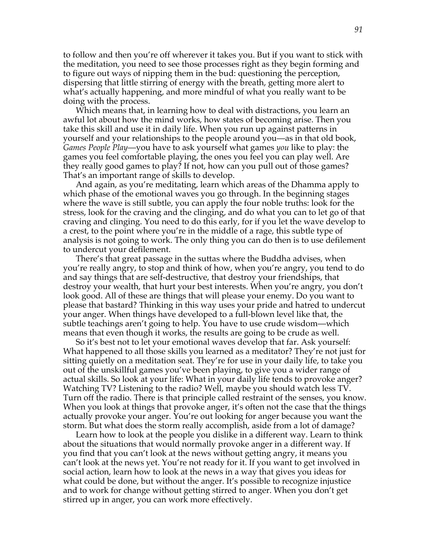to follow and then you're off wherever it takes you. But if you want to stick with the meditation, you need to see those processes right as they begin forming and to figure out ways of nipping them in the bud: questioning the perception, dispersing that little stirring of energy with the breath, getting more alert to what's actually happening, and more mindful of what you really want to be doing with the process.

Which means that, in learning how to deal with distractions, you learn an awful lot about how the mind works, how states of becoming arise. Then you take this skill and use it in daily life. When you run up against patterns in yourself and your relationships to the people around you—as in that old book, *Games People Play*—you have to ask yourself what games *you* like to play: the games you feel comfortable playing, the ones you feel you can play well. Are they really good games to play? If not, how can you pull out of those games? That's an important range of skills to develop.

And again, as you're meditating, learn which areas of the Dhamma apply to which phase of the emotional waves you go through. In the beginning stages where the wave is still subtle, you can apply the four noble truths: look for the stress, look for the craving and the clinging, and do what you can to let go of that craving and clinging. You need to do this early, for if you let the wave develop to a crest, to the point where you're in the middle of a rage, this subtle type of analysis is not going to work. The only thing you can do then is to use defilement to undercut your defilement.

There's that great passage in the suttas where the Buddha advises, when you're really angry, to stop and think of how, when you're angry, you tend to do and say things that are self-destructive, that destroy your friendships, that destroy your wealth, that hurt your best interests. When you're angry, you don't look good. All of these are things that will please your enemy. Do you want to please that bastard? Thinking in this way uses your pride and hatred to undercut your anger. When things have developed to a full-blown level like that, the subtle teachings aren't going to help. You have to use crude wisdom—which means that even though it works, the results are going to be crude as well.

So it's best not to let your emotional waves develop that far. Ask yourself: What happened to all those skills you learned as a meditator? They're not just for sitting quietly on a meditation seat. They're for use in your daily life, to take you out of the unskillful games you've been playing, to give you a wider range of actual skills. So look at your life: What in your daily life tends to provoke anger? Watching TV? Listening to the radio? Well, maybe you should watch less TV. Turn off the radio. There is that principle called restraint of the senses, you know. When you look at things that provoke anger, it's often not the case that the things actually provoke your anger. You're out looking for anger because you want the storm. But what does the storm really accomplish, aside from a lot of damage?

Learn how to look at the people you dislike in a different way. Learn to think about the situations that would normally provoke anger in a different way. If you find that you can't look at the news without getting angry, it means you can't look at the news yet. You're not ready for it. If you want to get involved in social action, learn how to look at the news in a way that gives you ideas for what could be done, but without the anger. It's possible to recognize injustice and to work for change without getting stirred to anger. When you don't get stirred up in anger, you can work more effectively.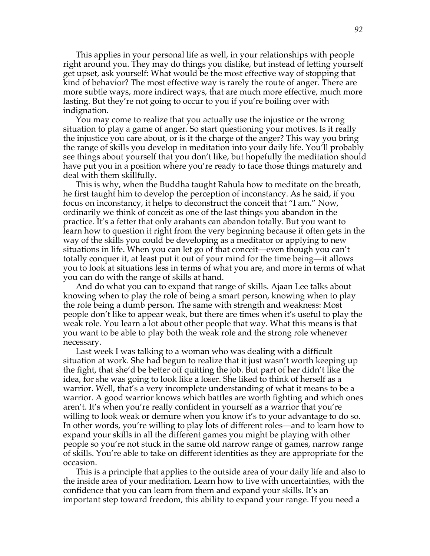This applies in your personal life as well, in your relationships with people right around you. They may do things you dislike, but instead of letting yourself get upset, ask yourself: What would be the most effective way of stopping that kind of behavior? The most effective way is rarely the route of anger. There are more subtle ways, more indirect ways, that are much more effective, much more lasting. But they're not going to occur to you if you're boiling over with indignation.

You may come to realize that you actually use the injustice or the wrong situation to play a game of anger. So start questioning your motives. Is it really the injustice you care about, or is it the charge of the anger? This way you bring the range of skills you develop in meditation into your daily life. You'll probably see things about yourself that you don't like, but hopefully the meditation should have put you in a position where you're ready to face those things maturely and deal with them skillfully.

This is why, when the Buddha taught Rahula how to meditate on the breath, he first taught him to develop the perception of inconstancy. As he said, if you focus on inconstancy, it helps to deconstruct the conceit that "I am." Now, ordinarily we think of conceit as one of the last things you abandon in the practice. It's a fetter that only arahants can abandon totally. But you want to learn how to question it right from the very beginning because it often gets in the way of the skills you could be developing as a meditator or applying to new situations in life. When you can let go of that conceit—even though you can't totally conquer it, at least put it out of your mind for the time being—it allows you to look at situations less in terms of what you are, and more in terms of what you can do with the range of skills at hand.

And do what you can to expand that range of skills. Ajaan Lee talks about knowing when to play the role of being a smart person, knowing when to play the role being a dumb person. The same with strength and weakness: Most people don't like to appear weak, but there are times when it's useful to play the weak role. You learn a lot about other people that way. What this means is that you want to be able to play both the weak role and the strong role whenever necessary.

Last week I was talking to a woman who was dealing with a difficult situation at work. She had begun to realize that it just wasn't worth keeping up the fight, that she'd be better off quitting the job. But part of her didn't like the idea, for she was going to look like a loser. She liked to think of herself as a warrior. Well, that's a very incomplete understanding of what it means to be a warrior. A good warrior knows which battles are worth fighting and which ones aren't. It's when you're really confident in yourself as a warrior that you're willing to look weak or demure when you know it's to your advantage to do so. In other words, you're willing to play lots of different roles—and to learn how to expand your skills in all the different games you might be playing with other people so you're not stuck in the same old narrow range of games, narrow range of skills. You're able to take on different identities as they are appropriate for the occasion.

This is a principle that applies to the outside area of your daily life and also to the inside area of your meditation. Learn how to live with uncertainties, with the confidence that you can learn from them and expand your skills. It's an important step toward freedom, this ability to expand your range. If you need a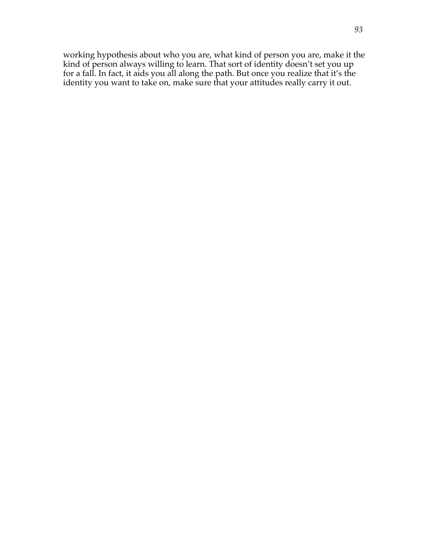working hypothesis about who you are, what kind of person you are, make it the kind of person always willing to learn. That sort of identity doesn't set you up for a fall. In fact, it aids you all along the path. But once you realize that it's the identity you want to take on, make sure that your attitudes really carry it out.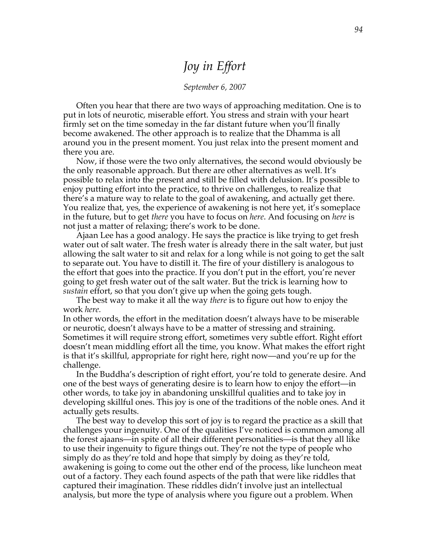# *Joy in Effort*

### *September 6, 2007*

Often you hear that there are two ways of approaching meditation. One is to put in lots of neurotic, miserable effort. You stress and strain with your heart firmly set on the time someday in the far distant future when you'll finally become awakened. The other approach is to realize that the Dhamma is all around you in the present moment. You just relax into the present moment and there you are.

Now, if those were the two only alternatives, the second would obviously be the only reasonable approach. But there are other alternatives as well. It's possible to relax into the present and still be filled with delusion. It's possible to enjoy putting effort into the practice, to thrive on challenges, to realize that there's a mature way to relate to the goal of awakening, and actually get there. You realize that, yes, the experience of awakening is not here yet, it's someplace in the future, but to get *there* you have to focus on *here*. And focusing on *here* is not just a matter of relaxing; there's work to be done.

Ajaan Lee has a good analogy. He says the practice is like trying to get fresh water out of salt water. The fresh water is already there in the salt water, but just allowing the salt water to sit and relax for a long while is not going to get the salt to separate out. You have to distill it. The fire of your distillery is analogous to the effort that goes into the practice. If you don't put in the effort, you're never going to get fresh water out of the salt water. But the trick is learning how to *sustain* effort, so that you don't give up when the going gets tough.

The best way to make it all the way *there* is to figure out how to enjoy the work *here.*

In other words, the effort in the meditation doesn't always have to be miserable or neurotic, doesn't always have to be a matter of stressing and straining. Sometimes it will require strong effort, sometimes very subtle effort. Right effort doesn't mean middling effort all the time, you know. What makes the effort right is that it's skillful, appropriate for right here, right now—and you're up for the challenge.

In the Buddha's description of right effort, you're told to generate desire. And one of the best ways of generating desire is to learn how to enjoy the effort—in other words, to take joy in abandoning unskillful qualities and to take joy in developing skillful ones. This joy is one of the traditions of the noble ones. And it actually gets results.

The best way to develop this sort of joy is to regard the practice as a skill that challenges your ingenuity. One of the qualities I've noticed is common among all the forest ajaans—in spite of all their different personalities—is that they all like to use their ingenuity to figure things out. They're not the type of people who simply do as they're told and hope that simply by doing as they're told, awakening is going to come out the other end of the process, like luncheon meat out of a factory. They each found aspects of the path that were like riddles that captured their imagination. These riddles didn't involve just an intellectual analysis, but more the type of analysis where you figure out a problem. When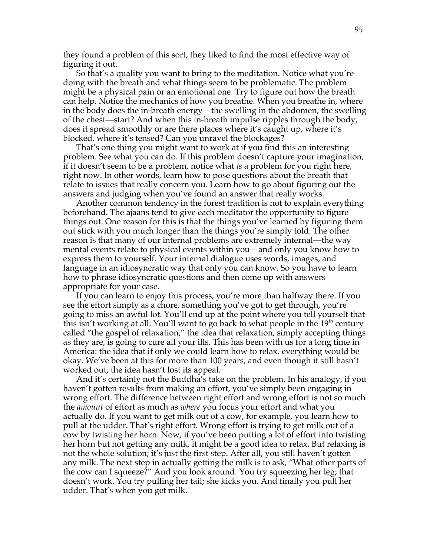they found a problem of this sort, they liked to find the most effective way of figuring it out.

So that's a quality you want to bring to the meditation. Notice what you're doing with the breath and what things seem to be problematic. The problem might be a physical pain or an emotional one. Try to figure out how the breath can help. Notice the mechanics of how you breathe. When you breathe in, where in the body does the in-breath energy—the swelling in the abdomen, the swelling of the chest—start? And when this in-breath impulse ripples through the body, does it spread smoothly or are there places where it's caught up, where it's blocked, where it's tensed? Can you unravel the blockages?

That's one thing you might want to work at if you find this an interesting problem. See what you can do. If this problem doesn't capture your imagination, if it doesn't seem to be a problem, notice what *is* a problem for you right here, right now. In other words, learn how to pose questions about the breath that relate to issues that really concern you. Learn how to go about figuring out the answers and judging when you've found an answer that really works.

Another common tendency in the forest tradition is not to explain everything beforehand. The ajaans tend to give each meditator the opportunity to figure things out. One reason for this is that the things you've learned by figuring them out stick with you much longer than the things you're simply told. The other reason is that many of our internal problems are extremely internal—the way mental events relate to physical events within you—and only you know how to express them to yourself. Your internal dialogue uses words, images, and language in an idiosyncratic way that only you can know. So you have to learn how to phrase idiosyncratic questions and then come up with answers appropriate for your case.

If you can learn to enjoy this process, you're more than halfway there. If you see the effort simply as a chore, something you've got to get through, you're going to miss an awful lot. You'll end up at the point where you tell yourself that this isn't working at all. You'll want to go back to what people in the  $19<sup>th</sup>$  century called "the gospel of relaxation," the idea that relaxation, simply accepting things as they are, is going to cure all your ills. This has been with us for a long time in America: the idea that if only we could learn how to relax, everything would be okay. We've been at this for more than 100 years, and even though it still hasn't worked out, the idea hasn't lost its appeal.

And it's certainly not the Buddha's take on the problem. In his analogy, if you haven't gotten results from making an effort, you've simply been engaging in wrong effort. The difference between right effort and wrong effort is not so much the *amount* of effort as much as *where* you focus your effort and what you actually do. If you want to get milk out of a cow, for example, you learn how to pull at the udder. That's right effort. Wrong effort is trying to get milk out of a cow by twisting her horn. Now, if you've been putting a lot of effort into twisting her horn but not getting any milk, it might be a good idea to relax. But relaxing is not the whole solution; it's just the first step. After all, you still haven't gotten any milk. The next step in actually getting the milk is to ask, "What other parts of the cow can I squeeze?" And you look around. You try squeezing her leg; that doesn't work. You try pulling her tail; she kicks you. And finally you pull her udder. That's when you get milk.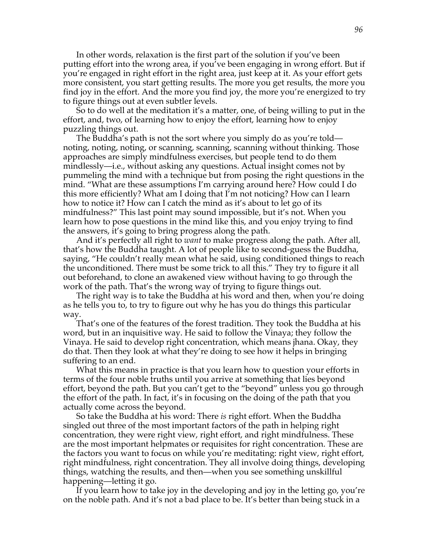In other words, relaxation is the first part of the solution if you've been putting effort into the wrong area, if you've been engaging in wrong effort. But if you're engaged in right effort in the right area, just keep at it. As your effort gets more consistent, you start getting results. The more you get results, the more you find joy in the effort. And the more you find joy, the more you're energized to try to figure things out at even subtler levels.

So to do well at the meditation it's a matter, one, of being willing to put in the effort, and, two, of learning how to enjoy the effort, learning how to enjoy puzzling things out.

The Buddha's path is not the sort where you simply do as you're told noting, noting, noting, or scanning, scanning, scanning without thinking. Those approaches are simply mindfulness exercises, but people tend to do them mindlessly—i.e., without asking any questions. Actual insight comes not by pummeling the mind with a technique but from posing the right questions in the mind. "What are these assumptions I'm carrying around here? How could I do this more efficiently? What am I doing that I'm not noticing? How can I learn how to notice it? How can I catch the mind as it's about to let go of its mindfulness?" This last point may sound impossible, but it's not. When you learn how to pose questions in the mind like this, and you enjoy trying to find the answers, it's going to bring progress along the path.

And it's perfectly all right to *want* to make progress along the path. After all, that's how the Buddha taught. A lot of people like to second-guess the Buddha, saying, "He couldn't really mean what he said, using conditioned things to reach the unconditioned. There must be some trick to all this." They try to figure it all out beforehand, to clone an awakened view without having to go through the work of the path. That's the wrong way of trying to figure things out.

The right way is to take the Buddha at his word and then, when you're doing as he tells you to, to try to figure out why he has you do things this particular way.

That's one of the features of the forest tradition. They took the Buddha at his word, but in an inquisitive way. He said to follow the Vinaya; they follow the Vinaya. He said to develop right concentration, which means jhana. Okay, they do that. Then they look at what they're doing to see how it helps in bringing suffering to an end.

What this means in practice is that you learn how to question your efforts in terms of the four noble truths until you arrive at something that lies beyond effort, beyond the path. But you can't get to the "beyond" unless you go through the effort of the path. In fact, it's in focusing on the doing of the path that you actually come across the beyond.

So take the Buddha at his word: There *is* right effort. When the Buddha singled out three of the most important factors of the path in helping right concentration, they were right view, right effort, and right mindfulness. These are the most important helpmates or requisites for right concentration. These are the factors you want to focus on while you're meditating: right view, right effort, right mindfulness, right concentration. They all involve doing things, developing things, watching the results, and then—when you see something unskillful happening—letting it go.

If you learn how to take joy in the developing and joy in the letting go, you're on the noble path. And it's not a bad place to be. It's better than being stuck in a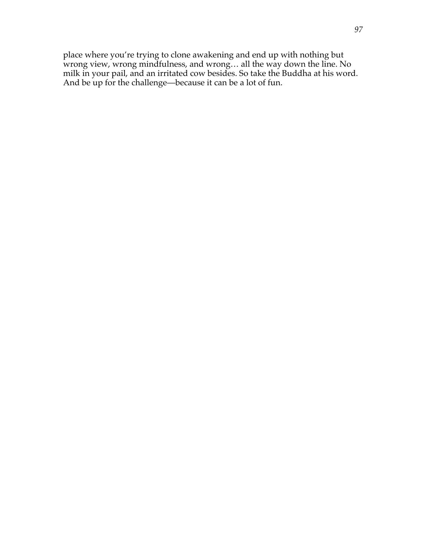place where you're trying to clone awakening and end up with nothing but wrong view, wrong mindfulness, and wrong… all the way down the line. No milk in your pail, and an irritated cow besides. So take the Buddha at his word. And be up for the challenge—because it can be a lot of fun.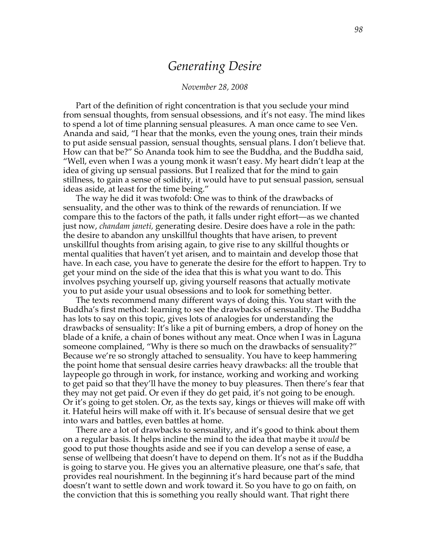## *Generating Desire*

#### *November 28, 2008*

Part of the definition of right concentration is that you seclude your mind from sensual thoughts, from sensual obsessions, and it's not easy. The mind likes to spend a lot of time planning sensual pleasures. A man once came to see Ven. Ananda and said, "I hear that the monks, even the young ones, train their minds to put aside sensual passion, sensual thoughts, sensual plans. I don't believe that. How can that be?" So Ananda took him to see the Buddha, and the Buddha said, "Well, even when I was a young monk it wasn't easy. My heart didn't leap at the idea of giving up sensual passions. But I realized that for the mind to gain stillness, to gain a sense of solidity, it would have to put sensual passion, sensual ideas aside, at least for the time being."

The way he did it was twofold: One was to think of the drawbacks of sensuality, and the other was to think of the rewards of renunciation. If we compare this to the factors of the path, it falls under right effort—as we chanted just now, *chandam janeti,* generating desire. Desire does have a role in the path: the desire to abandon any unskillful thoughts that have arisen, to prevent unskillful thoughts from arising again, to give rise to any skillful thoughts or mental qualities that haven't yet arisen, and to maintain and develop those that have. In each case, you have to generate the desire for the effort to happen. Try to get your mind on the side of the idea that this is what you want to do. This involves psyching yourself up, giving yourself reasons that actually motivate you to put aside your usual obsessions and to look for something better.

The texts recommend many different ways of doing this. You start with the Buddha's first method: learning to see the drawbacks of sensuality. The Buddha has lots to say on this topic, gives lots of analogies for understanding the drawbacks of sensuality: It's like a pit of burning embers, a drop of honey on the blade of a knife, a chain of bones without any meat. Once when I was in Laguna someone complained, "Why is there so much on the drawbacks of sensuality?" Because we're so strongly attached to sensuality. You have to keep hammering the point home that sensual desire carries heavy drawbacks: all the trouble that laypeople go through in work, for instance, working and working and working to get paid so that they'll have the money to buy pleasures. Then there's fear that they may not get paid. Or even if they do get paid, it's not going to be enough. Or it's going to get stolen. Or, as the texts say, kings or thieves will make off with it. Hateful heirs will make off with it. It's because of sensual desire that we get into wars and battles, even battles at home.

There are a lot of drawbacks to sensuality, and it's good to think about them on a regular basis. It helps incline the mind to the idea that maybe it *would* be good to put those thoughts aside and see if you can develop a sense of ease, a sense of wellbeing that doesn't have to depend on them. It's not as if the Buddha is going to starve you. He gives you an alternative pleasure, one that's safe, that provides real nourishment. In the beginning it's hard because part of the mind doesn't want to settle down and work toward it. So you have to go on faith, on the conviction that this is something you really should want. That right there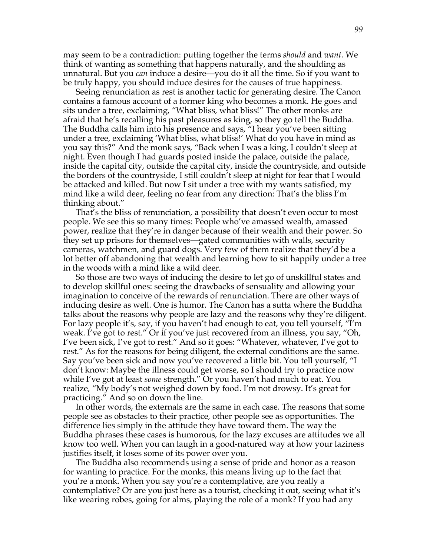may seem to be a contradiction: putting together the terms *should* and *want.* We think of wanting as something that happens naturally, and the shoulding as unnatural. But you *can* induce a desire—you do it all the time. So if you want to be truly happy, you should induce desires for the causes of true happiness.

Seeing renunciation as rest is another tactic for generating desire. The Canon contains a famous account of a former king who becomes a monk. He goes and sits under a tree, exclaiming, "What bliss, what bliss!" The other monks are afraid that he's recalling his past pleasures as king, so they go tell the Buddha. The Buddha calls him into his presence and says, "I hear you've been sitting under a tree, exclaiming 'What bliss, what bliss!' What do you have in mind as you say this?" And the monk says, "Back when I was a king, I couldn't sleep at night. Even though I had guards posted inside the palace, outside the palace, inside the capital city, outside the capital city, inside the countryside, and outside the borders of the countryside, I still couldn't sleep at night for fear that I would be attacked and killed. But now I sit under a tree with my wants satisfied, my mind like a wild deer, feeling no fear from any direction: That's the bliss I'm thinking about."

That's the bliss of renunciation, a possibility that doesn't even occur to most people. We see this so many times: People who've amassed wealth, amassed power, realize that they're in danger because of their wealth and their power. So they set up prisons for themselves—gated communities with walls, security cameras, watchmen, and guard dogs. Very few of them realize that they'd be a lot better off abandoning that wealth and learning how to sit happily under a tree in the woods with a mind like a wild deer.

So those are two ways of inducing the desire to let go of unskillful states and to develop skillful ones: seeing the drawbacks of sensuality and allowing your imagination to conceive of the rewards of renunciation. There are other ways of inducing desire as well. One is humor. The Canon has a sutta where the Buddha talks about the reasons why people are lazy and the reasons why they're diligent. For lazy people it's, say, if you haven't had enough to eat, you tell yourself, "I'm weak. I've got to rest." Or if you've just recovered from an illness, you say, "Oh, I've been sick, I've got to rest." And so it goes: "Whatever, whatever, I've got to rest." As for the reasons for being diligent, the external conditions are the same. Say you've been sick and now you've recovered a little bit. You tell yourself, "I don't know: Maybe the illness could get worse, so I should try to practice now while I've got at least *some* strength." Or you haven't had much to eat. You realize, "My body's not weighed down by food. I'm not drowsy. It's great for practicing." And so on down the line.

In other words, the externals are the same in each case. The reasons that some people see as obstacles to their practice, other people see as opportunities. The difference lies simply in the attitude they have toward them. The way the Buddha phrases these cases is humorous, for the lazy excuses are attitudes we all know too well. When you can laugh in a good-natured way at how your laziness justifies itself, it loses some of its power over you.

The Buddha also recommends using a sense of pride and honor as a reason for wanting to practice. For the monks, this means living up to the fact that you're a monk. When you say you're a contemplative, are you really a contemplative? Or are you just here as a tourist, checking it out, seeing what it's like wearing robes, going for alms, playing the role of a monk? If you had any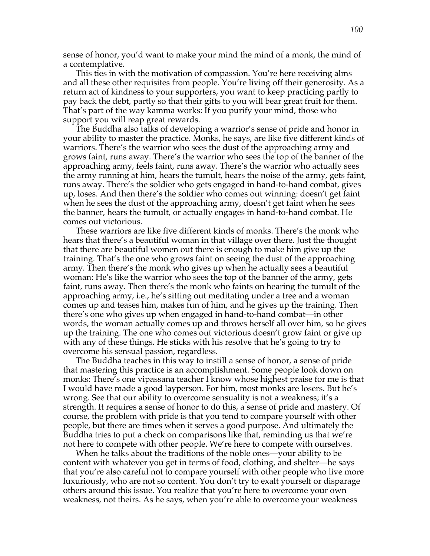sense of honor, you'd want to make your mind the mind of a monk, the mind of a contemplative.

This ties in with the motivation of compassion. You're here receiving alms and all these other requisites from people. You're living off their generosity. As a return act of kindness to your supporters, you want to keep practicing partly to pay back the debt, partly so that their gifts to you will bear great fruit for them. That's part of the way kamma works: If you purify your mind, those who support you will reap great rewards.

The Buddha also talks of developing a warrior's sense of pride and honor in your ability to master the practice. Monks, he says, are like five different kinds of warriors. There's the warrior who sees the dust of the approaching army and grows faint, runs away. There's the warrior who sees the top of the banner of the approaching army, feels faint, runs away. There's the warrior who actually sees the army running at him, hears the tumult, hears the noise of the army, gets faint, runs away. There's the soldier who gets engaged in hand-to-hand combat, gives up, loses. And then there's the soldier who comes out winning: doesn't get faint when he sees the dust of the approaching army, doesn't get faint when he sees the banner, hears the tumult, or actually engages in hand-to-hand combat. He comes out victorious.

These warriors are like five different kinds of monks. There's the monk who hears that there's a beautiful woman in that village over there. Just the thought that there are beautiful women out there is enough to make him give up the training. That's the one who grows faint on seeing the dust of the approaching army. Then there's the monk who gives up when he actually sees a beautiful woman: He's like the warrior who sees the top of the banner of the army, gets faint, runs away. Then there's the monk who faints on hearing the tumult of the approaching army, i.e., he's sitting out meditating under a tree and a woman comes up and teases him, makes fun of him, and he gives up the training. Then there's one who gives up when engaged in hand-to-hand combat—in other words, the woman actually comes up and throws herself all over him, so he gives up the training. The one who comes out victorious doesn't grow faint or give up with any of these things. He sticks with his resolve that he's going to try to overcome his sensual passion, regardless.

The Buddha teaches in this way to instill a sense of honor, a sense of pride that mastering this practice is an accomplishment. Some people look down on monks: There's one vipassana teacher I know whose highest praise for me is that I would have made a good layperson. For him, most monks are losers. But he's wrong. See that our ability to overcome sensuality is not a weakness; it's a strength. It requires a sense of honor to do this, a sense of pride and mastery. Of course, the problem with pride is that you tend to compare yourself with other people, but there are times when it serves a good purpose. And ultimately the Buddha tries to put a check on comparisons like that, reminding us that we're not here to compete with other people. We're here to compete with ourselves.

When he talks about the traditions of the noble ones—your ability to be content with whatever you get in terms of food, clothing, and shelter—he says that you're also careful not to compare yourself with other people who live more luxuriously, who are not so content. You don't try to exalt yourself or disparage others around this issue. You realize that you're here to overcome your own weakness, not theirs. As he says, when you're able to overcome your weakness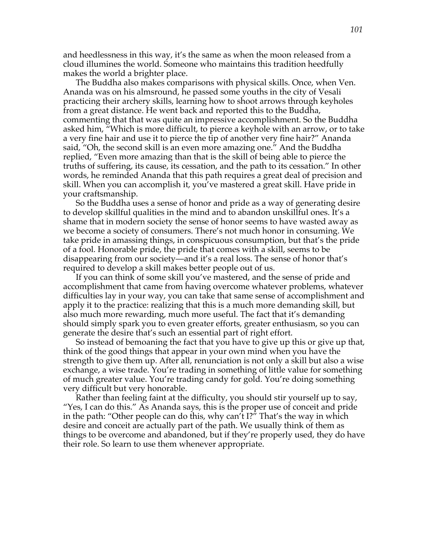and heedlessness in this way, it's the same as when the moon released from a cloud illumines the world. Someone who maintains this tradition heedfully makes the world a brighter place.

The Buddha also makes comparisons with physical skills. Once, when Ven. Ananda was on his almsround, he passed some youths in the city of Vesali practicing their archery skills, learning how to shoot arrows through keyholes from a great distance. He went back and reported this to the Buddha, commenting that that was quite an impressive accomplishment. So the Buddha asked him, "Which is more difficult, to pierce a keyhole with an arrow, or to take a very fine hair and use it to pierce the tip of another very fine hair?" Ananda said, "Oh, the second skill is an even more amazing one." And the Buddha replied, "Even more amazing than that is the skill of being able to pierce the truths of suffering, its cause, its cessation, and the path to its cessation." In other words, he reminded Ananda that this path requires a great deal of precision and skill. When you can accomplish it, you've mastered a great skill. Have pride in your craftsmanship.

So the Buddha uses a sense of honor and pride as a way of generating desire to develop skillful qualities in the mind and to abandon unskillful ones. It's a shame that in modern society the sense of honor seems to have wasted away as we become a society of consumers. There's not much honor in consuming. We take pride in amassing things, in conspicuous consumption, but that's the pride of a fool. Honorable pride, the pride that comes with a skill, seems to be disappearing from our society—and it's a real loss. The sense of honor that's required to develop a skill makes better people out of us.

If you can think of some skill you've mastered, and the sense of pride and accomplishment that came from having overcome whatever problems, whatever difficulties lay in your way, you can take that same sense of accomplishment and apply it to the practice: realizing that this is a much more demanding skill, but also much more rewarding, much more useful. The fact that it's demanding should simply spark you to even greater efforts, greater enthusiasm, so you can generate the desire that's such an essential part of right effort.

So instead of bemoaning the fact that you have to give up this or give up that, think of the good things that appear in your own mind when you have the strength to give them up. After all, renunciation is not only a skill but also a wise exchange, a wise trade. You're trading in something of little value for something of much greater value. You're trading candy for gold. You're doing something very difficult but very honorable.

Rather than feeling faint at the difficulty, you should stir yourself up to say, "Yes, I can do this." As Ananda says, this is the proper use of conceit and pride in the path: "Other people can do this, why can't I?" That's the way in which desire and conceit are actually part of the path. We usually think of them as things to be overcome and abandoned, but if they're properly used, they do have their role. So learn to use them whenever appropriate.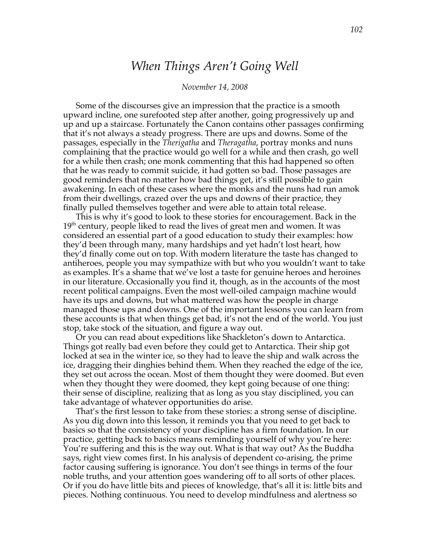# *When Things Aren't Going Well*

### *November 14, 2008*

Some of the discourses give an impression that the practice is a smooth upward incline, one surefooted step after another, going progressively up and up and up a staircase. Fortunately the Canon contains other passages confirming that it's not always a steady progress. There are ups and downs. Some of the passages, especially in the *Therigatha* and *Theragatha*, portray monks and nuns complaining that the practice would go well for a while and then crash, go well for a while then crash; one monk commenting that this had happened so often that he was ready to commit suicide, it had gotten so bad. Those passages are good reminders that no matter how bad things get, it's still possible to gain awakening. In each of these cases where the monks and the nuns had run amok from their dwellings, crazed over the ups and downs of their practice, they finally pulled themselves together and were able to attain total release.

This is why it's good to look to these stories for encouragement. Back in the  $19<sup>th</sup>$  century, people liked to read the lives of great men and women. It was considered an essential part of a good education to study their examples: how they'd been through many, many hardships and yet hadn't lost heart, how they'd finally come out on top. With modern literature the taste has changed to antiheroes, people you may sympathize with but who you wouldn't want to take as examples. It's a shame that we've lost a taste for genuine heroes and heroines in our literature. Occasionally you find it, though, as in the accounts of the most recent political campaigns. Even the most well-oiled campaign machine would have its ups and downs, but what mattered was how the people in charge managed those ups and downs. One of the important lessons you can learn from these accounts is that when things get bad, it's not the end of the world. You just stop, take stock of the situation, and figure a way out.

Or you can read about expeditions like Shackleton's down to Antarctica. Things got really bad even before they could get to Antarctica. Their ship got locked at sea in the winter ice, so they had to leave the ship and walk across the ice, dragging their dinghies behind them. When they reached the edge of the ice, they set out across the ocean. Most of them thought they were doomed. But even when they thought they were doomed, they kept going because of one thing: their sense of discipline, realizing that as long as you stay disciplined, you can take advantage of whatever opportunities do arise.

That's the first lesson to take from these stories: a strong sense of discipline. As you dig down into this lesson, it reminds you that you need to get back to basics so that the consistency of your discipline has a firm foundation. In our practice, getting back to basics means reminding yourself of why you're here: You're suffering and this is the way out. What is that way out? As the Buddha says, right view comes first. In his analysis of dependent co-arising, the prime factor causing suffering is ignorance. You don't see things in terms of the four noble truths, and your attention goes wandering off to all sorts of other places. Or if you do have little bits and pieces of knowledge, that's all it is: little bits and pieces. Nothing continuous. You need to develop mindfulness and alertness so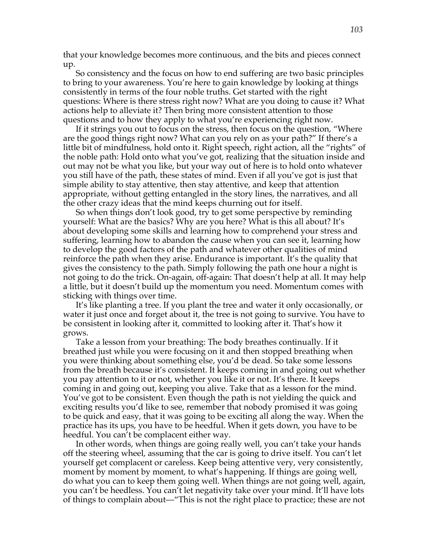that your knowledge becomes more continuous, and the bits and pieces connect up.

So consistency and the focus on how to end suffering are two basic principles to bring to your awareness. You're here to gain knowledge by looking at things consistently in terms of the four noble truths. Get started with the right questions: Where is there stress right now? What are you doing to cause it? What actions help to alleviate it? Then bring more consistent attention to those questions and to how they apply to what you're experiencing right now.

If it strings you out to focus on the stress, then focus on the question, "Where are the good things right now? What can you rely on as your path?" If there's a little bit of mindfulness, hold onto it. Right speech, right action, all the "rights" of the noble path: Hold onto what you've got, realizing that the situation inside and out may not be what you like, but your way out of here is to hold onto whatever you still have of the path, these states of mind. Even if all you've got is just that simple ability to stay attentive, then stay attentive, and keep that attention appropriate, without getting entangled in the story lines, the narratives, and all the other crazy ideas that the mind keeps churning out for itself.

So when things don't look good, try to get some perspective by reminding yourself: What are the basics? Why are you here? What is this all about? It's about developing some skills and learning how to comprehend your stress and suffering, learning how to abandon the cause when you can see it, learning how to develop the good factors of the path and whatever other qualities of mind reinforce the path when they arise. Endurance is important. It's the quality that gives the consistency to the path. Simply following the path one hour a night is not going to do the trick. On-again, off-again: That doesn't help at all. It may help a little, but it doesn't build up the momentum you need. Momentum comes with sticking with things over time.

It's like planting a tree. If you plant the tree and water it only occasionally, or water it just once and forget about it, the tree is not going to survive. You have to be consistent in looking after it, committed to looking after it. That's how it grows.

Take a lesson from your breathing: The body breathes continually. If it breathed just while you were focusing on it and then stopped breathing when you were thinking about something else, you'd be dead. So take some lessons from the breath because it's consistent. It keeps coming in and going out whether you pay attention to it or not, whether you like it or not. It's there. It keeps coming in and going out, keeping you alive. Take that as a lesson for the mind. You've got to be consistent. Even though the path is not yielding the quick and exciting results you'd like to see, remember that nobody promised it was going to be quick and easy, that it was going to be exciting all along the way. When the practice has its ups, you have to be heedful. When it gets down, you have to be heedful. You can't be complacent either way.

In other words, when things are going really well, you can't take your hands off the steering wheel, assuming that the car is going to drive itself. You can't let yourself get complacent or careless. Keep being attentive very, very consistently, moment by moment by moment, to what's happening. If things are going well, do what you can to keep them going well. When things are not going well, again, you can't be heedless. You can't let negativity take over your mind. It'll have lots of things to complain about—"This is not the right place to practice; these are not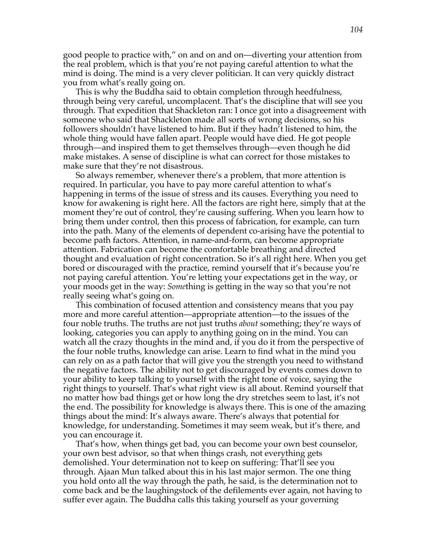good people to practice with," on and on and on—diverting your attention from the real problem, which is that you're not paying careful attention to what the mind is doing. The mind is a very clever politician. It can very quickly distract you from what's really going on.

This is why the Buddha said to obtain completion through heedfulness, through being very careful, uncomplacent. That's the discipline that will see you through. That expedition that Shackleton ran: I once got into a disagreement with someone who said that Shackleton made all sorts of wrong decisions, so his followers shouldn't have listened to him. But if they hadn't listened to him, the whole thing would have fallen apart. People would have died. He got people through—and inspired them to get themselves through—even though he did make mistakes. A sense of discipline is what can correct for those mistakes to make sure that they're not disastrous.

So always remember, whenever there's a problem, that more attention is required. In particular, you have to pay more careful attention to what's happening in terms of the issue of stress and its causes. Everything you need to know for awakening is right here. All the factors are right here, simply that at the moment they're out of control, they're causing suffering. When you learn how to bring them under control, then this process of fabrication, for example, can turn into the path. Many of the elements of dependent co-arising have the potential to become path factors. Attention, in name-and-form, can become appropriate attention. Fabrication can become the comfortable breathing and directed thought and evaluation of right concentration. So it's all right here. When you get bored or discouraged with the practice, remind yourself that it's because you're not paying careful attention. You're letting your expectations get in the way, or your moods get in the way: *Some*thing is getting in the way so that you're not really seeing what's going on.

This combination of focused attention and consistency means that you pay more and more careful attention—appropriate attention—to the issues of the four noble truths. The truths are not just truths *about* something; they're ways of looking, categories you can apply to anything going on in the mind. You can watch all the crazy thoughts in the mind and, if you do it from the perspective of the four noble truths, knowledge can arise. Learn to find what in the mind you can rely on as a path factor that will give you the strength you need to withstand the negative factors. The ability not to get discouraged by events comes down to your ability to keep talking to yourself with the right tone of voice, saying the right things to yourself. That's what right view is all about. Remind yourself that no matter how bad things get or how long the dry stretches seem to last, it's not the end. The possibility for knowledge is always there. This is one of the amazing things about the mind: It's always aware. There's always that potential for knowledge, for understanding. Sometimes it may seem weak, but it's there, and you can encourage it.

That's how, when things get bad, you can become your own best counselor, your own best advisor, so that when things crash, not everything gets demolished. Your determination not to keep on suffering: That'll see you through. Ajaan Mun talked about this in his last major sermon. The one thing you hold onto all the way through the path, he said, is the determination not to come back and be the laughingstock of the defilements ever again, not having to suffer ever again. The Buddha calls this taking yourself as your governing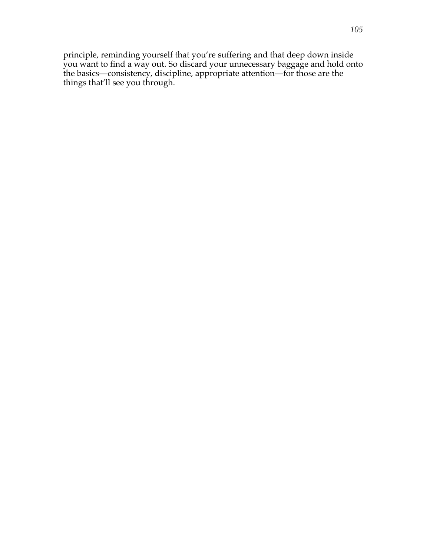principle, reminding yourself that you're suffering and that deep down inside you want to find a way out. So discard your unnecessary baggage and hold onto the basics—consistency, discipline, appropriate attention—for those are the things that'll see you through.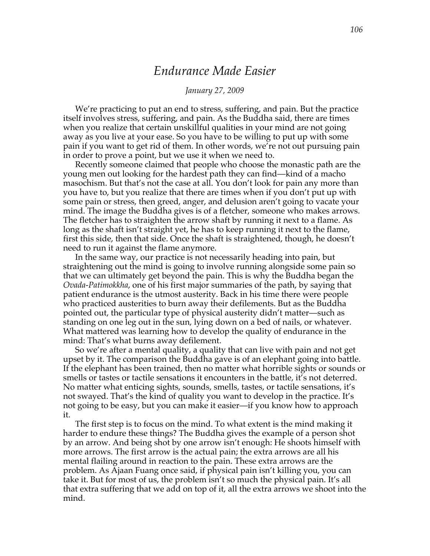## *Endurance Made Easier*

### *January 27, 2009*

We're practicing to put an end to stress, suffering, and pain. But the practice itself involves stress, suffering, and pain. As the Buddha said, there are times when you realize that certain unskillful qualities in your mind are not going away as you live at your ease. So you have to be willing to put up with some pain if you want to get rid of them. In other words, we're not out pursuing pain in order to prove a point, but we use it when we need to.

Recently someone claimed that people who choose the monastic path are the young men out looking for the hardest path they can find—kind of a macho masochism. But that's not the case at all. You don't look for pain any more than you have to, but you realize that there are times when if you don't put up with some pain or stress, then greed, anger, and delusion aren't going to vacate your mind. The image the Buddha gives is of a fletcher, someone who makes arrows. The fletcher has to straighten the arrow shaft by running it next to a flame. As long as the shaft isn't straight yet, he has to keep running it next to the flame, first this side, then that side. Once the shaft is straightened, though, he doesn't need to run it against the flame anymore.

In the same way, our practice is not necessarily heading into pain, but straightening out the mind is going to involve running alongside some pain so that we can ultimately get beyond the pain. This is why the Buddha began the *Ovada-Patimokkha*, one of his first major summaries of the path, by saying that patient endurance is the utmost austerity. Back in his time there were people who practiced austerities to burn away their defilements. But as the Buddha pointed out, the particular type of physical austerity didn't matter—such as standing on one leg out in the sun, lying down on a bed of nails, or whatever. What mattered was learning how to develop the quality of endurance in the mind: That's what burns away defilement.

So we're after a mental quality, a quality that can live with pain and not get upset by it. The comparison the Buddha gave is of an elephant going into battle. If the elephant has been trained, then no matter what horrible sights or sounds or smells or tastes or tactile sensations it encounters in the battle, it's not deterred. No matter what enticing sights, sounds, smells, tastes, or tactile sensations, it's not swayed. That's the kind of quality you want to develop in the practice. It's not going to be easy, but you can make it easier—if you know how to approach it.

The first step is to focus on the mind. To what extent is the mind making it harder to endure these things? The Buddha gives the example of a person shot by an arrow. And being shot by one arrow isn't enough: He shoots himself with more arrows. The first arrow is the actual pain; the extra arrows are all his mental flailing around in reaction to the pain. These extra arrows are the problem. As Ajaan Fuang once said, if physical pain isn't killing you, you can take it. But for most of us, the problem isn't so much the physical pain. It's all that extra suffering that we add on top of it, all the extra arrows we shoot into the mind.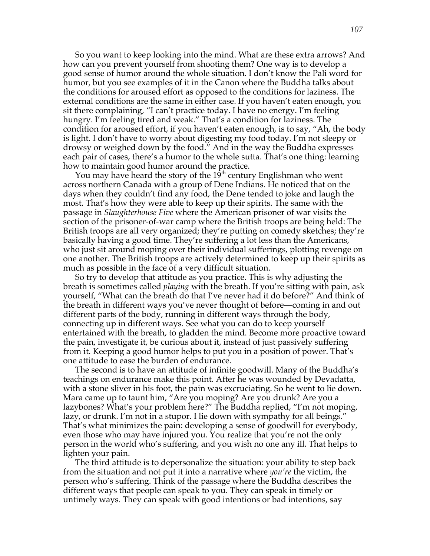So you want to keep looking into the mind. What are these extra arrows? And how can you prevent yourself from shooting them? One way is to develop a good sense of humor around the whole situation. I don't know the Pali word for humor, but you see examples of it in the Canon where the Buddha talks about the conditions for aroused effort as opposed to the conditions for laziness. The external conditions are the same in either case. If you haven't eaten enough, you sit there complaining, "I can't practice today. I have no energy. I'm feeling hungry. I'm feeling tired and weak." That's a condition for laziness. The condition for aroused effort, if you haven't eaten enough, is to say, "Ah, the body is light. I don't have to worry about digesting my food today. I'm not sleepy or drowsy or weighed down by the food." And in the way the Buddha expresses each pair of cases, there's a humor to the whole sutta. That's one thing: learning how to maintain good humor around the practice.

You may have heard the story of the  $1\bar{9}^{\text{th}}$  century Englishman who went across northern Canada with a group of Dene Indians. He noticed that on the days when they couldn't find any food, the Dene tended to joke and laugh the most. That's how they were able to keep up their spirits. The same with the passage in *Slaughterhouse Five* where the American prisoner of war visits the section of the prisoner-of-war camp where the British troops are being held: The British troops are all very organized; they're putting on comedy sketches; they're basically having a good time. They're suffering a lot less than the Americans, who just sit around moping over their individual sufferings, plotting revenge on one another. The British troops are actively determined to keep up their spirits as much as possible in the face of a very difficult situation.

So try to develop that attitude as you practice. This is why adjusting the breath is sometimes called *playing* with the breath. If you're sitting with pain, ask yourself, "What can the breath do that I've never had it do before?" And think of the breath in different ways you've never thought of before—coming in and out different parts of the body, running in different ways through the body, connecting up in different ways. See what you can do to keep yourself entertained with the breath, to gladden the mind. Become more proactive toward the pain, investigate it, be curious about it, instead of just passively suffering from it. Keeping a good humor helps to put you in a position of power. That's one attitude to ease the burden of endurance.

The second is to have an attitude of infinite goodwill. Many of the Buddha's teachings on endurance make this point. After he was wounded by Devadatta, with a stone sliver in his foot, the pain was excruciating. So he went to lie down. Mara came up to taunt him, "Are you moping? Are you drunk? Are you a lazybones? What's your problem here?" The Buddha replied, "I'm not moping, lazy, or drunk. I'm not in a stupor. I lie down with sympathy for all beings." That's what minimizes the pain: developing a sense of goodwill for everybody, even those who may have injured you. You realize that you're not the only person in the world who's suffering, and you wish no one any ill. That helps to lighten your pain.

The third attitude is to depersonalize the situation: your ability to step back from the situation and not put it into a narrative where *you're* the victim, the person who's suffering. Think of the passage where the Buddha describes the different ways that people can speak to you. They can speak in timely or untimely ways. They can speak with good intentions or bad intentions, say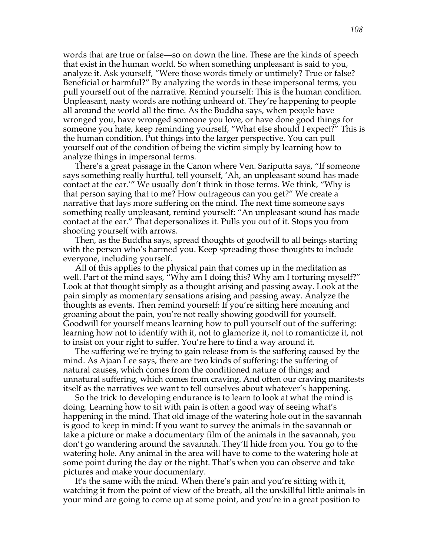words that are true or false—so on down the line. These are the kinds of speech that exist in the human world. So when something unpleasant is said to you, analyze it. Ask yourself, "Were those words timely or untimely? True or false? Beneficial or harmful?" By analyzing the words in these impersonal terms, you pull yourself out of the narrative. Remind yourself: This is the human condition. Unpleasant, nasty words are nothing unheard of. They're happening to people all around the world all the time. As the Buddha says, when people have wronged you, have wronged someone you love, or have done good things for someone you hate, keep reminding yourself, "What else should I expect?" This is the human condition. Put things into the larger perspective. You can pull yourself out of the condition of being the victim simply by learning how to analyze things in impersonal terms.

There's a great passage in the Canon where Ven. Sariputta says, "If someone says something really hurtful, tell yourself, 'Ah, an unpleasant sound has made contact at the ear.'" We usually don't think in those terms. We think, "Why is that person saying that to me? How outrageous can you get?" We create a narrative that lays more suffering on the mind. The next time someone says something really unpleasant, remind yourself: "An unpleasant sound has made contact at the ear." That depersonalizes it. Pulls you out of it. Stops you from shooting yourself with arrows.

Then, as the Buddha says, spread thoughts of goodwill to all beings starting with the person who's harmed you. Keep spreading those thoughts to include everyone, including yourself.

All of this applies to the physical pain that comes up in the meditation as well. Part of the mind says, "Why am I doing this? Why am I torturing myself?" Look at that thought simply as a thought arising and passing away. Look at the pain simply as momentary sensations arising and passing away. Analyze the thoughts as events. Then remind yourself: If you're sitting here moaning and groaning about the pain, you're not really showing goodwill for yourself. Goodwill for yourself means learning how to pull yourself out of the suffering: learning how not to identify with it, not to glamorize it, not to romanticize it, not to insist on your right to suffer. You're here to find a way around it.

The suffering we're trying to gain release from is the suffering caused by the mind. As Ajaan Lee says, there are two kinds of suffering: the suffering of natural causes, which comes from the conditioned nature of things; and unnatural suffering, which comes from craving. And often our craving manifests itself as the narratives we want to tell ourselves about whatever's happening.

So the trick to developing endurance is to learn to look at what the mind is doing. Learning how to sit with pain is often a good way of seeing what's happening in the mind. That old image of the watering hole out in the savannah is good to keep in mind: If you want to survey the animals in the savannah or take a picture or make a documentary film of the animals in the savannah, you don't go wandering around the savannah. They'll hide from you. You go to the watering hole. Any animal in the area will have to come to the watering hole at some point during the day or the night. That's when you can observe and take pictures and make your documentary.

It's the same with the mind. When there's pain and you're sitting with it, watching it from the point of view of the breath, all the unskillful little animals in your mind are going to come up at some point, and you're in a great position to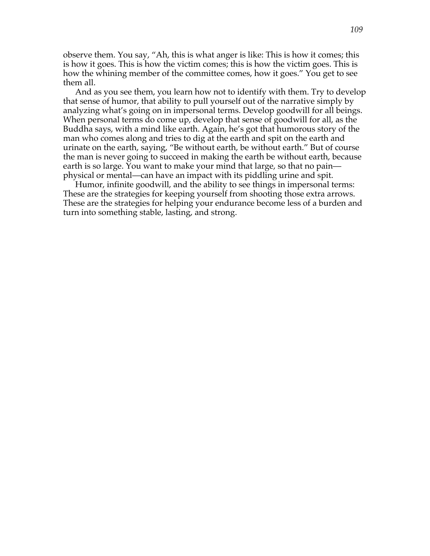observe them. You say, "Ah, this is what anger is like: This is how it comes; this is how it goes. This is how the victim comes; this is how the victim goes. This is how the whining member of the committee comes, how it goes." You get to see them all.

And as you see them, you learn how not to identify with them. Try to develop that sense of humor, that ability to pull yourself out of the narrative simply by analyzing what's going on in impersonal terms. Develop goodwill for all beings. When personal terms do come up, develop that sense of goodwill for all, as the Buddha says, with a mind like earth. Again, he's got that humorous story of the man who comes along and tries to dig at the earth and spit on the earth and urinate on the earth, saying, "Be without earth, be without earth." But of course the man is never going to succeed in making the earth be without earth, because earth is so large. You want to make your mind that large, so that no pain physical or mental—can have an impact with its piddling urine and spit.

Humor, infinite goodwill, and the ability to see things in impersonal terms: These are the strategies for keeping yourself from shooting those extra arrows. These are the strategies for helping your endurance become less of a burden and turn into something stable, lasting, and strong.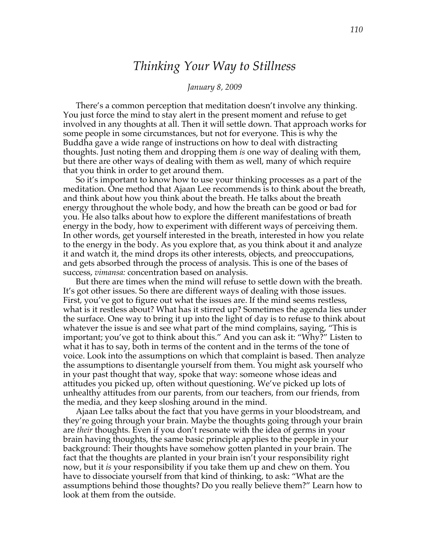# *Thinking Your Way to Stillness*

#### *January 8, 2009*

There's a common perception that meditation doesn't involve any thinking. You just force the mind to stay alert in the present moment and refuse to get involved in any thoughts at all. Then it will settle down. That approach works for some people in some circumstances, but not for everyone. This is why the Buddha gave a wide range of instructions on how to deal with distracting thoughts. Just noting them and dropping them *is* one way of dealing with them, but there are other ways of dealing with them as well, many of which require that you think in order to get around them.

So it's important to know how to use your thinking processes as a part of the meditation. One method that Ajaan Lee recommends is to think about the breath, and think about how you think about the breath. He talks about the breath energy throughout the whole body, and how the breath can be good or bad for you. He also talks about how to explore the different manifestations of breath energy in the body, how to experiment with different ways of perceiving them. In other words, get yourself interested in the breath, interested in how you relate to the energy in the body. As you explore that, as you think about it and analyze it and watch it, the mind drops its other interests, objects, and preoccupations, and gets absorbed through the process of analysis. This is one of the bases of success, *vimansa:* concentration based on analysis.

But there are times when the mind will refuse to settle down with the breath. It's got other issues. So there are different ways of dealing with those issues. First, you've got to figure out what the issues are. If the mind seems restless, what is it restless about? What has it stirred up? Sometimes the agenda lies under the surface. One way to bring it up into the light of day is to refuse to think about whatever the issue is and see what part of the mind complains, saying, "This is important; you've got to think about this." And you can ask it: "Why?" Listen to what it has to say, both in terms of the content and in the terms of the tone of voice. Look into the assumptions on which that complaint is based. Then analyze the assumptions to disentangle yourself from them. You might ask yourself who in your past thought that way, spoke that way: someone whose ideas and attitudes you picked up, often without questioning. We've picked up lots of unhealthy attitudes from our parents, from our teachers, from our friends, from the media, and they keep sloshing around in the mind.

Ajaan Lee talks about the fact that you have germs in your bloodstream, and they're going through your brain. Maybe the thoughts going through your brain are *their* thoughts. Even if you don't resonate with the idea of germs in your brain having thoughts, the same basic principle applies to the people in your background: Their thoughts have somehow gotten planted in your brain. The fact that the thoughts are planted in your brain isn't your responsibility right now, but it *is* your responsibility if you take them up and chew on them. You have to dissociate yourself from that kind of thinking, to ask: "What are the assumptions behind those thoughts? Do you really believe them?" Learn how to look at them from the outside.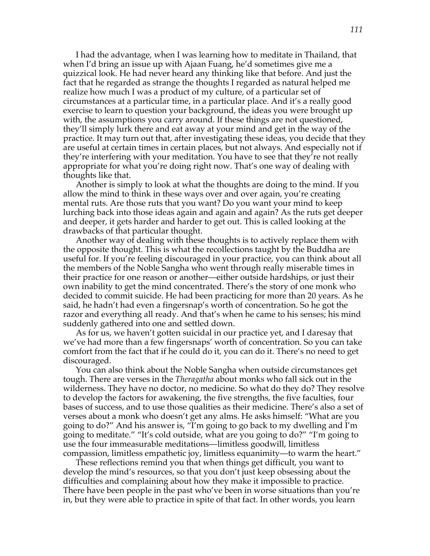I had the advantage, when I was learning how to meditate in Thailand, that when I'd bring an issue up with Ajaan Fuang, he'd sometimes give me a quizzical look. He had never heard any thinking like that before. And just the fact that he regarded as strange the thoughts I regarded as natural helped me realize how much I was a product of my culture, of a particular set of circumstances at a particular time, in a particular place. And it's a really good exercise to learn to question your background, the ideas you were brought up with, the assumptions you carry around. If these things are not questioned, they'll simply lurk there and eat away at your mind and get in the way of the practice. It may turn out that, after investigating these ideas, you decide that they are useful at certain times in certain places, but not always. And especially not if they're interfering with your meditation. You have to see that they're not really appropriate for what you're doing right now. That's one way of dealing with thoughts like that.

Another is simply to look at what the thoughts are doing to the mind. If you allow the mind to think in these ways over and over again, you're creating mental ruts. Are those ruts that you want? Do you want your mind to keep lurching back into those ideas again and again and again? As the ruts get deeper and deeper, it gets harder and harder to get out. This is called looking at the drawbacks of that particular thought.

Another way of dealing with these thoughts is to actively replace them with the opposite thought. This is what the recollections taught by the Buddha are useful for. If you're feeling discouraged in your practice, you can think about all the members of the Noble Sangha who went through really miserable times in their practice for one reason or another—either outside hardships, or just their own inability to get the mind concentrated. There's the story of one monk who decided to commit suicide. He had been practicing for more than 20 years. As he said, he hadn't had even a fingersnap's worth of concentration. So he got the razor and everything all ready. And that's when he came to his senses; his mind suddenly gathered into one and settled down.

As for us, we haven't gotten suicidal in our practice yet, and I daresay that we've had more than a few fingersnaps' worth of concentration. So you can take comfort from the fact that if he could do it, you can do it. There's no need to get discouraged.

You can also think about the Noble Sangha when outside circumstances get tough. There are verses in the *Theragatha* about monks who fall sick out in the wilderness. They have no doctor, no medicine. So what do they do? They resolve to develop the factors for awakening, the five strengths, the five faculties, four bases of success, and to use those qualities as their medicine. There's also a set of verses about a monk who doesn't get any alms. He asks himself: "What are you going to do?" And his answer is, "I'm going to go back to my dwelling and I'm going to meditate." "It's cold outside, what are you going to do?" "I'm going to use the four immeasurable meditations—limitless goodwill, limitless compassion, limitless empathetic joy, limitless equanimity—to warm the heart."

These reflections remind you that when things get difficult, you want to develop the mind's resources, so that you don't just keep obsessing about the difficulties and complaining about how they make it impossible to practice. There have been people in the past who've been in worse situations than you're in, but they were able to practice in spite of that fact. In other words, you learn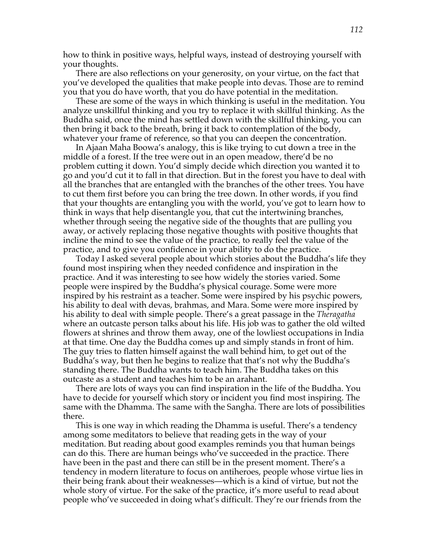how to think in positive ways, helpful ways, instead of destroying yourself with your thoughts.

There are also reflections on your generosity, on your virtue, on the fact that you've developed the qualities that make people into devas. Those are to remind you that you do have worth, that you do have potential in the meditation.

These are some of the ways in which thinking is useful in the meditation. You analyze unskillful thinking and you try to replace it with skillful thinking. As the Buddha said, once the mind has settled down with the skillful thinking, you can then bring it back to the breath, bring it back to contemplation of the body, whatever your frame of reference, so that you can deepen the concentration.

In Ajaan Maha Boowa's analogy, this is like trying to cut down a tree in the middle of a forest. If the tree were out in an open meadow, there'd be no problem cutting it down. You'd simply decide which direction you wanted it to go and you'd cut it to fall in that direction. But in the forest you have to deal with all the branches that are entangled with the branches of the other trees. You have to cut them first before you can bring the tree down. In other words, if you find that your thoughts are entangling you with the world, you've got to learn how to think in ways that help disentangle you, that cut the intertwining branches, whether through seeing the negative side of the thoughts that are pulling you away, or actively replacing those negative thoughts with positive thoughts that incline the mind to see the value of the practice, to really feel the value of the practice, and to give you confidence in your ability to do the practice.

Today I asked several people about which stories about the Buddha's life they found most inspiring when they needed confidence and inspiration in the practice. And it was interesting to see how widely the stories varied. Some people were inspired by the Buddha's physical courage. Some were more inspired by his restraint as a teacher. Some were inspired by his psychic powers, his ability to deal with devas, brahmas, and Mara. Some were more inspired by his ability to deal with simple people. There's a great passage in the *Theragatha* where an outcaste person talks about his life. His job was to gather the old wilted flowers at shrines and throw them away, one of the lowliest occupations in India at that time. One day the Buddha comes up and simply stands in front of him. The guy tries to flatten himself against the wall behind him, to get out of the Buddha's way, but then he begins to realize that that's not why the Buddha's standing there. The Buddha wants to teach him. The Buddha takes on this outcaste as a student and teaches him to be an arahant.

There are lots of ways you can find inspiration in the life of the Buddha. You have to decide for yourself which story or incident you find most inspiring. The same with the Dhamma. The same with the Sangha. There are lots of possibilities there.

This is one way in which reading the Dhamma is useful. There's a tendency among some meditators to believe that reading gets in the way of your meditation. But reading about good examples reminds you that human beings can do this. There are human beings who've succeeded in the practice. There have been in the past and there can still be in the present moment. There's a tendency in modern literature to focus on antiheroes, people whose virtue lies in their being frank about their weaknesses—which is a kind of virtue, but not the whole story of virtue. For the sake of the practice, it's more useful to read about people who've succeeded in doing what's difficult. They're our friends from the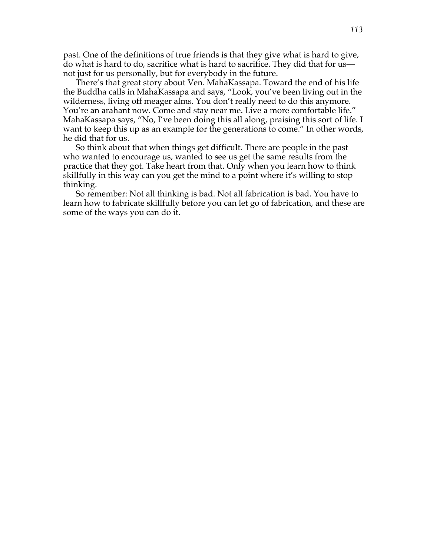past. One of the definitions of true friends is that they give what is hard to give, do what is hard to do, sacrifice what is hard to sacrifice. They did that for us not just for us personally, but for everybody in the future.

There's that great story about Ven. MahaKassapa. Toward the end of his life the Buddha calls in MahaKassapa and says, "Look, you've been living out in the wilderness, living off meager alms. You don't really need to do this anymore. You're an arahant now. Come and stay near me. Live a more comfortable life." MahaKassapa says, "No, I've been doing this all along, praising this sort of life. I want to keep this up as an example for the generations to come." In other words, he did that for us.

So think about that when things get difficult. There are people in the past who wanted to encourage us, wanted to see us get the same results from the practice that they got. Take heart from that. Only when you learn how to think skillfully in this way can you get the mind to a point where it's willing to stop thinking.

So remember: Not all thinking is bad. Not all fabrication is bad. You have to learn how to fabricate skillfully before you can let go of fabrication, and these are some of the ways you can do it.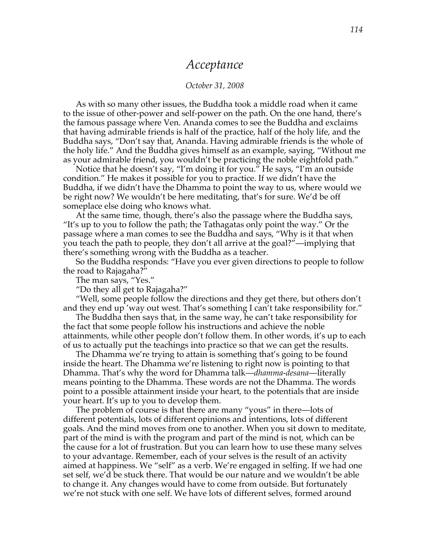### *Acceptance*

#### *October 31, 2008*

As with so many other issues, the Buddha took a middle road when it came to the issue of other-power and self-power on the path. On the one hand, there's the famous passage where Ven. Ananda comes to see the Buddha and exclaims that having admirable friends is half of the practice, half of the holy life, and the Buddha says, "Don't say that, Ananda. Having admirable friends is the whole of the holy life." And the Buddha gives himself as an example, saying, "Without me as your admirable friend, you wouldn't be practicing the noble eightfold path."

Notice that he doesn't say, "I'm doing it for you." He says, "I'm an outside condition." He makes it possible for you to practice. If we didn't have the Buddha, if we didn't have the Dhamma to point the way to us, where would we be right now? We wouldn't be here meditating, that's for sure. We'd be off someplace else doing who knows what.

At the same time, though, there's also the passage where the Buddha says, "It's up to you to follow the path; the Tathagatas only point the way." Or the passage where a man comes to see the Buddha and says, "Why is it that when you teach the path to people, they don't all arrive at the goal?"—implying that there's something wrong with the Buddha as a teacher.

So the Buddha responds: "Have you ever given directions to people to follow the road to Rajagaha?"

The man says, "Yes."

"Do they all get to Rajagaha?"

"Well, some people follow the directions and they get there, but others don't and they end up 'way out west. That's something I can't take responsibility for."

The Buddha then says that, in the same way, he can't take responsibility for the fact that some people follow his instructions and achieve the noble attainments, while other people don't follow them. In other words, it's up to each of us to actually put the teachings into practice so that we can get the results.

The Dhamma we're trying to attain is something that's going to be found inside the heart. The Dhamma we're listening to right now is pointing to that Dhamma. That's why the word for Dhamma talk—*dhamma-desana*—literally means pointing to the Dhamma. These words are not the Dhamma. The words point to a possible attainment inside your heart, to the potentials that are inside your heart. It's up to you to develop them.

The problem of course is that there are many "yous" in there—lots of different potentials, lots of different opinions and intentions, lots of different goals. And the mind moves from one to another. When you sit down to meditate, part of the mind is with the program and part of the mind is not, which can be the cause for a lot of frustration. But you can learn how to use these many selves to your advantage. Remember, each of your selves is the result of an activity aimed at happiness. We "self" as a verb. We're engaged in selfing. If we had one set self, we'd be stuck there. That would be our nature and we wouldn't be able to change it. Any changes would have to come from outside. But fortunately we're not stuck with one self. We have lots of different selves, formed around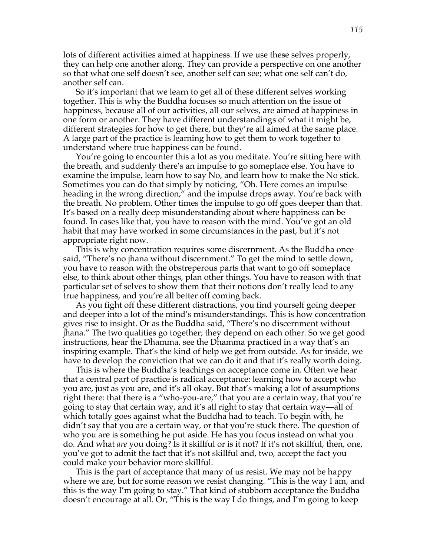lots of different activities aimed at happiness. If we use these selves properly, they can help one another along. They can provide a perspective on one another so that what one self doesn't see, another self can see; what one self can't do, another self can.

So it's important that we learn to get all of these different selves working together. This is why the Buddha focuses so much attention on the issue of happiness, because all of our activities, all our selves, are aimed at happiness in one form or another. They have different understandings of what it might be, different strategies for how to get there, but they're all aimed at the same place. A large part of the practice is learning how to get them to work together to understand where true happiness can be found.

You're going to encounter this a lot as you meditate. You're sitting here with the breath, and suddenly there's an impulse to go someplace else. You have to examine the impulse, learn how to say No, and learn how to make the No stick. Sometimes you can do that simply by noticing, "Oh. Here comes an impulse heading in the wrong direction," and the impulse drops away. You're back with the breath. No problem. Other times the impulse to go off goes deeper than that. It's based on a really deep misunderstanding about where happiness can be found. In cases like that, you have to reason with the mind. You've got an old habit that may have worked in some circumstances in the past, but it's not appropriate right now.

This is why concentration requires some discernment. As the Buddha once said, "There's no jhana without discernment." To get the mind to settle down, you have to reason with the obstreperous parts that want to go off someplace else, to think about other things, plan other things. You have to reason with that particular set of selves to show them that their notions don't really lead to any true happiness, and you're all better off coming back.

As you fight off these different distractions, you find yourself going deeper and deeper into a lot of the mind's misunderstandings. This is how concentration gives rise to insight. Or as the Buddha said, "There's no discernment without jhana." The two qualities go together; they depend on each other. So we get good instructions, hear the Dhamma, see the Dhamma practiced in a way that's an inspiring example. That's the kind of help we get from outside. As for inside, we have to develop the conviction that we can do it and that it's really worth doing.

This is where the Buddha's teachings on acceptance come in. Often we hear that a central part of practice is radical acceptance: learning how to accept who you are, just as you are, and it's all okay. But that's making a lot of assumptions right there: that there is a "who-you-are," that you are a certain way, that you're going to stay that certain way, and it's all right to stay that certain way—all of which totally goes against what the Buddha had to teach. To begin with, he didn't say that you are a certain way, or that you're stuck there. The question of who you are is something he put aside. He has you focus instead on what you do. And what *are* you doing? Is it skillful or is it not? If it's not skillful, then, one, you've got to admit the fact that it's not skillful and, two, accept the fact you could make your behavior more skillful.

This is the part of acceptance that many of us resist. We may not be happy where we are, but for some reason we resist changing. "This is the way I am, and this is the way I'm going to stay." That kind of stubborn acceptance the Buddha doesn't encourage at all. Or, "This is the way I do things, and I'm going to keep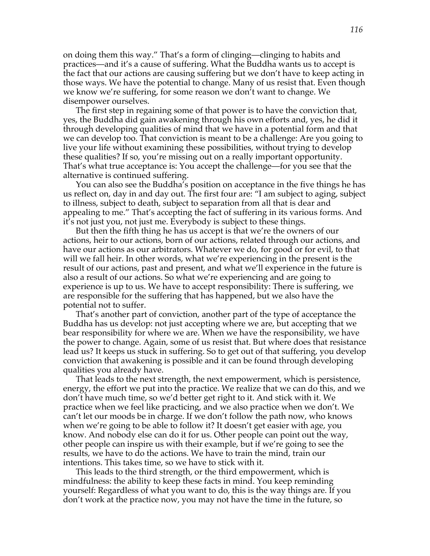on doing them this way." That's a form of clinging—clinging to habits and practices—and it's a cause of suffering. What the Buddha wants us to accept is the fact that our actions are causing suffering but we don't have to keep acting in those ways. We have the potential to change. Many of us resist that. Even though we know we're suffering, for some reason we don't want to change. We disempower ourselves.

The first step in regaining some of that power is to have the conviction that, yes, the Buddha did gain awakening through his own efforts and, yes, he did it through developing qualities of mind that we have in a potential form and that we can develop too. That conviction is meant to be a challenge: Are you going to live your life without examining these possibilities, without trying to develop these qualities? If so, you're missing out on a really important opportunity. That's what true acceptance is: You accept the challenge—for you see that the alternative is continued suffering.

You can also see the Buddha's position on acceptance in the five things he has us reflect on, day in and day out. The first four are: "I am subject to aging, subject to illness, subject to death, subject to separation from all that is dear and appealing to me." That's accepting the fact of suffering in its various forms. And it's not just you, not just me. Everybody is subject to these things.

But then the fifth thing he has us accept is that we're the owners of our actions, heir to our actions, born of our actions, related through our actions, and have our actions as our arbitrators. Whatever we do, for good or for evil, to that will we fall heir. In other words, what we're experiencing in the present is the result of our actions, past and present, and what we'll experience in the future is also a result of our actions. So what we're experiencing and are going to experience is up to us. We have to accept responsibility: There is suffering, we are responsible for the suffering that has happened, but we also have the potential not to suffer.

That's another part of conviction, another part of the type of acceptance the Buddha has us develop: not just accepting where we are, but accepting that we bear responsibility for where we are. When we have the responsibility, we have the power to change. Again, some of us resist that. But where does that resistance lead us? It keeps us stuck in suffering. So to get out of that suffering, you develop conviction that awakening is possible and it can be found through developing qualities you already have.

That leads to the next strength, the next empowerment, which is persistence, energy, the effort we put into the practice. We realize that we can do this, and we don't have much time, so we'd better get right to it. And stick with it. We practice when we feel like practicing, and we also practice when we don't. We can't let our moods be in charge. If we don't follow the path now, who knows when we're going to be able to follow it? It doesn't get easier with age, you know. And nobody else can do it for us. Other people can point out the way, other people can inspire us with their example, but if we're going to see the results, we have to do the actions. We have to train the mind, train our intentions. This takes time, so we have to stick with it.

This leads to the third strength, or the third empowerment, which is mindfulness: the ability to keep these facts in mind. You keep reminding yourself: Regardless of what you want to do, this is the way things are. If you don't work at the practice now, you may not have the time in the future, so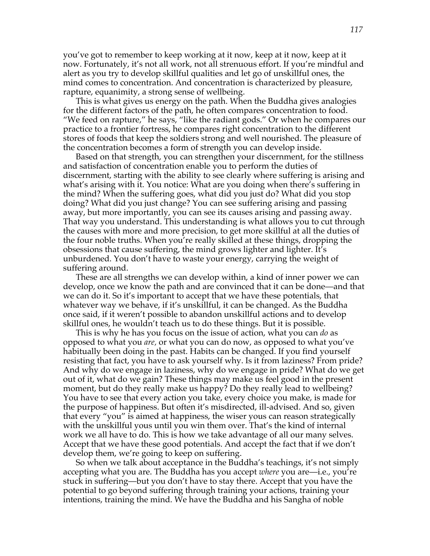you've got to remember to keep working at it now, keep at it now, keep at it now. Fortunately, it's not all work, not all strenuous effort. If you're mindful and alert as you try to develop skillful qualities and let go of unskillful ones, the mind comes to concentration. And concentration is characterized by pleasure, rapture, equanimity, a strong sense of wellbeing.

This is what gives us energy on the path. When the Buddha gives analogies for the different factors of the path, he often compares concentration to food. "We feed on rapture," he says, "like the radiant gods." Or when he compares our practice to a frontier fortress, he compares right concentration to the different stores of foods that keep the soldiers strong and well nourished. The pleasure of the concentration becomes a form of strength you can develop inside.

Based on that strength, you can strengthen your discernment, for the stillness and satisfaction of concentration enable you to perform the duties of discernment, starting with the ability to see clearly where suffering is arising and what's arising with it. You notice: What are you doing when there's suffering in the mind? When the suffering goes, what did you just do? What did you stop doing? What did you just change? You can see suffering arising and passing away, but more importantly, you can see its causes arising and passing away. That way you understand. This understanding is what allows you to cut through the causes with more and more precision, to get more skillful at all the duties of the four noble truths. When you're really skilled at these things, dropping the obsessions that cause suffering, the mind grows lighter and lighter. It's unburdened. You don't have to waste your energy, carrying the weight of suffering around.

These are all strengths we can develop within, a kind of inner power we can develop, once we know the path and are convinced that it can be done—and that we can do it. So it's important to accept that we have these potentials, that whatever way we behave, if it's unskillful, it can be changed. As the Buddha once said, if it weren't possible to abandon unskillful actions and to develop skillful ones, he wouldn't teach us to do these things. But it is possible.

This is why he has you focus on the issue of action, what you can *do* as opposed to what you *are,* or what you can do now, as opposed to what you've habitually been doing in the past. Habits can be changed. If you find yourself resisting that fact, you have to ask yourself why. Is it from laziness? From pride? And why do we engage in laziness, why do we engage in pride? What do we get out of it, what do we gain? These things may make us feel good in the present moment, but do they really make us happy? Do they really lead to wellbeing? You have to see that every action you take, every choice you make, is made for the purpose of happiness. But often it's misdirected, ill-advised. And so, given that every "you" is aimed at happiness, the wiser yous can reason strategically with the unskillful yous until you win them over. That's the kind of internal work we all have to do. This is how we take advantage of all our many selves. Accept that we have these good potentials. And accept the fact that if we don't develop them, we're going to keep on suffering.

So when we talk about acceptance in the Buddha's teachings, it's not simply accepting what you are. The Buddha has you accept *where* you are—i.e., you're stuck in suffering—but you don't have to stay there. Accept that you have the potential to go beyond suffering through training your actions, training your intentions, training the mind. We have the Buddha and his Sangha of noble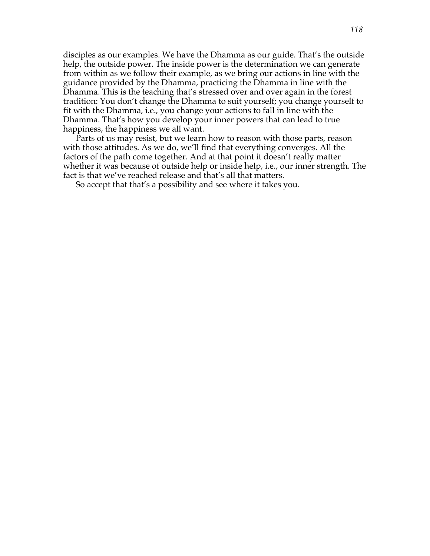disciples as our examples. We have the Dhamma as our guide. That's the outside help, the outside power. The inside power is the determination we can generate from within as we follow their example, as we bring our actions in line with the guidance provided by the Dhamma, practicing the Dhamma in line with the Dhamma. This is the teaching that's stressed over and over again in the forest tradition: You don't change the Dhamma to suit yourself; you change yourself to fit with the Dhamma, i.e., you change your actions to fall in line with the Dhamma. That's how you develop your inner powers that can lead to true happiness, the happiness we all want.

Parts of us may resist, but we learn how to reason with those parts, reason with those attitudes. As we do, we'll find that everything converges. All the factors of the path come together. And at that point it doesn't really matter whether it was because of outside help or inside help, i.e., our inner strength. The fact is that we've reached release and that's all that matters.

So accept that that's a possibility and see where it takes you.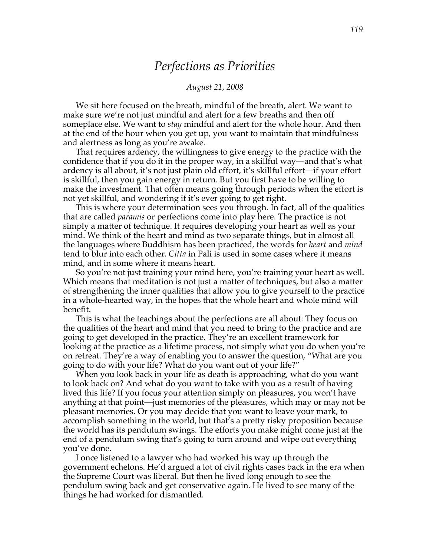### *Perfections as Priorities*

#### *August 21, 2008*

We sit here focused on the breath, mindful of the breath, alert. We want to make sure we're not just mindful and alert for a few breaths and then off someplace else. We want to *stay* mindful and alert for the whole hour. And then at the end of the hour when you get up, you want to maintain that mindfulness and alertness as long as you're awake.

That requires ardency, the willingness to give energy to the practice with the confidence that if you do it in the proper way, in a skillful way—and that's what ardency is all about, it's not just plain old effort, it's skillful effort—if your effort is skillful, then you gain energy in return. But you first have to be willing to make the investment. That often means going through periods when the effort is not yet skillful, and wondering if it's ever going to get right.

This is where your determination sees you through. In fact, all of the qualities that are called *paramis* or perfections come into play here. The practice is not simply a matter of technique. It requires developing your heart as well as your mind. We think of the heart and mind as two separate things, but in almost all the languages where Buddhism has been practiced, the words for *heart* and *mind* tend to blur into each other. *Citta* in Pali is used in some cases where it means mind, and in some where it means heart.

So you're not just training your mind here, you're training your heart as well. Which means that meditation is not just a matter of techniques, but also a matter of strengthening the inner qualities that allow you to give yourself to the practice in a whole-hearted way, in the hopes that the whole heart and whole mind will benefit.

This is what the teachings about the perfections are all about: They focus on the qualities of the heart and mind that you need to bring to the practice and are going to get developed in the practice. They're an excellent framework for looking at the practice as a lifetime process, not simply what you do when you're on retreat. They're a way of enabling you to answer the question, "What are you going to do with your life? What do you want out of your life?"

When you look back in your life as death is approaching, what do you want to look back on? And what do you want to take with you as a result of having lived this life? If you focus your attention simply on pleasures, you won't have anything at that point—just memories of the pleasures, which may or may not be pleasant memories. Or you may decide that you want to leave your mark, to accomplish something in the world, but that's a pretty risky proposition because the world has its pendulum swings. The efforts you make might come just at the end of a pendulum swing that's going to turn around and wipe out everything you've done.

I once listened to a lawyer who had worked his way up through the government echelons. He'd argued a lot of civil rights cases back in the era when the Supreme Court was liberal. But then he lived long enough to see the pendulum swing back and get conservative again. He lived to see many of the things he had worked for dismantled.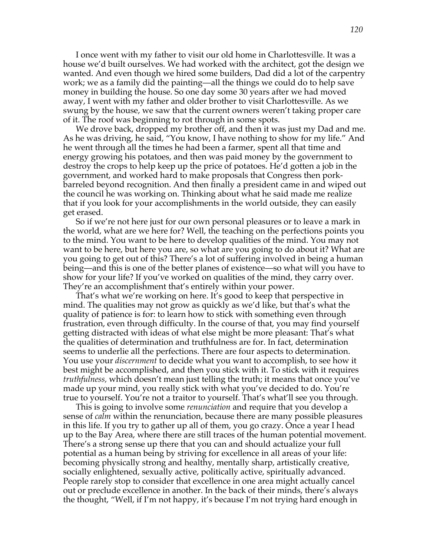I once went with my father to visit our old home in Charlottesville. It was a house we'd built ourselves. We had worked with the architect, got the design we wanted. And even though we hired some builders, Dad did a lot of the carpentry work; we as a family did the painting—all the things we could do to help save money in building the house. So one day some 30 years after we had moved away, I went with my father and older brother to visit Charlottesville. As we swung by the house, we saw that the current owners weren't taking proper care of it. The roof was beginning to rot through in some spots.

We drove back, dropped my brother off, and then it was just my Dad and me. As he was driving, he said, "You know, I have nothing to show for my life." And he went through all the times he had been a farmer, spent all that time and energy growing his potatoes, and then was paid money by the government to destroy the crops to help keep up the price of potatoes. He'd gotten a job in the government, and worked hard to make proposals that Congress then porkbarreled beyond recognition. And then finally a president came in and wiped out the council he was working on. Thinking about what he said made me realize that if you look for your accomplishments in the world outside, they can easily get erased.

So if we're not here just for our own personal pleasures or to leave a mark in the world, what are we here for? Well, the teaching on the perfections points you to the mind. You want to be here to develop qualities of the mind. You may not want to be here, but here you are, so what are you going to do about it? What are you going to get out of this? There's a lot of suffering involved in being a human being—and this is one of the better planes of existence—so what will you have to show for your life? If you've worked on qualities of the mind, they carry over. They're an accomplishment that's entirely within your power.

That's what we're working on here. It's good to keep that perspective in mind. The qualities may not grow as quickly as we'd like, but that's what the quality of patience is for: to learn how to stick with something even through frustration, even through difficulty. In the course of that, you may find yourself getting distracted with ideas of what else might be more pleasant: That's what the qualities of determination and truthfulness are for. In fact, determination seems to underlie all the perfections. There are four aspects to determination. You use your *discernment* to decide what you want to accomplish, to see how it best might be accomplished, and then you stick with it. To stick with it requires *truthfulness,* which doesn't mean just telling the truth; it means that once you've made up your mind, you really stick with what you've decided to do. You're true to yourself. You're not a traitor to yourself. That's what'll see you through.

This is going to involve some *renunciation* and require that you develop a sense of *calm* within the renunciation, because there are many possible pleasures in this life. If you try to gather up all of them, you go crazy. Once a year I head up to the Bay Area, where there are still traces of the human potential movement. There's a strong sense up there that you can and should actualize your full potential as a human being by striving for excellence in all areas of your life: becoming physically strong and healthy, mentally sharp, artistically creative, socially enlightened, sexually active, politically active, spiritually advanced. People rarely stop to consider that excellence in one area might actually cancel out or preclude excellence in another. In the back of their minds, there's always the thought, "Well, if I'm not happy, it's because I'm not trying hard enough in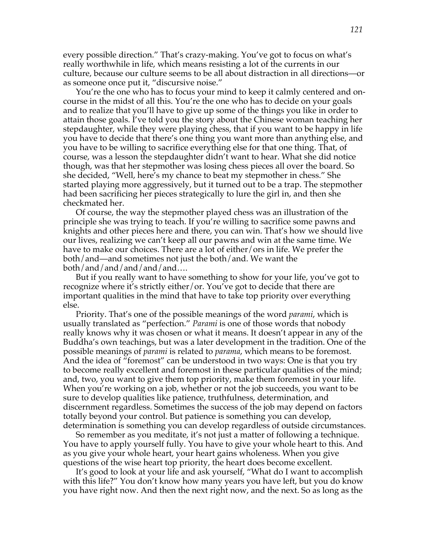every possible direction." That's crazy-making. You've got to focus on what's really worthwhile in life, which means resisting a lot of the currents in our culture, because our culture seems to be all about distraction in all directions—or as someone once put it, "discursive noise."

You're the one who has to focus your mind to keep it calmly centered and oncourse in the midst of all this. You're the one who has to decide on your goals and to realize that you'll have to give up some of the things you like in order to attain those goals. I've told you the story about the Chinese woman teaching her stepdaughter, while they were playing chess, that if you want to be happy in life you have to decide that there's one thing you want more than anything else, and you have to be willing to sacrifice everything else for that one thing. That, of course, was a lesson the stepdaughter didn't want to hear. What she did notice though, was that her stepmother was losing chess pieces all over the board. So she decided, "Well, here's my chance to beat my stepmother in chess." She started playing more aggressively, but it turned out to be a trap. The stepmother had been sacrificing her pieces strategically to lure the girl in, and then she checkmated her.

Of course, the way the stepmother played chess was an illustration of the principle she was trying to teach. If you're willing to sacrifice some pawns and knights and other pieces here and there, you can win. That's how we should live our lives, realizing we can't keep all our pawns and win at the same time. We have to make our choices. There are a lot of either/ors in life. We prefer the both/and—and sometimes not just the both/and. We want the both/and/and/and/and/and….

But if you really want to have something to show for your life, you've got to recognize where it's strictly either/or. You've got to decide that there are important qualities in the mind that have to take top priority over everything else.

Priority. That's one of the possible meanings of the word *parami*, which is usually translated as "perfection." *Parami* is one of those words that nobody really knows why it was chosen or what it means. It doesn't appear in any of the Buddha's own teachings, but was a later development in the tradition. One of the possible meanings of *parami* is related to *parama*, which means to be foremost. And the idea of "foremost" can be understood in two ways: One is that you try to become really excellent and foremost in these particular qualities of the mind; and, two, you want to give them top priority, make them foremost in your life. When you're working on a job, whether or not the job succeeds, you want to be sure to develop qualities like patience, truthfulness, determination, and discernment regardless. Sometimes the success of the job may depend on factors totally beyond your control. But patience is something you can develop, determination is something you can develop regardless of outside circumstances.

So remember as you meditate, it's not just a matter of following a technique. You have to apply yourself fully. You have to give your whole heart to this. And as you give your whole heart, your heart gains wholeness. When you give questions of the wise heart top priority, the heart does become excellent.

It's good to look at your life and ask yourself, "What do I want to accomplish with this life?" You don't know how many years you have left, but you do know you have right now. And then the next right now, and the next. So as long as the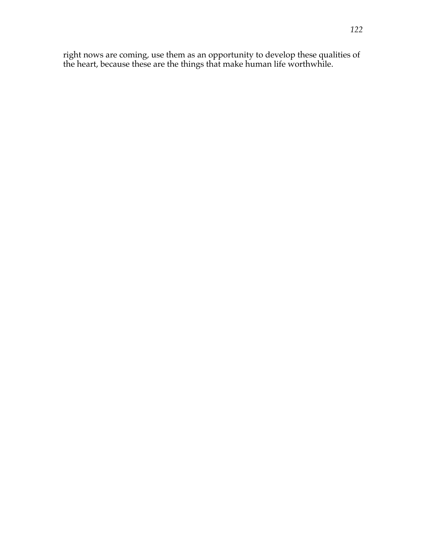right nows are coming, use them as an opportunity to develop these qualities of the heart, because these are the things that make human life worthwhile.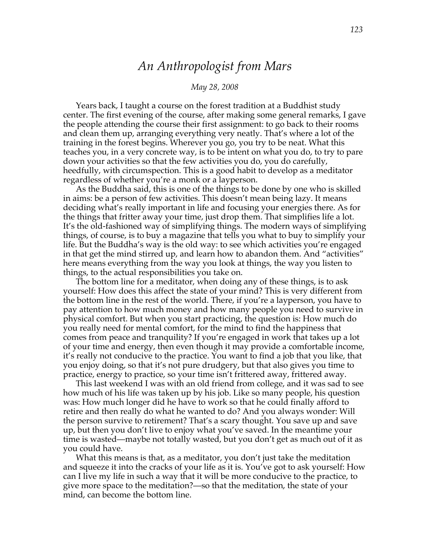# *An Anthropologist from Mars*

#### *May 28, 2008*

Years back, I taught a course on the forest tradition at a Buddhist study center. The first evening of the course, after making some general remarks, I gave the people attending the course their first assignment: to go back to their rooms and clean them up, arranging everything very neatly. That's where a lot of the training in the forest begins. Wherever you go, you try to be neat. What this teaches you, in a very concrete way, is to be intent on what you do, to try to pare down your activities so that the few activities you do, you do carefully, heedfully, with circumspection. This is a good habit to develop as a meditator regardless of whether you're a monk or a layperson.

As the Buddha said, this is one of the things to be done by one who is skilled in aims: be a person of few activities. This doesn't mean being lazy. It means deciding what's really important in life and focusing your energies there. As for the things that fritter away your time, just drop them. That simplifies life a lot. It's the old-fashioned way of simplifying things. The modern ways of simplifying things, of course, is to buy a magazine that tells you what to buy to simplify your life. But the Buddha's way is the old way: to see which activities you're engaged in that get the mind stirred up, and learn how to abandon them. And "activities" here means everything from the way you look at things, the way you listen to things, to the actual responsibilities you take on.

The bottom line for a meditator, when doing any of these things, is to ask yourself: How does this affect the state of your mind? This is very different from the bottom line in the rest of the world. There, if you're a layperson, you have to pay attention to how much money and how many people you need to survive in physical comfort. But when you start practicing, the question is: How much do you really need for mental comfort, for the mind to find the happiness that comes from peace and tranquility? If you're engaged in work that takes up a lot of your time and energy, then even though it may provide a comfortable income, it's really not conducive to the practice. You want to find a job that you like, that you enjoy doing, so that it's not pure drudgery, but that also gives you time to practice, energy to practice, so your time isn't frittered away, frittered away.

This last weekend I was with an old friend from college, and it was sad to see how much of his life was taken up by his job. Like so many people, his question was: How much longer did he have to work so that he could finally afford to retire and then really do what he wanted to do? And you always wonder: Will the person survive to retirement? That's a scary thought. You save up and save up, but then you don't live to enjoy what you've saved. In the meantime your time is wasted—maybe not totally wasted, but you don't get as much out of it as you could have.

What this means is that, as a meditator, you don't just take the meditation and squeeze it into the cracks of your life as it is. You've got to ask yourself: How can I live my life in such a way that it will be more conducive to the practice, to give more space to the meditation?—so that the meditation, the state of your mind, can become the bottom line.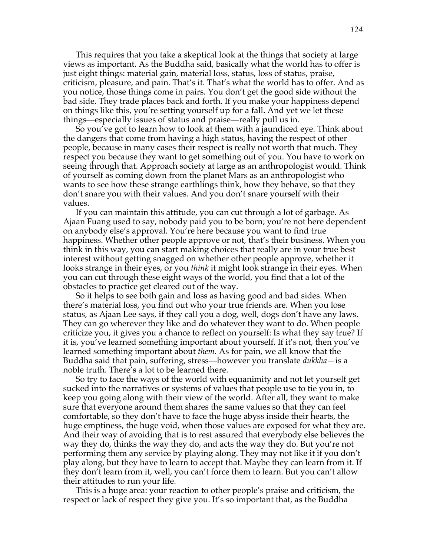This requires that you take a skeptical look at the things that society at large views as important. As the Buddha said, basically what the world has to offer is just eight things: material gain, material loss, status, loss of status, praise, criticism, pleasure, and pain. That's it. That's what the world has to offer. And as you notice, those things come in pairs. You don't get the good side without the bad side. They trade places back and forth. If you make your happiness depend on things like this, you're setting yourself up for a fall. And yet we let these things—especially issues of status and praise—really pull us in.

So you've got to learn how to look at them with a jaundiced eye. Think about the dangers that come from having a high status, having the respect of other people, because in many cases their respect is really not worth that much. They respect you because they want to get something out of you. You have to work on seeing through that. Approach society at large as an anthropologist would. Think of yourself as coming down from the planet Mars as an anthropologist who wants to see how these strange earthlings think, how they behave, so that they don't snare you with their values. And you don't snare yourself with their values.

If you can maintain this attitude, you can cut through a lot of garbage. As Ajaan Fuang used to say, nobody paid you to be born; you're not here dependent on anybody else's approval. You're here because you want to find true happiness. Whether other people approve or not, that's their business. When you think in this way, you can start making choices that really are in your true best interest without getting snagged on whether other people approve, whether it looks strange in their eyes, or you *think* it might look strange in their eyes. When you can cut through these eight ways of the world, you find that a lot of the obstacles to practice get cleared out of the way.

So it helps to see both gain and loss as having good and bad sides. When there's material loss, you find out who your true friends are. When you lose status, as Ajaan Lee says, if they call you a dog, well, dogs don't have any laws. They can go wherever they like and do whatever they want to do. When people criticize you, it gives you a chance to reflect on yourself: Is what they say true? If it is, you've learned something important about yourself. If it's not, then you've learned something important about *them.* As for pain, we all know that the Buddha said that pain, suffering, stress—however you translate *dukkha—*is a noble truth. There's a lot to be learned there.

So try to face the ways of the world with equanimity and not let yourself get sucked into the narratives or systems of values that people use to tie you in, to keep you going along with their view of the world. After all, they want to make sure that everyone around them shares the same values so that they can feel comfortable, so they don't have to face the huge abyss inside their hearts, the huge emptiness, the huge void, when those values are exposed for what they are. And their way of avoiding that is to rest assured that everybody else believes the way they do, thinks the way they do, and acts the way they do. But you're not performing them any service by playing along. They may not like it if you don't play along, but they have to learn to accept that. Maybe they can learn from it. If they don't learn from it, well, you can't force them to learn. But you can't allow their attitudes to run your life.

This is a huge area: your reaction to other people's praise and criticism, the respect or lack of respect they give you. It's so important that, as the Buddha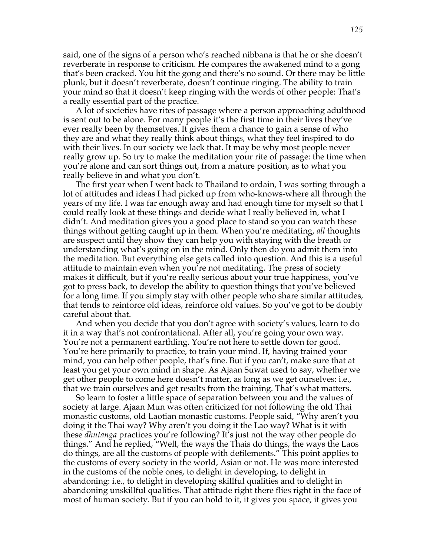said, one of the signs of a person who's reached nibbana is that he or she doesn't reverberate in response to criticism. He compares the awakened mind to a gong that's been cracked. You hit the gong and there's no sound. Or there may be little plunk, but it doesn't reverberate, doesn't continue ringing. The ability to train your mind so that it doesn't keep ringing with the words of other people: That's a really essential part of the practice.

A lot of societies have rites of passage where a person approaching adulthood is sent out to be alone. For many people it's the first time in their lives they've ever really been by themselves. It gives them a chance to gain a sense of who they are and what they really think about things, what they feel inspired to do with their lives. In our society we lack that. It may be why most people never really grow up. So try to make the meditation your rite of passage: the time when you're alone and can sort things out, from a mature position, as to what you really believe in and what you don't.

The first year when I went back to Thailand to ordain, I was sorting through a lot of attitudes and ideas I had picked up from who-knows-where all through the years of my life. I was far enough away and had enough time for myself so that I could really look at these things and decide what I really believed in, what I didn't. And meditation gives you a good place to stand so you can watch these things without getting caught up in them. When you're meditating, *all* thoughts are suspect until they show they can help you with staying with the breath or understanding what's going on in the mind. Only then do you admit them into the meditation. But everything else gets called into question. And this is a useful attitude to maintain even when you're not meditating. The press of society makes it difficult, but if you're really serious about your true happiness, you've got to press back, to develop the ability to question things that you've believed for a long time. If you simply stay with other people who share similar attitudes, that tends to reinforce old ideas, reinforce old values. So you've got to be doubly careful about that.

And when you decide that you don't agree with society's values, learn to do it in a way that's not confrontational. After all, you're going your own way. You're not a permanent earthling. You're not here to settle down for good. You're here primarily to practice, to train your mind. If, having trained your mind, you can help other people, that's fine. But if you can't, make sure that at least you get your own mind in shape. As Ajaan Suwat used to say, whether we get other people to come here doesn't matter, as long as we get ourselves: i.e., that we train ourselves and get results from the training. That's what matters.

So learn to foster a little space of separation between you and the values of society at large. Ajaan Mun was often criticized for not following the old Thai monastic customs, old Laotian monastic customs. People said, "Why aren't you doing it the Thai way? Why aren't you doing it the Lao way? What is it with these *dhutanga* practices you're following? It's just not the way other people do things." And he replied, "Well, the ways the Thais do things, the ways the Laos do things, are all the customs of people with defilements." This point applies to the customs of every society in the world, Asian or not. He was more interested in the customs of the noble ones, to delight in developing, to delight in abandoning: i.e., to delight in developing skillful qualities and to delight in abandoning unskillful qualities. That attitude right there flies right in the face of most of human society. But if you can hold to it, it gives you space, it gives you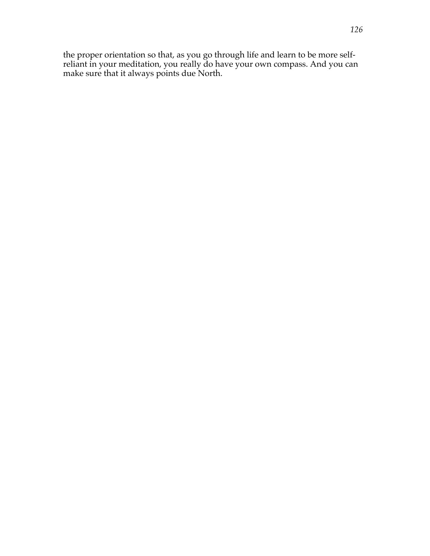the proper orientation so that, as you go through life and learn to be more selfreliant in your meditation, you really do have your own compass. And you can make sure that it always points due North.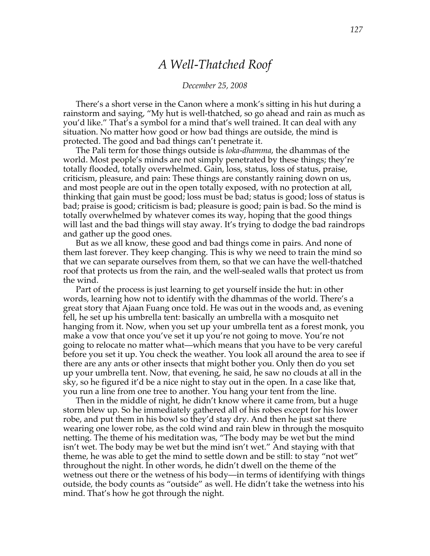## *A Well-Thatched Roof*

#### *December 25, 2008*

There's a short verse in the Canon where a monk's sitting in his hut during a rainstorm and saying, "My hut is well-thatched, so go ahead and rain as much as you'd like." That's a symbol for a mind that's well trained. It can deal with any situation. No matter how good or how bad things are outside, the mind is protected. The good and bad things can't penetrate it.

The Pali term for those things outside is *loka-dhamma*, the dhammas of the world. Most people's minds are not simply penetrated by these things; they're totally flooded, totally overwhelmed. Gain, loss, status, loss of status, praise, criticism, pleasure, and pain: These things are constantly raining down on us, and most people are out in the open totally exposed, with no protection at all, thinking that gain must be good; loss must be bad; status is good; loss of status is bad; praise is good; criticism is bad; pleasure is good; pain is bad. So the mind is totally overwhelmed by whatever comes its way, hoping that the good things will last and the bad things will stay away. It's trying to dodge the bad raindrops and gather up the good ones.

But as we all know, these good and bad things come in pairs. And none of them last forever. They keep changing. This is why we need to train the mind so that we can separate ourselves from them, so that we can have the well-thatched roof that protects us from the rain, and the well-sealed walls that protect us from the wind.

Part of the process is just learning to get yourself inside the hut: in other words, learning how not to identify with the dhammas of the world. There's a great story that Ajaan Fuang once told. He was out in the woods and, as evening fell, he set up his umbrella tent: basically an umbrella with a mosquito net hanging from it. Now, when you set up your umbrella tent as a forest monk, you make a vow that once you've set it up you're not going to move. You're not going to relocate no matter what—which means that you have to be very careful before you set it up. You check the weather. You look all around the area to see if there are any ants or other insects that might bother you. Only then do you set up your umbrella tent. Now, that evening, he said, he saw no clouds at all in the sky, so he figured it'd be a nice night to stay out in the open. In a case like that, you run a line from one tree to another. You hang your tent from the line.

Then in the middle of night, he didn't know where it came from, but a huge storm blew up. So he immediately gathered all of his robes except for his lower robe, and put them in his bowl so they'd stay dry. And then he just sat there wearing one lower robe, as the cold wind and rain blew in through the mosquito netting. The theme of his meditation was, "The body may be wet but the mind isn't wet. The body may be wet but the mind isn't wet." And staying with that theme, he was able to get the mind to settle down and be still: to stay "not wet" throughout the night. In other words, he didn't dwell on the theme of the wetness out there or the wetness of his body—in terms of identifying with things outside, the body counts as "outside" as well. He didn't take the wetness into his mind. That's how he got through the night.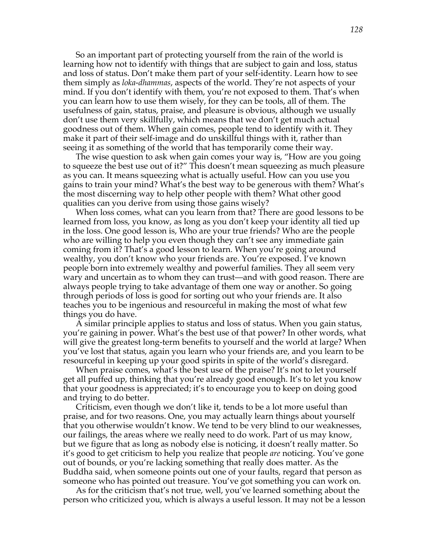So an important part of protecting yourself from the rain of the world is learning how not to identify with things that are subject to gain and loss, status and loss of status. Don't make them part of your self-identity. Learn how to see them simply as *loka-dhammas*, aspects of the world. They're not aspects of your mind. If you don't identify with them, you're not exposed to them. That's when you can learn how to use them wisely, for they can be tools, all of them. The usefulness of gain, status, praise, and pleasure is obvious, although we usually don't use them very skillfully, which means that we don't get much actual goodness out of them. When gain comes, people tend to identify with it. They make it part of their self-image and do unskillful things with it, rather than seeing it as something of the world that has temporarily come their way.

The wise question to ask when gain comes your way is, "How are you going to squeeze the best use out of it?" This doesn't mean squeezing as much pleasure as you can. It means squeezing what is actually useful. How can you use you gains to train your mind? What's the best way to be generous with them? What's the most discerning way to help other people with them? What other good qualities can you derive from using those gains wisely?

When loss comes, what can you learn from that? There are good lessons to be learned from loss, you know, as long as you don't keep your identity all tied up in the loss. One good lesson is, Who are your true friends? Who are the people who are willing to help you even though they can't see any immediate gain coming from it? That's a good lesson to learn. When you're going around wealthy, you don't know who your friends are. You're exposed. I've known people born into extremely wealthy and powerful families. They all seem very wary and uncertain as to whom they can trust—and with good reason. There are always people trying to take advantage of them one way or another. So going through periods of loss is good for sorting out who your friends are. It also teaches you to be ingenious and resourceful in making the most of what few things you do have.

A similar principle applies to status and loss of status. When you gain status, you're gaining in power. What's the best use of that power? In other words, what will give the greatest long-term benefits to yourself and the world at large? When you've lost that status, again you learn who your friends are, and you learn to be resourceful in keeping up your good spirits in spite of the world's disregard.

When praise comes, what's the best use of the praise? It's not to let yourself get all puffed up, thinking that you're already good enough. It's to let you know that your goodness is appreciated; it's to encourage you to keep on doing good and trying to do better.

Criticism, even though we don't like it, tends to be a lot more useful than praise, and for two reasons. One, you may actually learn things about yourself that you otherwise wouldn't know. We tend to be very blind to our weaknesses, our failings, the areas where we really need to do work. Part of us may know, but we figure that as long as nobody else is noticing, it doesn't really matter. So it's good to get criticism to help you realize that people *are* noticing. You've gone out of bounds, or you're lacking something that really does matter. As the Buddha said, when someone points out one of your faults, regard that person as someone who has pointed out treasure. You've got something you can work on.

As for the criticism that's not true, well, you've learned something about the person who criticized you, which is always a useful lesson. It may not be a lesson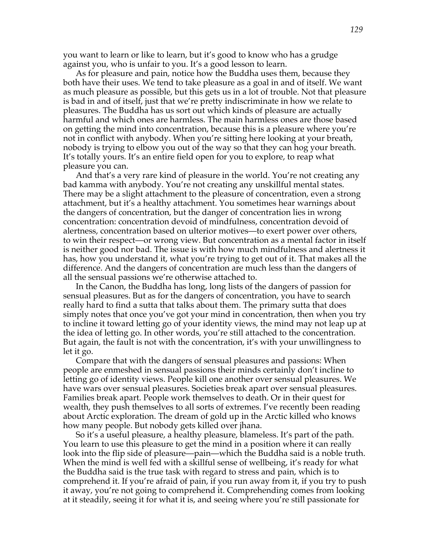you want to learn or like to learn, but it's good to know who has a grudge against you, who is unfair to you. It's a good lesson to learn.

As for pleasure and pain, notice how the Buddha uses them, because they both have their uses. We tend to take pleasure as a goal in and of itself. We want as much pleasure as possible, but this gets us in a lot of trouble. Not that pleasure is bad in and of itself, just that we're pretty indiscriminate in how we relate to pleasures. The Buddha has us sort out which kinds of pleasure are actually harmful and which ones are harmless. The main harmless ones are those based on getting the mind into concentration, because this is a pleasure where you're not in conflict with anybody. When you're sitting here looking at your breath, nobody is trying to elbow you out of the way so that they can hog your breath. It's totally yours. It's an entire field open for you to explore, to reap what pleasure you can.

And that's a very rare kind of pleasure in the world. You're not creating any bad kamma with anybody. You're not creating any unskillful mental states. There may be a slight attachment to the pleasure of concentration, even a strong attachment, but it's a healthy attachment. You sometimes hear warnings about the dangers of concentration, but the danger of concentration lies in wrong concentration: concentration devoid of mindfulness, concentration devoid of alertness, concentration based on ulterior motives—to exert power over others, to win their respect—or wrong view. But concentration as a mental factor in itself is neither good nor bad. The issue is with how much mindfulness and alertness it has, how you understand it, what you're trying to get out of it. That makes all the difference. And the dangers of concentration are much less than the dangers of all the sensual passions we're otherwise attached to.

In the Canon, the Buddha has long, long lists of the dangers of passion for sensual pleasures. But as for the dangers of concentration, you have to search really hard to find a sutta that talks about them. The primary sutta that does simply notes that once you've got your mind in concentration, then when you try to incline it toward letting go of your identity views, the mind may not leap up at the idea of letting go. In other words, you're still attached to the concentration. But again, the fault is not with the concentration, it's with your unwillingness to let it go.

Compare that with the dangers of sensual pleasures and passions: When people are enmeshed in sensual passions their minds certainly don't incline to letting go of identity views. People kill one another over sensual pleasures. We have wars over sensual pleasures. Societies break apart over sensual pleasures. Families break apart. People work themselves to death. Or in their quest for wealth, they push themselves to all sorts of extremes. I've recently been reading about Arctic exploration. The dream of gold up in the Arctic killed who knows how many people. But nobody gets killed over jhana.

So it's a useful pleasure, a healthy pleasure, blameless. It's part of the path. You learn to use this pleasure to get the mind in a position where it can really look into the flip side of pleasure—pain—which the Buddha said is a noble truth. When the mind is well fed with a skillful sense of wellbeing, it's ready for what the Buddha said is the true task with regard to stress and pain, which is to comprehend it. If you're afraid of pain, if you run away from it, if you try to push it away, you're not going to comprehend it. Comprehending comes from looking at it steadily, seeing it for what it is, and seeing where you're still passionate for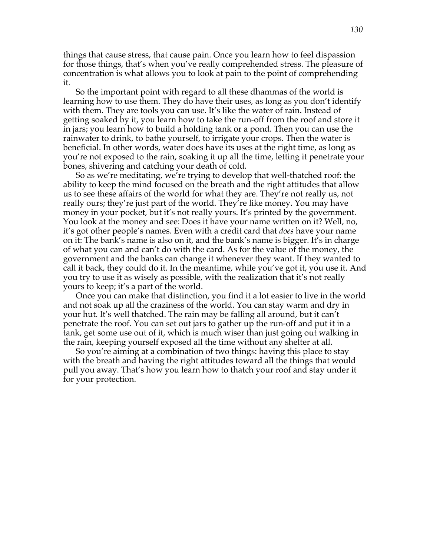things that cause stress, that cause pain. Once you learn how to feel dispassion for those things, that's when you've really comprehended stress. The pleasure of concentration is what allows you to look at pain to the point of comprehending it.

So the important point with regard to all these dhammas of the world is learning how to use them. They do have their uses, as long as you don't identify with them. They are tools you can use. It's like the water of rain. Instead of getting soaked by it, you learn how to take the run-off from the roof and store it in jars; you learn how to build a holding tank or a pond. Then you can use the rainwater to drink, to bathe yourself, to irrigate your crops. Then the water is beneficial. In other words, water does have its uses at the right time, as long as you're not exposed to the rain, soaking it up all the time, letting it penetrate your bones, shivering and catching your death of cold.

So as we're meditating, we're trying to develop that well-thatched roof: the ability to keep the mind focused on the breath and the right attitudes that allow us to see these affairs of the world for what they are. They're not really us, not really ours; they're just part of the world. They're like money. You may have money in your pocket, but it's not really yours. It's printed by the government. You look at the money and see: Does it have your name written on it? Well, no, it's got other people's names. Even with a credit card that *does* have your name on it: The bank's name is also on it, and the bank's name is bigger. It's in charge of what you can and can't do with the card. As for the value of the money, the government and the banks can change it whenever they want. If they wanted to call it back, they could do it. In the meantime, while you've got it, you use it. And you try to use it as wisely as possible, with the realization that it's not really yours to keep; it's a part of the world.

Once you can make that distinction, you find it a lot easier to live in the world and not soak up all the craziness of the world. You can stay warm and dry in your hut. It's well thatched. The rain may be falling all around, but it can't penetrate the roof. You can set out jars to gather up the run-off and put it in a tank, get some use out of it, which is much wiser than just going out walking in the rain, keeping yourself exposed all the time without any shelter at all.

So you're aiming at a combination of two things: having this place to stay with the breath and having the right attitudes toward all the things that would pull you away. That's how you learn how to thatch your roof and stay under it for your protection.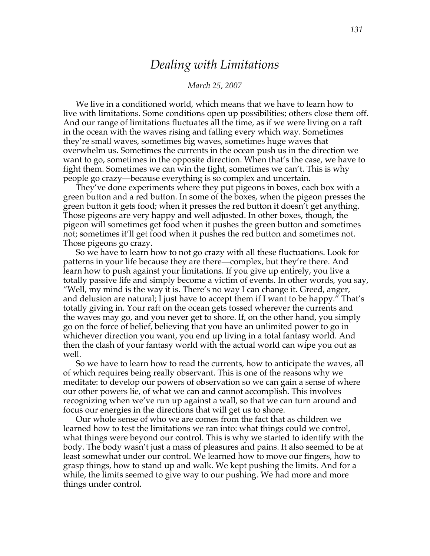### *Dealing with Limitations*

#### *March 25, 2007*

We live in a conditioned world, which means that we have to learn how to live with limitations. Some conditions open up possibilities; others close them off. And our range of limitations fluctuates all the time, as if we were living on a raft in the ocean with the waves rising and falling every which way. Sometimes they're small waves, sometimes big waves, sometimes huge waves that overwhelm us. Sometimes the currents in the ocean push us in the direction we want to go, sometimes in the opposite direction. When that's the case, we have to fight them. Sometimes we can win the fight, sometimes we can't. This is why people go crazy—because everything is so complex and uncertain.

They've done experiments where they put pigeons in boxes, each box with a green button and a red button. In some of the boxes, when the pigeon presses the green button it gets food; when it presses the red button it doesn't get anything. Those pigeons are very happy and well adjusted. In other boxes, though, the pigeon will sometimes get food when it pushes the green button and sometimes not; sometimes it'll get food when it pushes the red button and sometimes not. Those pigeons go crazy.

So we have to learn how to not go crazy with all these fluctuations. Look for patterns in your life because they are there—complex, but they're there. And learn how to push against your limitations. If you give up entirely, you live a totally passive life and simply become a victim of events. In other words, you say, "Well, my mind is the way it is. There's no way I can change it. Greed, anger, and delusion are natural; I just have to accept them if I want to be happy." That's totally giving in. Your raft on the ocean gets tossed wherever the currents and the waves may go, and you never get to shore. If, on the other hand, you simply go on the force of belief, believing that you have an unlimited power to go in whichever direction you want, you end up living in a total fantasy world. And then the clash of your fantasy world with the actual world can wipe you out as well.

So we have to learn how to read the currents, how to anticipate the waves, all of which requires being really observant. This is one of the reasons why we meditate: to develop our powers of observation so we can gain a sense of where our other powers lie, of what we can and cannot accomplish. This involves recognizing when we've run up against a wall, so that we can turn around and focus our energies in the directions that will get us to shore.

Our whole sense of who we are comes from the fact that as children we learned how to test the limitations we ran into: what things could we control, what things were beyond our control. This is why we started to identify with the body. The body wasn't just a mass of pleasures and pains. It also seemed to be at least somewhat under our control. We learned how to move our fingers, how to grasp things, how to stand up and walk. We kept pushing the limits. And for a while, the limits seemed to give way to our pushing. We had more and more things under control.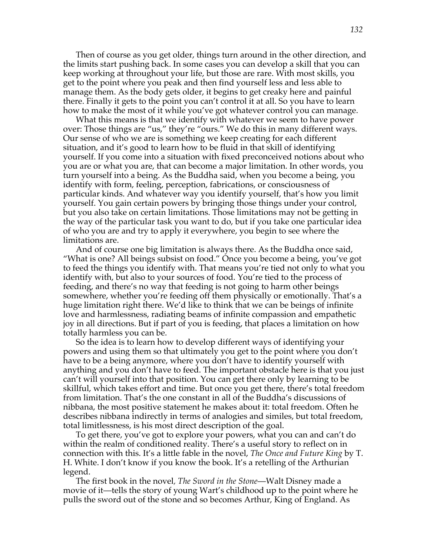Then of course as you get older, things turn around in the other direction, and the limits start pushing back. In some cases you can develop a skill that you can keep working at throughout your life, but those are rare. With most skills, you get to the point where you peak and then find yourself less and less able to manage them. As the body gets older, it begins to get creaky here and painful there. Finally it gets to the point you can't control it at all. So you have to learn how to make the most of it while you've got whatever control you can manage.

What this means is that we identify with whatever we seem to have power over: Those things are "us," they're "ours." We do this in many different ways. Our sense of who we are is something we keep creating for each different situation, and it's good to learn how to be fluid in that skill of identifying yourself. If you come into a situation with fixed preconceived notions about who you are or what you are, that can become a major limitation. In other words, you turn yourself into a being. As the Buddha said, when you become a being, you identify with form, feeling, perception, fabrications, or consciousness of particular kinds. And whatever way you identify yourself, that's how you limit yourself. You gain certain powers by bringing those things under your control, but you also take on certain limitations. Those limitations may not be getting in the way of the particular task you want to do, but if you take one particular idea of who you are and try to apply it everywhere, you begin to see where the limitations are.

And of course one big limitation is always there. As the Buddha once said, "What is one? All beings subsist on food." Once you become a being, you've got to feed the things you identify with. That means you're tied not only to what you identify with, but also to your sources of food. You're tied to the process of feeding, and there's no way that feeding is not going to harm other beings somewhere, whether you're feeding off them physically or emotionally. That's a huge limitation right there. We'd like to think that we can be beings of infinite love and harmlessness, radiating beams of infinite compassion and empathetic joy in all directions. But if part of you is feeding, that places a limitation on how totally harmless you can be.

So the idea is to learn how to develop different ways of identifying your powers and using them so that ultimately you get to the point where you don't have to be a being anymore, where you don't have to identify yourself with anything and you don't have to feed. The important obstacle here is that you just can't will yourself into that position. You can get there only by learning to be skillful, which takes effort and time. But once you get there, there's total freedom from limitation. That's the one constant in all of the Buddha's discussions of nibbana, the most positive statement he makes about it: total freedom. Often he describes nibbana indirectly in terms of analogies and similes, but total freedom, total limitlessness, is his most direct description of the goal.

To get there, you've got to explore your powers, what you can and can't do within the realm of conditioned reality. There's a useful story to reflect on in connection with this. It's a little fable in the novel, *The Once and Future King* by T. H. White. I don't know if you know the book. It's a retelling of the Arthurian legend.

The first book in the novel*, The Sword in the Stone*—Walt Disney made a movie of it—tells the story of young Wart's childhood up to the point where he pulls the sword out of the stone and so becomes Arthur, King of England. As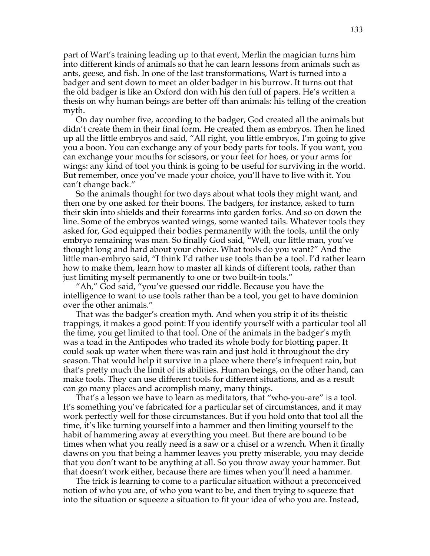part of Wart's training leading up to that event, Merlin the magician turns him into different kinds of animals so that he can learn lessons from animals such as ants, geese, and fish. In one of the last transformations, Wart is turned into a badger and sent down to meet an older badger in his burrow. It turns out that the old badger is like an Oxford don with his den full of papers. He's written a thesis on why human beings are better off than animals: his telling of the creation myth.

On day number five, according to the badger, God created all the animals but didn't create them in their final form. He created them as embryos. Then he lined up all the little embryos and said, "All right, you little embryos, I'm going to give you a boon. You can exchange any of your body parts for tools. If you want, you can exchange your mouths for scissors, or your feet for hoes, or your arms for wings: any kind of tool you think is going to be useful for surviving in the world. But remember, once you've made your choice, you'll have to live with it. You can't change back."

So the animals thought for two days about what tools they might want, and then one by one asked for their boons. The badgers, for instance, asked to turn their skin into shields and their forearms into garden forks. And so on down the line. Some of the embryos wanted wings, some wanted tails. Whatever tools they asked for, God equipped their bodies permanently with the tools, until the only embryo remaining was man. So finally God said, "Well, our little man, you've thought long and hard about your choice. What tools do you want?" And the little man-embryo said, "I think I'd rather use tools than be a tool. I'd rather learn how to make them, learn how to master all kinds of different tools, rather than just limiting myself permanently to one or two built-in tools."

"Ah," God said, "you've guessed our riddle. Because you have the intelligence to want to use tools rather than be a tool, you get to have dominion over the other animals."

That was the badger's creation myth. And when you strip it of its theistic trappings, it makes a good point: If you identify yourself with a particular tool all the time, you get limited to that tool. One of the animals in the badger's myth was a toad in the Antipodes who traded its whole body for blotting paper. It could soak up water when there was rain and just hold it throughout the dry season. That would help it survive in a place where there's infrequent rain, but that's pretty much the limit of its abilities. Human beings, on the other hand, can make tools. They can use different tools for different situations, and as a result can go many places and accomplish many, many things.

That's a lesson we have to learn as meditators, that "who-you-are" is a tool. It's something you've fabricated for a particular set of circumstances, and it may work perfectly well for those circumstances. But if you hold onto that tool all the time, it's like turning yourself into a hammer and then limiting yourself to the habit of hammering away at everything you meet. But there are bound to be times when what you really need is a saw or a chisel or a wrench. When it finally dawns on you that being a hammer leaves you pretty miserable, you may decide that you don't want to be anything at all. So you throw away your hammer. But that doesn't work either, because there are times when you'll need a hammer.

The trick is learning to come to a particular situation without a preconceived notion of who you are, of who you want to be, and then trying to squeeze that into the situation or squeeze a situation to fit your idea of who you are. Instead,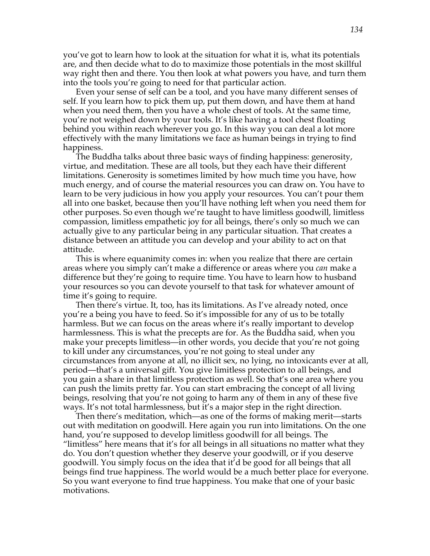you've got to learn how to look at the situation for what it is, what its potentials are, and then decide what to do to maximize those potentials in the most skillful way right then and there. You then look at what powers you have, and turn them into the tools you're going to need for that particular action.

Even your sense of self can be a tool, and you have many different senses of self. If you learn how to pick them up, put them down, and have them at hand when you need them, then you have a whole chest of tools. At the same time, you're not weighed down by your tools. It's like having a tool chest floating behind you within reach wherever you go. In this way you can deal a lot more effectively with the many limitations we face as human beings in trying to find happiness.

The Buddha talks about three basic ways of finding happiness: generosity, virtue, and meditation. These are all tools, but they each have their different limitations. Generosity is sometimes limited by how much time you have, how much energy, and of course the material resources you can draw on. You have to learn to be very judicious in how you apply your resources. You can't pour them all into one basket, because then you'll have nothing left when you need them for other purposes. So even though we're taught to have limitless goodwill, limitless compassion, limitless empathetic joy for all beings, there's only so much we can actually give to any particular being in any particular situation. That creates a distance between an attitude you can develop and your ability to act on that attitude.

This is where equanimity comes in: when you realize that there are certain areas where you simply can't make a difference or areas where you *can* make a difference but they're going to require time. You have to learn how to husband your resources so you can devote yourself to that task for whatever amount of time it's going to require.

Then there's virtue. It, too, has its limitations. As I've already noted, once you're a being you have to feed. So it's impossible for any of us to be totally harmless. But we can focus on the areas where it's really important to develop harmlessness. This is what the precepts are for. As the Buddha said, when you make your precepts limitless—in other words, you decide that you're not going to kill under any circumstances, you're not going to steal under any circumstances from anyone at all, no illicit sex, no lying, no intoxicants ever at all, period—that's a universal gift. You give limitless protection to all beings, and you gain a share in that limitless protection as well. So that's one area where you can push the limits pretty far. You can start embracing the concept of all living beings, resolving that you're not going to harm any of them in any of these five ways. It's not total harmlessness, but it's a major step in the right direction.

Then there's meditation, which—as one of the forms of making merit—starts out with meditation on goodwill. Here again you run into limitations. On the one hand, you're supposed to develop limitless goodwill for all beings. The "limitless" here means that it's for all beings in all situations no matter what they do. You don't question whether they deserve your goodwill, or if you deserve goodwill. You simply focus on the idea that it'd be good for all beings that all beings find true happiness. The world would be a much better place for everyone. So you want everyone to find true happiness. You make that one of your basic motivations.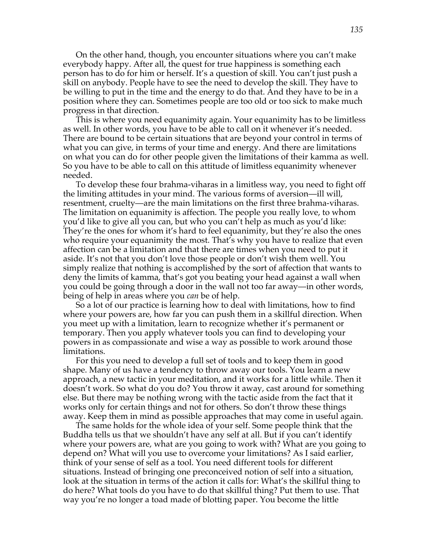On the other hand, though, you encounter situations where you can't make everybody happy. After all, the quest for true happiness is something each person has to do for him or herself. It's a question of skill. You can't just push a skill on anybody. People have to see the need to develop the skill. They have to be willing to put in the time and the energy to do that. And they have to be in a position where they can. Sometimes people are too old or too sick to make much progress in that direction.

This is where you need equanimity again. Your equanimity has to be limitless as well. In other words, you have to be able to call on it whenever it's needed. There are bound to be certain situations that are beyond your control in terms of what you can give, in terms of your time and energy. And there are limitations on what you can do for other people given the limitations of their kamma as well. So you have to be able to call on this attitude of limitless equanimity whenever needed.

To develop these four brahma-viharas in a limitless way, you need to fight off the limiting attitudes in your mind. The various forms of aversion—ill will, resentment, cruelty—are the main limitations on the first three brahma-viharas. The limitation on equanimity is affection. The people you really love, to whom you'd like to give all you can, but who you can't help as much as you'd like: They're the ones for whom it's hard to feel equanimity, but they're also the ones who require your equanimity the most. That's why you have to realize that even affection can be a limitation and that there are times when you need to put it aside. It's not that you don't love those people or don't wish them well. You simply realize that nothing is accomplished by the sort of affection that wants to deny the limits of kamma, that's got you beating your head against a wall when you could be going through a door in the wall not too far away—in other words, being of help in areas where you *can* be of help.

So a lot of our practice is learning how to deal with limitations, how to find where your powers are, how far you can push them in a skillful direction. When you meet up with a limitation, learn to recognize whether it's permanent or temporary. Then you apply whatever tools you can find to developing your powers in as compassionate and wise a way as possible to work around those limitations.

For this you need to develop a full set of tools and to keep them in good shape. Many of us have a tendency to throw away our tools. You learn a new approach, a new tactic in your meditation, and it works for a little while. Then it doesn't work. So what do you do? You throw it away, cast around for something else. But there may be nothing wrong with the tactic aside from the fact that it works only for certain things and not for others. So don't throw these things away. Keep them in mind as possible approaches that may come in useful again.

The same holds for the whole idea of your self. Some people think that the Buddha tells us that we shouldn't have any self at all. But if you can't identify where your powers are, what are you going to work with? What are you going to depend on? What will you use to overcome your limitations? As I said earlier, think of your sense of self as a tool. You need different tools for different situations. Instead of bringing one preconceived notion of self into a situation, look at the situation in terms of the action it calls for: What's the skillful thing to do here? What tools do you have to do that skillful thing? Put them to use. That way you're no longer a toad made of blotting paper. You become the little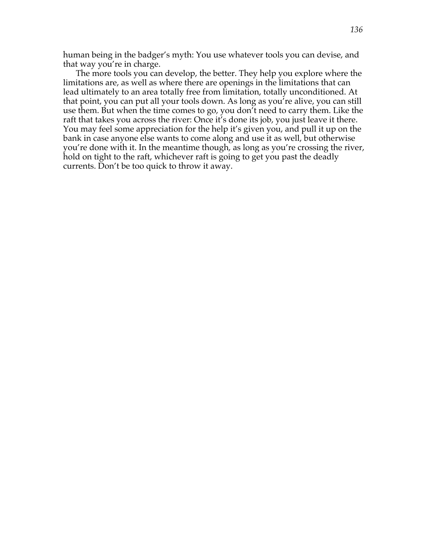human being in the badger's myth: You use whatever tools you can devise, and that way you're in charge.

The more tools you can develop, the better. They help you explore where the limitations are, as well as where there are openings in the limitations that can lead ultimately to an area totally free from limitation, totally unconditioned. At that point, you can put all your tools down. As long as you're alive, you can still use them. But when the time comes to go, you don't need to carry them. Like the raft that takes you across the river: Once it's done its job, you just leave it there. You may feel some appreciation for the help it's given you, and pull it up on the bank in case anyone else wants to come along and use it as well, but otherwise you're done with it. In the meantime though, as long as you're crossing the river, hold on tight to the raft, whichever raft is going to get you past the deadly currents. Don't be too quick to throw it away.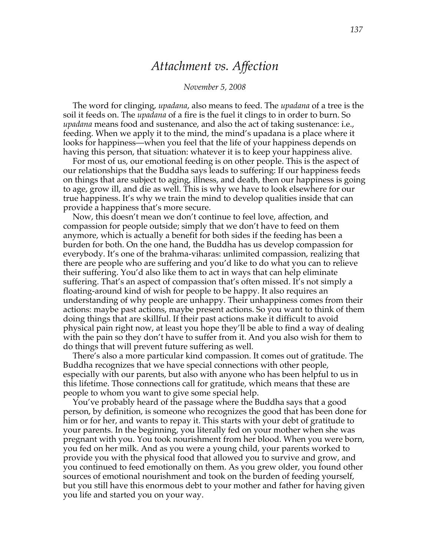### *Attachment vs. Affection*

#### *November 5, 2008*

The word for clinging, *upadana*, also means to feed. The *upadana* of a tree is the soil it feeds on. The *upadana* of a fire is the fuel it clings to in order to burn. So *upadana* means food and sustenance, and also the act of taking sustenance: i.e., feeding. When we apply it to the mind, the mind's upadana is a place where it looks for happiness—when you feel that the life of your happiness depends on having this person, that situation: whatever it is to keep your happiness alive.

For most of us, our emotional feeding is on other people. This is the aspect of our relationships that the Buddha says leads to suffering: If our happiness feeds on things that are subject to aging, illness, and death, then our happiness is going to age, grow ill, and die as well. This is why we have to look elsewhere for our true happiness. It's why we train the mind to develop qualities inside that can provide a happiness that's more secure.

Now, this doesn't mean we don't continue to feel love, affection, and compassion for people outside; simply that we don't have to feed on them anymore, which is actually a benefit for both sides if the feeding has been a burden for both. On the one hand, the Buddha has us develop compassion for everybody. It's one of the brahma-viharas: unlimited compassion, realizing that there are people who are suffering and you'd like to do what you can to relieve their suffering. You'd also like them to act in ways that can help eliminate suffering. That's an aspect of compassion that's often missed. It's not simply a floating-around kind of wish for people to be happy. It also requires an understanding of why people are unhappy. Their unhappiness comes from their actions: maybe past actions, maybe present actions. So you want to think of them doing things that are skillful. If their past actions make it difficult to avoid physical pain right now, at least you hope they'll be able to find a way of dealing with the pain so they don't have to suffer from it. And you also wish for them to do things that will prevent future suffering as well.

There's also a more particular kind compassion. It comes out of gratitude. The Buddha recognizes that we have special connections with other people, especially with our parents, but also with anyone who has been helpful to us in this lifetime. Those connections call for gratitude, which means that these are people to whom you want to give some special help.

You've probably heard of the passage where the Buddha says that a good person, by definition, is someone who recognizes the good that has been done for him or for her, and wants to repay it. This starts with your debt of gratitude to your parents. In the beginning, you literally fed on your mother when she was pregnant with you. You took nourishment from her blood. When you were born, you fed on her milk. And as you were a young child, your parents worked to provide you with the physical food that allowed you to survive and grow, and you continued to feed emotionally on them. As you grew older, you found other sources of emotional nourishment and took on the burden of feeding yourself, but you still have this enormous debt to your mother and father for having given you life and started you on your way.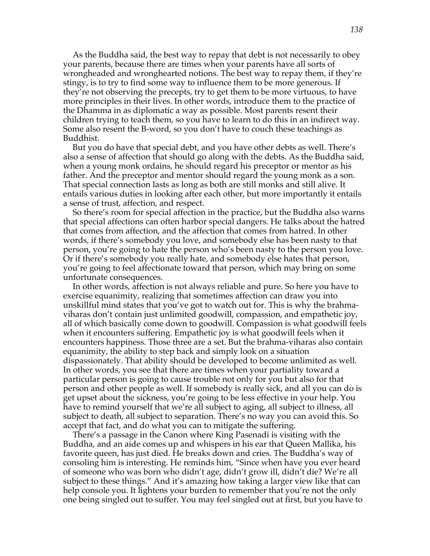As the Buddha said, the best way to repay that debt is not necessarily to obey your parents, because there are times when your parents have all sorts of wrongheaded and wronghearted notions. The best way to repay them, if they're stingy, is to try to find some way to influence them to be more generous. If they're not observing the precepts, try to get them to be more virtuous, to have more principles in their lives. In other words, introduce them to the practice of the Dhamma in as diplomatic a way as possible. Most parents resent their children trying to teach them, so you have to learn to do this in an indirect way. Some also resent the B-word, so you don't have to couch these teachings as Buddhist.

But you do have that special debt, and you have other debts as well. There's also a sense of affection that should go along with the debts. As the Buddha said, when a young monk ordains, he should regard his preceptor or mentor as his father. And the preceptor and mentor should regard the young monk as a son. That special connection lasts as long as both are still monks and still alive. It entails various duties in looking after each other, but more importantly it entails a sense of trust, affection, and respect.

So there's room for special affection in the practice, but the Buddha also warns that special affections can often harbor special dangers. He talks about the hatred that comes from affection, and the affection that comes from hatred. In other words, if there's somebody you love, and somebody else has been nasty to that person, you're going to hate the person who's been nasty to the person you love. Or if there's somebody you really hate, and somebody else hates that person, you're going to feel affectionate toward that person, which may bring on some unfortunate consequences.

In other words, affection is not always reliable and pure. So here you have to exercise equanimity, realizing that sometimes affection can draw you into unskillful mind states that you've got to watch out for. This is why the brahmaviharas don't contain just unlimited goodwill, compassion, and empathetic joy, all of which basically come down to goodwill. Compassion is what goodwill feels when it encounters suffering. Empathetic joy is what goodwill feels when it encounters happiness. Those three are a set. But the brahma-viharas also contain equanimity, the ability to step back and simply look on a situation dispassionately. That ability should be developed to become unlimited as well. In other words, you see that there are times when your partiality toward a particular person is going to cause trouble not only for you but also for that person and other people as well. If somebody is really sick, and all you can do is get upset about the sickness, you're going to be less effective in your help. You have to remind yourself that we're all subject to aging, all subject to illness, all subject to death, all subject to separation. There's no way you can avoid this. So accept that fact, and do what you can to mitigate the suffering.

There's a passage in the Canon where King Pasenadi is visiting with the Buddha, and an aide comes up and whispers in his ear that Queen Mallika, his favorite queen, has just died. He breaks down and cries. The Buddha's way of consoling him is interesting. He reminds him, "Since when have you ever heard of someone who was born who didn't age, didn't grow ill, didn't die? We're all subject to these things." And it's amazing how taking a larger view like that can help console you. It lightens your burden to remember that you're not the only one being singled out to suffer. You may feel singled out at first, but you have to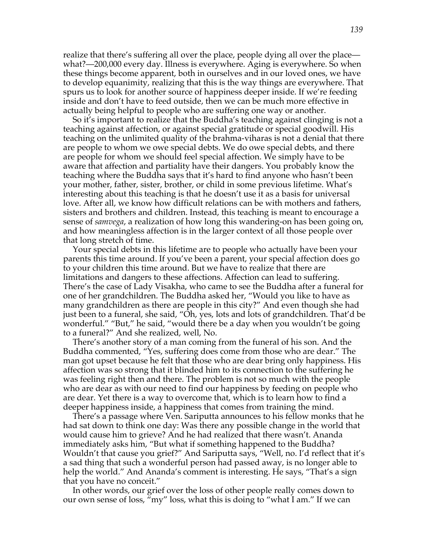realize that there's suffering all over the place, people dying all over the place what?—200,000 every day. Illness is everywhere. Aging is everywhere. So when these things become apparent, both in ourselves and in our loved ones, we have to develop equanimity, realizing that this is the way things are everywhere. That spurs us to look for another source of happiness deeper inside. If we're feeding inside and don't have to feed outside, then we can be much more effective in actually being helpful to people who are suffering one way or another.

So it's important to realize that the Buddha's teaching against clinging is not a teaching against affection, or against special gratitude or special goodwill. His teaching on the unlimited quality of the brahma-viharas is not a denial that there are people to whom we owe special debts. We do owe special debts, and there are people for whom we should feel special affection. We simply have to be aware that affection and partiality have their dangers. You probably know the teaching where the Buddha says that it's hard to find anyone who hasn't been your mother, father, sister, brother, or child in some previous lifetime. What's interesting about this teaching is that he doesn't use it as a basis for universal love. After all, we know how difficult relations can be with mothers and fathers, sisters and brothers and children. Instead, this teaching is meant to encourage a sense of *samvega*, a realization of how long this wandering-on has been going on, and how meaningless affection is in the larger context of all those people over that long stretch of time.

Your special debts in this lifetime are to people who actually have been your parents this time around. If you've been a parent, your special affection does go to your children this time around. But we have to realize that there are limitations and dangers to these affections. Affection can lead to suffering. There's the case of Lady Visakha, who came to see the Buddha after a funeral for one of her grandchildren. The Buddha asked her, "Would you like to have as many grandchildren as there are people in this city?" And even though she had just been to a funeral, she said, "Oh, yes, lots and lots of grandchildren. That'd be wonderful." "But," he said, "would there be a day when you wouldn't be going to a funeral?" And she realized, well, No.

There's another story of a man coming from the funeral of his son. And the Buddha commented, "Yes, suffering does come from those who are dear." The man got upset because he felt that those who are dear bring only happiness. His affection was so strong that it blinded him to its connection to the suffering he was feeling right then and there. The problem is not so much with the people who are dear as with our need to find our happiness by feeding on people who are dear. Yet there is a way to overcome that, which is to learn how to find a deeper happiness inside, a happiness that comes from training the mind.

There's a passage where Ven. Sariputta announces to his fellow monks that he had sat down to think one day: Was there any possible change in the world that would cause him to grieve? And he had realized that there wasn't. Ananda immediately asks him, "But what if something happened to the Buddha? Wouldn't that cause you grief?" And Sariputta says, "Well, no. I'd reflect that it's a sad thing that such a wonderful person had passed away, is no longer able to help the world." And Ananda's comment is interesting. He says, "That's a sign that you have no conceit."

In other words, our grief over the loss of other people really comes down to our own sense of loss, "my" loss, what this is doing to "what I am." If we can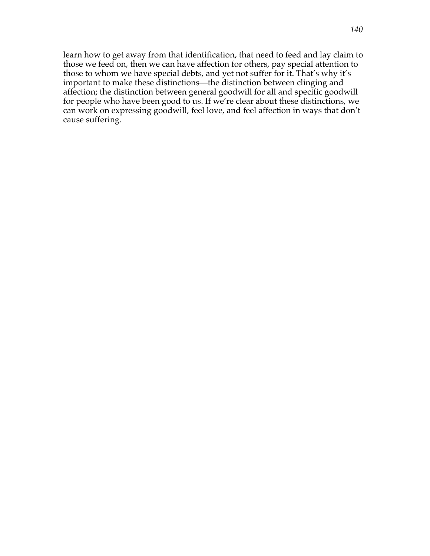learn how to get away from that identification, that need to feed and lay claim to those we feed on, then we can have affection for others, pay special attention to those to whom we have special debts, and yet not suffer for it. That's why it's important to make these distinctions—the distinction between clinging and affection; the distinction between general goodwill for all and specific goodwill for people who have been good to us. If we're clear about these distinctions, we can work on expressing goodwill, feel love, and feel affection in ways that don't cause suffering.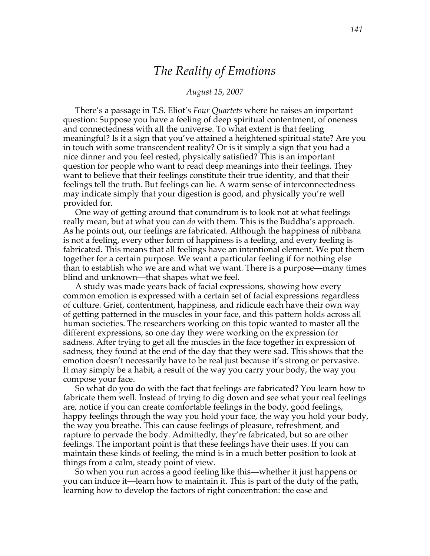# *The Reality of Emotions*

#### *August 15, 2007*

There's a passage in T.S. Eliot's *Four Quartets* where he raises an important question: Suppose you have a feeling of deep spiritual contentment, of oneness and connectedness with all the universe. To what extent is that feeling meaningful? Is it a sign that you've attained a heightened spiritual state? Are you in touch with some transcendent reality? Or is it simply a sign that you had a nice dinner and you feel rested, physically satisfied? This is an important question for people who want to read deep meanings into their feelings. They want to believe that their feelings constitute their true identity, and that their feelings tell the truth. But feelings can lie. A warm sense of interconnectedness may indicate simply that your digestion is good, and physically you're well provided for.

One way of getting around that conundrum is to look not at what feelings really mean, but at what you can *do* with them. This is the Buddha's approach. As he points out, our feelings are fabricated. Although the happiness of nibbana is not a feeling, every other form of happiness is a feeling, and every feeling is fabricated. This means that all feelings have an intentional element. We put them together for a certain purpose. We want a particular feeling if for nothing else than to establish who we are and what we want. There is a purpose—many times blind and unknown—that shapes what we feel.

A study was made years back of facial expressions, showing how every common emotion is expressed with a certain set of facial expressions regardless of culture. Grief, contentment, happiness, and ridicule each have their own way of getting patterned in the muscles in your face, and this pattern holds across all human societies. The researchers working on this topic wanted to master all the different expressions, so one day they were working on the expression for sadness. After trying to get all the muscles in the face together in expression of sadness, they found at the end of the day that they were sad. This shows that the emotion doesn't necessarily have to be real just because it's strong or pervasive. It may simply be a habit, a result of the way you carry your body, the way you compose your face.

So what do you do with the fact that feelings are fabricated? You learn how to fabricate them well. Instead of trying to dig down and see what your real feelings are, notice if you can create comfortable feelings in the body, good feelings, happy feelings through the way you hold your face, the way you hold your body, the way you breathe. This can cause feelings of pleasure, refreshment, and rapture to pervade the body. Admittedly, they're fabricated, but so are other feelings. The important point is that these feelings have their uses. If you can maintain these kinds of feeling, the mind is in a much better position to look at things from a calm, steady point of view.

So when you run across a good feeling like this—whether it just happens or you can induce it—learn how to maintain it. This is part of the duty of the path, learning how to develop the factors of right concentration: the ease and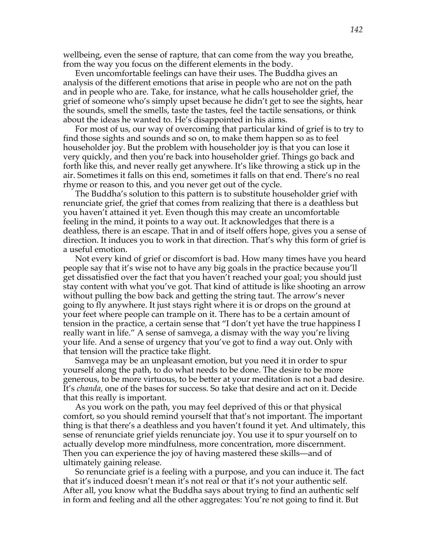wellbeing, even the sense of rapture, that can come from the way you breathe, from the way you focus on the different elements in the body.

Even uncomfortable feelings can have their uses. The Buddha gives an analysis of the different emotions that arise in people who are not on the path and in people who are. Take, for instance, what he calls householder grief, the grief of someone who's simply upset because he didn't get to see the sights, hear the sounds, smell the smells, taste the tastes, feel the tactile sensations, or think about the ideas he wanted to. He's disappointed in his aims.

For most of us, our way of overcoming that particular kind of grief is to try to find those sights and sounds and so on, to make them happen so as to feel householder joy. But the problem with householder joy is that you can lose it very quickly, and then you're back into householder grief. Things go back and forth like this, and never really get anywhere. It's like throwing a stick up in the air. Sometimes it falls on this end, sometimes it falls on that end. There's no real rhyme or reason to this, and you never get out of the cycle.

The Buddha's solution to this pattern is to substitute householder grief with renunciate grief, the grief that comes from realizing that there is a deathless but you haven't attained it yet. Even though this may create an uncomfortable feeling in the mind, it points to a way out. It acknowledges that there is a deathless, there is an escape. That in and of itself offers hope, gives you a sense of direction. It induces you to work in that direction. That's why this form of grief is a useful emotion.

Not every kind of grief or discomfort is bad. How many times have you heard people say that it's wise not to have any big goals in the practice because you'll get dissatisfied over the fact that you haven't reached your goal; you should just stay content with what you've got. That kind of attitude is like shooting an arrow without pulling the bow back and getting the string taut. The arrow's never going to fly anywhere. It just stays right where it is or drops on the ground at your feet where people can trample on it. There has to be a certain amount of tension in the practice, a certain sense that "I don't yet have the true happiness I really want in life." A sense of samvega, a dismay with the way you're living your life. And a sense of urgency that you've got to find a way out. Only with that tension will the practice take flight.

Samvega may be an unpleasant emotion, but you need it in order to spur yourself along the path, to do what needs to be done. The desire to be more generous, to be more virtuous, to be better at your meditation is not a bad desire. It's *chanda,* one of the bases for success. So take that desire and act on it. Decide that this really is important.

As you work on the path, you may feel deprived of this or that physical comfort, so you should remind yourself that that's not important. The important thing is that there's a deathless and you haven't found it yet. And ultimately, this sense of renunciate grief yields renunciate joy. You use it to spur yourself on to actually develop more mindfulness, more concentration, more discernment. Then you can experience the joy of having mastered these skills—and of ultimately gaining release.

So renunciate grief is a feeling with a purpose, and you can induce it. The fact that it's induced doesn't mean it's not real or that it's not your authentic self. After all, you know what the Buddha says about trying to find an authentic self in form and feeling and all the other aggregates: You're not going to find it. But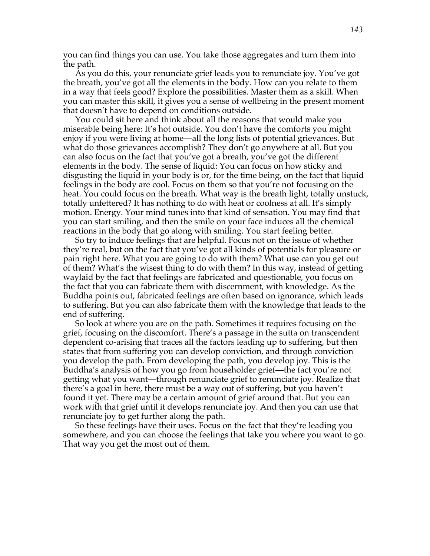you can find things you can use. You take those aggregates and turn them into the path.

As you do this, your renunciate grief leads you to renunciate joy. You've got the breath, you've got all the elements in the body. How can you relate to them in a way that feels good? Explore the possibilities. Master them as a skill. When you can master this skill, it gives you a sense of wellbeing in the present moment that doesn't have to depend on conditions outside.

You could sit here and think about all the reasons that would make you miserable being here: It's hot outside. You don't have the comforts you might enjoy if you were living at home—all the long lists of potential grievances. But what do those grievances accomplish? They don't go anywhere at all. But you can also focus on the fact that you've got a breath, you've got the different elements in the body. The sense of liquid: You can focus on how sticky and disgusting the liquid in your body is or, for the time being, on the fact that liquid feelings in the body are cool. Focus on them so that you're not focusing on the heat. You could focus on the breath. What way is the breath light, totally unstuck, totally unfettered? It has nothing to do with heat or coolness at all. It's simply motion. Energy. Your mind tunes into that kind of sensation. You may find that you can start smiling, and then the smile on your face induces all the chemical reactions in the body that go along with smiling. You start feeling better.

So try to induce feelings that are helpful. Focus not on the issue of whether they're real, but on the fact that you've got all kinds of potentials for pleasure or pain right here. What you are going to do with them? What use can you get out of them? What's the wisest thing to do with them? In this way, instead of getting waylaid by the fact that feelings are fabricated and questionable, you focus on the fact that you can fabricate them with discernment, with knowledge. As the Buddha points out, fabricated feelings are often based on ignorance, which leads to suffering. But you can also fabricate them with the knowledge that leads to the end of suffering.

So look at where you are on the path. Sometimes it requires focusing on the grief, focusing on the discomfort. There's a passage in the sutta on transcendent dependent co-arising that traces all the factors leading up to suffering, but then states that from suffering you can develop conviction, and through conviction you develop the path. From developing the path, you develop joy. This is the Buddha's analysis of how you go from householder grief—the fact you're not getting what you want—through renunciate grief to renunciate joy. Realize that there's a goal in here, there must be a way out of suffering, but you haven't found it yet. There may be a certain amount of grief around that. But you can work with that grief until it develops renunciate joy. And then you can use that renunciate joy to get further along the path.

So these feelings have their uses. Focus on the fact that they're leading you somewhere, and you can choose the feelings that take you where you want to go. That way you get the most out of them.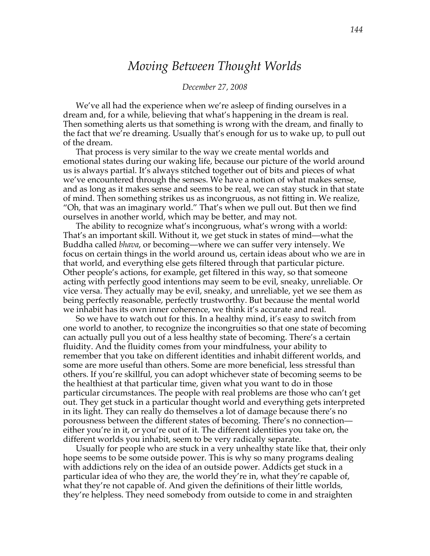# *Moving Between Thought Worlds*

#### *December 27, 2008*

We've all had the experience when we're asleep of finding ourselves in a dream and, for a while, believing that what's happening in the dream is real. Then something alerts us that something is wrong with the dream, and finally to the fact that we're dreaming. Usually that's enough for us to wake up, to pull out of the dream.

That process is very similar to the way we create mental worlds and emotional states during our waking life, because our picture of the world around us is always partial. It's always stitched together out of bits and pieces of what we've encountered through the senses. We have a notion of what makes sense, and as long as it makes sense and seems to be real, we can stay stuck in that state of mind. Then something strikes us as incongruous, as not fitting in. We realize, "Oh, that was an imaginary world." That's when we pull out. But then we find ourselves in another world, which may be better, and may not.

The ability to recognize what's incongruous, what's wrong with a world: That's an important skill. Without it, we get stuck in states of mind—what the Buddha called *bhava*, or becoming—where we can suffer very intensely. We focus on certain things in the world around us, certain ideas about who we are in that world, and everything else gets filtered through that particular picture. Other people's actions, for example, get filtered in this way, so that someone acting with perfectly good intentions may seem to be evil, sneaky, unreliable. Or vice versa. They actually may be evil, sneaky, and unreliable, yet we see them as being perfectly reasonable, perfectly trustworthy. But because the mental world we inhabit has its own inner coherence, we think it's accurate and real.

So we have to watch out for this. In a healthy mind, it's easy to switch from one world to another, to recognize the incongruities so that one state of becoming can actually pull you out of a less healthy state of becoming. There's a certain fluidity. And the fluidity comes from your mindfulness, your ability to remember that you take on different identities and inhabit different worlds, and some are more useful than others. Some are more beneficial, less stressful than others. If you're skillful, you can adopt whichever state of becoming seems to be the healthiest at that particular time, given what you want to do in those particular circumstances. The people with real problems are those who can't get out. They get stuck in a particular thought world and everything gets interpreted in its light. They can really do themselves a lot of damage because there's no porousness between the different states of becoming. There's no connection either you're in it, or you're out of it. The different identities you take on, the different worlds you inhabit, seem to be very radically separate.

Usually for people who are stuck in a very unhealthy state like that, their only hope seems to be some outside power. This is why so many programs dealing with addictions rely on the idea of an outside power. Addicts get stuck in a particular idea of who they are, the world they're in, what they're capable of, what they're not capable of. And given the definitions of their little worlds, they're helpless. They need somebody from outside to come in and straighten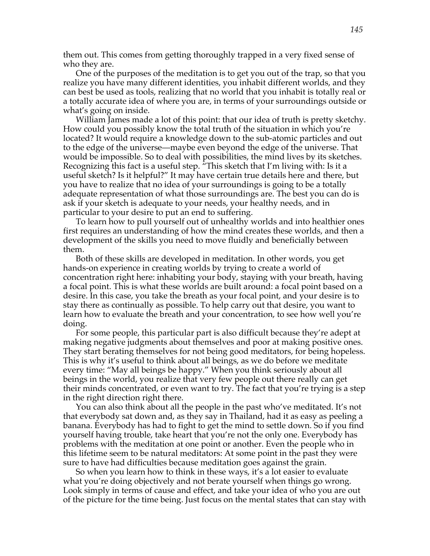them out. This comes from getting thoroughly trapped in a very fixed sense of who they are.

One of the purposes of the meditation is to get you out of the trap, so that you realize you have many different identities, you inhabit different worlds, and they can best be used as tools, realizing that no world that you inhabit is totally real or a totally accurate idea of where you are, in terms of your surroundings outside or what's going on inside.

William James made a lot of this point: that our idea of truth is pretty sketchy. How could you possibly know the total truth of the situation in which you're located? It would require a knowledge down to the sub-atomic particles and out to the edge of the universe—maybe even beyond the edge of the universe. That would be impossible. So to deal with possibilities, the mind lives by its sketches. Recognizing this fact is a useful step. "This sketch that I'm living with: Is it a useful sketch? Is it helpful?" It may have certain true details here and there, but you have to realize that no idea of your surroundings is going to be a totally adequate representation of what those surroundings are. The best you can do is ask if your sketch is adequate to your needs, your healthy needs, and in particular to your desire to put an end to suffering.

To learn how to pull yourself out of unhealthy worlds and into healthier ones first requires an understanding of how the mind creates these worlds, and then a development of the skills you need to move fluidly and beneficially between them.

Both of these skills are developed in meditation. In other words, you get hands-on experience in creating worlds by trying to create a world of concentration right here: inhabiting your body, staying with your breath, having a focal point. This is what these worlds are built around: a focal point based on a desire. In this case, you take the breath as your focal point, and your desire is to stay there as continually as possible. To help carry out that desire, you want to learn how to evaluate the breath and your concentration, to see how well you're doing.

For some people, this particular part is also difficult because they're adept at making negative judgments about themselves and poor at making positive ones. They start berating themselves for not being good meditators, for being hopeless. This is why it's useful to think about all beings, as we do before we meditate every time: "May all beings be happy." When you think seriously about all beings in the world, you realize that very few people out there really can get their minds concentrated, or even want to try. The fact that you're trying is a step in the right direction right there.

You can also think about all the people in the past who've meditated. It's not that everybody sat down and, as they say in Thailand, had it as easy as peeling a banana. Everybody has had to fight to get the mind to settle down. So if you find yourself having trouble, take heart that you're not the only one. Everybody has problems with the meditation at one point or another. Even the people who in this lifetime seem to be natural meditators: At some point in the past they were sure to have had difficulties because meditation goes against the grain.

So when you learn how to think in these ways, it's a lot easier to evaluate what you're doing objectively and not berate yourself when things go wrong. Look simply in terms of cause and effect, and take your idea of who you are out of the picture for the time being. Just focus on the mental states that can stay with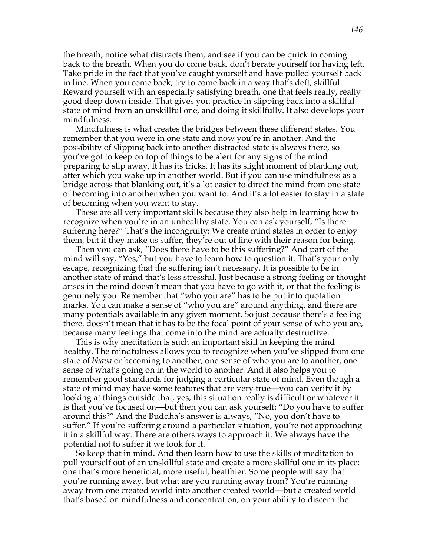the breath, notice what distracts them, and see if you can be quick in coming back to the breath. When you do come back, don't berate yourself for having left. Take pride in the fact that you've caught yourself and have pulled yourself back in line. When you come back, try to come back in a way that's deft, skillful. Reward yourself with an especially satisfying breath, one that feels really, really good deep down inside. That gives you practice in slipping back into a skillful state of mind from an unskillful one, and doing it skillfully. It also develops your mindfulness.

Mindfulness is what creates the bridges between these different states. You remember that you were in one state and now you're in another. And the possibility of slipping back into another distracted state is always there, so you've got to keep on top of things to be alert for any signs of the mind preparing to slip away. It has its tricks. It has its slight moment of blanking out, after which you wake up in another world. But if you can use mindfulness as a bridge across that blanking out, it's a lot easier to direct the mind from one state of becoming into another when you want to. And it's a lot easier to stay in a state of becoming when you want to stay.

These are all very important skills because they also help in learning how to recognize when you're in an unhealthy state. You can ask yourself, "Is there suffering here?" That's the incongruity: We create mind states in order to enjoy them, but if they make us suffer, they're out of line with their reason for being.

Then you can ask, "Does there have to be this suffering?" And part of the mind will say, "Yes," but you have to learn how to question it. That's your only escape, recognizing that the suffering isn't necessary. It is possible to be in another state of mind that's less stressful. Just because a strong feeling or thought arises in the mind doesn't mean that you have to go with it, or that the feeling is genuinely you. Remember that "who you are" has to be put into quotation marks. You can make a sense of "who you are" around anything, and there are many potentials available in any given moment. So just because there's a feeling there, doesn't mean that it has to be the focal point of your sense of who you are, because many feelings that come into the mind are actually destructive.

This is why meditation is such an important skill in keeping the mind healthy. The mindfulness allows you to recognize when you've slipped from one state of *bhava* or becoming to another, one sense of who you are to another, one sense of what's going on in the world to another. And it also helps you to remember good standards for judging a particular state of mind. Even though a state of mind may have some features that are very true—you can verify it by looking at things outside that, yes, this situation really is difficult or whatever it is that you've focused on—but then you can ask yourself: "Do you have to suffer around this?" And the Buddha's answer is always, "No, you don't have to suffer." If you're suffering around a particular situation, you're not approaching it in a skillful way. There are others ways to approach it. We always have the potential not to suffer if we look for it.

So keep that in mind. And then learn how to use the skills of meditation to pull yourself out of an unskillful state and create a more skillful one in its place: one that's more beneficial, more useful, healthier. Some people will say that you're running away, but what are you running away from? You're running away from one created world into another created world—but a created world that's based on mindfulness and concentration, on your ability to discern the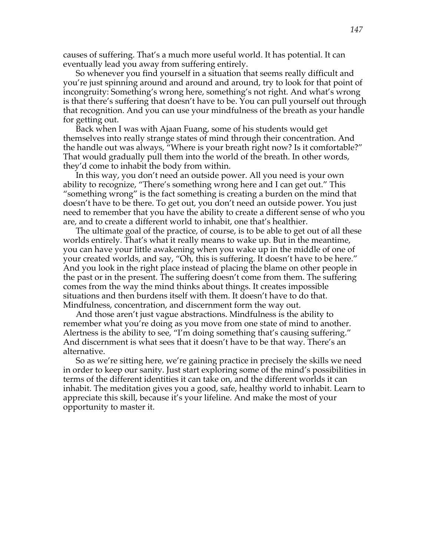causes of suffering. That's a much more useful world. It has potential. It can eventually lead you away from suffering entirely.

So whenever you find yourself in a situation that seems really difficult and you're just spinning around and around and around, try to look for that point of incongruity: Something's wrong here, something's not right. And what's wrong is that there's suffering that doesn't have to be. You can pull yourself out through that recognition. And you can use your mindfulness of the breath as your handle for getting out.

Back when I was with Ajaan Fuang, some of his students would get themselves into really strange states of mind through their concentration. And the handle out was always, "Where is your breath right now? Is it comfortable?" That would gradually pull them into the world of the breath. In other words, they'd come to inhabit the body from within.

In this way, you don't need an outside power. All you need is your own ability to recognize, "There's something wrong here and I can get out." This "something wrong" is the fact something is creating a burden on the mind that doesn't have to be there. To get out, you don't need an outside power. You just need to remember that you have the ability to create a different sense of who you are, and to create a different world to inhabit, one that's healthier.

The ultimate goal of the practice, of course, is to be able to get out of all these worlds entirely. That's what it really means to wake up. But in the meantime, you can have your little awakening when you wake up in the middle of one of your created worlds, and say, "Oh, this is suffering. It doesn't have to be here." And you look in the right place instead of placing the blame on other people in the past or in the present. The suffering doesn't come from them. The suffering comes from the way the mind thinks about things. It creates impossible situations and then burdens itself with them. It doesn't have to do that. Mindfulness, concentration, and discernment form the way out.

And those aren't just vague abstractions. Mindfulness is the ability to remember what you're doing as you move from one state of mind to another. Alertness is the ability to see, "I'm doing something that's causing suffering." And discernment is what sees that it doesn't have to be that way. There's an alternative.

So as we're sitting here, we're gaining practice in precisely the skills we need in order to keep our sanity. Just start exploring some of the mind's possibilities in terms of the different identities it can take on, and the different worlds it can inhabit. The meditation gives you a good, safe, healthy world to inhabit. Learn to appreciate this skill, because it's your lifeline. And make the most of your opportunity to master it.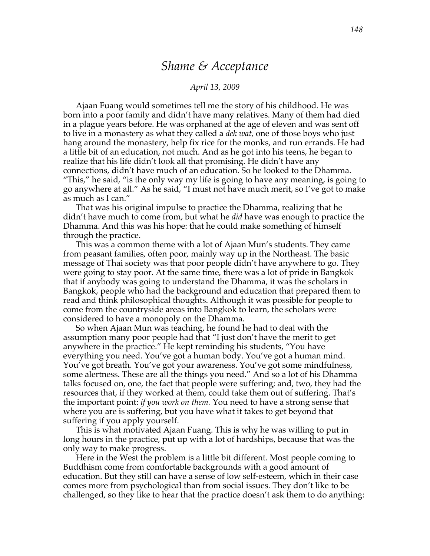## *Shame & Acceptance*

### *April 13, 2009*

Ajaan Fuang would sometimes tell me the story of his childhood. He was born into a poor family and didn't have many relatives. Many of them had died in a plague years before. He was orphaned at the age of eleven and was sent off to live in a monastery as what they called a *dek wat,* one of those boys who just hang around the monastery, help fix rice for the monks, and run errands. He had a little bit of an education, not much. And as he got into his teens, he began to realize that his life didn't look all that promising. He didn't have any connections, didn't have much of an education. So he looked to the Dhamma. "This," he said, "is the only way my life is going to have any meaning, is going to go anywhere at all." As he said, "I must not have much merit, so I've got to make as much as I can."

That was his original impulse to practice the Dhamma, realizing that he didn't have much to come from, but what he *did* have was enough to practice the Dhamma. And this was his hope: that he could make something of himself through the practice.

This was a common theme with a lot of Ajaan Mun's students. They came from peasant families, often poor, mainly way up in the Northeast. The basic message of Thai society was that poor people didn't have anywhere to go. They were going to stay poor. At the same time, there was a lot of pride in Bangkok that if anybody was going to understand the Dhamma, it was the scholars in Bangkok, people who had the background and education that prepared them to read and think philosophical thoughts. Although it was possible for people to come from the countryside areas into Bangkok to learn, the scholars were considered to have a monopoly on the Dhamma.

So when Ajaan Mun was teaching, he found he had to deal with the assumption many poor people had that "I just don't have the merit to get anywhere in the practice." He kept reminding his students, "You have everything you need. You've got a human body. You've got a human mind. You've got breath. You've got your awareness. You've got some mindfulness, some alertness. These are all the things you need." And so a lot of his Dhamma talks focused on, one, the fact that people were suffering; and, two, they had the resources that, if they worked at them, could take them out of suffering. That's the important point: *if you work on them.* You need to have a strong sense that where you are is suffering, but you have what it takes to get beyond that suffering if you apply yourself.

This is what motivated Ajaan Fuang. This is why he was willing to put in long hours in the practice, put up with a lot of hardships, because that was the only way to make progress.

Here in the West the problem is a little bit different. Most people coming to Buddhism come from comfortable backgrounds with a good amount of education. But they still can have a sense of low self-esteem, which in their case comes more from psychological than from social issues. They don't like to be challenged, so they like to hear that the practice doesn't ask them to do anything: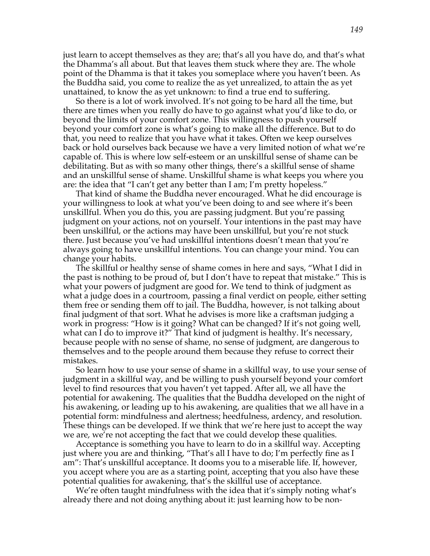just learn to accept themselves as they are; that's all you have do, and that's what the Dhamma's all about. But that leaves them stuck where they are. The whole point of the Dhamma is that it takes you someplace where you haven't been. As the Buddha said, you come to realize the as yet unrealized, to attain the as yet unattained, to know the as yet unknown: to find a true end to suffering.

So there is a lot of work involved. It's not going to be hard all the time, but there are times when you really do have to go against what you'd like to do, or beyond the limits of your comfort zone. This willingness to push yourself beyond your comfort zone is what's going to make all the difference. But to do that, you need to realize that you have what it takes. Often we keep ourselves back or hold ourselves back because we have a very limited notion of what we're capable of. This is where low self-esteem or an unskillful sense of shame can be debilitating. But as with so many other things, there's a skillful sense of shame and an unskillful sense of shame. Unskillful shame is what keeps you where you are: the idea that "I can't get any better than I am; I'm pretty hopeless."

That kind of shame the Buddha never encouraged. What he did encourage is your willingness to look at what you've been doing to and see where it's been unskillful. When you do this, you are passing judgment. But you're passing judgment on your actions, not on yourself. Your intentions in the past may have been unskillful, or the actions may have been unskillful, but you're not stuck there. Just because you've had unskillful intentions doesn't mean that you're always going to have unskillful intentions. You can change your mind. You can change your habits.

The skillful or healthy sense of shame comes in here and says, "What I did in the past is nothing to be proud of, but I don't have to repeat that mistake." This is what your powers of judgment are good for. We tend to think of judgment as what a judge does in a courtroom, passing a final verdict on people, either setting them free or sending them off to jail. The Buddha, however, is not talking about final judgment of that sort. What he advises is more like a craftsman judging a work in progress: "How is it going? What can be changed? If it's not going well, what can I do to improve it?" That kind of judgment is healthy. It's necessary, because people with no sense of shame, no sense of judgment, are dangerous to themselves and to the people around them because they refuse to correct their mistakes.

So learn how to use your sense of shame in a skillful way, to use your sense of judgment in a skillful way, and be willing to push yourself beyond your comfort level to find resources that you haven't yet tapped. After all, we all have the potential for awakening. The qualities that the Buddha developed on the night of his awakening, or leading up to his awakening, are qualities that we all have in a potential form: mindfulness and alertness; heedfulness, ardency, and resolution. These things can be developed. If we think that we're here just to accept the way we are, we're not accepting the fact that we could develop these qualities.

Acceptance is something you have to learn to do in a skillful way. Accepting just where you are and thinking, "That's all I have to do; I'm perfectly fine as I am": That's unskillful acceptance. It dooms you to a miserable life. If, however, you accept where you are as a starting point, accepting that you also have these potential qualities for awakening, that's the skillful use of acceptance.

We're often taught mindfulness with the idea that it's simply noting what's already there and not doing anything about it: just learning how to be non-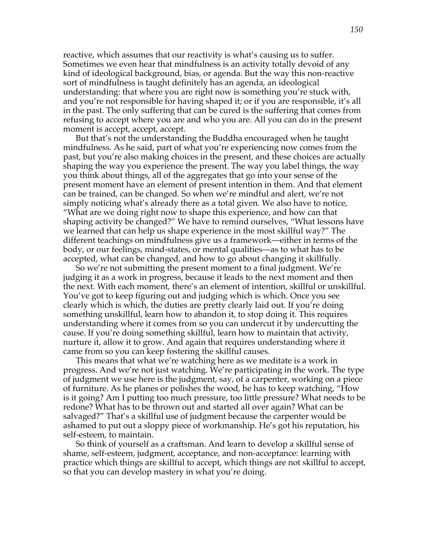reactive, which assumes that our reactivity is what's causing us to suffer. Sometimes we even hear that mindfulness is an activity totally devoid of any kind of ideological background, bias, or agenda. But the way this non-reactive sort of mindfulness is taught definitely has an agenda, an ideological understanding: that where you are right now is something you're stuck with, and you're not responsible for having shaped it; or if you are responsible, it's all in the past. The only suffering that can be cured is the suffering that comes from refusing to accept where you are and who you are. All you can do in the present moment is accept, accept, accept.

But that's not the understanding the Buddha encouraged when he taught mindfulness. As he said, part of what you're experiencing now comes from the past, but you're also making choices in the present, and these choices are actually shaping the way you experience the present. The way you label things, the way you think about things, all of the aggregates that go into your sense of the present moment have an element of present intention in them. And that element can be trained, can be changed. So when we're mindful and alert, we're not simply noticing what's already there as a total given. We also have to notice, "What are we doing right now to shape this experience, and how can that shaping activity be changed?" We have to remind ourselves, "What lessons have we learned that can help us shape experience in the most skillful way?" The different teachings on mindfulness give us a framework—either in terms of the body, or our feelings, mind-states, or mental qualities—as to what has to be accepted, what can be changed, and how to go about changing it skillfully.

So we're not submitting the present moment to a final judgment. We're judging it as a work in progress, because it leads to the next moment and then the next. With each moment, there's an element of intention, skillful or unskillful. You've got to keep figuring out and judging which is which. Once you see clearly which is which, the duties are pretty clearly laid out. If you're doing something unskillful, learn how to abandon it, to stop doing it. This requires understanding where it comes from so you can undercut it by undercutting the cause. If you're doing something skillful, learn how to maintain that activity, nurture it, allow it to grow. And again that requires understanding where it came from so you can keep fostering the skillful causes.

This means that what we're watching here as we meditate is a work in progress. And we're not just watching. We're participating in the work. The type of judgment we use here is the judgment, say, of a carpenter, working on a piece of furniture. As he planes or polishes the wood, he has to keep watching, "How is it going? Am I putting too much pressure, too little pressure? What needs to be redone? What has to be thrown out and started all over again? What can be salvaged?" That's a skillful use of judgment because the carpenter would be ashamed to put out a sloppy piece of workmanship. He's got his reputation, his self-esteem, to maintain.

So think of yourself as a craftsman. And learn to develop a skillful sense of shame, self-esteem, judgment, acceptance, and non-acceptance: learning with practice which things are skillful to accept, which things are not skillful to accept, so that you can develop mastery in what you're doing.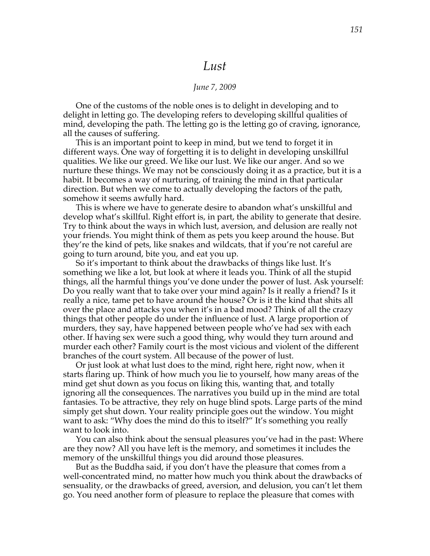## *Lust*

### *June 7, 2009*

One of the customs of the noble ones is to delight in developing and to delight in letting go. The developing refers to developing skillful qualities of mind, developing the path. The letting go is the letting go of craving, ignorance, all the causes of suffering.

This is an important point to keep in mind, but we tend to forget it in different ways. One way of forgetting it is to delight in developing unskillful qualities. We like our greed. We like our lust. We like our anger. And so we nurture these things. We may not be consciously doing it as a practice, but it is a habit. It becomes a way of nurturing, of training the mind in that particular direction. But when we come to actually developing the factors of the path, somehow it seems awfully hard.

This is where we have to generate desire to abandon what's unskillful and develop what's skillful. Right effort is, in part, the ability to generate that desire. Try to think about the ways in which lust, aversion, and delusion are really not your friends. You might think of them as pets you keep around the house. But they're the kind of pets, like snakes and wildcats, that if you're not careful are going to turn around, bite you, and eat you up.

So it's important to think about the drawbacks of things like lust. It's something we like a lot, but look at where it leads you. Think of all the stupid things, all the harmful things you've done under the power of lust. Ask yourself: Do you really want that to take over your mind again? Is it really a friend? Is it really a nice, tame pet to have around the house? Or is it the kind that shits all over the place and attacks you when it's in a bad mood? Think of all the crazy things that other people do under the influence of lust. A large proportion of murders, they say, have happened between people who've had sex with each other. If having sex were such a good thing, why would they turn around and murder each other? Family court is the most vicious and violent of the different branches of the court system. All because of the power of lust.

Or just look at what lust does to the mind, right here, right now, when it starts flaring up. Think of how much you lie to yourself, how many areas of the mind get shut down as you focus on liking this, wanting that, and totally ignoring all the consequences. The narratives you build up in the mind are total fantasies. To be attractive, they rely on huge blind spots. Large parts of the mind simply get shut down. Your reality principle goes out the window. You might want to ask: "Why does the mind do this to itself?" It's something you really want to look into.

You can also think about the sensual pleasures you've had in the past: Where are they now? All you have left is the memory, and sometimes it includes the memory of the unskillful things you did around those pleasures.

But as the Buddha said, if you don't have the pleasure that comes from a well-concentrated mind, no matter how much you think about the drawbacks of sensuality, or the drawbacks of greed, aversion, and delusion, you can't let them go. You need another form of pleasure to replace the pleasure that comes with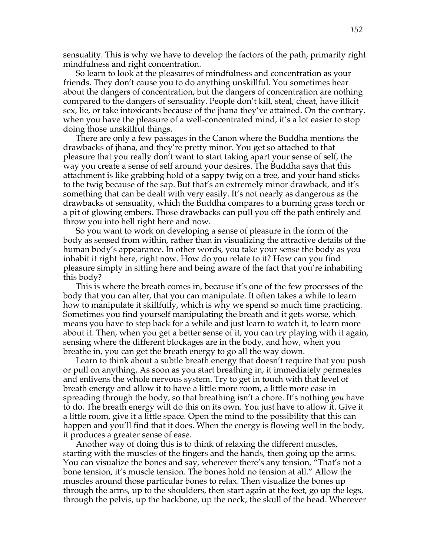sensuality. This is why we have to develop the factors of the path, primarily right mindfulness and right concentration.

So learn to look at the pleasures of mindfulness and concentration as your friends. They don't cause you to do anything unskillful. You sometimes hear about the dangers of concentration, but the dangers of concentration are nothing compared to the dangers of sensuality. People don't kill, steal, cheat, have illicit sex, lie, or take intoxicants because of the jhana they've attained. On the contrary, when you have the pleasure of a well-concentrated mind, it's a lot easier to stop doing those unskillful things.

There are only a few passages in the Canon where the Buddha mentions the drawbacks of jhana, and they're pretty minor. You get so attached to that pleasure that you really don't want to start taking apart your sense of self, the way you create a sense of self around your desires. The Buddha says that this attachment is like grabbing hold of a sappy twig on a tree, and your hand sticks to the twig because of the sap. But that's an extremely minor drawback, and it's something that can be dealt with very easily. It's not nearly as dangerous as the drawbacks of sensuality, which the Buddha compares to a burning grass torch or a pit of glowing embers. Those drawbacks can pull you off the path entirely and throw you into hell right here and now.

So you want to work on developing a sense of pleasure in the form of the body as sensed from within, rather than in visualizing the attractive details of the human body's appearance. In other words, you take your sense the body as you inhabit it right here, right now. How do you relate to it? How can you find pleasure simply in sitting here and being aware of the fact that you're inhabiting this body?

This is where the breath comes in, because it's one of the few processes of the body that you can alter, that you can manipulate. It often takes a while to learn how to manipulate it skillfully, which is why we spend so much time practicing. Sometimes you find yourself manipulating the breath and it gets worse, which means you have to step back for a while and just learn to watch it, to learn more about it. Then, when you get a better sense of it, you can try playing with it again, sensing where the different blockages are in the body, and how, when you breathe in, you can get the breath energy to go all the way down.

Learn to think about a subtle breath energy that doesn't require that you push or pull on anything. As soon as you start breathing in, it immediately permeates and enlivens the whole nervous system. Try to get in touch with that level of breath energy and allow it to have a little more room, a little more ease in spreading through the body, so that breathing isn't a chore. It's nothing *you* have to do. The breath energy will do this on its own. You just have to allow it. Give it a little room, give it a little space. Open the mind to the possibility that this can happen and you'll find that it does. When the energy is flowing well in the body, it produces a greater sense of ease.

Another way of doing this is to think of relaxing the different muscles, starting with the muscles of the fingers and the hands, then going up the arms. You can visualize the bones and say, wherever there's any tension, "That's not a bone tension, it's muscle tension. The bones hold no tension at all." Allow the muscles around those particular bones to relax. Then visualize the bones up through the arms, up to the shoulders, then start again at the feet, go up the legs, through the pelvis, up the backbone, up the neck, the skull of the head. Wherever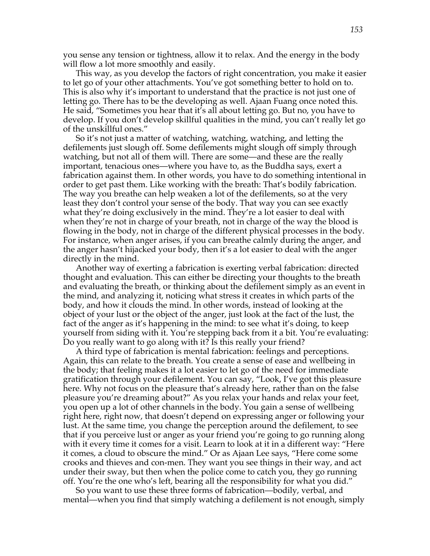you sense any tension or tightness, allow it to relax. And the energy in the body will flow a lot more smoothly and easily.

This way, as you develop the factors of right concentration, you make it easier to let go of your other attachments. You've got something better to hold on to. This is also why it's important to understand that the practice is not just one of letting go. There has to be the developing as well. Ajaan Fuang once noted this. He said, "Sometimes you hear that it's all about letting go. But no, you have to develop. If you don't develop skillful qualities in the mind, you can't really let go of the unskillful ones."

So it's not just a matter of watching, watching, watching, and letting the defilements just slough off. Some defilements might slough off simply through watching, but not all of them will. There are some—and these are the really important, tenacious ones—where you have to, as the Buddha says, exert a fabrication against them. In other words, you have to do something intentional in order to get past them. Like working with the breath: That's bodily fabrication. The way you breathe can help weaken a lot of the defilements, so at the very least they don't control your sense of the body. That way you can see exactly what they're doing exclusively in the mind. They're a lot easier to deal with when they're not in charge of your breath, not in charge of the way the blood is flowing in the body, not in charge of the different physical processes in the body. For instance, when anger arises, if you can breathe calmly during the anger, and the anger hasn't hijacked your body, then it's a lot easier to deal with the anger directly in the mind.

Another way of exerting a fabrication is exerting verbal fabrication: directed thought and evaluation. This can either be directing your thoughts to the breath and evaluating the breath, or thinking about the defilement simply as an event in the mind, and analyzing it, noticing what stress it creates in which parts of the body, and how it clouds the mind. In other words, instead of looking at the object of your lust or the object of the anger, just look at the fact of the lust, the fact of the anger as it's happening in the mind: to see what it's doing, to keep yourself from siding with it. You're stepping back from it a bit. You're evaluating: Do you really want to go along with it? Is this really your friend?

A third type of fabrication is mental fabrication: feelings and perceptions. Again, this can relate to the breath. You create a sense of ease and wellbeing in the body; that feeling makes it a lot easier to let go of the need for immediate gratification through your defilement. You can say, "Look, I've got this pleasure here. Why not focus on the pleasure that's already here, rather than on the false pleasure you're dreaming about?" As you relax your hands and relax your feet, you open up a lot of other channels in the body. You gain a sense of wellbeing right here, right now, that doesn't depend on expressing anger or following your lust. At the same time, you change the perception around the defilement, to see that if you perceive lust or anger as your friend you're going to go running along with it every time it comes for a visit. Learn to look at it in a different way: "Here it comes, a cloud to obscure the mind." Or as Ajaan Lee says, "Here come some crooks and thieves and con-men. They want you see things in their way, and act under their sway, but then when the police come to catch you, they go running off. You're the one who's left, bearing all the responsibility for what you did."

So you want to use these three forms of fabrication—bodily, verbal, and mental—when you find that simply watching a defilement is not enough, simply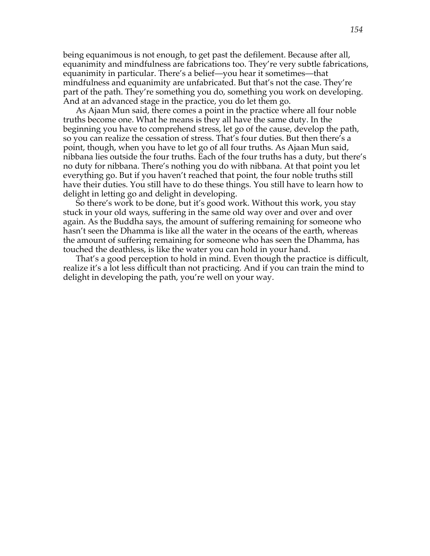being equanimous is not enough, to get past the defilement. Because after all, equanimity and mindfulness are fabrications too. They're very subtle fabrications, equanimity in particular. There's a belief—you hear it sometimes—that mindfulness and equanimity are unfabricated. But that's not the case. They're part of the path. They're something you do, something you work on developing. And at an advanced stage in the practice, you do let them go.

As Ajaan Mun said, there comes a point in the practice where all four noble truths become one. What he means is they all have the same duty. In the beginning you have to comprehend stress, let go of the cause, develop the path, so you can realize the cessation of stress. That's four duties. But then there's a point, though, when you have to let go of all four truths. As Ajaan Mun said, nibbana lies outside the four truths. Each of the four truths has a duty, but there's no duty for nibbana. There's nothing you do with nibbana. At that point you let everything go. But if you haven't reached that point, the four noble truths still have their duties. You still have to do these things. You still have to learn how to delight in letting go and delight in developing.

So there's work to be done, but it's good work. Without this work, you stay stuck in your old ways, suffering in the same old way over and over and over again. As the Buddha says, the amount of suffering remaining for someone who hasn't seen the Dhamma is like all the water in the oceans of the earth, whereas the amount of suffering remaining for someone who has seen the Dhamma, has touched the deathless, is like the water you can hold in your hand.

That's a good perception to hold in mind. Even though the practice is difficult, realize it's a lot less difficult than not practicing. And if you can train the mind to delight in developing the path, you're well on your way.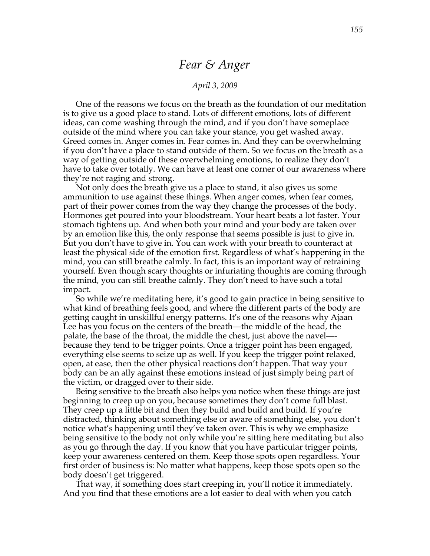## *Fear & Anger*

## *April 3, 2009*

One of the reasons we focus on the breath as the foundation of our meditation is to give us a good place to stand. Lots of different emotions, lots of different ideas, can come washing through the mind, and if you don't have someplace outside of the mind where you can take your stance, you get washed away. Greed comes in. Anger comes in. Fear comes in. And they can be overwhelming if you don't have a place to stand outside of them. So we focus on the breath as a way of getting outside of these overwhelming emotions, to realize they don't have to take over totally. We can have at least one corner of our awareness where they're not raging and strong.

Not only does the breath give us a place to stand, it also gives us some ammunition to use against these things. When anger comes, when fear comes, part of their power comes from the way they change the processes of the body. Hormones get poured into your bloodstream. Your heart beats a lot faster. Your stomach tightens up. And when both your mind and your body are taken over by an emotion like this, the only response that seems possible is just to give in. But you don't have to give in. You can work with your breath to counteract at least the physical side of the emotion first. Regardless of what's happening in the mind, you can still breathe calmly. In fact, this is an important way of retraining yourself. Even though scary thoughts or infuriating thoughts are coming through the mind, you can still breathe calmly. They don't need to have such a total impact.

So while we're meditating here, it's good to gain practice in being sensitive to what kind of breathing feels good, and where the different parts of the body are getting caught in unskillful energy patterns. It's one of the reasons why Ajaan Lee has you focus on the centers of the breath—the middle of the head, the palate, the base of the throat, the middle the chest, just above the navel— because they tend to be trigger points. Once a trigger point has been engaged, everything else seems to seize up as well. If you keep the trigger point relaxed, open, at ease, then the other physical reactions don't happen. That way your body can be an ally against these emotions instead of just simply being part of the victim, or dragged over to their side.

Being sensitive to the breath also helps you notice when these things are just beginning to creep up on you, because sometimes they don't come full blast. They creep up a little bit and then they build and build and build. If you're distracted, thinking about something else or aware of something else, you don't notice what's happening until they've taken over. This is why we emphasize being sensitive to the body not only while you're sitting here meditating but also as you go through the day. If you know that you have particular trigger points, keep your awareness centered on them. Keep those spots open regardless. Your first order of business is: No matter what happens, keep those spots open so the body doesn't get triggered.

That way, if something does start creeping in, you'll notice it immediately. And you find that these emotions are a lot easier to deal with when you catch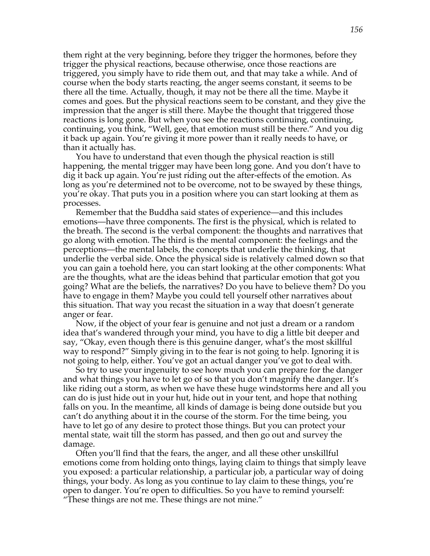them right at the very beginning, before they trigger the hormones, before they trigger the physical reactions, because otherwise, once those reactions are triggered, you simply have to ride them out, and that may take a while. And of course when the body starts reacting, the anger seems constant, it seems to be there all the time. Actually, though, it may not be there all the time. Maybe it comes and goes. But the physical reactions seem to be constant, and they give the impression that the anger is still there. Maybe the thought that triggered those reactions is long gone. But when you see the reactions continuing, continuing, continuing, you think, "Well, gee, that emotion must still be there." And you dig it back up again. You're giving it more power than it really needs to have, or than it actually has.

You have to understand that even though the physical reaction is still happening, the mental trigger may have been long gone. And you don't have to dig it back up again. You're just riding out the after-effects of the emotion. As long as you're determined not to be overcome, not to be swayed by these things, you're okay. That puts you in a position where you can start looking at them as processes.

Remember that the Buddha said states of experience—and this includes emotions—have three components. The first is the physical, which is related to the breath. The second is the verbal component: the thoughts and narratives that go along with emotion. The third is the mental component: the feelings and the perceptions—the mental labels, the concepts that underlie the thinking, that underlie the verbal side. Once the physical side is relatively calmed down so that you can gain a toehold here, you can start looking at the other components: What are the thoughts, what are the ideas behind that particular emotion that got you going? What are the beliefs, the narratives? Do you have to believe them? Do you have to engage in them? Maybe you could tell yourself other narratives about this situation. That way you recast the situation in a way that doesn't generate anger or fear.

Now, if the object of your fear is genuine and not just a dream or a random idea that's wandered through your mind, you have to dig a little bit deeper and say, "Okay, even though there is this genuine danger, what's the most skillful way to respond?" Simply giving in to the fear is not going to help. Ignoring it is not going to help, either. You've got an actual danger you've got to deal with.

So try to use your ingenuity to see how much you can prepare for the danger and what things you have to let go of so that you don't magnify the danger. It's like riding out a storm, as when we have these huge windstorms here and all you can do is just hide out in your hut, hide out in your tent, and hope that nothing falls on you. In the meantime, all kinds of damage is being done outside but you can't do anything about it in the course of the storm. For the time being, you have to let go of any desire to protect those things. But you can protect your mental state, wait till the storm has passed, and then go out and survey the damage.

Often you'll find that the fears, the anger, and all these other unskillful emotions come from holding onto things, laying claim to things that simply leave you exposed: a particular relationship, a particular job, a particular way of doing things, your body. As long as you continue to lay claim to these things, you're open to danger. You're open to difficulties. So you have to remind yourself: "These things are not me. These things are not mine."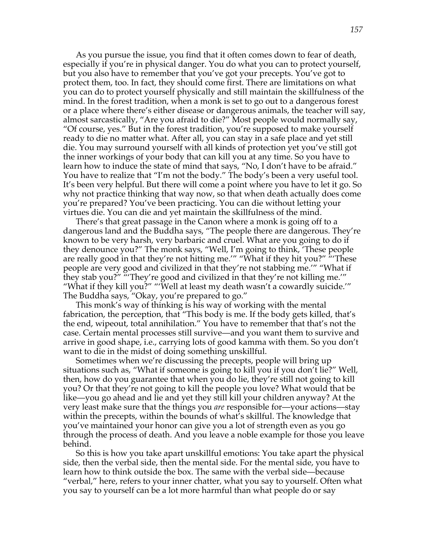As you pursue the issue, you find that it often comes down to fear of death, especially if you're in physical danger. You do what you can to protect yourself, but you also have to remember that you've got your precepts. You've got to protect them, too. In fact, they should come first. There are limitations on what you can do to protect yourself physically and still maintain the skillfulness of the mind. In the forest tradition, when a monk is set to go out to a dangerous forest or a place where there's either disease or dangerous animals, the teacher will say, almost sarcastically, "Are you afraid to die?" Most people would normally say, "Of course, yes." But in the forest tradition, you're supposed to make yourself ready to die no matter what. After all, you can stay in a safe place and yet still die. You may surround yourself with all kinds of protection yet you've still got the inner workings of your body that can kill you at any time. So you have to learn how to induce the state of mind that says, "No, I don't have to be afraid." You have to realize that "I'm not the body." The body's been a very useful tool. It's been very helpful. But there will come a point where you have to let it go. So why not practice thinking that way now, so that when death actually does come you're prepared? You've been practicing. You can die without letting your virtues die. You can die and yet maintain the skillfulness of the mind.

There's that great passage in the Canon where a monk is going off to a dangerous land and the Buddha says, "The people there are dangerous. They're known to be very harsh, very barbaric and cruel. What are you going to do if they denounce you?" The monk says, "Well, I'm going to think, 'These people are really good in that they're not hitting me.'" "What if they hit you?" "'These people are very good and civilized in that they're not stabbing me.'" "What if they stab you?" "'They're good and civilized in that they're not killing me.'" "What if they kill you?" "'Well at least my death wasn't a cowardly suicide.'" The Buddha says, "Okay, you're prepared to go."

This monk's way of thinking is his way of working with the mental fabrication, the perception, that "This body is me. If the body gets killed, that's the end, wipeout, total annihilation." You have to remember that that's not the case. Certain mental processes still survive—and you want them to survive and arrive in good shape, i.e., carrying lots of good kamma with them. So you don't want to die in the midst of doing something unskillful.

Sometimes when we're discussing the precepts, people will bring up situations such as, "What if someone is going to kill you if you don't lie?" Well, then, how do you guarantee that when you do lie, they're still not going to kill you? Or that they're not going to kill the people you love? What would that be like—you go ahead and lie and yet they still kill your children anyway? At the very least make sure that the things you *are* responsible for—your actions—stay within the precepts, within the bounds of what's skillful. The knowledge that you've maintained your honor can give you a lot of strength even as you go through the process of death. And you leave a noble example for those you leave behind.

So this is how you take apart unskillful emotions: You take apart the physical side, then the verbal side, then the mental side. For the mental side, you have to learn how to think outside the box. The same with the verbal side—because "verbal," here, refers to your inner chatter, what you say to yourself. Often what you say to yourself can be a lot more harmful than what people do or say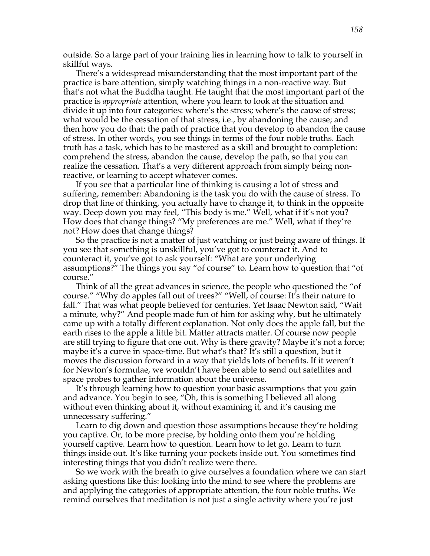outside. So a large part of your training lies in learning how to talk to yourself in skillful ways.

There's a widespread misunderstanding that the most important part of the practice is bare attention, simply watching things in a non-reactive way. But that's not what the Buddha taught. He taught that the most important part of the practice is *appropriate* attention, where you learn to look at the situation and divide it up into four categories: where's the stress; where's the cause of stress; what would be the cessation of that stress, i.e., by abandoning the cause; and then how you do that: the path of practice that you develop to abandon the cause of stress. In other words, you see things in terms of the four noble truths. Each truth has a task, which has to be mastered as a skill and brought to completion: comprehend the stress, abandon the cause, develop the path, so that you can realize the cessation. That's a very different approach from simply being nonreactive, or learning to accept whatever comes.

If you see that a particular line of thinking is causing a lot of stress and suffering, remember: Abandoning is the task you do with the cause of stress. To drop that line of thinking, you actually have to change it, to think in the opposite way. Deep down you may feel, "This body is me." Well, what if it's not you? How does that change things? "My preferences are me." Well, what if they're not? How does that change things?

So the practice is not a matter of just watching or just being aware of things. If you see that something is unskillful, you've got to counteract it. And to counteract it, you've got to ask yourself: "What are your underlying assumptions?" The things you say "of course" to. Learn how to question that "of course."

Think of all the great advances in science, the people who questioned the "of course." "Why do apples fall out of trees?" "Well, of course: It's their nature to fall." That was what people believed for centuries. Yet Isaac Newton said, "Wait a minute, why?" And people made fun of him for asking why, but he ultimately came up with a totally different explanation. Not only does the apple fall, but the earth rises to the apple a little bit. Matter attracts matter. Of course now people are still trying to figure that one out. Why is there gravity? Maybe it's not a force; maybe it's a curve in space-time. But what's that? It's still a question, but it moves the discussion forward in a way that yields lots of benefits. If it weren't for Newton's formulae, we wouldn't have been able to send out satellites and space probes to gather information about the universe.

It's through learning how to question your basic assumptions that you gain and advance. You begin to see, "Oh, this is something I believed all along without even thinking about it, without examining it, and it's causing me unnecessary suffering."

Learn to dig down and question those assumptions because they're holding you captive. Or, to be more precise, by holding onto them you're holding yourself captive. Learn how to question. Learn how to let go. Learn to turn things inside out. It's like turning your pockets inside out. You sometimes find interesting things that you didn't realize were there.

So we work with the breath to give ourselves a foundation where we can start asking questions like this: looking into the mind to see where the problems are and applying the categories of appropriate attention, the four noble truths. We remind ourselves that meditation is not just a single activity where you're just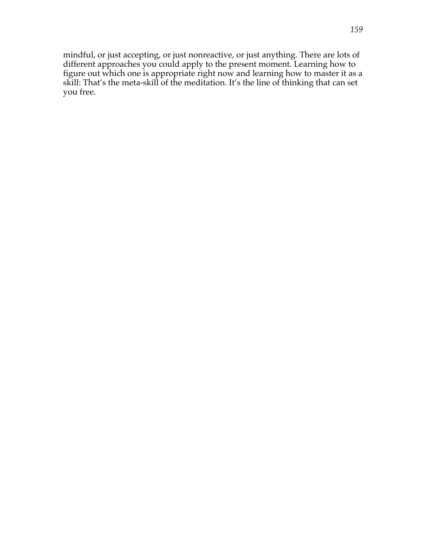mindful, or just accepting, or just nonreactive, or just anything. There are lots of different approaches you could apply to the present moment. Learning how to figure out which one is appropriate right now and learning how to master it as a skill: That's the meta-skill of the meditation. It's the line of thinking that can set you free.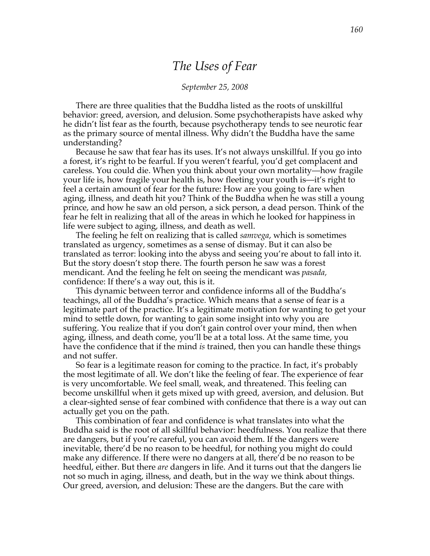# *The Uses of Fear*

#### *September 25, 2008*

There are three qualities that the Buddha listed as the roots of unskillful behavior: greed, aversion, and delusion. Some psychotherapists have asked why he didn't list fear as the fourth, because psychotherapy tends to see neurotic fear as the primary source of mental illness. Why didn't the Buddha have the same understanding?

Because he saw that fear has its uses. It's not always unskillful. If you go into a forest, it's right to be fearful. If you weren't fearful, you'd get complacent and careless. You could die. When you think about your own mortality—how fragile your life is, how fragile your health is, how fleeting your youth is—it's right to feel a certain amount of fear for the future: How are you going to fare when aging, illness, and death hit you? Think of the Buddha when he was still a young prince, and how he saw an old person, a sick person, a dead person. Think of the fear he felt in realizing that all of the areas in which he looked for happiness in life were subject to aging, illness, and death as well.

The feeling he felt on realizing that is called *samvega*, which is sometimes translated as urgency, sometimes as a sense of dismay. But it can also be translated as terror: looking into the abyss and seeing you're about to fall into it. But the story doesn't stop there. The fourth person he saw was a forest mendicant. And the feeling he felt on seeing the mendicant was *pasada,* confidence: If there's a way out, this is it.

This dynamic between terror and confidence informs all of the Buddha's teachings, all of the Buddha's practice. Which means that a sense of fear is a legitimate part of the practice. It's a legitimate motivation for wanting to get your mind to settle down, for wanting to gain some insight into why you are suffering. You realize that if you don't gain control over your mind, then when aging, illness, and death come, you'll be at a total loss. At the same time, you have the confidence that if the mind *is* trained, then you can handle these things and not suffer.

So fear is a legitimate reason for coming to the practice. In fact, it's probably the most legitimate of all. We don't like the feeling of fear. The experience of fear is very uncomfortable. We feel small, weak, and threatened. This feeling can become unskillful when it gets mixed up with greed, aversion, and delusion. But a clear-sighted sense of fear combined with confidence that there is a way out can actually get you on the path.

This combination of fear and confidence is what translates into what the Buddha said is the root of all skillful behavior: heedfulness. You realize that there are dangers, but if you're careful, you can avoid them. If the dangers were inevitable, there'd be no reason to be heedful, for nothing you might do could make any difference. If there were no dangers at all, there'd be no reason to be heedful, either. But there *are* dangers in life. And it turns out that the dangers lie not so much in aging, illness, and death, but in the way we think about things. Our greed, aversion, and delusion: These are the dangers. But the care with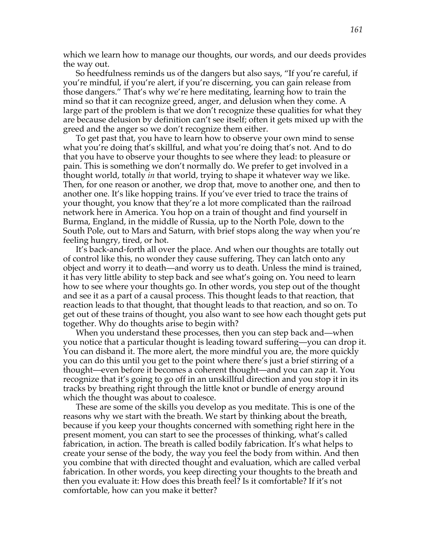which we learn how to manage our thoughts, our words, and our deeds provides the way out.

So heedfulness reminds us of the dangers but also says, "If you're careful, if you're mindful, if you're alert, if you're discerning, you can gain release from those dangers." That's why we're here meditating, learning how to train the mind so that it can recognize greed, anger, and delusion when they come. A large part of the problem is that we don't recognize these qualities for what they are because delusion by definition can't see itself; often it gets mixed up with the greed and the anger so we don't recognize them either.

To get past that, you have to learn how to observe your own mind to sense what you're doing that's skillful, and what you're doing that's not. And to do that you have to observe your thoughts to see where they lead: to pleasure or pain. This is something we don't normally do. We prefer to get involved in a thought world, totally *in* that world, trying to shape it whatever way we like. Then, for one reason or another, we drop that, move to another one, and then to another one. It's like hopping trains. If you've ever tried to trace the trains of your thought, you know that they're a lot more complicated than the railroad network here in America. You hop on a train of thought and find yourself in Burma, England, in the middle of Russia, up to the North Pole, down to the South Pole, out to Mars and Saturn, with brief stops along the way when you're feeling hungry, tired, or hot.

It's back-and-forth all over the place. And when our thoughts are totally out of control like this, no wonder they cause suffering. They can latch onto any object and worry it to death—and worry us to death. Unless the mind is trained, it has very little ability to step back and see what's going on. You need to learn how to see where your thoughts go. In other words, you step out of the thought and see it as a part of a causal process. This thought leads to that reaction, that reaction leads to that thought, that thought leads to that reaction, and so on. To get out of these trains of thought, you also want to see how each thought gets put together. Why do thoughts arise to begin with?

When you understand these processes, then you can step back and—when you notice that a particular thought is leading toward suffering—you can drop it. You can disband it. The more alert, the more mindful you are, the more quickly you can do this until you get to the point where there's just a brief stirring of a thought—even before it becomes a coherent thought—and you can zap it. You recognize that it's going to go off in an unskillful direction and you stop it in its tracks by breathing right through the little knot or bundle of energy around which the thought was about to coalesce.

These are some of the skills you develop as you meditate. This is one of the reasons why we start with the breath. We start by thinking about the breath, because if you keep your thoughts concerned with something right here in the present moment, you can start to see the processes of thinking, what's called fabrication, in action. The breath is called bodily fabrication. It's what helps to create your sense of the body, the way you feel the body from within. And then you combine that with directed thought and evaluation, which are called verbal fabrication. In other words, you keep directing your thoughts to the breath and then you evaluate it: How does this breath feel? Is it comfortable? If it's not comfortable, how can you make it better?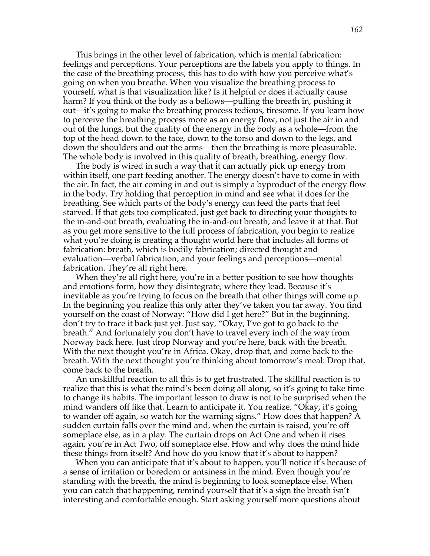This brings in the other level of fabrication, which is mental fabrication: feelings and perceptions. Your perceptions are the labels you apply to things. In the case of the breathing process, this has to do with how you perceive what's going on when you breathe. When you visualize the breathing process to yourself, what is that visualization like? Is it helpful or does it actually cause harm? If you think of the body as a bellows—pulling the breath in, pushing it out—it's going to make the breathing process tedious, tiresome. If you learn how to perceive the breathing process more as an energy flow, not just the air in and out of the lungs, but the quality of the energy in the body as a whole—from the top of the head down to the face, down to the torso and down to the legs, and down the shoulders and out the arms—then the breathing is more pleasurable. The whole body is involved in this quality of breath, breathing, energy flow.

The body is wired in such a way that it can actually pick up energy from within itself, one part feeding another. The energy doesn't have to come in with the air. In fact, the air coming in and out is simply a byproduct of the energy flow in the body. Try holding that perception in mind and see what it does for the breathing. See which parts of the body's energy can feed the parts that feel starved. If that gets too complicated, just get back to directing your thoughts to the in-and-out breath, evaluating the in-and-out breath, and leave it at that. But as you get more sensitive to the full process of fabrication, you begin to realize what you're doing is creating a thought world here that includes all forms of fabrication: breath, which is bodily fabrication; directed thought and evaluation—verbal fabrication; and your feelings and perceptions—mental fabrication. They're all right here.

When they're all right here, you're in a better position to see how thoughts and emotions form, how they disintegrate, where they lead. Because it's inevitable as you're trying to focus on the breath that other things will come up. In the beginning you realize this only after they've taken you far away. You find yourself on the coast of Norway: "How did I get here?" But in the beginning, don't try to trace it back just yet. Just say, "Okay, I've got to go back to the breath." And fortunately you don't have to travel every inch of the way from Norway back here. Just drop Norway and you're here, back with the breath. With the next thought you're in Africa. Okay, drop that, and come back to the breath. With the next thought you're thinking about tomorrow's meal: Drop that, come back to the breath.

An unskillful reaction to all this is to get frustrated. The skillful reaction is to realize that this is what the mind's been doing all along, so it's going to take time to change its habits. The important lesson to draw is not to be surprised when the mind wanders off like that. Learn to anticipate it. You realize, "Okay, it's going to wander off again, so watch for the warning signs." How does that happen? A sudden curtain falls over the mind and, when the curtain is raised, you're off someplace else, as in a play. The curtain drops on Act One and when it rises again, you're in Act Two, off someplace else. How and why does the mind hide these things from itself? And how do you know that it's about to happen?

When you can anticipate that it's about to happen, you'll notice it's because of a sense of irritation or boredom or antsiness in the mind. Even though you're standing with the breath, the mind is beginning to look someplace else. When you can catch that happening, remind yourself that it's a sign the breath isn't interesting and comfortable enough. Start asking yourself more questions about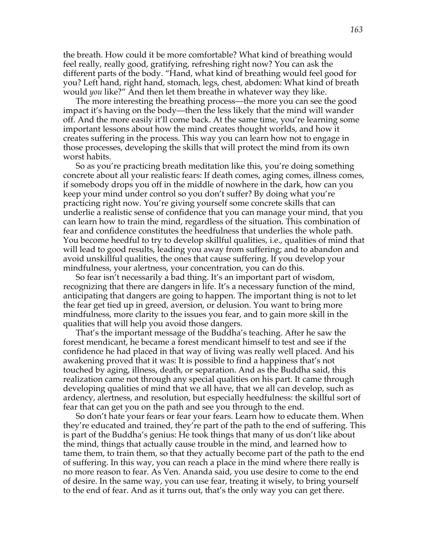the breath. How could it be more comfortable? What kind of breathing would feel really, really good, gratifying, refreshing right now? You can ask the different parts of the body. "Hand, what kind of breathing would feel good for you? Left hand, right hand, stomach, legs, chest, abdomen: What kind of breath would *you* like?" And then let them breathe in whatever way they like.

The more interesting the breathing process—the more you can see the good impact it's having on the body—then the less likely that the mind will wander off. And the more easily it'll come back. At the same time, you're learning some important lessons about how the mind creates thought worlds, and how it creates suffering in the process. This way you can learn how not to engage in those processes, developing the skills that will protect the mind from its own worst habits.

So as you're practicing breath meditation like this, you're doing something concrete about all your realistic fears: If death comes, aging comes, illness comes, if somebody drops you off in the middle of nowhere in the dark, how can you keep your mind under control so you don't suffer? By doing what you're practicing right now. You're giving yourself some concrete skills that can underlie a realistic sense of confidence that you can manage your mind, that you can learn how to train the mind, regardless of the situation. This combination of fear and confidence constitutes the heedfulness that underlies the whole path. You become heedful to try to develop skillful qualities, i.e., qualities of mind that will lead to good results, leading you away from suffering; and to abandon and avoid unskillful qualities, the ones that cause suffering. If you develop your mindfulness, your alertness, your concentration, you can do this.

So fear isn't necessarily a bad thing. It's an important part of wisdom, recognizing that there are dangers in life. It's a necessary function of the mind, anticipating that dangers are going to happen. The important thing is not to let the fear get tied up in greed, aversion, or delusion. You want to bring more mindfulness, more clarity to the issues you fear, and to gain more skill in the qualities that will help you avoid those dangers.

That's the important message of the Buddha's teaching. After he saw the forest mendicant, he became a forest mendicant himself to test and see if the confidence he had placed in that way of living was really well placed. And his awakening proved that it was: It is possible to find a happiness that's not touched by aging, illness, death, or separation. And as the Buddha said, this realization came not through any special qualities on his part. It came through developing qualities of mind that we all have, that we all can develop, such as ardency, alertness, and resolution, but especially heedfulness: the skillful sort of fear that can get you on the path and see you through to the end.

So don't hate your fears or fear your fears. Learn how to educate them. When they're educated and trained, they're part of the path to the end of suffering. This is part of the Buddha's genius: He took things that many of us don't like about the mind, things that actually cause trouble in the mind, and learned how to tame them, to train them, so that they actually become part of the path to the end of suffering. In this way, you can reach a place in the mind where there really is no more reason to fear. As Ven. Ananda said, you use desire to come to the end of desire. In the same way, you can use fear, treating it wisely, to bring yourself to the end of fear. And as it turns out, that's the only way you can get there.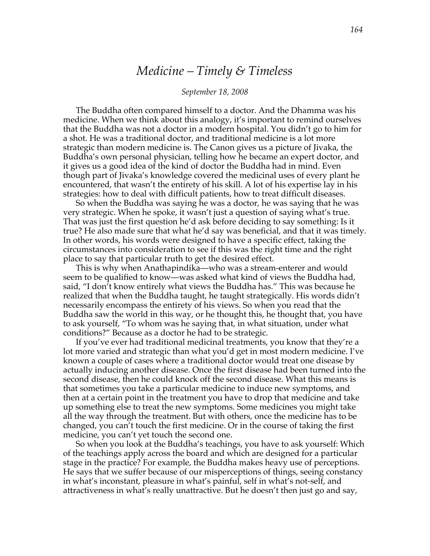# *Medicine – Timely & Timeless*

### *September 18, 2008*

The Buddha often compared himself to a doctor. And the Dhamma was his medicine. When we think about this analogy, it's important to remind ourselves that the Buddha was not a doctor in a modern hospital. You didn't go to him for a shot. He was a traditional doctor, and traditional medicine is a lot more strategic than modern medicine is. The Canon gives us a picture of Jivaka, the Buddha's own personal physician, telling how he became an expert doctor, and it gives us a good idea of the kind of doctor the Buddha had in mind. Even though part of Jivaka's knowledge covered the medicinal uses of every plant he encountered, that wasn't the entirety of his skill. A lot of his expertise lay in his strategies: how to deal with difficult patients, how to treat difficult diseases.

So when the Buddha was saying he was a doctor, he was saying that he was very strategic. When he spoke, it wasn't just a question of saying what's true. That was just the first question he'd ask before deciding to say something: Is it true? He also made sure that what he'd say was beneficial, and that it was timely. In other words, his words were designed to have a specific effect, taking the circumstances into consideration to see if this was the right time and the right place to say that particular truth to get the desired effect.

This is why when Anathapindika—who was a stream-enterer and would seem to be qualified to know—was asked what kind of views the Buddha had, said, "I don't know entirely what views the Buddha has." This was because he realized that when the Buddha taught, he taught strategically. His words didn't necessarily encompass the entirety of his views. So when you read that the Buddha saw the world in this way, or he thought this, he thought that, you have to ask yourself, "To whom was he saying that, in what situation, under what conditions?" Because as a doctor he had to be strategic.

If you've ever had traditional medicinal treatments, you know that they're a lot more varied and strategic than what you'd get in most modern medicine. I've known a couple of cases where a traditional doctor would treat one disease by actually inducing another disease. Once the first disease had been turned into the second disease, then he could knock off the second disease. What this means is that sometimes you take a particular medicine to induce new symptoms, and then at a certain point in the treatment you have to drop that medicine and take up something else to treat the new symptoms. Some medicines you might take all the way through the treatment. But with others, once the medicine has to be changed, you can't touch the first medicine. Or in the course of taking the first medicine, you can't yet touch the second one.

So when you look at the Buddha's teachings, you have to ask yourself: Which of the teachings apply across the board and which are designed for a particular stage in the practice? For example, the Buddha makes heavy use of perceptions. He says that we suffer because of our misperceptions of things, seeing constancy in what's inconstant, pleasure in what's painful, self in what's not-self, and attractiveness in what's really unattractive. But he doesn't then just go and say,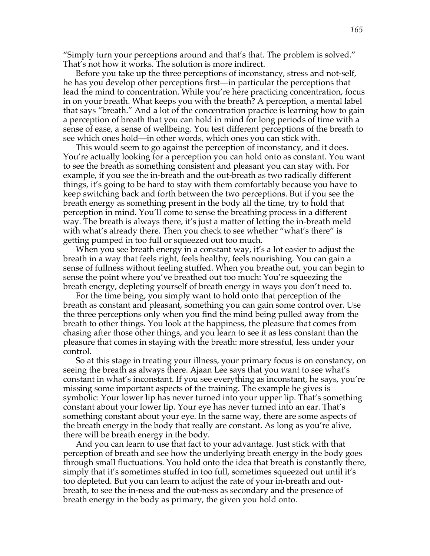"Simply turn your perceptions around and that's that. The problem is solved." That's not how it works. The solution is more indirect.

Before you take up the three perceptions of inconstancy, stress and not-self, he has you develop other perceptions first—in particular the perceptions that lead the mind to concentration. While you're here practicing concentration, focus in on your breath. What keeps you with the breath? A perception, a mental label that says "breath." And a lot of the concentration practice is learning how to gain a perception of breath that you can hold in mind for long periods of time with a sense of ease, a sense of wellbeing. You test different perceptions of the breath to see which ones hold—in other words, which ones you can stick with.

This would seem to go against the perception of inconstancy, and it does. You're actually looking for a perception you can hold onto as constant. You want to see the breath as something consistent and pleasant you can stay with. For example, if you see the in-breath and the out-breath as two radically different things, it's going to be hard to stay with them comfortably because you have to keep switching back and forth between the two perceptions. But if you see the breath energy as something present in the body all the time, try to hold that perception in mind. You'll come to sense the breathing process in a different way. The breath is always there, it's just a matter of letting the in-breath meld with what's already there. Then you check to see whether "what's there" is getting pumped in too full or squeezed out too much.

When you see breath energy in a constant way, it's a lot easier to adjust the breath in a way that feels right, feels healthy, feels nourishing. You can gain a sense of fullness without feeling stuffed. When you breathe out, you can begin to sense the point where you've breathed out too much: You're squeezing the breath energy, depleting yourself of breath energy in ways you don't need to.

For the time being, you simply want to hold onto that perception of the breath as constant and pleasant, something you can gain some control over. Use the three perceptions only when you find the mind being pulled away from the breath to other things. You look at the happiness, the pleasure that comes from chasing after those other things, and you learn to see it as less constant than the pleasure that comes in staying with the breath: more stressful, less under your control.

So at this stage in treating your illness, your primary focus is on constancy, on seeing the breath as always there. Ajaan Lee says that you want to see what's constant in what's inconstant. If you see everything as inconstant, he says, you're missing some important aspects of the training. The example he gives is symbolic: Your lower lip has never turned into your upper lip. That's something constant about your lower lip. Your eye has never turned into an ear. That's something constant about your eye. In the same way, there are some aspects of the breath energy in the body that really are constant. As long as you're alive, there will be breath energy in the body.

And you can learn to use that fact to your advantage. Just stick with that perception of breath and see how the underlying breath energy in the body goes through small fluctuations. You hold onto the idea that breath is constantly there, simply that it's sometimes stuffed in too full, sometimes squeezed out until it's too depleted. But you can learn to adjust the rate of your in-breath and outbreath, to see the in-ness and the out-ness as secondary and the presence of breath energy in the body as primary, the given you hold onto.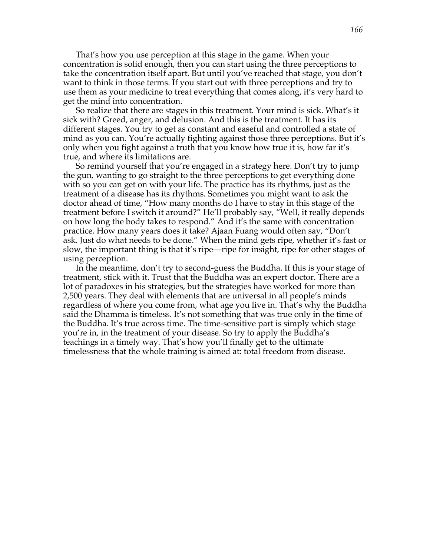That's how you use perception at this stage in the game. When your concentration is solid enough, then you can start using the three perceptions to take the concentration itself apart. But until you've reached that stage, you don't want to think in those terms. If you start out with three perceptions and try to use them as your medicine to treat everything that comes along, it's very hard to get the mind into concentration.

So realize that there are stages in this treatment. Your mind is sick. What's it sick with? Greed, anger, and delusion. And this is the treatment. It has its different stages. You try to get as constant and easeful and controlled a state of mind as you can. You're actually fighting against those three perceptions. But it's only when you fight against a truth that you know how true it is, how far it's true, and where its limitations are.

So remind yourself that you're engaged in a strategy here. Don't try to jump the gun, wanting to go straight to the three perceptions to get everything done with so you can get on with your life. The practice has its rhythms, just as the treatment of a disease has its rhythms. Sometimes you might want to ask the doctor ahead of time, "How many months do I have to stay in this stage of the treatment before I switch it around?" He'll probably say, "Well, it really depends on how long the body takes to respond." And it's the same with concentration practice. How many years does it take? Ajaan Fuang would often say, "Don't ask. Just do what needs to be done." When the mind gets ripe, whether it's fast or slow, the important thing is that it's ripe—ripe for insight, ripe for other stages of using perception.

In the meantime, don't try to second-guess the Buddha. If this is your stage of treatment, stick with it. Trust that the Buddha was an expert doctor. There are a lot of paradoxes in his strategies, but the strategies have worked for more than 2,500 years. They deal with elements that are universal in all people's minds regardless of where you come from, what age you live in. That's why the Buddha said the Dhamma is timeless. It's not something that was true only in the time of the Buddha. It's true across time. The time-sensitive part is simply which stage you're in, in the treatment of your disease. So try to apply the Buddha's teachings in a timely way. That's how you'll finally get to the ultimate timelessness that the whole training is aimed at: total freedom from disease.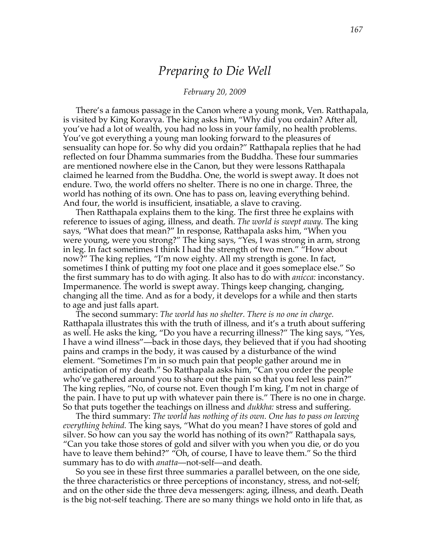## *Preparing to Die Well*

## *February 20, 2009*

There's a famous passage in the Canon where a young monk, Ven. Ratthapala, is visited by King Koravya. The king asks him, "Why did you ordain? After all, you've had a lot of wealth, you had no loss in your family, no health problems. You've got everything a young man looking forward to the pleasures of sensuality can hope for. So why did you ordain?" Ratthapala replies that he had reflected on four Dhamma summaries from the Buddha. These four summaries are mentioned nowhere else in the Canon, but they were lessons Ratthapala claimed he learned from the Buddha. One, the world is swept away. It does not endure. Two, the world offers no shelter. There is no one in charge. Three, the world has nothing of its own. One has to pass on, leaving everything behind. And four, the world is insufficient, insatiable, a slave to craving.

Then Ratthapala explains them to the king. The first three he explains with reference to issues of aging, illness, and death. *The world is swept away.* The king says, "What does that mean?" In response, Ratthapala asks him, "When you were young, were you strong?" The king says, "Yes, I was strong in arm, strong in leg. In fact sometimes I think I had the strength of two men." "How about now?" The king replies, "I'm now eighty. All my strength is gone. In fact, sometimes I think of putting my foot one place and it goes someplace else." So the first summary has to do with aging. It also has to do with *anicca:* inconstancy. Impermanence. The world is swept away. Things keep changing, changing, changing all the time. And as for a body, it develops for a while and then starts to age and just falls apart.

The second summary: *The world has no shelter. There is no one in charge.* Ratthapala illustrates this with the truth of illness, and it's a truth about suffering as well. He asks the king, "Do you have a recurring illness?" The king says, "Yes, I have a wind illness"—back in those days, they believed that if you had shooting pains and cramps in the body, it was caused by a disturbance of the wind element. "Sometimes I'm in so much pain that people gather around me in anticipation of my death." So Ratthapala asks him, "Can you order the people who've gathered around you to share out the pain so that you feel less pain?" The king replies, "No, of course not. Even though I'm king, I'm not in charge of the pain. I have to put up with whatever pain there is." There is no one in charge. So that puts together the teachings on illness and *dukkha:* stress and suffering.

The third summary: *The world has nothing of its own. One has to pass on leaving everything behind.* The king says, "What do you mean? I have stores of gold and silver. So how can you say the world has nothing of its own?" Ratthapala says, "Can you take those stores of gold and silver with you when you die, or do you have to leave them behind?" "Oh, of course, I have to leave them." So the third summary has to do with *anatta*—not-self—and death.

So you see in these first three summaries a parallel between, on the one side, the three characteristics or three perceptions of inconstancy, stress, and not-self; and on the other side the three deva messengers: aging, illness, and death. Death is the big not-self teaching. There are so many things we hold onto in life that, as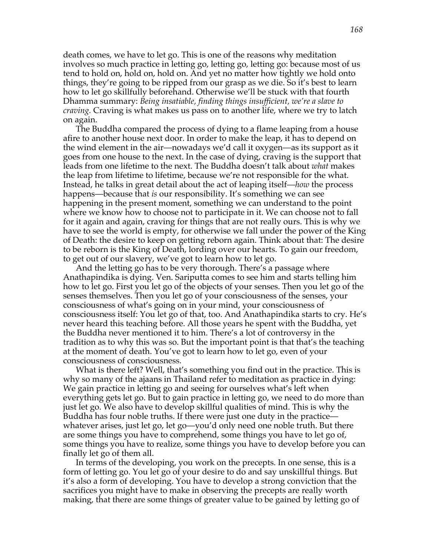death comes, we have to let go. This is one of the reasons why meditation involves so much practice in letting go, letting go, letting go: because most of us tend to hold on, hold on, hold on. And yet no matter how tightly we hold onto things, they're going to be ripped from our grasp as we die. So it's best to learn how to let go skillfully beforehand. Otherwise we'll be stuck with that fourth Dhamma summary: *Being insatiable, finding things insufficient, we're a slave to craving.* Craving is what makes us pass on to another life, where we try to latch on again.

The Buddha compared the process of dying to a flame leaping from a house afire to another house next door. In order to make the leap, it has to depend on the wind element in the air—nowadays we'd call it oxygen—as its support as it goes from one house to the next. In the case of dying, craving is the support that leads from one lifetime to the next. The Buddha doesn't talk about *what* makes the leap from lifetime to lifetime, because we're not responsible for the what. Instead, he talks in great detail about the act of leaping itself—*how* the process happens—because that *is* our responsibility. It's something we can see happening in the present moment, something we can understand to the point where we know how to choose not to participate in it. We can choose not to fall for it again and again, craving for things that are not really ours. This is why we have to see the world is empty, for otherwise we fall under the power of the King of Death: the desire to keep on getting reborn again. Think about that: The desire to be reborn is the King of Death, lording over our hearts. To gain our freedom, to get out of our slavery, we've got to learn how to let go.

And the letting go has to be very thorough. There's a passage where Anathapindika is dying. Ven. Sariputta comes to see him and starts telling him how to let go. First you let go of the objects of your senses. Then you let go of the senses themselves. Then you let go of your consciousness of the senses, your consciousness of what's going on in your mind, your consciousness of consciousness itself: You let go of that, too. And Anathapindika starts to cry. He's never heard this teaching before. All those years he spent with the Buddha, yet the Buddha never mentioned it to him. There's a lot of controversy in the tradition as to why this was so. But the important point is that that's the teaching at the moment of death. You've got to learn how to let go, even of your consciousness of consciousness.

What is there left? Well, that's something you find out in the practice. This is why so many of the ajaans in Thailand refer to meditation as practice in dying: We gain practice in letting go and seeing for ourselves what's left when everything gets let go. But to gain practice in letting go, we need to do more than just let go. We also have to develop skillful qualities of mind. This is why the Buddha has four noble truths. If there were just one duty in the practice whatever arises, just let go, let go—you'd only need one noble truth. But there are some things you have to comprehend, some things you have to let go of, some things you have to realize, some things you have to develop before you can finally let go of them all.

In terms of the developing, you work on the precepts. In one sense, this is a form of letting go. You let go of your desire to do and say unskillful things. But it's also a form of developing. You have to develop a strong conviction that the sacrifices you might have to make in observing the precepts are really worth making, that there are some things of greater value to be gained by letting go of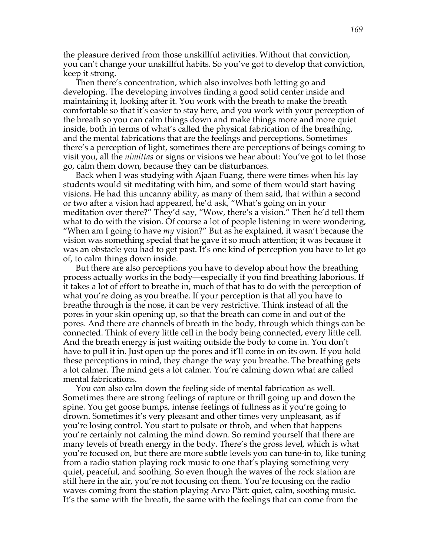the pleasure derived from those unskillful activities. Without that conviction, you can't change your unskillful habits. So you've got to develop that conviction, keep it strong.

Then there's concentration, which also involves both letting go and developing. The developing involves finding a good solid center inside and maintaining it, looking after it. You work with the breath to make the breath comfortable so that it's easier to stay here, and you work with your perception of the breath so you can calm things down and make things more and more quiet inside, both in terms of what's called the physical fabrication of the breathing, and the mental fabrications that are the feelings and perceptions. Sometimes there's a perception of light, sometimes there are perceptions of beings coming to visit you, all the *nimittas* or signs or visions we hear about: You've got to let those go, calm them down, because they can be disturbances.

Back when I was studying with Ajaan Fuang, there were times when his lay students would sit meditating with him, and some of them would start having visions. He had this uncanny ability, as many of them said, that within a second or two after a vision had appeared, he'd ask, "What's going on in your meditation over there?" They'd say, "Wow, there's a vision." Then he'd tell them what to do with the vision. Of course a lot of people listening in were wondering, "When am I going to have *my* vision?" But as he explained, it wasn't because the vision was something special that he gave it so much attention; it was because it was an obstacle you had to get past. It's one kind of perception you have to let go of, to calm things down inside.

But there are also perceptions you have to develop about how the breathing process actually works in the body—especially if you find breathing laborious. If it takes a lot of effort to breathe in, much of that has to do with the perception of what you're doing as you breathe. If your perception is that all you have to breathe through is the nose, it can be very restrictive. Think instead of all the pores in your skin opening up, so that the breath can come in and out of the pores. And there are channels of breath in the body, through which things can be connected. Think of every little cell in the body being connected, every little cell. And the breath energy is just waiting outside the body to come in. You don't have to pull it in. Just open up the pores and it'll come in on its own. If you hold these perceptions in mind, they change the way you breathe. The breathing gets a lot calmer. The mind gets a lot calmer. You're calming down what are called mental fabrications.

You can also calm down the feeling side of mental fabrication as well. Sometimes there are strong feelings of rapture or thrill going up and down the spine. You get goose bumps, intense feelings of fullness as if you're going to drown. Sometimes it's very pleasant and other times very unpleasant, as if you're losing control. You start to pulsate or throb, and when that happens you're certainly not calming the mind down. So remind yourself that there are many levels of breath energy in the body. There's the gross level, which is what you're focused on, but there are more subtle levels you can tune-in to, like tuning from a radio station playing rock music to one that's playing something very quiet, peaceful, and soothing. So even though the waves of the rock station are still here in the air, you're not focusing on them. You're focusing on the radio waves coming from the station playing Arvo Pärt: quiet, calm, soothing music. It's the same with the breath, the same with the feelings that can come from the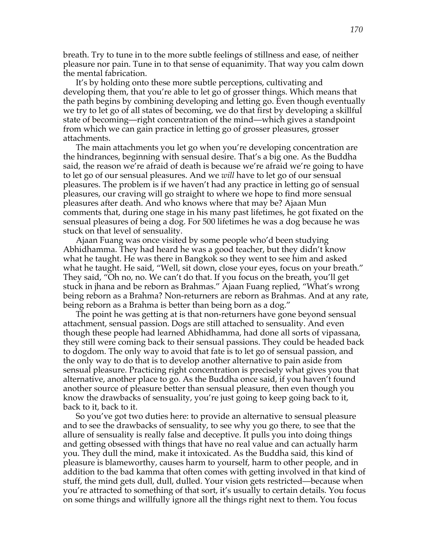breath. Try to tune in to the more subtle feelings of stillness and ease, of neither pleasure nor pain. Tune in to that sense of equanimity. That way you calm down the mental fabrication.

It's by holding onto these more subtle perceptions, cultivating and developing them, that you're able to let go of grosser things. Which means that the path begins by combining developing and letting go. Even though eventually we try to let go of all states of becoming, we do that first by developing a skillful state of becoming—right concentration of the mind—which gives a standpoint from which we can gain practice in letting go of grosser pleasures, grosser attachments.

The main attachments you let go when you're developing concentration are the hindrances, beginning with sensual desire. That's a big one. As the Buddha said, the reason we're afraid of death is because we're afraid we're going to have to let go of our sensual pleasures. And we *will* have to let go of our sensual pleasures. The problem is if we haven't had any practice in letting go of sensual pleasures, our craving will go straight to where we hope to find more sensual pleasures after death. And who knows where that may be? Ajaan Mun comments that, during one stage in his many past lifetimes, he got fixated on the sensual pleasures of being a dog. For 500 lifetimes he was a dog because he was stuck on that level of sensuality.

Ajaan Fuang was once visited by some people who'd been studying Abhidhamma. They had heard he was a good teacher, but they didn't know what he taught. He was there in Bangkok so they went to see him and asked what he taught. He said, "Well, sit down, close your eyes, focus on your breath." They said, "Oh no, no. We can't do that. If you focus on the breath, you'll get stuck in jhana and be reborn as Brahmas." Ajaan Fuang replied, "What's wrong being reborn as a Brahma? Non-returners are reborn as Brahmas. And at any rate, being reborn as a Brahma is better than being born as a dog."

The point he was getting at is that non-returners have gone beyond sensual attachment, sensual passion. Dogs are still attached to sensuality. And even though these people had learned Abhidhamma, had done all sorts of vipassana, they still were coming back to their sensual passions. They could be headed back to dogdom. The only way to avoid that fate is to let go of sensual passion, and the only way to do that is to develop another alternative to pain aside from sensual pleasure. Practicing right concentration is precisely what gives you that alternative, another place to go. As the Buddha once said, if you haven't found another source of pleasure better than sensual pleasure, then even though you know the drawbacks of sensuality, you're just going to keep going back to it, back to it, back to it.

So you've got two duties here: to provide an alternative to sensual pleasure and to see the drawbacks of sensuality, to see why you go there, to see that the allure of sensuality is really false and deceptive. It pulls you into doing things and getting obsessed with things that have no real value and can actually harm you. They dull the mind, make it intoxicated. As the Buddha said, this kind of pleasure is blameworthy, causes harm to yourself, harm to other people, and in addition to the bad kamma that often comes with getting involved in that kind of stuff, the mind gets dull, dull, dulled. Your vision gets restricted—because when you're attracted to something of that sort, it's usually to certain details. You focus on some things and willfully ignore all the things right next to them. You focus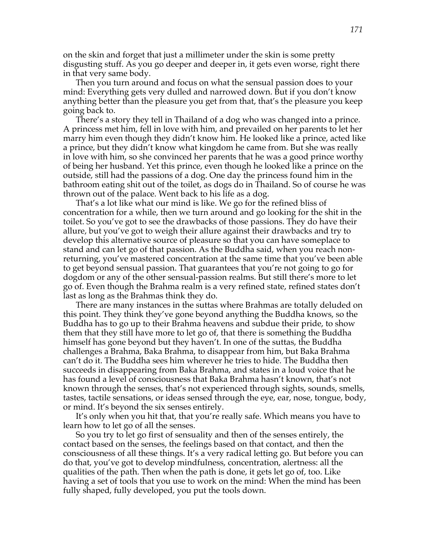on the skin and forget that just a millimeter under the skin is some pretty disgusting stuff. As you go deeper and deeper in, it gets even worse, right there in that very same body.

Then you turn around and focus on what the sensual passion does to your mind: Everything gets very dulled and narrowed down. But if you don't know anything better than the pleasure you get from that, that's the pleasure you keep going back to.

There's a story they tell in Thailand of a dog who was changed into a prince. A princess met him, fell in love with him, and prevailed on her parents to let her marry him even though they didn't know him. He looked like a prince, acted like a prince, but they didn't know what kingdom he came from. But she was really in love with him, so she convinced her parents that he was a good prince worthy of being her husband. Yet this prince, even though he looked like a prince on the outside, still had the passions of a dog. One day the princess found him in the bathroom eating shit out of the toilet, as dogs do in Thailand. So of course he was thrown out of the palace. Went back to his life as a dog.

That's a lot like what our mind is like. We go for the refined bliss of concentration for a while, then we turn around and go looking for the shit in the toilet. So you've got to see the drawbacks of those passions. They do have their allure, but you've got to weigh their allure against their drawbacks and try to develop this alternative source of pleasure so that you can have someplace to stand and can let go of that passion. As the Buddha said, when you reach nonreturning, you've mastered concentration at the same time that you've been able to get beyond sensual passion. That guarantees that you're not going to go for dogdom or any of the other sensual-passion realms. But still there's more to let go of. Even though the Brahma realm is a very refined state, refined states don't last as long as the Brahmas think they do.

There are many instances in the suttas where Brahmas are totally deluded on this point. They think they've gone beyond anything the Buddha knows, so the Buddha has to go up to their Brahma heavens and subdue their pride, to show them that they still have more to let go of, that there is something the Buddha himself has gone beyond but they haven't. In one of the suttas, the Buddha challenges a Brahma, Baka Brahma, to disappear from him, but Baka Brahma can't do it. The Buddha sees him wherever he tries to hide. The Buddha then succeeds in disappearing from Baka Brahma, and states in a loud voice that he has found a level of consciousness that Baka Brahma hasn't known, that's not known through the senses, that's not experienced through sights, sounds, smells, tastes, tactile sensations, or ideas sensed through the eye, ear, nose, tongue, body, or mind. It's beyond the six senses entirely.

It's only when you hit that, that you're really safe. Which means you have to learn how to let go of all the senses.

So you try to let go first of sensuality and then of the senses entirely, the contact based on the senses, the feelings based on that contact, and then the consciousness of all these things. It's a very radical letting go. But before you can do that, you've got to develop mindfulness, concentration, alertness: all the qualities of the path. Then when the path is done, it gets let go of, too. Like having a set of tools that you use to work on the mind: When the mind has been fully shaped, fully developed, you put the tools down.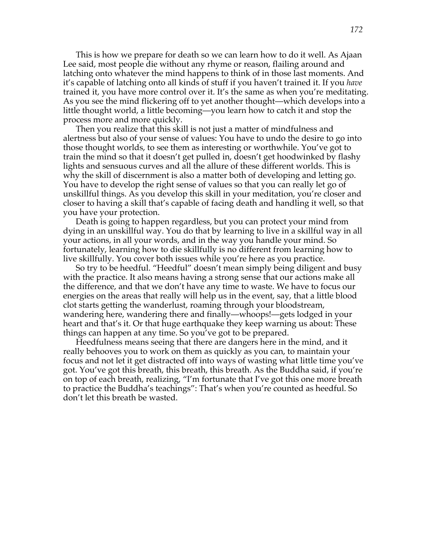This is how we prepare for death so we can learn how to do it well. As Ajaan Lee said, most people die without any rhyme or reason, flailing around and latching onto whatever the mind happens to think of in those last moments. And it's capable of latching onto all kinds of stuff if you haven't trained it. If you *have* trained it, you have more control over it. It's the same as when you're meditating. As you see the mind flickering off to yet another thought—which develops into a little thought world, a little becoming—you learn how to catch it and stop the process more and more quickly.

Then you realize that this skill is not just a matter of mindfulness and alertness but also of your sense of values: You have to undo the desire to go into those thought worlds, to see them as interesting or worthwhile. You've got to train the mind so that it doesn't get pulled in, doesn't get hoodwinked by flashy lights and sensuous curves and all the allure of these different worlds. This is why the skill of discernment is also a matter both of developing and letting go. You have to develop the right sense of values so that you can really let go of unskillful things. As you develop this skill in your meditation, you're closer and closer to having a skill that's capable of facing death and handling it well, so that you have your protection.

Death is going to happen regardless, but you can protect your mind from dying in an unskillful way. You do that by learning to live in a skillful way in all your actions, in all your words, and in the way you handle your mind. So fortunately, learning how to die skillfully is no different from learning how to live skillfully. You cover both issues while you're here as you practice.

So try to be heedful. "Heedful" doesn't mean simply being diligent and busy with the practice. It also means having a strong sense that our actions make all the difference, and that we don't have any time to waste. We have to focus our energies on the areas that really will help us in the event, say, that a little blood clot starts getting the wanderlust, roaming through your bloodstream, wandering here, wandering there and finally—whoops!—gets lodged in your heart and that's it. Or that huge earthquake they keep warning us about: These things can happen at any time. So you've got to be prepared.

Heedfulness means seeing that there are dangers here in the mind, and it really behooves you to work on them as quickly as you can, to maintain your focus and not let it get distracted off into ways of wasting what little time you've got. You've got this breath, this breath, this breath. As the Buddha said, if you're on top of each breath, realizing, "I'm fortunate that I've got this one more breath to practice the Buddha's teachings": That's when you're counted as heedful. So don't let this breath be wasted.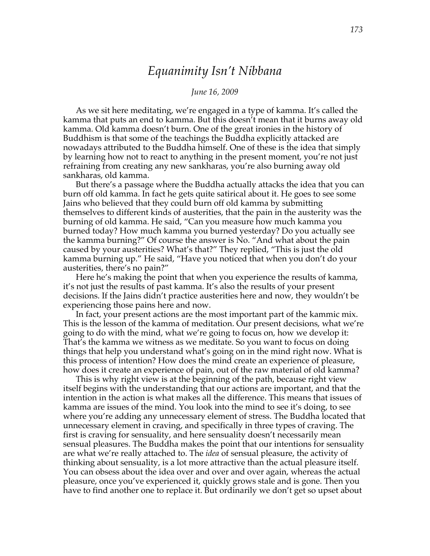# *Equanimity Isn't Nibbana*

### *June 16, 2009*

As we sit here meditating, we're engaged in a type of kamma. It's called the kamma that puts an end to kamma. But this doesn't mean that it burns away old kamma. Old kamma doesn't burn. One of the great ironies in the history of Buddhism is that some of the teachings the Buddha explicitly attacked are nowadays attributed to the Buddha himself. One of these is the idea that simply by learning how not to react to anything in the present moment, you're not just refraining from creating any new sankharas, you're also burning away old sankharas, old kamma.

But there's a passage where the Buddha actually attacks the idea that you can burn off old kamma. In fact he gets quite satirical about it. He goes to see some Jains who believed that they could burn off old kamma by submitting themselves to different kinds of austerities, that the pain in the austerity was the burning of old kamma. He said, "Can you measure how much kamma you burned today? How much kamma you burned yesterday? Do you actually see the kamma burning?" Of course the answer is No. "And what about the pain caused by your austerities? What's that?" They replied, "This is just the old kamma burning up." He said, "Have you noticed that when you don't do your austerities, there's no pain?"

Here he's making the point that when you experience the results of kamma, it's not just the results of past kamma. It's also the results of your present decisions. If the Jains didn't practice austerities here and now, they wouldn't be experiencing those pains here and now.

In fact, your present actions are the most important part of the kammic mix. This is the lesson of the kamma of meditation. Our present decisions, what we're going to do with the mind, what we're going to focus on, how we develop it: That's the kamma we witness as we meditate. So you want to focus on doing things that help you understand what's going on in the mind right now. What is this process of intention? How does the mind create an experience of pleasure, how does it create an experience of pain, out of the raw material of old kamma?

This is why right view is at the beginning of the path, because right view itself begins with the understanding that our actions are important, and that the intention in the action is what makes all the difference. This means that issues of kamma are issues of the mind. You look into the mind to see it's doing, to see where you're adding any unnecessary element of stress. The Buddha located that unnecessary element in craving, and specifically in three types of craving. The first is craving for sensuality, and here sensuality doesn't necessarily mean sensual pleasures. The Buddha makes the point that our intentions for sensuality are what we're really attached to. The *idea* of sensual pleasure, the activity of thinking about sensuality, is a lot more attractive than the actual pleasure itself. You can obsess about the idea over and over and over again, whereas the actual pleasure, once you've experienced it, quickly grows stale and is gone. Then you have to find another one to replace it. But ordinarily we don't get so upset about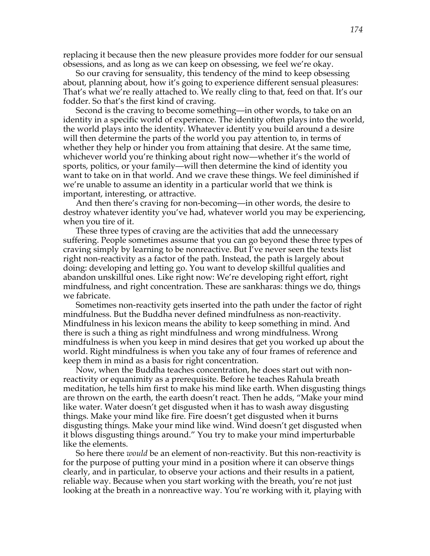replacing it because then the new pleasure provides more fodder for our sensual obsessions, and as long as we can keep on obsessing, we feel we're okay.

So our craving for sensuality, this tendency of the mind to keep obsessing about, planning about, how it's going to experience different sensual pleasures: That's what we're really attached to. We really cling to that, feed on that. It's our fodder. So that's the first kind of craving.

Second is the craving to become something—in other words, to take on an identity in a specific world of experience. The identity often plays into the world, the world plays into the identity. Whatever identity you build around a desire will then determine the parts of the world you pay attention to, in terms of whether they help or hinder you from attaining that desire. At the same time, whichever world you're thinking about right now—whether it's the world of sports, politics, or your family—will then determine the kind of identity you want to take on in that world. And we crave these things. We feel diminished if we're unable to assume an identity in a particular world that we think is important, interesting, or attractive.

And then there's craving for non-becoming—in other words, the desire to destroy whatever identity you've had, whatever world you may be experiencing, when you tire of it.

These three types of craving are the activities that add the unnecessary suffering. People sometimes assume that you can go beyond these three types of craving simply by learning to be nonreactive. But I've never seen the texts list right non-reactivity as a factor of the path. Instead, the path is largely about doing: developing and letting go. You want to develop skillful qualities and abandon unskillful ones. Like right now: We're developing right effort, right mindfulness, and right concentration. These are sankharas: things we do, things we fabricate.

Sometimes non-reactivity gets inserted into the path under the factor of right mindfulness. But the Buddha never defined mindfulness as non-reactivity. Mindfulness in his lexicon means the ability to keep something in mind. And there is such a thing as right mindfulness and wrong mindfulness. Wrong mindfulness is when you keep in mind desires that get you worked up about the world. Right mindfulness is when you take any of four frames of reference and keep them in mind as a basis for right concentration.

Now, when the Buddha teaches concentration, he does start out with nonreactivity or equanimity as a prerequisite. Before he teaches Rahula breath meditation, he tells him first to make his mind like earth. When disgusting things are thrown on the earth, the earth doesn't react. Then he adds, "Make your mind like water. Water doesn't get disgusted when it has to wash away disgusting things. Make your mind like fire. Fire doesn't get disgusted when it burns disgusting things. Make your mind like wind. Wind doesn't get disgusted when it blows disgusting things around." You try to make your mind imperturbable like the elements.

So here there *would* be an element of non-reactivity. But this non-reactivity is for the purpose of putting your mind in a position where it can observe things clearly, and in particular, to observe your actions and their results in a patient, reliable way. Because when you start working with the breath, you're not just looking at the breath in a nonreactive way. You're working with it, playing with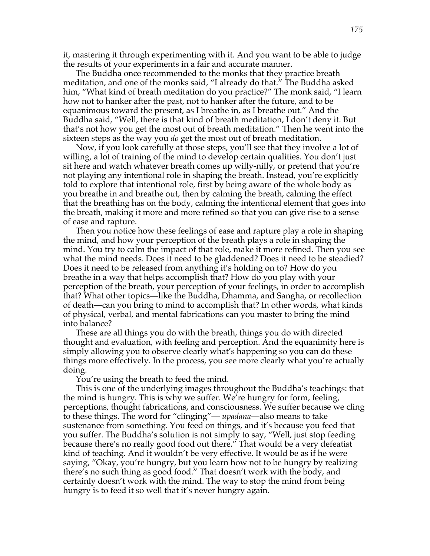it, mastering it through experimenting with it. And you want to be able to judge the results of your experiments in a fair and accurate manner.

The Buddha once recommended to the monks that they practice breath meditation, and one of the monks said, "I already do that." The Buddha asked him, "What kind of breath meditation do you practice?" The monk said, "I learn how not to hanker after the past, not to hanker after the future, and to be equanimous toward the present, as I breathe in, as I breathe out." And the Buddha said, "Well, there is that kind of breath meditation, I don't deny it. But that's not how you get the most out of breath meditation." Then he went into the sixteen steps as the way you *do* get the most out of breath meditation.

Now, if you look carefully at those steps, you'll see that they involve a lot of willing, a lot of training of the mind to develop certain qualities. You don't just sit here and watch whatever breath comes up willy-nilly, or pretend that you're not playing any intentional role in shaping the breath. Instead, you're explicitly told to explore that intentional role, first by being aware of the whole body as you breathe in and breathe out, then by calming the breath, calming the effect that the breathing has on the body, calming the intentional element that goes into the breath, making it more and more refined so that you can give rise to a sense of ease and rapture.

Then you notice how these feelings of ease and rapture play a role in shaping the mind, and how your perception of the breath plays a role in shaping the mind. You try to calm the impact of that role, make it more refined. Then you see what the mind needs. Does it need to be gladdened? Does it need to be steadied? Does it need to be released from anything it's holding on to? How do you breathe in a way that helps accomplish that? How do you play with your perception of the breath, your perception of your feelings, in order to accomplish that? What other topics—like the Buddha, Dhamma, and Sangha, or recollection of death—can you bring to mind to accomplish that? In other words, what kinds of physical, verbal, and mental fabrications can you master to bring the mind into balance?

These are all things you do with the breath, things you do with directed thought and evaluation, with feeling and perception. And the equanimity here is simply allowing you to observe clearly what's happening so you can do these things more effectively. In the process, you see more clearly what you're actually doing.

You're using the breath to feed the mind.

This is one of the underlying images throughout the Buddha's teachings: that the mind is hungry. This is why we suffer. We're hungry for form, feeling, perceptions, thought fabrications, and consciousness. We suffer because we cling to these things. The word for "clinging"— *upadana*—also means to take sustenance from something. You feed on things, and it's because you feed that you suffer. The Buddha's solution is not simply to say, "Well, just stop feeding because there's no really good food out there." That would be a very defeatist kind of teaching. And it wouldn't be very effective. It would be as if he were saying, "Okay, you're hungry, but you learn how not to be hungry by realizing there's no such thing as good food." That doesn't work with the body, and certainly doesn't work with the mind. The way to stop the mind from being hungry is to feed it so well that it's never hungry again.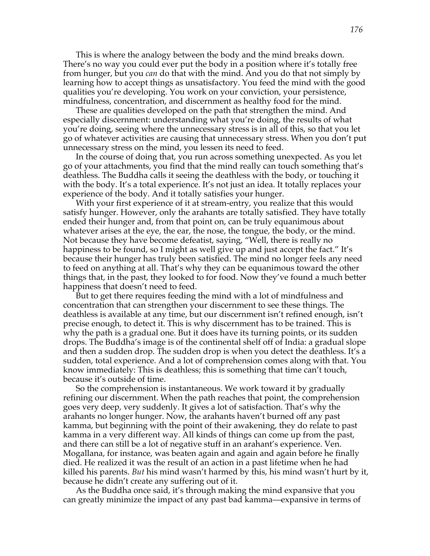This is where the analogy between the body and the mind breaks down. There's no way you could ever put the body in a position where it's totally free from hunger, but you *can* do that with the mind. And you do that not simply by learning how to accept things as unsatisfactory. You feed the mind with the good qualities you're developing. You work on your conviction, your persistence, mindfulness, concentration, and discernment as healthy food for the mind.

These are qualities developed on the path that strengthen the mind. And especially discernment: understanding what you're doing, the results of what you're doing, seeing where the unnecessary stress is in all of this, so that you let go of whatever activities are causing that unnecessary stress. When you don't put unnecessary stress on the mind, you lessen its need to feed.

In the course of doing that, you run across something unexpected. As you let go of your attachments, you find that the mind really can touch something that's deathless. The Buddha calls it seeing the deathless with the body, or touching it with the body. It's a total experience. It's not just an idea. It totally replaces your experience of the body. And it totally satisfies your hunger.

With your first experience of it at stream-entry, you realize that this would satisfy hunger. However, only the arahants are totally satisfied. They have totally ended their hunger and, from that point on, can be truly equanimous about whatever arises at the eye, the ear, the nose, the tongue, the body, or the mind. Not because they have become defeatist, saying, "Well, there is really no happiness to be found, so I might as well give up and just accept the fact." It's because their hunger has truly been satisfied. The mind no longer feels any need to feed on anything at all. That's why they can be equanimous toward the other things that, in the past, they looked to for food. Now they've found a much better happiness that doesn't need to feed.

But to get there requires feeding the mind with a lot of mindfulness and concentration that can strengthen your discernment to see these things. The deathless is available at any time, but our discernment isn't refined enough, isn't precise enough, to detect it. This is why discernment has to be trained. This is why the path is a gradual one. But it does have its turning points, or its sudden drops. The Buddha's image is of the continental shelf off of India: a gradual slope and then a sudden drop. The sudden drop is when you detect the deathless. It's a sudden, total experience. And a lot of comprehension comes along with that. You know immediately: This is deathless; this is something that time can't touch, because it's outside of time.

So the comprehension is instantaneous. We work toward it by gradually refining our discernment. When the path reaches that point, the comprehension goes very deep, very suddenly. It gives a lot of satisfaction. That's why the arahants no longer hunger. Now, the arahants haven't burned off any past kamma, but beginning with the point of their awakening, they do relate to past kamma in a very different way. All kinds of things can come up from the past, and there can still be a lot of negative stuff in an arahant's experience. Ven. Mogallana, for instance, was beaten again and again and again before he finally died. He realized it was the result of an action in a past lifetime when he had killed his parents. *But* his mind wasn't harmed by this, his mind wasn't hurt by it, because he didn't create any suffering out of it.

As the Buddha once said, it's through making the mind expansive that you can greatly minimize the impact of any past bad kamma—expansive in terms of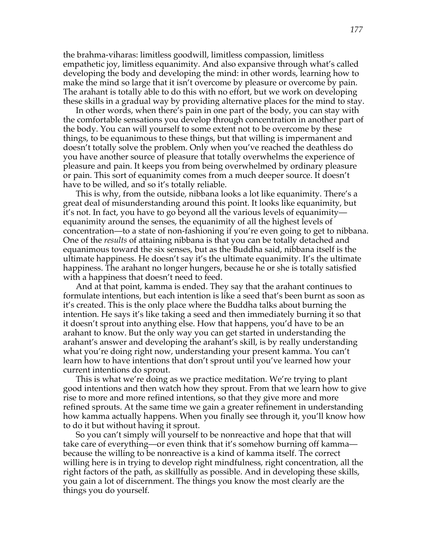the brahma-viharas: limitless goodwill, limitless compassion, limitless empathetic joy, limitless equanimity. And also expansive through what's called developing the body and developing the mind: in other words, learning how to make the mind so large that it isn't overcome by pleasure or overcome by pain. The arahant is totally able to do this with no effort, but we work on developing these skills in a gradual way by providing alternative places for the mind to stay.

In other words, when there's pain in one part of the body, you can stay with the comfortable sensations you develop through concentration in another part of the body. You can will yourself to some extent not to be overcome by these things, to be equanimous to these things, but that willing is impermanent and doesn't totally solve the problem. Only when you've reached the deathless do you have another source of pleasure that totally overwhelms the experience of pleasure and pain. It keeps you from being overwhelmed by ordinary pleasure or pain. This sort of equanimity comes from a much deeper source. It doesn't have to be willed, and so it's totally reliable.

This is why, from the outside, nibbana looks a lot like equanimity. There's a great deal of misunderstanding around this point. It looks like equanimity, but it's not. In fact, you have to go beyond all the various levels of equanimity equanimity around the senses, the equanimity of all the highest levels of concentration—to a state of non-fashioning if you're even going to get to nibbana. One of the *results* of attaining nibbana is that you can be totally detached and equanimous toward the six senses, but as the Buddha said, nibbana itself is the ultimate happiness. He doesn't say it's the ultimate equanimity. It's the ultimate happiness. The arahant no longer hungers, because he or she is totally satisfied with a happiness that doesn't need to feed.

And at that point, kamma is ended. They say that the arahant continues to formulate intentions, but each intention is like a seed that's been burnt as soon as it's created. This is the only place where the Buddha talks about burning the intention. He says it's like taking a seed and then immediately burning it so that it doesn't sprout into anything else. How that happens, you'd have to be an arahant to know. But the only way you can get started in understanding the arahant's answer and developing the arahant's skill, is by really understanding what you're doing right now, understanding your present kamma. You can't learn how to have intentions that don't sprout until you've learned how your current intentions do sprout.

This is what we're doing as we practice meditation. We're trying to plant good intentions and then watch how they sprout. From that we learn how to give rise to more and more refined intentions, so that they give more and more refined sprouts. At the same time we gain a greater refinement in understanding how kamma actually happens. When you finally see through it, you'll know how to do it but without having it sprout.

So you can't simply will yourself to be nonreactive and hope that that will take care of everything—or even think that it's somehow burning off kamma because the willing to be nonreactive is a kind of kamma itself. The correct willing here is in trying to develop right mindfulness, right concentration, all the right factors of the path, as skillfully as possible. And in developing these skills, you gain a lot of discernment. The things you know the most clearly are the things you do yourself.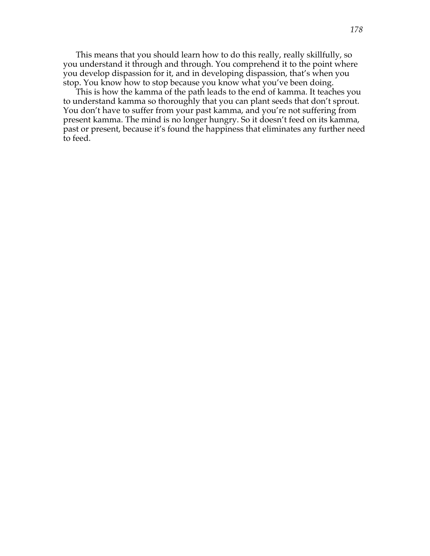This means that you should learn how to do this really, really skillfully, so you understand it through and through. You comprehend it to the point where you develop dispassion for it, and in developing dispassion, that's when you stop. You know how to stop because you know what you've been doing.

This is how the kamma of the path leads to the end of kamma. It teaches you to understand kamma so thoroughly that you can plant seeds that don't sprout. You don't have to suffer from your past kamma, and you're not suffering from present kamma. The mind is no longer hungry. So it doesn't feed on its kamma, past or present, because it's found the happiness that eliminates any further need to feed.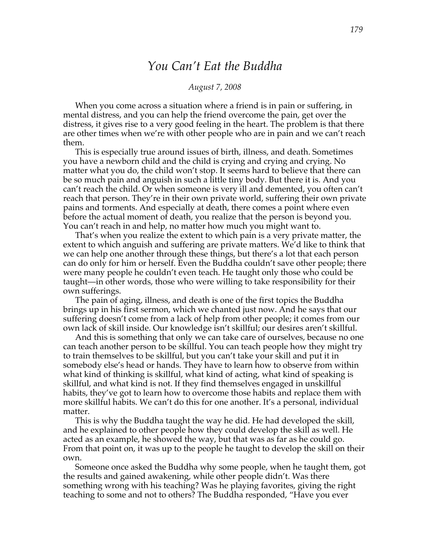# *You Can't Eat the Buddha*

## *August 7, 2008*

When you come across a situation where a friend is in pain or suffering, in mental distress, and you can help the friend overcome the pain, get over the distress, it gives rise to a very good feeling in the heart. The problem is that there are other times when we're with other people who are in pain and we can't reach them.

This is especially true around issues of birth, illness, and death. Sometimes you have a newborn child and the child is crying and crying and crying. No matter what you do, the child won't stop. It seems hard to believe that there can be so much pain and anguish in such a little tiny body. But there it is. And you can't reach the child. Or when someone is very ill and demented, you often can't reach that person. They're in their own private world, suffering their own private pains and torments. And especially at death, there comes a point where even before the actual moment of death, you realize that the person is beyond you. You can't reach in and help, no matter how much you might want to.

That's when you realize the extent to which pain is a very private matter, the extent to which anguish and suffering are private matters. We'd like to think that we can help one another through these things, but there's a lot that each person can do only for him or herself. Even the Buddha couldn't save other people; there were many people he couldn't even teach. He taught only those who could be taught—in other words, those who were willing to take responsibility for their own sufferings.

The pain of aging, illness, and death is one of the first topics the Buddha brings up in his first sermon, which we chanted just now. And he says that our suffering doesn't come from a lack of help from other people; it comes from our own lack of skill inside. Our knowledge isn't skillful; our desires aren't skillful.

And this is something that only we can take care of ourselves, because no one can teach another person to be skillful. You can teach people how they might try to train themselves to be skillful, but you can't take your skill and put it in somebody else's head or hands. They have to learn how to observe from within what kind of thinking is skillful, what kind of acting, what kind of speaking is skillful, and what kind is not. If they find themselves engaged in unskillful habits, they've got to learn how to overcome those habits and replace them with more skillful habits. We can't do this for one another. It's a personal, individual matter.

This is why the Buddha taught the way he did. He had developed the skill, and he explained to other people how they could develop the skill as well. He acted as an example, he showed the way, but that was as far as he could go. From that point on, it was up to the people he taught to develop the skill on their own.

Someone once asked the Buddha why some people, when he taught them, got the results and gained awakening, while other people didn't. Was there something wrong with his teaching? Was he playing favorites, giving the right teaching to some and not to others? The Buddha responded, "Have you ever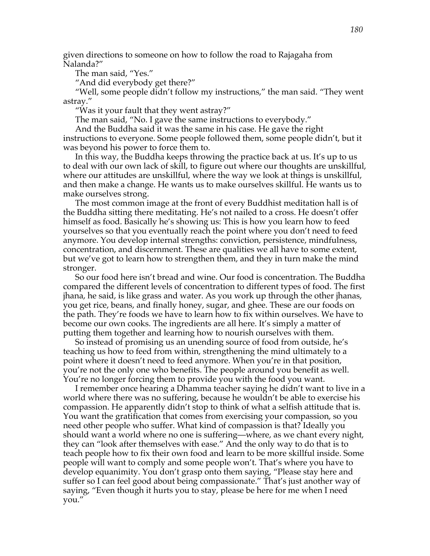given directions to someone on how to follow the road to Rajagaha from Nalanda?"

The man said, "Yes."

"And did everybody get there?"

"Well, some people didn't follow my instructions," the man said. "They went astray."

"Was it your fault that they went astray?"

The man said, "No. I gave the same instructions to everybody."

And the Buddha said it was the same in his case. He gave the right instructions to everyone. Some people followed them, some people didn't, but it was beyond his power to force them to.

In this way, the Buddha keeps throwing the practice back at us. It's up to us to deal with our own lack of skill, to figure out where our thoughts are unskillful, where our attitudes are unskillful, where the way we look at things is unskillful, and then make a change. He wants us to make ourselves skillful. He wants us to make ourselves strong.

The most common image at the front of every Buddhist meditation hall is of the Buddha sitting there meditating. He's not nailed to a cross. He doesn't offer himself as food. Basically he's showing us: This is how you learn how to feed yourselves so that you eventually reach the point where you don't need to feed anymore. You develop internal strengths: conviction, persistence, mindfulness, concentration, and discernment. These are qualities we all have to some extent, but we've got to learn how to strengthen them, and they in turn make the mind stronger.

So our food here isn't bread and wine. Our food is concentration. The Buddha compared the different levels of concentration to different types of food. The first jhana, he said, is like grass and water. As you work up through the other jhanas, you get rice, beans, and finally honey, sugar, and ghee. These are our foods on the path. They're foods we have to learn how to fix within ourselves. We have to become our own cooks. The ingredients are all here. It's simply a matter of putting them together and learning how to nourish ourselves with them.

So instead of promising us an unending source of food from outside, he's teaching us how to feed from within, strengthening the mind ultimately to a point where it doesn't need to feed anymore. When you're in that position, you're not the only one who benefits. The people around you benefit as well. You're no longer forcing them to provide you with the food you want.

I remember once hearing a Dhamma teacher saying he didn't want to live in a world where there was no suffering, because he wouldn't be able to exercise his compassion. He apparently didn't stop to think of what a selfish attitude that is. You want the gratification that comes from exercising your compassion, so you need other people who suffer. What kind of compassion is that? Ideally you should want a world where no one is suffering—where, as we chant every night, they can "look after themselves with ease." And the only way to do that is to teach people how to fix their own food and learn to be more skillful inside. Some people will want to comply and some people won't. That's where you have to develop equanimity. You don't grasp onto them saying, "Please stay here and suffer so I can feel good about being compassionate." That's just another way of saying, "Even though it hurts you to stay, please be here for me when I need you."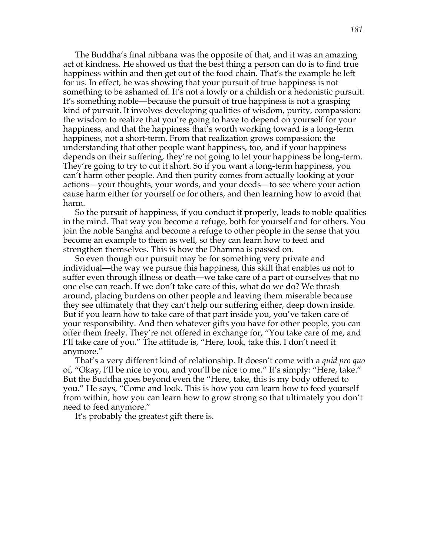The Buddha's final nibbana was the opposite of that, and it was an amazing act of kindness. He showed us that the best thing a person can do is to find true happiness within and then get out of the food chain. That's the example he left for us. In effect, he was showing that your pursuit of true happiness is not something to be ashamed of. It's not a lowly or a childish or a hedonistic pursuit. It's something noble—because the pursuit of true happiness is not a grasping kind of pursuit. It involves developing qualities of wisdom, purity, compassion: the wisdom to realize that you're going to have to depend on yourself for your happiness, and that the happiness that's worth working toward is a long-term happiness, not a short-term. From that realization grows compassion: the understanding that other people want happiness, too, and if your happiness depends on their suffering, they're not going to let your happiness be long-term. They're going to try to cut it short. So if you want a long-term happiness, you can't harm other people. And then purity comes from actually looking at your actions—your thoughts, your words, and your deeds—to see where your action cause harm either for yourself or for others, and then learning how to avoid that harm.

So the pursuit of happiness, if you conduct it properly, leads to noble qualities in the mind. That way you become a refuge, both for yourself and for others. You join the noble Sangha and become a refuge to other people in the sense that you become an example to them as well, so they can learn how to feed and strengthen themselves. This is how the Dhamma is passed on.

So even though our pursuit may be for something very private and individual—the way we pursue this happiness, this skill that enables us not to suffer even through illness or death—we take care of a part of ourselves that no one else can reach. If we don't take care of this, what do we do? We thrash around, placing burdens on other people and leaving them miserable because they see ultimately that they can't help our suffering either, deep down inside. But if you learn how to take care of that part inside you, you've taken care of your responsibility. And then whatever gifts you have for other people, you can offer them freely. They're not offered in exchange for, "You take care of me, and I'll take care of you." The attitude is, "Here, look, take this. I don't need it anymore."

That's a very different kind of relationship. It doesn't come with a *quid pro quo* of, "Okay, I'll be nice to you, and you'll be nice to me." It's simply: "Here, take." But the Buddha goes beyond even the "Here, take, this is my body offered to you." He says, "Come and look. This is how you can learn how to feed yourself from within, how you can learn how to grow strong so that ultimately you don't need to feed anymore."

It's probably the greatest gift there is.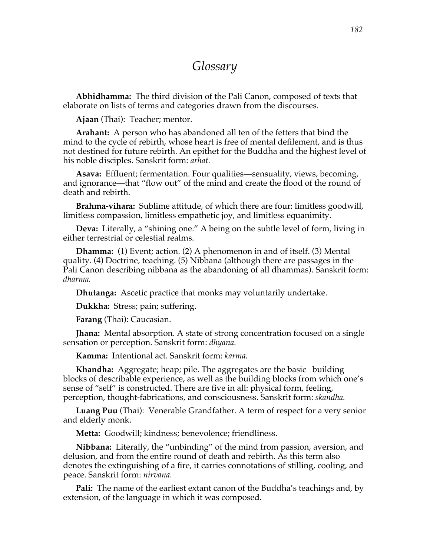## *Glossary*

**Abhidhamma:** The third division of the Pali Canon, composed of texts that elaborate on lists of terms and categories drawn from the discourses.

**Ajaan** (Thai): Teacher; mentor.

**Arahant:** A person who has abandoned all ten of the fetters that bind the mind to the cycle of rebirth, whose heart is free of mental defilement, and is thus not destined for future rebirth. An epithet for the Buddha and the highest level of his noble disciples. Sanskrit form: *arhat.* 

**Asava:** Effluent; fermentation. Four qualities—sensuality, views, becoming, and ignorance—that "flow out" of the mind and create the flood of the round of death and rebirth.

**Brahma-vihara:** Sublime attitude, of which there are four: limitless goodwill, limitless compassion, limitless empathetic joy, and limitless equanimity.

**Deva:** Literally, a "shining one." A being on the subtle level of form, living in either terrestrial or celestial realms.

**Dhamma:** (1) Event; action. (2) A phenomenon in and of itself. (3) Mental quality. (4) Doctrine, teaching. (5) Nibbana (although there are passages in the Pali Canon describing nibbana as the abandoning of all dhammas). Sanskrit form: *dharma.*

**Dhutanga:** Ascetic practice that monks may voluntarily undertake.

**Dukkha:** Stress; pain; suffering.

**Farang** (Thai): Caucasian.

**Jhana:** Mental absorption. A state of strong concentration focused on a single sensation or perception. Sanskrit form: *dhyana.*

**Kamma:** Intentional act. Sanskrit form: *karma.*

**Khandha:** Aggregate; heap; pile. The aggregates are the basic building blocks of describable experience, as well as the building blocks from which one's sense of "self" is constructed. There are five in all: physical form, feeling, perception, thought-fabrications, and consciousness. Sanskrit form: *skandha.*

**Luang Puu** (Thai): Venerable Grandfather. A term of respect for a very senior and elderly monk.

**Metta:** Goodwill; kindness; benevolence; friendliness.

**Nibbana:** Literally, the "unbinding" of the mind from passion, aversion, and delusion, and from the entire round of death and rebirth. As this term also denotes the extinguishing of a fire, it carries connotations of stilling, cooling, and peace. Sanskrit form: *nirvana.*

**Pali:** The name of the earliest extant canon of the Buddha's teachings and, by extension, of the language in which it was composed.